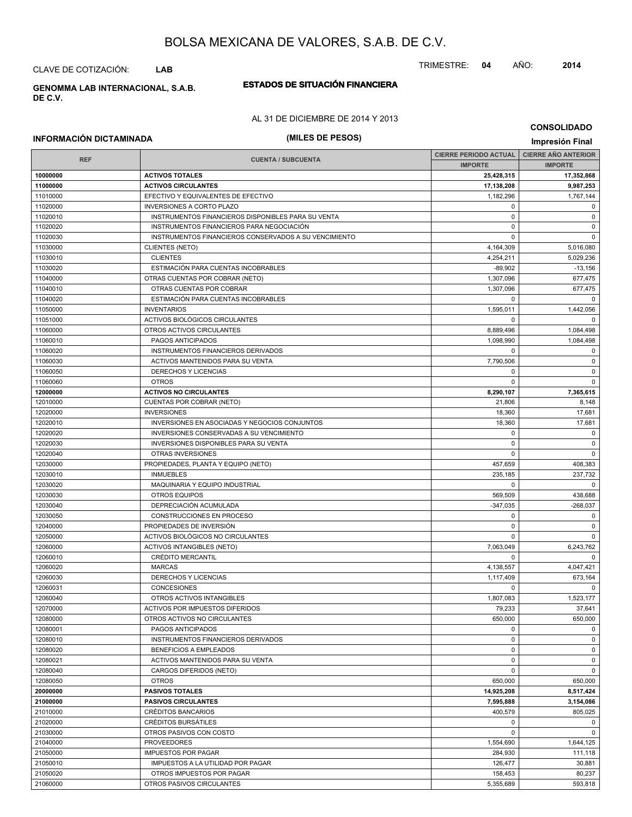CLAVE DE COTIZACIÓN: **LAB**

#### **ESTADOS DE SITUACIÓN FINANCIERA GENOMMA LAB INTERNACIONAL, S.A.B. DE C.V.**

#### AL 31 DE DICIEMBRE DE 2014 Y 2013

#### **CONSOLIDADO**

# **INFORMACIÓN DICTAMINADA (MILES DE PESOS) Impresión Final**

|            |                                                       | <b>CIERRE PERIODO ACTUAL</b> | <b>CIERRE AÑO ANTERIOR</b> |
|------------|-------------------------------------------------------|------------------------------|----------------------------|
| <b>REF</b> | <b>CUENTA / SUBCUENTA</b>                             | <b>IMPORTE</b>               | <b>IMPORTE</b>             |
| 10000000   | <b>ACTIVOS TOTALES</b>                                | 25,428,315                   | 17,352,868                 |
| 11000000   | <b>ACTIVOS CIRCULANTES</b>                            | 17,138,208                   | 9,987,253                  |
| 11010000   | EFECTIVO Y EQUIVALENTES DE EFECTIVO                   | 1,182,296                    | 1,767,144                  |
| 11020000   | <b>INVERSIONES A CORTO PLAZO</b>                      | 0                            | $\mathbf 0$                |
| 11020010   | INSTRUMENTOS FINANCIEROS DISPONIBLES PARA SU VENTA    | $\mathbf 0$                  | $\mathbf 0$                |
| 11020020   | INSTRUMENTOS FINANCIEROS PARA NEGOCIACIÓN             | $\mathbf 0$                  | $\mathbf 0$                |
| 11020030   | INSTRUMENTOS FINANCIEROS CONSERVADOS A SU VENCIMIENTO | 0                            | $\mathbf 0$                |
| 11030000   | <b>CLIENTES (NETO)</b>                                | 4,164,309                    | 5,016,080                  |
| 11030010   | <b>CLIENTES</b>                                       | 4,254,211                    | 5,029,236                  |
| 11030020   | ESTIMACIÓN PARA CUENTAS INCOBRABLES                   | $-89,902$                    | $-13,156$                  |
| 11040000   | OTRAS CUENTAS POR COBRAR (NETO)                       | 1,307,096                    | 677,475                    |
| 11040010   | OTRAS CUENTAS POR COBRAR                              | 1,307,096                    | 677,475                    |
| 11040020   | ESTIMACIÓN PARA CUENTAS INCOBRABLES                   | $\mathbf 0$                  | $\mathbf 0$                |
| 11050000   | <b>INVENTARIOS</b>                                    | 1,595,011                    | 1,442,056                  |
| 11051000   | ACTIVOS BIOLÓGICOS CIRCULANTES                        | $\Omega$                     | $\Omega$                   |
| 11060000   | OTROS ACTIVOS CIRCULANTES                             | 8,889,496                    | 1,084,498                  |
| 11060010   | PAGOS ANTICIPADOS                                     | 1,098,990                    | 1,084,498                  |
| 11060020   | INSTRUMENTOS FINANCIEROS DERIVADOS                    | 0                            | 0                          |
| 11060030   | ACTIVOS MANTENIDOS PARA SU VENTA                      | 7,790,506                    | $\mathsf 0$                |
| 11060050   | DERECHOS Y LICENCIAS                                  | 0                            | $\mathbf 0$                |
| 11060060   | <b>OTROS</b>                                          | $\mathbf 0$                  | $\mathbf 0$                |
| 12000000   | <b>ACTIVOS NO CIRCULANTES</b>                         | 8,290,107                    | 7,365,615                  |
| 12010000   | <b>CUENTAS POR COBRAR (NETO)</b>                      | 21,806                       | 8,148                      |
| 12020000   | <b>INVERSIONES</b>                                    | 18,360                       | 17,681                     |
| 12020010   | <b>INVERSIONES EN ASOCIADAS Y NEGOCIOS CONJUNTOS</b>  | 18,360                       | 17,681                     |
| 12020020   | INVERSIONES CONSERVADAS A SU VENCIMIENTO              | 0                            | $\mathbf 0$                |
| 12020030   | INVERSIONES DISPONIBLES PARA SU VENTA                 | $\mathbf 0$                  | $\mathbf 0$                |
| 12020040   | OTRAS INVERSIONES                                     | 0                            | $\mathbf 0$                |
| 12030000   | PROPIEDADES, PLANTA Y EQUIPO (NETO)                   | 457,659                      | 408,383                    |
| 12030010   | <b>INMUEBLES</b>                                      | 235,185                      | 237,732                    |
| 12030020   | MAQUINARIA Y EQUIPO INDUSTRIAL                        | 0                            | $\mathbf 0$                |
| 12030030   | OTROS EQUIPOS                                         | 569,509                      | 438,688                    |
| 12030040   | DEPRECIACIÓN ACUMULADA                                | $-347,035$                   | -268,037                   |
| 12030050   | CONSTRUCCIONES EN PROCESO                             | 0                            | $\mathbf 0$                |
| 12040000   | PROPIEDADES DE INVERSIÓN                              | $\mathbf 0$                  | $\mathbf 0$                |
| 12050000   | ACTIVOS BIOLÓGICOS NO CIRCULANTES                     | $\mathbf 0$                  | $\mathbf 0$                |
| 12060000   | <b>ACTIVOS INTANGIBLES (NETO)</b>                     | 7,063,049                    | 6,243,762                  |
| 12060010   | <b>CRÉDITO MERCANTIL</b>                              | $\mathbf 0$                  | $\mathbf 0$                |
| 12060020   | <b>MARCAS</b>                                         | 4,138,557                    | 4,047,421                  |
| 12060030   | DERECHOS Y LICENCIAS                                  | 1,117,409                    | 673,164                    |
| 12060031   | <b>CONCESIONES</b>                                    | $\Omega$                     | $\mathbf 0$                |
| 12060040   | OTROS ACTIVOS INTANGIBLES                             | 1,807,083                    | 1,523,177                  |
| 12070000   | ACTIVOS POR IMPUESTOS DIFERIDOS                       | 79,233                       | 37,641                     |
| 12080000   | OTROS ACTIVOS NO CIRCULANTES                          | 650,000                      | 650,000                    |
| 12080001   | PAGOS ANTICIPADOS                                     | 0                            | $\mathbf 0$                |
| 12080010   | INSTRUMENTOS FINANCIEROS DERIVADOS                    | $\pmb{0}$                    | $\mathsf 0$                |
| 12080020   | BENEFICIOS A EMPLEADOS                                | $\pmb{0}$                    | 0                          |
| 12080021   | ACTIVOS MANTENIDOS PARA SU VENTA                      | 0                            | $\mathbf 0$                |
| 12080040   | CARGOS DIFERIDOS (NETO)                               | 0                            | $\mathbf 0$                |
| 12080050   | <b>OTROS</b>                                          | 650,000                      | 650,000                    |
| 20000000   | <b>PASIVOS TOTALES</b>                                | 14,925,208                   | 8,517,424                  |
| 21000000   | <b>PASIVOS CIRCULANTES</b>                            | 7,595,888                    | 3,154,086                  |
| 21010000   | <b>CRÉDITOS BANCARIOS</b>                             | 400,579                      | 805,025                    |
| 21020000   | CRÉDITOS BURSÁTILES                                   | 0                            | $\mathbf 0$                |
| 21030000   | OTROS PASIVOS CON COSTO                               | 0                            | $\mathbf 0$                |
| 21040000   | <b>PROVEEDORES</b>                                    | 1,554,690                    | 1,644,125                  |
| 21050000   | <b>IMPUESTOS POR PAGAR</b>                            | 284,930                      | 111,118                    |
| 21050010   | IMPUESTOS A LA UTILIDAD POR PAGAR                     | 126,477                      | 30,881                     |
| 21050020   | OTROS IMPUESTOS POR PAGAR                             | 158,453                      | 80,237                     |
| 21060000   | OTROS PASIVOS CIRCULANTES                             | 5,355,689                    | 593,818                    |
|            |                                                       |                              |                            |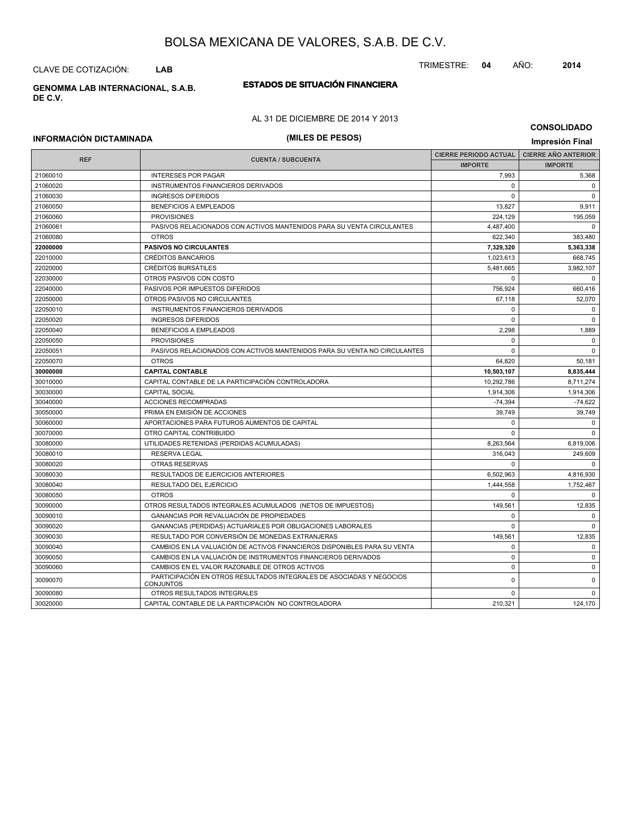CLAVE DE COTIZACIÓN: **LAB**

#### **ESTADOS DE SITUACIÓN FINANCIERA GENOMMA LAB INTERNACIONAL, S.A.B. DE C.V.**

### AL 31 DE DICIEMBRE DE 2014 Y 2013

### **CONSOLIDADO**

# **INFORMACIÓN DICTAMINADA (MILES DE PESOS) Impresión Final**

| <b>REF</b> | <b>CUENTA / SUBCUENTA</b>                                                                | <b>CIERRE PERIODO ACTUAL</b> | <b>CIERRE AÑO ANTERIOR</b> |
|------------|------------------------------------------------------------------------------------------|------------------------------|----------------------------|
|            |                                                                                          | <b>IMPORTE</b>               | <b>IMPORTE</b>             |
| 21060010   | <b>INTERESES POR PAGAR</b>                                                               | 7,993                        | 5,368                      |
| 21060020   | INSTRUMENTOS FINANCIEROS DERIVADOS                                                       | $\Omega$                     | $\mathbf 0$                |
| 21060030   | <b>INGRESOS DIFERIDOS</b>                                                                | $\Omega$                     | $\mathbf 0$                |
| 21060050   | <b>BENEFICIOS A EMPLEADOS</b>                                                            | 13,827                       | 9,911                      |
| 21060060   | <b>PROVISIONES</b>                                                                       | 224,129                      | 195,059                    |
| 21060061   | PASIVOS RELACIONADOS CON ACTIVOS MANTENIDOS PARA SU VENTA CIRCULANTES                    | 4,487,400                    | $\Omega$                   |
| 21060080   | <b>OTROS</b>                                                                             | 622,340                      | 383,480                    |
| 22000000   | <b>PASIVOS NO CIRCULANTES</b>                                                            | 7,329,320                    | 5,363,338                  |
| 22010000   | <b>CRÉDITOS BANCARIOS</b>                                                                | 1,023,613                    | 668,745                    |
| 22020000   | <b>CRÉDITOS BURSÁTILES</b>                                                               | 5,481,665                    | 3,982,107                  |
| 22030000   | OTROS PASIVOS CON COSTO                                                                  | $\mathbf 0$                  | $\Omega$                   |
| 22040000   | PASIVOS POR IMPUESTOS DIFERIDOS                                                          | 756,924                      | 660,416                    |
| 22050000   | OTROS PASIVOS NO CIRCULANTES                                                             | 67,118                       | 52,070                     |
| 22050010   | INSTRUMENTOS FINANCIEROS DERIVADOS                                                       | $\mathbf 0$                  | $\mathbf 0$                |
| 22050020   | <b>INGRESOS DIFERIDOS</b>                                                                | $\Omega$                     | $\mathbf 0$                |
| 22050040   | <b>BENEFICIOS A EMPLEADOS</b>                                                            | 2,298                        | 1,889                      |
| 22050050   | <b>PROVISIONES</b>                                                                       | $\mathbf 0$                  | $\Omega$                   |
| 22050051   | PASIVOS RELACIONADOS CON ACTIVOS MANTENIDOS PARA SU VENTA NO CIRCULANTES                 | $\Omega$                     | $\Omega$                   |
| 22050070   | <b>OTROS</b>                                                                             | 64,820                       | 50,181                     |
| 30000000   | <b>CAPITAL CONTABLE</b>                                                                  | 10,503,107                   | 8,835,444                  |
| 30010000   | CAPITAL CONTABLE DE LA PARTICIPACIÓN CONTROLADORA                                        | 10,292,786                   | 8,711,274                  |
| 30030000   | <b>CAPITAL SOCIAL</b>                                                                    | 1,914,306                    | 1,914,306                  |
| 30040000   | ACCIONES RECOMPRADAS                                                                     | $-74,394$                    | $-74,622$                  |
| 30050000   | PRIMA EN EMISIÓN DE ACCIONES                                                             | 39,749                       | 39,749                     |
| 30060000   | APORTACIONES PARA FUTUROS AUMENTOS DE CAPITAL                                            | $\Omega$                     | $\Omega$                   |
| 30070000   | OTRO CAPITAL CONTRIBUIDO                                                                 | $\Omega$                     | $\Omega$                   |
| 30080000   | UTILIDADES RETENIDAS (PERDIDAS ACUMULADAS)                                               | 8,263,564                    | 6,819,006                  |
| 30080010   | <b>RESERVA LEGAL</b>                                                                     | 316.043                      | 249,609                    |
| 30080020   | <b>OTRAS RESERVAS</b>                                                                    | $\Omega$                     | $\Omega$                   |
| 30080030   | RESULTADOS DE EJERCICIOS ANTERIORES                                                      | 6,502,963                    | 4,816,930                  |
| 30080040   | <b>RESULTADO DEL EJERCICIO</b>                                                           | 1,444,558                    | 1,752,467                  |
| 30080050   | <b>OTROS</b>                                                                             | $\Omega$                     | $\Omega$                   |
| 30090000   | OTROS RESULTADOS INTEGRALES ACUMULADOS (NETOS DE IMPUESTOS)                              | 149,561                      | 12,835                     |
| 30090010   | <b>GANANCIAS POR REVALUACIÓN DE PROPIEDADES</b>                                          | $\Omega$                     | $\Omega$                   |
| 30090020   | GANANCIAS (PERDIDAS) ACTUARIALES POR OBLIGACIONES LABORALES                              | $\Omega$                     | $\Omega$                   |
| 30090030   | RESULTADO POR CONVERSIÓN DE MONEDAS EXTRANJERAS                                          | 149,561                      | 12,835                     |
| 30090040   | CAMBIOS EN LA VALUACIÓN DE ACTIVOS FINANCIEROS DISPONIBLES PARA SU VENTA                 | $\Omega$                     | $\Omega$                   |
| 30090050   | CAMBIOS EN LA VALUACIÓN DE INSTRUMENTOS FINANCIEROS DERIVADOS                            | $\Omega$                     | $\Omega$                   |
| 30090060   | CAMBIOS EN EL VALOR RAZONABLE DE OTROS ACTIVOS                                           | $\Omega$                     | $\Omega$                   |
| 30090070   | PARTICIPACIÓN EN OTROS RESULTADOS INTEGRALES DE ASOCIADAS Y NEGOCIOS<br><b>CONJUNTOS</b> | $\mathbf 0$                  | $\Omega$                   |
| 30090080   | OTROS RESULTADOS INTEGRALES                                                              | $\Omega$                     | $\Omega$                   |
| 30020000   | CAPITAL CONTABLE DE LA PARTICIPACIÓN NO CONTROLADORA                                     | 210,321                      | 124,170                    |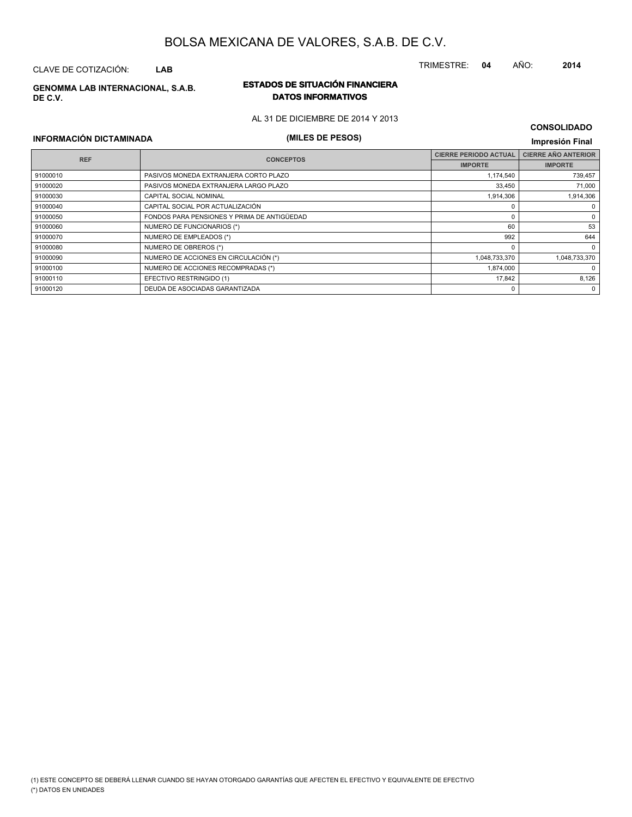### CLAVE DE COTIZACIÓN: **LAB**

**DE C.V.**

#### **ESTADOS DE SITUACIÓN FINANCIERA GENOMMA LAB INTERNACIONAL, S.A.B. DATOS INFORMATIVOS**

AL 31 DE DICIEMBRE DE 2014 Y 2013

# **INFORMACIÓN DICTAMINADA (MILES DE PESOS) Impresión Final**

| <b>CONSOLIDADO</b> |  |
|--------------------|--|
|--------------------|--|

| <b>REF</b> | <b>CONCEPTOS</b>                            | <b>CIERRE PERIODO ACTUAL</b> | <b>CIERRE AÑO ANTERIOR</b> |
|------------|---------------------------------------------|------------------------------|----------------------------|
|            |                                             | <b>IMPORTE</b>               | <b>IMPORTE</b>             |
| 91000010   | PASIVOS MONEDA EXTRANJERA CORTO PLAZO       | 1,174,540                    | 739,457                    |
| 91000020   | PASIVOS MONEDA EXTRANJERA LARGO PLAZO       | 33,450                       | 71,000                     |
| 91000030   | <b>CAPITAL SOCIAL NOMINAL</b>               | 1.914.306                    | 1,914,306                  |
| 91000040   | CAPITAL SOCIAL POR ACTUALIZACIÓN            |                              | $\Omega$                   |
| 91000050   | FONDOS PARA PENSIONES Y PRIMA DE ANTIGÜEDAD |                              | 0                          |
| 91000060   | NUMERO DE FUNCIONARIOS (*)                  | 60                           | 53                         |
| 91000070   | NUMERO DE EMPLEADOS (*)                     | 992                          | 644                        |
| 91000080   | NUMERO DE OBREROS (*)                       |                              | $\Omega$                   |
| 91000090   | NUMERO DE ACCIONES EN CIRCULACIÓN (*)       | 1,048,733,370                | 1,048,733,370              |
| 91000100   | NUMERO DE ACCIONES RECOMPRADAS (*)          | 1,874,000                    | $\Omega$                   |
| 91000110   | EFECTIVO RESTRINGIDO (1)                    | 17,842                       | 8,126                      |
| 91000120   | DEUDA DE ASOCIADAS GARANTIZADA              | $\Omega$                     | $\Omega$                   |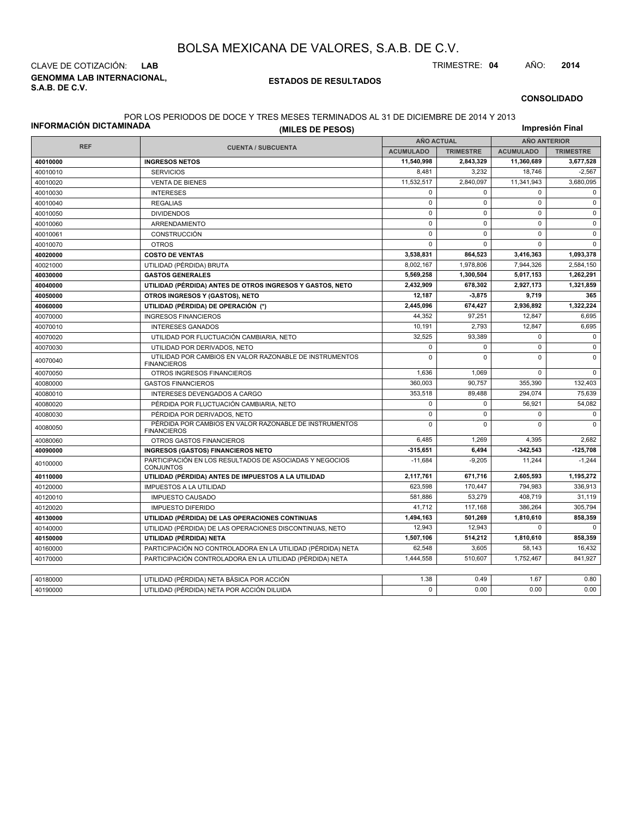**GENOMMA LAB INTERNACIONAL, S.A.B. DE C.V.** CLAVE DE COTIZACIÓN: **LAB** TRIMESTRE: **04** AÑO: **2014**

#### **ESTADOS DE RESULTADOS**

#### **CONSOLIDADO**

#### POR LOS PERIODOS DE DOCE Y TRES MESES TERMINADOS AL 31 DE DICIEMBRE DE 2014 Y 2013

| INFORMACIÓN DICTAMINADA | (MILES DE PESOS)                                                              |                   |                  |                     | Impresión Final  |  |
|-------------------------|-------------------------------------------------------------------------------|-------------------|------------------|---------------------|------------------|--|
|                         |                                                                               | <b>AÑO ACTUAL</b> |                  | <b>AÑO ANTERIOR</b> |                  |  |
| <b>REF</b>              | <b>CUENTA / SUBCUENTA</b>                                                     | <b>ACUMULADO</b>  | <b>TRIMESTRE</b> | <b>ACUMULADO</b>    | <b>TRIMESTRE</b> |  |
| 40010000                | <b>INGRESOS NETOS</b>                                                         | 11,540,998        | 2,843,329        | 11,360,689          | 3,677,528        |  |
| 40010010                | <b>SERVICIOS</b>                                                              | 8,481             | 3,232            | 18,746              | $-2,567$         |  |
| 40010020                | <b>VENTA DE BIENES</b>                                                        | 11,532,517        | 2.840.097        | 11,341,943          | 3,680,095        |  |
| 40010030                | <b>INTERESES</b>                                                              | 0                 | $\mathbf 0$      | 0                   | 0                |  |
| 40010040                | <b>REGALIAS</b>                                                               | $\mathsf 0$       | $\mathsf 0$      | $\mathsf 0$         | $\pmb{0}$        |  |
| 40010050                | <b>DIVIDENDOS</b>                                                             | $\mathbf 0$       | $\Omega$         | $\mathbf 0$         | $\pmb{0}$        |  |
| 40010060                | ARRENDAMIENTO                                                                 | $\mathsf 0$       | $\mathbf 0$      | $\pmb{0}$           | $\mathbf 0$      |  |
| 40010061                | <b>CONSTRUCCIÓN</b>                                                           | $\mathbf 0$       | $\Omega$         | $\Omega$            | $\mathbf{0}$     |  |
| 40010070                | <b>OTROS</b>                                                                  | $\mathbf 0$       | $\mathbf 0$      | $\mathbf 0$         | $\mathbf 0$      |  |
| 40020000                | <b>COSTO DE VENTAS</b>                                                        | 3,538,831         | 864,523          | 3,416,363           | 1,093,378        |  |
| 40021000                | UTILIDAD (PÉRDIDA) BRUTA                                                      | 8,002,167         | 1,978,806        | 7,944,326           | 2.584.150        |  |
| 40030000                | <b>GASTOS GENERALES</b>                                                       | 5,569,258         | 1,300,504        | 5,017,153           | 1,262,291        |  |
| 40040000                | UTILIDAD (PÉRDIDA) ANTES DE OTROS INGRESOS Y GASTOS, NETO                     | 2.432.909         | 678.302          | 2,927,173           | 1,321,859        |  |
| 40050000                | OTROS INGRESOS Y (GASTOS), NETO                                               | 12,187            | 3,875            | 9,719               | 365              |  |
| 40060000                | UTILIDAD (PÉRDIDA) DE OPERACIÓN (*)                                           | 2,445,096         | 674,427          | 2,936,892           | 1,322,224        |  |
| 40070000                | <b>INGRESOS FINANCIEROS</b>                                                   | 44,352            | 97,251           | 12,847              | 6,695            |  |
| 40070010                | <b>INTERESES GANADOS</b>                                                      | 10,191            | 2,793            | 12,847              | 6,695            |  |
| 40070020                | UTILIDAD POR FLUCTUACIÓN CAMBIARIA, NETO                                      | 32,525            | 93,389           | $\mathbf 0$         | $\mathbf 0$      |  |
| 40070030                | UTILIDAD POR DERIVADOS, NETO                                                  | $\mathbf 0$       | $\mathbf 0$      | $\mathbf 0$         | $\mathbf 0$      |  |
| 40070040                | UTILIDAD POR CAMBIOS EN VALOR RAZONABLE DE INSTRUMENTOS<br><b>FINANCIEROS</b> | $\mathbf 0$       | $\Omega$         | $\mathbf 0$         | $\mathbf 0$      |  |
| 40070050                | OTROS INGRESOS FINANCIEROS                                                    | 1,636             | 1,069            | $\mathbf 0$         | 0                |  |
| 40080000                | <b>GASTOS FINANCIEROS</b>                                                     | 360,003           | 90.757           | 355,390             | 132,403          |  |
| 40080010                | INTERESES DEVENGADOS A CARGO                                                  | 353,518           | 89,488           | 294,074             | 75,639           |  |
| 40080020                | PÉRDIDA POR FLUCTUACIÓN CAMBIARIA, NETO                                       | $\mathbf 0$       | $\mathbf 0$      | 56.921              | 54,082           |  |
| 40080030                | PÉRDIDA POR DERIVADOS, NETO                                                   | $\mathbf 0$       | $\mathbf 0$      | $\mathbf 0$         | 0                |  |
| 40080050                | PÉRDIDA POR CAMBIOS EN VALOR RAZONABLE DE INSTRUMENTOS<br><b>FINANCIEROS</b>  |                   | $\mathbf 0$      | $\mathbf 0$         | $\mathbf{0}$     |  |
| 40080060                | OTROS GASTOS FINANCIEROS                                                      | 6,485             | 1,269            | 4,395               | 2,682            |  |
| 40090000                | <b>INGRESOS (GASTOS) FINANCIEROS NETO</b>                                     | $-315,651$        | 6.494            | $-342,543$          | $-125,708$       |  |
| 40100000                | PARTICIPACIÓN EN LOS RESULTADOS DE ASOCIADAS Y NEGOCIOS<br><b>CONJUNTOS</b>   | $-11,684$         | $-9,205$         | 11,244              | $-1,244$         |  |
| 40110000                | UTILIDAD (PÉRDIDA) ANTES DE IMPUESTOS A LA UTILIDAD                           | 2,117,761         | 671,716          | 2,605,593           | 1,195,272        |  |
| 40120000                | <b>IMPUESTOS A LA UTILIDAD</b>                                                | 623,598           | 170,447          | 794,983             | 336.913          |  |
| 40120010                | <b>IMPUESTO CAUSADO</b>                                                       | 581,886           | 53,279           | 408,719             | 31,119           |  |
| 40120020                | <b>IMPUESTO DIFERIDO</b>                                                      | 41,712            | 117,168          | 386,264             | 305,794          |  |
| 40130000                | UTILIDAD (PÉRDIDA) DE LAS OPERACIONES CONTINUAS                               | 1,494,163         | 501,269          | 1,810,610           | 858,359          |  |
| 40140000                | UTILIDAD (PÉRDIDA) DE LAS OPERACIONES DISCONTINUAS, NETO                      | 12,943            | 12,943           | $\mathbf 0$         | $\mathbf 0$      |  |
| 40150000                | UTILIDAD (PÉRDIDA) NETA                                                       | 1,507,106         | 514,212          | 1,810,610           | 858,359          |  |
| 40160000                | PARTICIPACIÓN NO CONTROLADORA EN LA UTILIDAD (PÉRDIDA) NETA                   | 62,548            | 3,605            | 58,143              | 16,432           |  |
| 40170000                | PARTICIPACIÓN CONTROLADORA EN LA UTILIDAD (PÉRDIDA) NETA                      | 1,444,558         | 510,607          | 1,752,467           | 841,927          |  |
|                         |                                                                               |                   |                  |                     |                  |  |
| 40180000                | UTILIDAD (PÉRDIDA) NETA BÁSICA POR ACCIÓN                                     | 1.38              | 0.49             | 1.67                | 0.80             |  |
| 40190000                | UTILIDAD (PÉRDIDA) NETA POR ACCIÓN DILUIDA                                    | $\mathbf 0$       | 0.00             | 0.00                | 0.00             |  |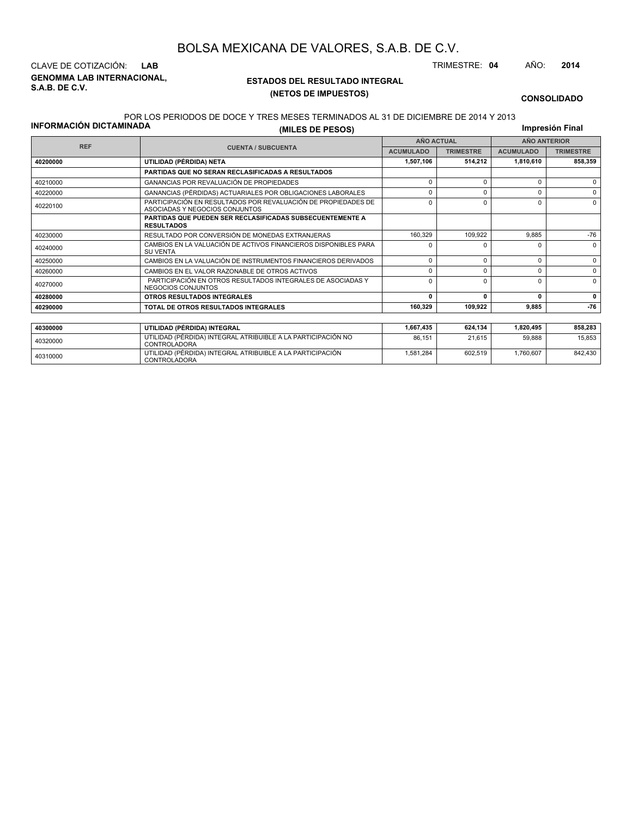**GENOMMA LAB INTERNACIONAL, S.A.B. DE C.V.** CLAVE DE COTIZACIÓN: **LAB** TRIMESTRE: **04** AÑO: **2014**

<sup>40310000</sup> UTILIDAD (PÉRDIDA) INTEGRAL ATRIBUIBLE A LA PARTICIPACIÓN CONTROLADORA

#### **ESTADOS DEL RESULTADO INTEGRAL (NETOS DE IMPUESTOS)**

1,581,284 602,519 1,760,607 842,430

**CONSOLIDADO**

#### POR LOS PERIODOS DE DOCE Y TRES MESES TERMINADOS AL 31 DE DICIEMBRE DE 2014 Y 2013

**Impresión Final**

| <b>INFORMACIÓN DICTAMINADA</b> | (MILES DE PESOS)                                                                                     |                   |                  |                     |                  |  |  |
|--------------------------------|------------------------------------------------------------------------------------------------------|-------------------|------------------|---------------------|------------------|--|--|
|                                |                                                                                                      | <b>AÑO ACTUAL</b> |                  | <b>AÑO ANTERIOR</b> |                  |  |  |
| <b>REF</b>                     | <b>CUENTA / SUBCUENTA</b>                                                                            | <b>ACUMULADO</b>  | <b>TRIMESTRE</b> | <b>ACUMULADO</b>    | <b>TRIMESTRE</b> |  |  |
| 40200000                       | UTILIDAD (PÉRDIDA) NETA                                                                              | 1,507,106         | 514.212          | 1,810,610           | 858,359          |  |  |
|                                | PARTIDAS QUE NO SERAN RECLASIFICADAS A RESULTADOS                                                    |                   |                  |                     |                  |  |  |
| 40210000                       | GANANCIAS POR REVALUACIÓN DE PROPIEDADES                                                             | $\Omega$          |                  | 0                   | $\Omega$         |  |  |
| 40220000                       | GANANCIAS (PÉRDIDAS) ACTUARIALES POR OBLIGACIONES LABORALES                                          | 0                 | O                | 0                   | 0                |  |  |
| 40220100                       | PARTICIPACIÓN EN RESULTADOS POR REVALUACIÓN DE PROPIEDADES DE<br>ASOCIADAS Y NEGOCIOS CONJUNTOS      | 0                 | 0                | $\Omega$            | $\Omega$         |  |  |
|                                | <b>PARTIDAS QUE PUEDEN SER RECLASIFICADAS SUBSECUENTEMENTE A</b><br><b>RESULTADOS</b>                |                   |                  |                     |                  |  |  |
| 40230000                       | RESULTADO POR CONVERSIÓN DE MONEDAS EXTRANJERAS                                                      | 160.329           | 109.922          | 9.885               | $-76$            |  |  |
| 40240000                       | CAMBIOS EN LA VALUACIÓN DE ACTIVOS FINANCIEROS DISPONIBLES PARA<br><b>SU VENTA</b>                   | ŋ                 |                  | <sup>0</sup>        | $\Omega$         |  |  |
| 40250000                       | CAMBIOS EN LA VALUACIÓN DE INSTRUMENTOS FINANCIEROS DERIVADOS                                        | $\mathbf 0$       | $\Omega$         | 0                   | 0                |  |  |
| 40260000                       | CAMBIOS EN EL VALOR RAZONABLE DE OTROS ACTIVOS                                                       | $\Omega$          | $\Omega$         | $\Omega$            | $\Omega$         |  |  |
| 40270000                       | PARTICIPACIÓN EN OTROS RESULTADOS INTEGRALES DE ASOCIADAS Y<br>$\Omega$<br><b>NEGOCIOS CONJUNTOS</b> |                   | O                | $\Omega$            | $\Omega$         |  |  |
| 40280000                       | OTROS RESULTADOS INTEGRALES                                                                          | 0                 | $\Omega$         | 0                   | 0                |  |  |
| 40290000                       | TOTAL DE OTROS RESULTADOS INTEGRALES                                                                 | 160,329           | 109,922          | 9,885               | $-76$            |  |  |
|                                |                                                                                                      |                   |                  |                     |                  |  |  |
| 40300000                       | UTILIDAD (PÉRDIDA) INTEGRAL                                                                          | 1.667.435         | 624.134          | 1,820,495           | 858,283          |  |  |
| 40320000                       | UTILIDAD (PÉRDIDA) INTEGRAL ATRIBUIBLE A LA PARTICIPACIÓN NO<br><b>CONTROLADORA</b>                  | 86.151            | 21.615           | 59.888              | 15.853           |  |  |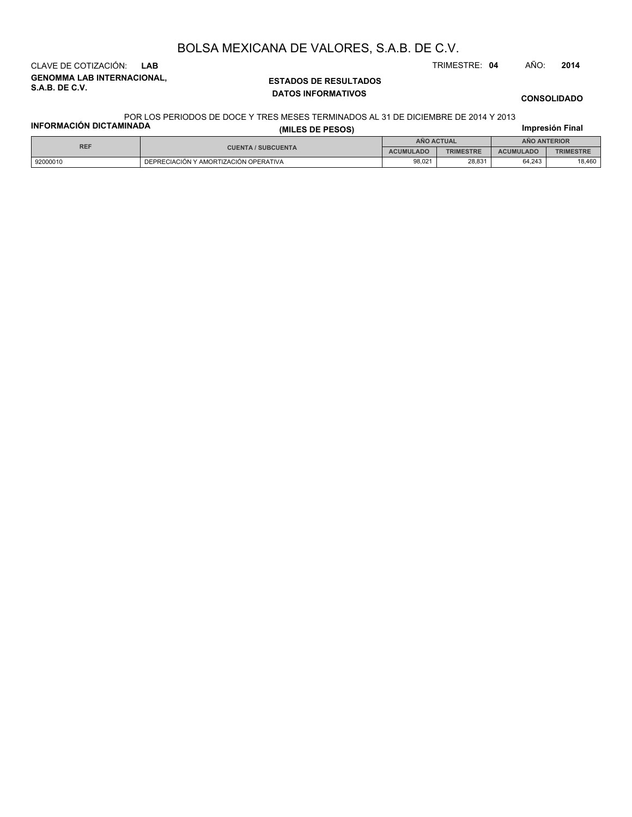**GENOMMA LAB INTERNACIONAL, S.A.B. DE C.V.** CLAVE DE COTIZACIÓN: **LAB** TRIMESTRE: **04** AÑO: **2014**

### **ESTADOS DE RESULTADOS DATOS INFORMATIVOS**

**CONSOLIDADO**

#### POR LOS PERIODOS DE DOCE Y TRES MESES TERMINADOS AL 31 DE DICIEMBRE DE 2014 Y 2013

| FUN LUƏ FENIUDUƏ DE DUUE T TNEƏ MEƏLƏ TENMINADUƏ AL ƏT DE DIVILMDNE DE ZVT4 T ZVTƏ<br><b>INFORMACIÓN DICTAMINADA</b><br>Impresión Final<br>(MILES DE PESOS) |                                       |                   |                  |                     |                  |  |
|-------------------------------------------------------------------------------------------------------------------------------------------------------------|---------------------------------------|-------------------|------------------|---------------------|------------------|--|
| <b>REF</b>                                                                                                                                                  |                                       | <b>ANO ACTUAL</b> |                  | <b>ANO ANTERIOR</b> |                  |  |
|                                                                                                                                                             | <b>CUENTA / SUBCUENTA</b>             | <b>ACUMULADO</b>  | <b>TRIMESTRE</b> | <b>ACUMULADO</b>    | <b>TRIMESTRE</b> |  |
| 92000010                                                                                                                                                    | DEPRECIACIÓN Y AMORTIZACIÓN OPERATIVA | 98.021            | 28.831           | 64.243              | 18.460           |  |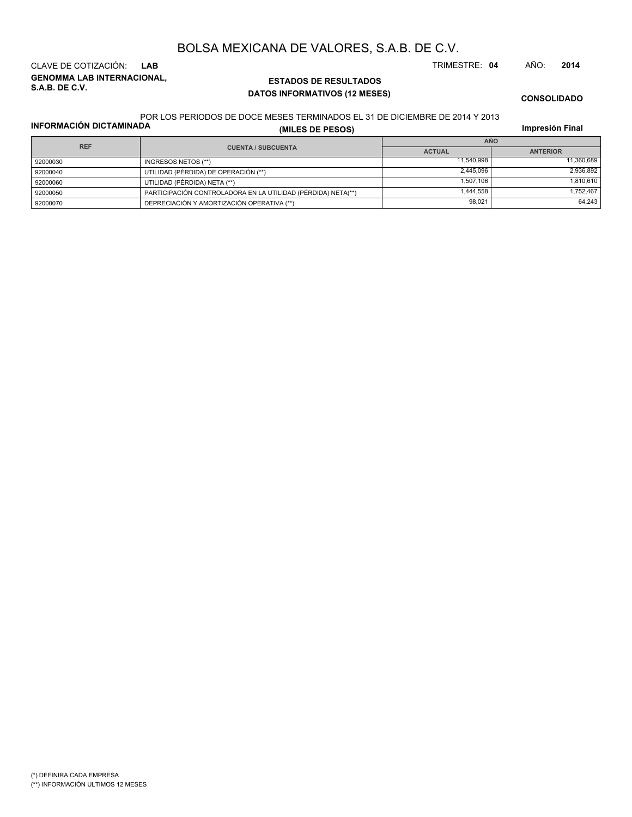**GENOMMA LAB INTERNACIONAL, S.A.B. DE C.V.** CLAVE DE COTIZACIÓN: **LAB** TRIMESTRE: **04** AÑO: **2014**

### **ESTADOS DE RESULTADOS DATOS INFORMATIVOS (12 MESES)**

**CONSOLIDADO**

#### POR LOS PERIODOS DE DOCE MESES TERMINADOS EL 31 DE DICIEMBRE DE 2014 Y 2013

**INFORMACIÓN DICTAMINADA**

**(MILES DE PESOS)**

**Impresión Final**

| <b>REF</b> |                                                              | <b>AÑO</b>    |                 |  |  |
|------------|--------------------------------------------------------------|---------------|-----------------|--|--|
|            | <b>CUENTA / SUBCUENTA</b>                                    | <b>ACTUAL</b> | <b>ANTERIOR</b> |  |  |
| 92000030   | INGRESOS NETOS (**)                                          | 11.540.998    | 11.360.689      |  |  |
| 92000040   | UTILIDAD (PÉRDIDA) DE OPERACIÓN (**)                         | 2.445.096     | 2.936.892       |  |  |
| 92000060   | UTILIDAD (PÉRDIDA) NETA (**)                                 | 1.507.106     | 1.810.610       |  |  |
| 92000050   | PARTICIPACIÓN CONTROLADORA EN LA UTILIDAD (PÉRDIDA) NETA(**) | 1.444.558     | 1.752.467       |  |  |
| 92000070   | DEPRECIACIÓN Y AMORTIZACIÓN OPERATIVA (**)                   | 98.021        | 64.243          |  |  |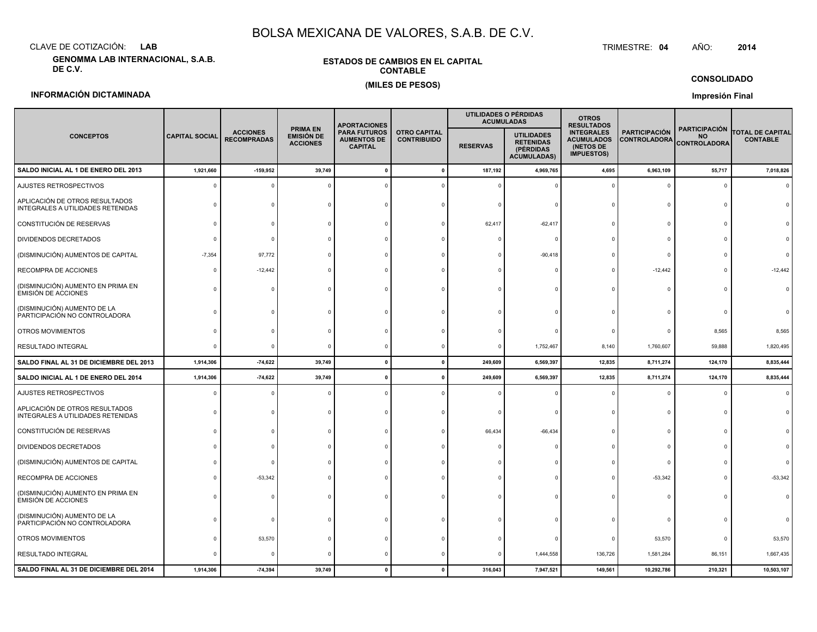CLAVE DE COTIZACIÓN:**LAB**

**GENOMMA LAB INTERNACIONAL, S.A.B. DE C.V.**

#### **ESTADOS DE CAMBIOS EN EL CAPITALCONTABLE(MILES DE PESOS)**

#### TRIMESTRE:TRIMESTRE: 04 AÑO: **<sup>2014</sup>**

**CONSOLIDADO**

#### **INFORMACIÓN DICTAMINADA**

#### **Impresión Final**

|                                                                     |                       |                                       |                                                         | <b>APORTACIONES</b>                                         |                                           | UTILIDADES O PÉRDIDAS<br><b>ACUMULADAS</b> |                                                                          | <b>OTROS</b><br><b>RESULTADOS</b>                                        |                                             |                                                          |                                            |
|---------------------------------------------------------------------|-----------------------|---------------------------------------|---------------------------------------------------------|-------------------------------------------------------------|-------------------------------------------|--------------------------------------------|--------------------------------------------------------------------------|--------------------------------------------------------------------------|---------------------------------------------|----------------------------------------------------------|--------------------------------------------|
| <b>CONCEPTOS</b>                                                    | <b>CAPITAL SOCIAL</b> | <b>ACCIONES</b><br><b>RECOMPRADAS</b> | <b>PRIMA EN</b><br><b>EMISIÓN DE</b><br><b>ACCIONES</b> | <b>PARA FUTUROS</b><br><b>AUMENTOS DE</b><br><b>CAPITAL</b> | <b>OTRO CAPITAL</b><br><b>CONTRIBUIDO</b> | <b>RESERVAS</b>                            | <b>UTILIDADES</b><br><b>RETENIDAS</b><br>(PÉRDIDAS<br><b>ACUMULADAS)</b> | <b>INTEGRALES</b><br><b>ACUMULADOS</b><br>(NETOS DE<br><b>IMPUESTOS)</b> | <b>PARTICIPACIÓN</b><br><b>CONTROLADORA</b> | <b>PARTICIPACIÓN</b><br><b>NO</b><br><b>CONTROLADORA</b> | <b>TOTAL DE CAPITAL</b><br><b>CONTABLE</b> |
| SALDO INICIAL AL 1 DE ENERO DEL 2013                                | 1,921,660             | $-159,952$                            | 39,749                                                  |                                                             |                                           | 187,192                                    | 4,969,765                                                                | 4,695                                                                    | 6,963,109                                   | 55,717                                                   | 7,018,826                                  |
| AJUSTES RETROSPECTIVOS                                              |                       |                                       |                                                         |                                                             |                                           |                                            |                                                                          |                                                                          |                                             |                                                          |                                            |
| APLICACIÓN DE OTROS RESULTADOS<br>INTEGRALES A UTILIDADES RETENIDAS |                       |                                       |                                                         |                                                             |                                           | $\Omega$                                   |                                                                          |                                                                          |                                             |                                                          |                                            |
| CONSTITUCIÓN DE RESERVAS                                            |                       |                                       |                                                         |                                                             |                                           | 62,417                                     | $-62,417$                                                                |                                                                          |                                             |                                                          |                                            |
| DIVIDENDOS DECRETADOS                                               |                       |                                       |                                                         |                                                             |                                           |                                            |                                                                          |                                                                          |                                             |                                                          |                                            |
| (DISMINUCIÓN) AUMENTOS DE CAPITAL                                   | $-7,354$              | 97,772                                |                                                         |                                                             |                                           |                                            | $-90,418$                                                                |                                                                          |                                             |                                                          |                                            |
| RECOMPRA DE ACCIONES                                                |                       | $-12,442$                             |                                                         |                                                             |                                           |                                            |                                                                          |                                                                          | $-12,442$                                   |                                                          | $-12,442$                                  |
| (DISMINUCIÓN) AUMENTO EN PRIMA EN<br>EMISIÓN DE ACCIONES            |                       |                                       |                                                         |                                                             |                                           |                                            |                                                                          |                                                                          |                                             |                                                          |                                            |
| (DISMINUCIÓN) AUMENTO DE LA<br>PARTICIPACIÓN NO CONTROLADORA        |                       |                                       |                                                         |                                                             |                                           |                                            |                                                                          |                                                                          |                                             |                                                          |                                            |
| OTROS MOVIMIENTOS                                                   |                       |                                       |                                                         |                                                             |                                           |                                            |                                                                          |                                                                          |                                             | 8,565                                                    | 8,565                                      |
| RESULTADO INTEGRAL                                                  |                       | $\Omega$                              | $\Omega$                                                |                                                             |                                           | $^{\circ}$                                 | 1,752,467                                                                | 8,140                                                                    | 1,760,607                                   | 59,888                                                   | 1,820,495                                  |
| SALDO FINAL AL 31 DE DICIEMBRE DEL 2013                             | 1,914,306             | $-74,622$                             | 39,749                                                  | $\Omega$                                                    | $\Omega$                                  | 249,609                                    | 6,569,397                                                                | 12,835                                                                   | 8,711,274                                   | 124,170                                                  | 8,835,444                                  |
| SALDO INICIAL AL 1 DE ENERO DEL 2014                                | 1,914,306             | $-74,622$                             | 39,749                                                  |                                                             |                                           | 249,609                                    | 6,569,397                                                                | 12,835                                                                   | 8,711,274                                   | 124,170                                                  | 8,835,444                                  |
| AJUSTES RETROSPECTIVOS                                              |                       |                                       |                                                         |                                                             |                                           |                                            |                                                                          |                                                                          |                                             |                                                          |                                            |
| APLICACIÓN DE OTROS RESULTADOS<br>INTEGRALES A UTILIDADES RETENIDAS |                       |                                       |                                                         |                                                             |                                           |                                            |                                                                          |                                                                          |                                             |                                                          |                                            |
| CONSTITUCIÓN DE RESERVAS                                            |                       |                                       |                                                         |                                                             |                                           | 66,434                                     | $-66,434$                                                                |                                                                          |                                             |                                                          |                                            |
| DIVIDENDOS DECRETADOS                                               |                       |                                       |                                                         |                                                             |                                           |                                            |                                                                          |                                                                          |                                             |                                                          |                                            |
| (DISMINUCIÓN) AUMENTOS DE CAPITAL                                   |                       |                                       |                                                         |                                                             |                                           |                                            |                                                                          |                                                                          |                                             |                                                          |                                            |
| RECOMPRA DE ACCIONES                                                |                       | $-53,342$                             |                                                         |                                                             |                                           |                                            |                                                                          |                                                                          | $-53,342$                                   |                                                          | $-53,342$                                  |
| (DISMINUCIÓN) AUMENTO EN PRIMA EN<br>EMISIÓN DE ACCIONES            |                       |                                       |                                                         |                                                             |                                           |                                            |                                                                          |                                                                          |                                             |                                                          |                                            |
| (DISMINUCIÓN) AUMENTO DE LA<br>PARTICIPACIÓN NO CONTROLADORA        |                       |                                       |                                                         |                                                             |                                           |                                            |                                                                          |                                                                          |                                             |                                                          |                                            |
| OTROS MOVIMIENTOS                                                   |                       | 53,570                                |                                                         |                                                             |                                           |                                            |                                                                          |                                                                          | 53,570                                      |                                                          | 53,570                                     |
| RESULTADO INTEGRAL                                                  |                       | - 0                                   |                                                         |                                                             |                                           |                                            | 1,444,558                                                                | 136,726                                                                  | 1,581,284                                   | 86,151                                                   | 1,667,435                                  |
| SALDO FINAL AL 31 DE DICIEMBRE DEL 2014                             | 1,914,306             | $-74,394$                             | 39,749                                                  | $\Omega$                                                    |                                           | 316,043                                    | 7,947,521                                                                | 149,561                                                                  | 10,292,786                                  | 210,321                                                  | 10,503,107                                 |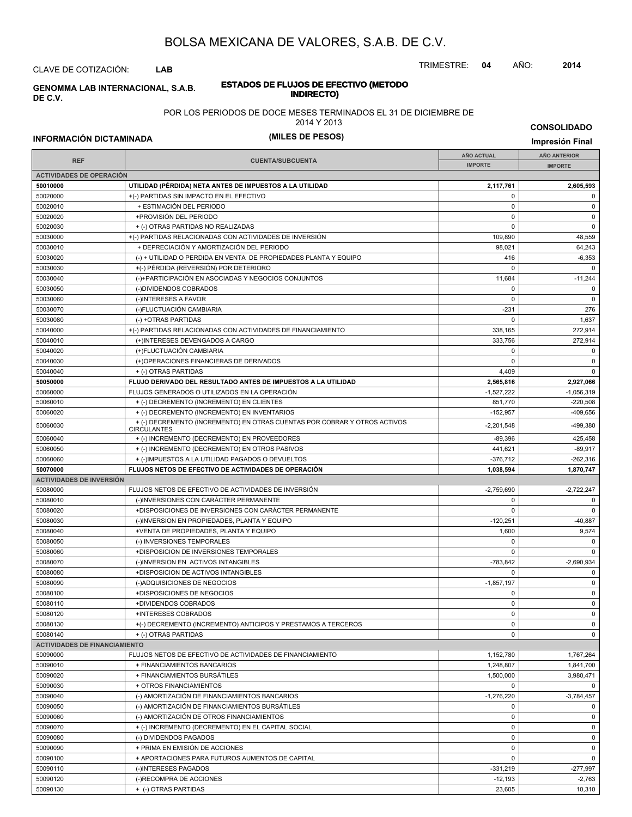CLAVE DE COTIZACIÓN: **LAB**

**INDIRECTO) GENOMMA LAB INTERNACIONAL, S.A.B. DE C.V.**

# **ESTADOS DE FLUJOS DE EFECTIVO (METODO**

#### POR LOS PERIODOS DE DOCE MESES TERMINADOS EL 31 DE DICIEMBRE DE

2014 Y 2013

**INFORMACIÓN DICTAMINADA (MILES DE PESOS) Impresión Final**

**CONSOLIDADO**

|                                      |                                                                                                 | <b>AÑO ACTUAL</b> | <b>AÑO ANTERIOR</b>    |
|--------------------------------------|-------------------------------------------------------------------------------------------------|-------------------|------------------------|
| <b>REF</b>                           | <b>CUENTA/SUBCUENTA</b>                                                                         | <b>IMPORTE</b>    | <b>IMPORTE</b>         |
| <b>ACTIVIDADES DE OPERACIÓN</b>      |                                                                                                 |                   |                        |
| 50010000                             | UTILIDAD (PÉRDIDA) NETA ANTES DE IMPUESTOS A LA UTILIDAD                                        | 2,117,761         | 2,605,593              |
| 50020000                             | +(-) PARTIDAS SIN IMPACTO EN EL EFECTIVO                                                        | 0                 | $\mathbf 0$            |
| 50020010                             | + ESTIMACIÓN DEL PERIODO                                                                        | $\pmb{0}$         | $\mathbf 0$            |
| 50020020                             | +PROVISIÓN DEL PERIODO                                                                          | 0                 | 0                      |
| 50020030                             | + (-) OTRAS PARTIDAS NO REALIZADAS                                                              | $\Omega$          | $\mathbf 0$            |
| 50030000                             | +(-) PARTIDAS RELACIONADAS CON ACTIVIDADES DE INVERSIÓN                                         | 109,890           | 48,559                 |
| 50030010                             | + DEPRECIACIÓN Y AMORTIZACIÓN DEL PERIODO                                                       | 98,021            | 64,243                 |
| 50030020                             | (-) + UTILIDAD O PERDIDA EN VENTA DE PROPIEDADES PLANTA Y EQUIPO                                | 416               | $-6,353$               |
| 50030030                             | +(-) PÉRDIDA (REVERSIÓN) POR DETERIORO                                                          | $\mathbf 0$       | $\Omega$               |
| 50030040                             | (-)+PARTICIPACIÓN EN ASOCIADAS Y NEGOCIOS CONJUNTOS                                             | 11,684            | $-11,244$              |
| 50030050                             | (-)DIVIDENDOS COBRADOS                                                                          | $\Omega$          | $\mathbf 0$            |
| 50030060                             | (-)INTERESES A FAVOR                                                                            | $\mathbf 0$       | $\mathbf 0$            |
| 50030070                             | (-)FLUCTUACIÓN CAMBIARIA                                                                        | $-231$            | 276                    |
| 50030080                             | (-) +OTRAS PARTIDAS                                                                             | $\Omega$          | 1,637                  |
| 50040000                             | +(-) PARTIDAS RELACIONADAS CON ACTIVIDADES DE FINANCIAMIENTO                                    | 338,165           | 272,914                |
| 50040010                             | (+)INTERESES DEVENGADOS A CARGO                                                                 | 333,756           | 272,914                |
| 50040020                             | (+)FLUCTUACIÓN CAMBIARIA                                                                        | $\pmb{0}$         | $\mathbf 0$            |
| 50040030                             | (+)OPERACIONES FINANCIERAS DE DERIVADOS                                                         | $\mathbf 0$       | $\mathbf 0$            |
| 50040040                             | + (-) OTRAS PARTIDAS                                                                            | 4,409             | $\mathbf 0$            |
| 50050000                             | FLUJO DERIVADO DEL RESULTADO ANTES DE IMPUESTOS A LA UTILIDAD                                   | 2,565,816         | 2,927,066              |
| 50060000                             | FLUJOS GENERADOS O UTILIZADOS EN LA OPERACIÓN                                                   | $-1,527,222$      | $-1,056,319$           |
| 50060010                             | + (-) DECREMENTO (INCREMENTO) EN CLIENTES                                                       | 851,770           | $-220,508$             |
| 50060020                             | + (-) DECREMENTO (INCREMENTO) EN INVENTARIOS                                                    | $-152,957$        | $-409,656$             |
| 50060030                             | + (-) DECREMENTO (INCREMENTO) EN OTRAS CUENTAS POR COBRAR Y OTROS ACTIVOS<br><b>CIRCULANTES</b> | $-2,201,548$      | -499,380               |
| 50060040                             | + (-) INCREMENTO (DECREMENTO) EN PROVEEDORES                                                    | $-89,396$         | 425,458                |
| 50060050                             | + (-) INCREMENTO (DECREMENTO) EN OTROS PASIVOS                                                  | 441,621           | $-89,917$              |
| 50060060                             | + (-)IMPUESTOS A LA UTILIDAD PAGADOS O DEVUELTOS                                                | $-376,712$        | $-262,316$             |
| 50070000                             | FLUJOS NETOS DE EFECTIVO DE ACTIVIDADES DE OPERACIÓN                                            | 1,038,594         | 1,870,747              |
| <b>ACTIVIDADES DE INVERSIÓN</b>      |                                                                                                 |                   |                        |
| 50080000                             | FLUJOS NETOS DE EFECTIVO DE ACTIVIDADES DE INVERSIÓN                                            | $-2,759,690$      | $-2,722,247$           |
| 50080010                             | (-)INVERSIONES CON CARÁCTER PERMANENTE                                                          | $\mathbf 0$       | $\mathbf 0$            |
| 50080020                             | +DISPOSICIONES DE INVERSIONES CON CARÁCTER PERMANENTE                                           | $\Omega$          | $\mathbf 0$            |
| 50080030                             | (-)INVERSION EN PROPIEDADES, PLANTA Y EQUIPO                                                    | $-120,251$        | $-40,887$              |
| 50080040                             | +VENTA DE PROPIEDADES, PLANTA Y EQUIPO                                                          | 1,600             | 9,574                  |
| 50080050                             | (-) INVERSIONES TEMPORALES                                                                      | 0                 | $\mathbf 0$            |
| 50080060                             | +DISPOSICION DE INVERSIONES TEMPORALES                                                          | $\Omega$          | $\mathbf 0$            |
| 50080070                             | (-)INVERSION EN ACTIVOS INTANGIBLES                                                             | $-783,842$        | $-2,690,934$           |
| 50080080                             | +DISPOSICION DE ACTIVOS INTANGIBLES                                                             | $\Omega$          | $\mathbf 0$            |
| 50080090                             | (-)ADQUISICIONES DE NEGOCIOS                                                                    | $-1,857,197$      | $\mathsf 0$            |
| 50080100                             | +DISPOSICIONES DE NEGOCIOS                                                                      | $\mathbf 0$       | $\mathbf 0$            |
| 50080110                             | +DIVIDENDOS COBRADOS                                                                            | 0                 | $\mathbf 0$            |
| 50080120                             | +INTERESES COBRADOS                                                                             | 0                 | $\mathbf 0$            |
| 50080130                             | +(-) DECREMENTO (INCREMENTO) ANTICIPOS Y PRESTAMOS A TERCEROS                                   | $\mathbf 0$       | $\mathbf 0$            |
| 50080140                             | + (-) OTRAS PARTIDAS                                                                            | 0                 | $\mathbf 0$            |
| <b>ACTIVIDADES DE FINANCIAMIENTO</b> |                                                                                                 |                   |                        |
| 50090000                             | FLUJOS NETOS DE EFECTIVO DE ACTIVIDADES DE FINANCIAMIENTO                                       | 1,152,780         | 1,767,264              |
| 50090010                             | + FINANCIAMIENTOS BANCARIOS                                                                     | 1,248,807         | 1,841,700              |
| 50090020                             | + FINANCIAMIENTOS BURSÁTILES                                                                    | 1,500,000         | 3,980,471              |
| 50090030                             | + OTROS FINANCIAMIENTOS                                                                         | $\mathbf 0$       | $\mathbf 0$            |
| 50090040                             | (-) AMORTIZACIÓN DE FINANCIAMIENTOS BANCARIOS                                                   | $-1,276,220$      | $-3,784,457$           |
| 50090050                             | (-) AMORTIZACIÓN DE FINANCIAMIENTOS BURSÁTILES                                                  | 0                 | 0                      |
| 50090060                             | (-) AMORTIZACIÓN DE OTROS FINANCIAMIENTOS                                                       | $\pmb{0}$         | $\mathbf 0$            |
| 50090070                             | + (-) INCREMENTO (DECREMENTO) EN EL CAPITAL SOCIAL                                              | 0                 | $\mathbf 0$            |
|                                      |                                                                                                 | $\pmb{0}$         | 0                      |
| 50090080<br>50090090                 | (-) DIVIDENDOS PAGADOS<br>+ PRIMA EN EMISIÓN DE ACCIONES                                        | $\pmb{0}$         | $\mathbf 0$            |
| 50090100                             | + APORTACIONES PARA FUTUROS AUMENTOS DE CAPITAL                                                 | $\pmb{0}$         | $\mathbf 0$            |
|                                      |                                                                                                 |                   |                        |
| 50090110                             | (-)INTERESES PAGADOS                                                                            | $-331,219$        | $-277,997$<br>$-2,763$ |
| 50090120                             | (-)RECOMPRA DE ACCIONES                                                                         | $-12,193$         |                        |
| 50090130                             | + (-) OTRAS PARTIDAS                                                                            | 23,605            | 10,310                 |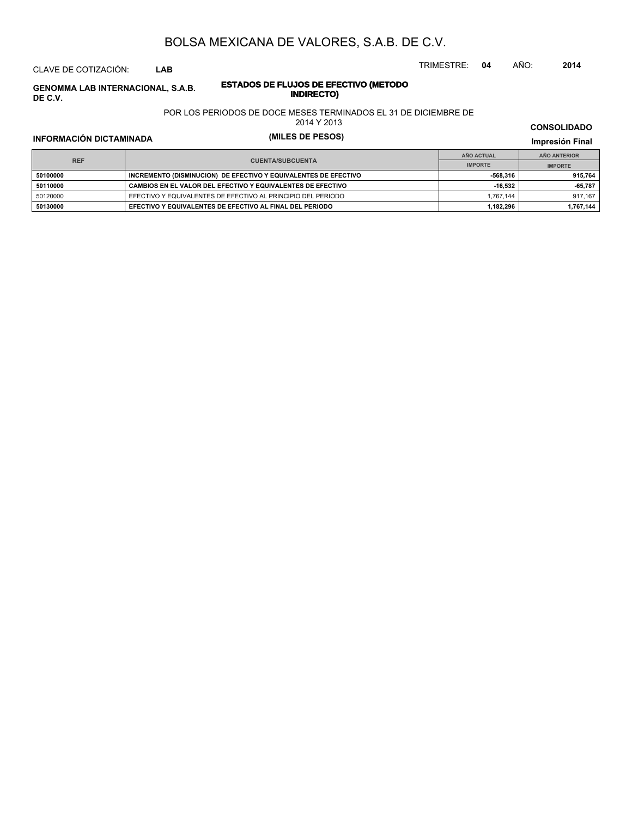CLAVE DE COTIZACIÓN: **LAB**

**INDIRECTO) GENOMMA LAB INTERNACIONAL, S.A.B. ESTADOS DE FLUJOS DE EFE**<br>INDIRECTO **DE C.V.**

# **ESTADOS DE FLUJOS DE EFECTIVO (METODO**

#### POR LOS PERIODOS DE DOCE MESES TERMINADOS EL 31 DE DICIEMBRE DE

2014 Y 2013

# **INFORMACIÓN DICTAMINADA (MILES DE PESOS) Impresión Final**

**IMPRESIÓN FINAL EN EN ENCLORED EN EL ENCLORED EN EL ENCLORED EN EL ENCLORED EN EL ENCLORED EN EL ENCLORED EN EL ENCLORED EN EL ENCLORED EN EL ENCLORED EN EL ENCLORED EN EL ENCLORED EN EL ENCLORED EN EL ENCLORED EN EL ENCL AÑO ACTUAL IMPORTE IMPORTE REF AÑO ANTERIOR IMPORTE EDITIONS CONSIDER INCREMENTO (DISMINUCION) DE EFECTIVO Y EQUIVALENTES DE EFECTIVO 1915,764 1915,764 915,764 50110000 CAMBIOS EN EL VALOR DEL EFECTIVO Y EQUIVALENTES DE EFECTIVO -16,532 -65,787** 50120000 EFECTIVO Y EQUIVALENTES DE EFECTIVO AL PRINCIPIO DEL PERIODO 1,767,144 1 917,167 **50130000 EFECTIVO Y EQUIVALENTES DE EFECTIVO AL FINAL DEL PERIODO 1,182,296 1,767,144**

TRIMESTRE: **04** AÑO: **2014**

**CONSOLIDADO**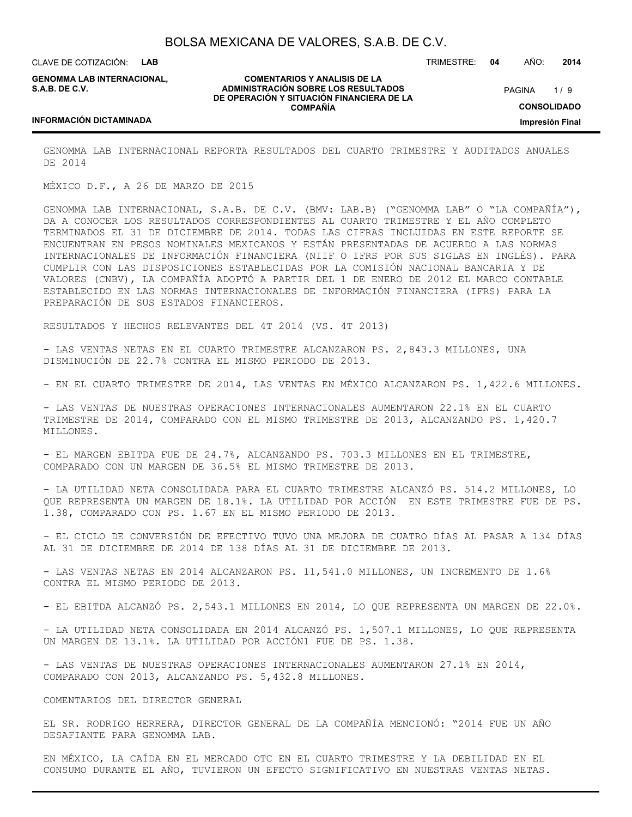CLAVE DE COTIZACIÓN: **LAB**

**GENOMMA LAB INTERNACIONAL, S.A.B. DE C.V.**

**COMENTARIOS Y ANALISIS DE LA ADMINISTRACIÓN SOBRE LOS RESULTADOS DE OPERACIÓN Y SITUACIÓN FINANCIERA DE LA COMPAÑÍA**

 $1/9$ **CONSOLIDADO Impresión Final** PAGINA

TRIMESTRE: **04** AÑO: **2014**

#### **INFORMACIÓN DICTAMINADA**

GENOMMA LAB INTERNACIONAL REPORTA RESULTADOS DEL CUARTO TRIMESTRE Y AUDITADOS ANUALES DE 2014

MÉXICO D.F., A 26 DE MARZO DE 2015

GENOMMA LAB INTERNACIONAL, S.A.B. DE C.V. (BMV: LAB.B) ("GENOMMA LAB" O "LA COMPAÑÍA"), DA A CONOCER LOS RESULTADOS CORRESPONDIENTES AL CUARTO TRIMESTRE Y EL AÑO COMPLETO TERMINADOS EL 31 DE DICIEMBRE DE 2014. TODAS LAS CIFRAS INCLUIDAS EN ESTE REPORTE SE ENCUENTRAN EN PESOS NOMINALES MEXICANOS Y ESTÁN PRESENTADAS DE ACUERDO A LAS NORMAS INTERNACIONALES DE INFORMACIÓN FINANCIERA (NIIF O IFRS POR SUS SIGLAS EN INGLÉS). PARA CUMPLIR CON LAS DISPOSICIONES ESTABLECIDAS POR LA COMISIÓN NACIONAL BANCARIA Y DE VALORES (CNBV), LA COMPAÑÍA ADOPTÓ A PARTIR DEL 1 DE ENERO DE 2012 EL MARCO CONTABLE ESTABLECIDO EN LAS NORMAS INTERNACIONALES DE INFORMACIÓN FINANCIERA (IFRS) PARA LA PREPARACIÓN DE SUS ESTADOS FINANCIEROS.

RESULTADOS Y HECHOS RELEVANTES DEL 4T 2014 (VS. 4T 2013)

- LAS VENTAS NETAS EN EL CUARTO TRIMESTRE ALCANZARON PS. 2,843.3 MILLONES, UNA DISMINUCIÓN DE 22.7% CONTRA EL MISMO PERIODO DE 2013.

- EN EL CUARTO TRIMESTRE DE 2014, LAS VENTAS EN MÉXICO ALCANZARON PS. 1,422.6 MILLONES.

- LAS VENTAS DE NUESTRAS OPERACIONES INTERNACIONALES AUMENTARON 22.1% EN EL CUARTO TRIMESTRE DE 2014, COMPARADO CON EL MISMO TRIMESTRE DE 2013, ALCANZANDO PS. 1,420.7 MILLONES.

- EL MARGEN EBITDA FUE DE 24.7%, ALCANZANDO PS. 703.3 MILLONES EN EL TRIMESTRE, COMPARADO CON UN MARGEN DE 36.5% EL MISMO TRIMESTRE DE 2013.

- LA UTILIDAD NETA CONSOLIDADA PARA EL CUARTO TRIMESTRE ALCANZÓ PS. 514.2 MILLONES, LO QUE REPRESENTA UN MARGEN DE 18.1%. LA UTILIDAD POR ACCIÓN EN ESTE TRIMESTRE FUE DE PS. 1.38, COMPARADO CON PS. 1.67 EN EL MISMO PERIODO DE 2013.

- EL CICLO DE CONVERSIÓN DE EFECTIVO TUVO UNA MEJORA DE CUATRO DÍAS AL PASAR A 134 DÍAS AL 31 DE DICIEMBRE DE 2014 DE 138 DÍAS AL 31 DE DICIEMBRE DE 2013.

- LAS VENTAS NETAS EN 2014 ALCANZARON PS. 11,541.0 MILLONES, UN INCREMENTO DE 1.6% CONTRA EL MISMO PERIODO DE 2013.

- EL EBITDA ALCANZÓ PS. 2,543.1 MILLONES EN 2014, LO QUE REPRESENTA UN MARGEN DE 22.0%.

- LA UTILIDAD NETA CONSOLIDADA EN 2014 ALCANZÓ PS. 1,507.1 MILLONES, LO QUE REPRESENTA UN MARGEN DE 13.1%. LA UTILIDAD POR ACCIÓN1 FUE DE PS. 1.38.

- LAS VENTAS DE NUESTRAS OPERACIONES INTERNACIONALES AUMENTARON 27.1% EN 2014, COMPARADO CON 2013, ALCANZANDO PS. 5,432.8 MILLONES.

COMENTARIOS DEL DIRECTOR GENERAL

EL SR. RODRIGO HERRERA, DIRECTOR GENERAL DE LA COMPAÑÍA MENCIONÓ: "2014 FUE UN AÑO DESAFIANTE PARA GENOMMA LAB.

EN MÉXICO, LA CAÍDA EN EL MERCADO OTC EN EL CUARTO TRIMESTRE Y LA DEBILIDAD EN EL CONSUMO DURANTE EL AÑO, TUVIERON UN EFECTO SIGNIFICATIVO EN NUESTRAS VENTAS NETAS.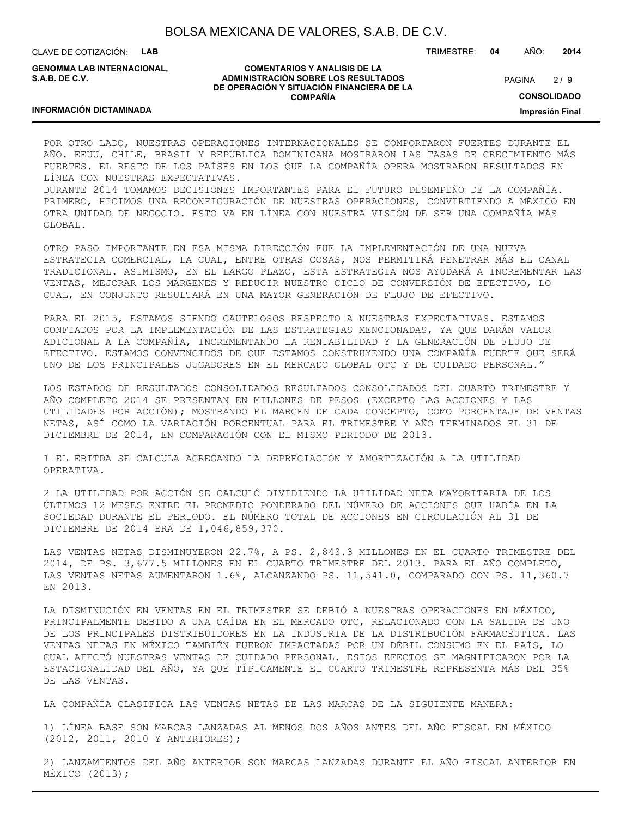CLAVE DE COTIZACIÓN: **LAB**

**GENOMMA LAB INTERNACIONAL, S.A.B. DE C.V.**

#### **COMENTARIOS Y ANALISIS DE LA ADMINISTRACIÓN SOBRE LOS RESULTADOS DE OPERACIÓN Y SITUACIÓN FINANCIERA DE LA COMPAÑÍA**

 $2/9$ **PAGINA** 

TRIMESTRE: **04** AÑO: **2014**

**CONSOLIDADO**

**Impresión Final**

POR OTRO LADO, NUESTRAS OPERACIONES INTERNACIONALES SE COMPORTARON FUERTES DURANTE EL AÑO. EEUU, CHILE, BRASIL Y REPÚBLICA DOMINICANA MOSTRARON LAS TASAS DE CRECIMIENTO MÁS FUERTES. EL RESTO DE LOS PAÍSES EN LOS QUE LA COMPAÑÍA OPERA MOSTRARON RESULTADOS EN LÍNEA CON NUESTRAS EXPECTATIVAS.

DURANTE 2014 TOMAMOS DECISIONES IMPORTANTES PARA EL FUTURO DESEMPEÑO DE LA COMPAÑÍA. PRIMERO, HICIMOS UNA RECONFIGURACIÓN DE NUESTRAS OPERACIONES, CONVIRTIENDO A MÉXICO EN OTRA UNIDAD DE NEGOCIO. ESTO VA EN LÍNEA CON NUESTRA VISIÓN DE SER UNA COMPAÑÍA MÁS GLOBAL.

OTRO PASO IMPORTANTE EN ESA MISMA DIRECCIÓN FUE LA IMPLEMENTACIÓN DE UNA NUEVA ESTRATEGIA COMERCIAL, LA CUAL, ENTRE OTRAS COSAS, NOS PERMITIRÁ PENETRAR MÁS EL CANAL TRADICIONAL. ASIMISMO, EN EL LARGO PLAZO, ESTA ESTRATEGIA NOS AYUDARÁ A INCREMENTAR LAS VENTAS, MEJORAR LOS MÁRGENES Y REDUCIR NUESTRO CICLO DE CONVERSIÓN DE EFECTIVO, LO CUAL, EN CONJUNTO RESULTARÁ EN UNA MAYOR GENERACIÓN DE FLUJO DE EFECTIVO.

PARA EL 2015, ESTAMOS SIENDO CAUTELOSOS RESPECTO A NUESTRAS EXPECTATIVAS. ESTAMOS CONFIADOS POR LA IMPLEMENTACIÓN DE LAS ESTRATEGIAS MENCIONADAS, YA QUE DARÁN VALOR ADICIONAL A LA COMPAÑÍA, INCREMENTANDO LA RENTABILIDAD Y LA GENERACIÓN DE FLUJO DE EFECTIVO. ESTAMOS CONVENCIDOS DE QUE ESTAMOS CONSTRUYENDO UNA COMPAÑÍA FUERTE QUE SERÁ UNO DE LOS PRINCIPALES JUGADORES EN EL MERCADO GLOBAL OTC Y DE CUIDADO PERSONAL."

LOS ESTADOS DE RESULTADOS CONSOLIDADOS RESULTADOS CONSOLIDADOS DEL CUARTO TRIMESTRE Y AÑO COMPLETO 2014 SE PRESENTAN EN MILLONES DE PESOS (EXCEPTO LAS ACCIONES Y LAS UTILIDADES POR ACCIÓN); MOSTRANDO EL MARGEN DE CADA CONCEPTO, COMO PORCENTAJE DE VENTAS NETAS, ASÍ COMO LA VARIACIÓN PORCENTUAL PARA EL TRIMESTRE Y AÑO TERMINADOS EL 31 DE DICIEMBRE DE 2014, EN COMPARACIÓN CON EL MISMO PERIODO DE 2013.

1 EL EBITDA SE CALCULA AGREGANDO LA DEPRECIACIÓN Y AMORTIZACIÓN A LA UTILIDAD OPERATIVA.

2 LA UTILIDAD POR ACCIÓN SE CALCULÓ DIVIDIENDO LA UTILIDAD NETA MAYORITARIA DE LOS ÚLTIMOS 12 MESES ENTRE EL PROMEDIO PONDERADO DEL NÚMERO DE ACCIONES QUE HABÍA EN LA SOCIEDAD DURANTE EL PERIODO. EL NÚMERO TOTAL DE ACCIONES EN CIRCULACIÓN AL 31 DE DICIEMBRE DE 2014 ERA DE 1,046,859,370.

LAS VENTAS NETAS DISMINUYERON 22.7%, A PS. 2,843.3 MILLONES EN EL CUARTO TRIMESTRE DEL 2014, DE PS. 3,677.5 MILLONES EN EL CUARTO TRIMESTRE DEL 2013. PARA EL AÑO COMPLETO, LAS VENTAS NETAS AUMENTARON 1.6%, ALCANZANDO PS. 11,541.0, COMPARADO CON PS. 11,360.7 EN 2013.

LA DISMINUCIÓN EN VENTAS EN EL TRIMESTRE SE DEBIÓ A NUESTRAS OPERACIONES EN MÉXICO, PRINCIPALMENTE DEBIDO A UNA CAÍDA EN EL MERCADO OTC, RELACIONADO CON LA SALIDA DE UNO DE LOS PRINCIPALES DISTRIBUIDORES EN LA INDUSTRIA DE LA DISTRIBUCIÓN FARMACÉUTICA. LAS VENTAS NETAS EN MÉXICO TAMBIÉN FUERON IMPACTADAS POR UN DÉBIL CONSUMO EN EL PAÍS, LO CUAL AFECTÓ NUESTRAS VENTAS DE CUIDADO PERSONAL. ESTOS EFECTOS SE MAGNIFICARON POR LA ESTACIONALIDAD DEL AÑO, YA QUE TÍPICAMENTE EL CUARTO TRIMESTRE REPRESENTA MÁS DEL 35% DE LAS VENTAS.

LA COMPAÑÍA CLASIFICA LAS VENTAS NETAS DE LAS MARCAS DE LA SIGUIENTE MANERA:

1) LÍNEA BASE SON MARCAS LANZADAS AL MENOS DOS AÑOS ANTES DEL AÑO FISCAL EN MÉXICO (2012, 2011, 2010 Y ANTERIORES);

2) LANZAMIENTOS DEL AÑO ANTERIOR SON MARCAS LANZADAS DURANTE EL AÑO FISCAL ANTERIOR EN MÉXICO (2013);

#### **INFORMACIÓN DICTAMINADA**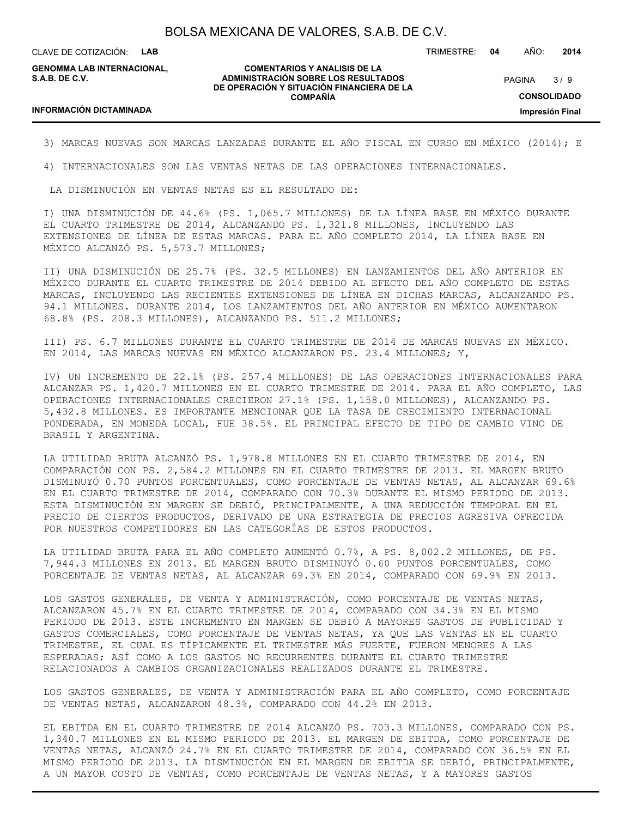CLAVE DE COTIZACIÓN: **LAB**

**GENOMMA LAB INTERNACIONAL, S.A.B. DE C.V.**

#### **COMENTARIOS Y ANALISIS DE LA ADMINISTRACIÓN SOBRE LOS RESULTADOS DE OPERACIÓN Y SITUACIÓN FINANCIERA DE LA COMPAÑÍA**

TRIMESTRE: **04** AÑO: **2014**

 $3/9$ **CONSOLIDADO PAGINA** 

**Impresión Final**

#### **INFORMACIÓN DICTAMINADA**

3) MARCAS NUEVAS SON MARCAS LANZADAS DURANTE EL AÑO FISCAL EN CURSO EN MÉXICO (2014); E

4) INTERNACIONALES SON LAS VENTAS NETAS DE LAS OPERACIONES INTERNACIONALES.

LA DISMINUCIÓN EN VENTAS NETAS ES EL RESULTADO DE:

I) UNA DISMINUCIÓN DE 44.6% (PS. 1,065.7 MILLONES) DE LA LÍNEA BASE EN MÉXICO DURANTE EL CUARTO TRIMESTRE DE 2014, ALCANZANDO PS. 1,321.8 MILLONES, INCLUYENDO LAS EXTENSIONES DE LÍNEA DE ESTAS MARCAS. PARA EL AÑO COMPLETO 2014, LA LÍNEA BASE EN MÉXICO ALCANZÓ PS. 5,573.7 MILLONES;

II) UNA DISMINUCIÓN DE 25.7% (PS. 32.5 MILLONES) EN LANZAMIENTOS DEL AÑO ANTERIOR EN MÉXICO DURANTE EL CUARTO TRIMESTRE DE 2014 DEBIDO AL EFECTO DEL AÑO COMPLETO DE ESTAS MARCAS, INCLUYENDO LAS RECIENTES EXTENSIONES DE LÍNEA EN DICHAS MARCAS, ALCANZANDO PS. 94.1 MILLONES. DURANTE 2014, LOS LANZAMIENTOS DEL AÑO ANTERIOR EN MÉXICO AUMENTARON 68.8% (PS. 208.3 MILLONES), ALCANZANDO PS. 511.2 MILLONES;

III) PS. 6.7 MILLONES DURANTE EL CUARTO TRIMESTRE DE 2014 DE MARCAS NUEVAS EN MÉXICO. EN 2014, LAS MARCAS NUEVAS EN MÉXICO ALCANZARON PS. 23.4 MILLONES; Y,

IV) UN INCREMENTO DE 22.1% (PS. 257.4 MILLONES) DE LAS OPERACIONES INTERNACIONALES PARA ALCANZAR PS. 1,420.7 MILLONES EN EL CUARTO TRIMESTRE DE 2014. PARA EL AÑO COMPLETO, LAS OPERACIONES INTERNACIONALES CRECIERON 27.1% (PS. 1,158.0 MILLONES), ALCANZANDO PS. 5,432.8 MILLONES. ES IMPORTANTE MENCIONAR QUE LA TASA DE CRECIMIENTO INTERNACIONAL PONDERADA, EN MONEDA LOCAL, FUE 38.5%. EL PRINCIPAL EFECTO DE TIPO DE CAMBIO VINO DE BRASIL Y ARGENTINA.

LA UTILIDAD BRUTA ALCANZÓ PS. 1,978.8 MILLONES EN EL CUARTO TRIMESTRE DE 2014, EN COMPARACIÓN CON PS. 2,584.2 MILLONES EN EL CUARTO TRIMESTRE DE 2013. EL MARGEN BRUTO DISMINUYÓ 0.70 PUNTOS PORCENTUALES, COMO PORCENTAJE DE VENTAS NETAS, AL ALCANZAR 69.6% EN EL CUARTO TRIMESTRE DE 2014, COMPARADO CON 70.3% DURANTE EL MISMO PERIODO DE 2013. ESTA DISMINUCIÓN EN MARGEN SE DEBIÓ, PRINCIPALMENTE, A UNA REDUCCIÓN TEMPORAL EN EL PRECIO DE CIERTOS PRODUCTOS, DERIVADO DE UNA ESTRATEGIA DE PRECIOS AGRESIVA OFRECIDA POR NUESTROS COMPETIDORES EN LAS CATEGORÍAS DE ESTOS PRODUCTOS.

LA UTILIDAD BRUTA PARA EL AÑO COMPLETO AUMENTÓ 0.7%, A PS. 8,002.2 MILLONES, DE PS. 7,944.3 MILLONES EN 2013. EL MARGEN BRUTO DISMINUYÓ 0.60 PUNTOS PORCENTUALES, COMO PORCENTAJE DE VENTAS NETAS, AL ALCANZAR 69.3% EN 2014, COMPARADO CON 69.9% EN 2013.

LOS GASTOS GENERALES, DE VENTA Y ADMINISTRACIÓN, COMO PORCENTAJE DE VENTAS NETAS, ALCANZARON 45.7% EN EL CUARTO TRIMESTRE DE 2014, COMPARADO CON 34.3% EN EL MISMO PERIODO DE 2013. ESTE INCREMENTO EN MARGEN SE DEBIÓ A MAYORES GASTOS DE PUBLICIDAD Y GASTOS COMERCIALES, COMO PORCENTAJE DE VENTAS NETAS, YA QUE LAS VENTAS EN EL CUARTO TRIMESTRE, EL CUAL ES TÍPICAMENTE EL TRIMESTRE MÁS FUERTE, FUERON MENORES A LAS ESPERADAS; ASÍ COMO A LOS GASTOS NO RECURRENTES DURANTE EL CUARTO TRIMESTRE RELACIONADOS A CAMBIOS ORGANIZACIONALES REALIZADOS DURANTE EL TRIMESTRE.

LOS GASTOS GENERALES, DE VENTA Y ADMINISTRACIÓN PARA EL AÑO COMPLETO, COMO PORCENTAJE DE VENTAS NETAS, ALCANZARON 48.3%, COMPARADO CON 44.2% EN 2013.

EL EBITDA EN EL CUARTO TRIMESTRE DE 2014 ALCANZÓ PS. 703.3 MILLONES, COMPARADO CON PS. 1,340.7 MILLONES EN EL MISMO PERIODO DE 2013. EL MARGEN DE EBITDA, COMO PORCENTAJE DE VENTAS NETAS, ALCANZÓ 24.7% EN EL CUARTO TRIMESTRE DE 2014, COMPARADO CON 36.5% EN EL MISMO PERIODO DE 2013. LA DISMINUCIÓN EN EL MARGEN DE EBITDA SE DEBIÓ, PRINCIPALMENTE, A UN MAYOR COSTO DE VENTAS, COMO PORCENTAJE DE VENTAS NETAS, Y A MAYORES GASTOS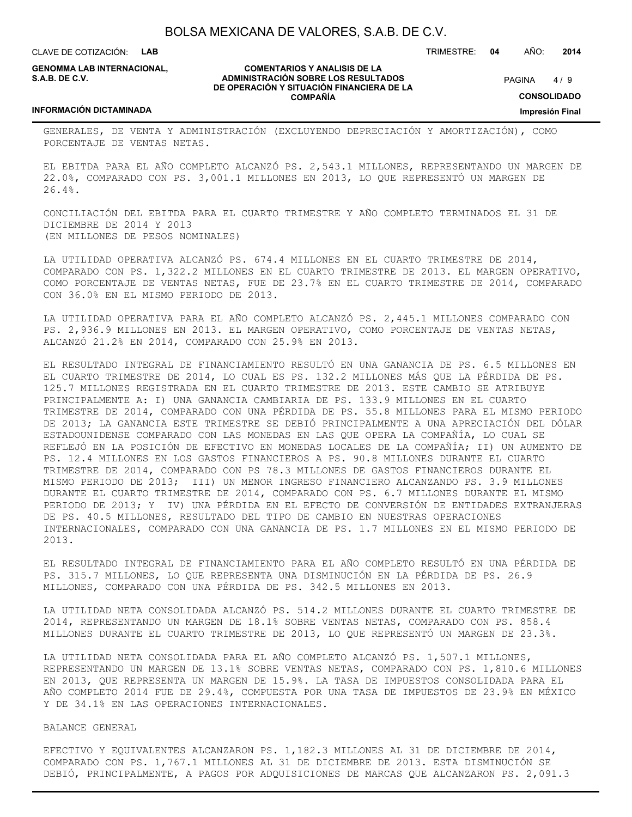CLAVE DE COTIZACIÓN: **LAB**

**GENOMMA LAB INTERNACIONAL, S.A.B. DE C.V.**

#### **COMENTARIOS Y ANALISIS DE LA ADMINISTRACIÓN SOBRE LOS RESULTADOS DE OPERACIÓN Y SITUACIÓN FINANCIERA DE LA COMPAÑÍA**

 $4/9$ **PAGINA** 

TRIMESTRE: **04** AÑO: **2014**

**CONSOLIDADO**

**Impresión Final**

#### **INFORMACIÓN DICTAMINADA**

GENERALES, DE VENTA Y ADMINISTRACIÓN (EXCLUYENDO DEPRECIACIÓN Y AMORTIZACIÓN), COMO PORCENTAJE DE VENTAS NETAS.

EL EBITDA PARA EL AÑO COMPLETO ALCANZÓ PS. 2,543.1 MILLONES, REPRESENTANDO UN MARGEN DE 22.0%, COMPARADO CON PS. 3,001.1 MILLONES EN 2013, LO QUE REPRESENTÓ UN MARGEN DE 26.4%.

CONCILIACIÓN DEL EBITDA PARA EL CUARTO TRIMESTRE Y AÑO COMPLETO TERMINADOS EL 31 DE DICIEMBRE DE 2014 Y 2013 (EN MILLONES DE PESOS NOMINALES)

LA UTILIDAD OPERATIVA ALCANZÓ PS. 674.4 MILLONES EN EL CUARTO TRIMESTRE DE 2014, COMPARADO CON PS. 1,322.2 MILLONES EN EL CUARTO TRIMESTRE DE 2013. EL MARGEN OPERATIVO, COMO PORCENTAJE DE VENTAS NETAS, FUE DE 23.7% EN EL CUARTO TRIMESTRE DE 2014, COMPARADO CON 36.0% EN EL MISMO PERIODO DE 2013.

LA UTILIDAD OPERATIVA PARA EL AÑO COMPLETO ALCANZÓ PS. 2,445.1 MILLONES COMPARADO CON PS. 2,936.9 MILLONES EN 2013. EL MARGEN OPERATIVO, COMO PORCENTAJE DE VENTAS NETAS, ALCANZÓ 21.2% EN 2014, COMPARADO CON 25.9% EN 2013.

EL RESULTADO INTEGRAL DE FINANCIAMIENTO RESULTÓ EN UNA GANANCIA DE PS. 6.5 MILLONES EN EL CUARTO TRIMESTRE DE 2014, LO CUAL ES PS. 132.2 MILLONES MÁS QUE LA PÉRDIDA DE PS. 125.7 MILLONES REGISTRADA EN EL CUARTO TRIMESTRE DE 2013. ESTE CAMBIO SE ATRIBUYE PRINCIPALMENTE A: I) UNA GANANCIA CAMBIARIA DE PS. 133.9 MILLONES EN EL CUARTO TRIMESTRE DE 2014, COMPARADO CON UNA PÉRDIDA DE PS. 55.8 MILLONES PARA EL MISMO PERIODO DE 2013; LA GANANCIA ESTE TRIMESTRE SE DEBIÓ PRINCIPALMENTE A UNA APRECIACIÓN DEL DÓLAR ESTADOUNIDENSE COMPARADO CON LAS MONEDAS EN LAS QUE OPERA LA COMPAÑÍA, LO CUAL SE REFLEJÓ EN LA POSICIÓN DE EFECTIVO EN MONEDAS LOCALES DE LA COMPAÑÍA; II) UN AUMENTO DE PS. 12.4 MILLONES EN LOS GASTOS FINANCIEROS A PS. 90.8 MILLONES DURANTE EL CUARTO TRIMESTRE DE 2014, COMPARADO CON PS 78.3 MILLONES DE GASTOS FINANCIEROS DURANTE EL MISMO PERIODO DE 2013; III) UN MENOR INGRESO FINANCIERO ALCANZANDO PS. 3.9 MILLONES DURANTE EL CUARTO TRIMESTRE DE 2014, COMPARADO CON PS. 6.7 MILLONES DURANTE EL MISMO PERIODO DE 2013; Y IV) UNA PÉRDIDA EN EL EFECTO DE CONVERSIÓN DE ENTIDADES EXTRANJERAS DE PS. 40.5 MILLONES, RESULTADO DEL TIPO DE CAMBIO EN NUESTRAS OPERACIONES INTERNACIONALES, COMPARADO CON UNA GANANCIA DE PS. 1.7 MILLONES EN EL MISMO PERIODO DE 2013.

EL RESULTADO INTEGRAL DE FINANCIAMIENTO PARA EL AÑO COMPLETO RESULTÓ EN UNA PÉRDIDA DE PS. 315.7 MILLONES, LO QUE REPRESENTA UNA DISMINUCIÓN EN LA PÉRDIDA DE PS. 26.9 MILLONES, COMPARADO CON UNA PÉRDIDA DE PS. 342.5 MILLONES EN 2013.

LA UTILIDAD NETA CONSOLIDADA ALCANZÓ PS. 514.2 MILLONES DURANTE EL CUARTO TRIMESTRE DE 2014, REPRESENTANDO UN MARGEN DE 18.1% SOBRE VENTAS NETAS, COMPARADO CON PS. 858.4 MILLONES DURANTE EL CUARTO TRIMESTRE DE 2013, LO QUE REPRESENTÓ UN MARGEN DE 23.3%.

LA UTILIDAD NETA CONSOLIDADA PARA EL AÑO COMPLETO ALCANZÓ PS. 1,507.1 MILLONES, REPRESENTANDO UN MARGEN DE 13.1% SOBRE VENTAS NETAS, COMPARADO CON PS. 1,810.6 MILLONES EN 2013, QUE REPRESENTA UN MARGEN DE 15.9%. LA TASA DE IMPUESTOS CONSOLIDADA PARA EL AÑO COMPLETO 2014 FUE DE 29.4%, COMPUESTA POR UNA TASA DE IMPUESTOS DE 23.9% EN MÉXICO Y DE 34.1% EN LAS OPERACIONES INTERNACIONALES.

#### BALANCE GENERAL

EFECTIVO Y EQUIVALENTES ALCANZARON PS. 1,182.3 MILLONES AL 31 DE DICIEMBRE DE 2014, COMPARADO CON PS. 1,767.1 MILLONES AL 31 DE DICIEMBRE DE 2013. ESTA DISMINUCIÓN SE DEBIÓ, PRINCIPALMENTE, A PAGOS POR ADQUISICIONES DE MARCAS QUE ALCANZARON PS. 2,091.3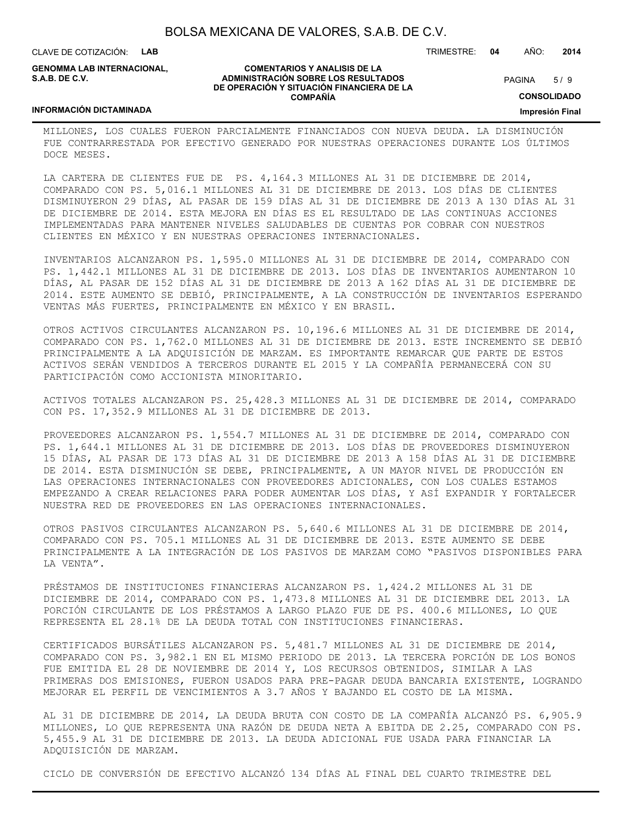**COMENTARIOS Y ANALISIS DE LA ADMINISTRACIÓN SOBRE LOS RESULTADOS DE OPERACIÓN Y SITUACIÓN FINANCIERA DE LA COMPAÑÍA**

CLAVE DE COTIZACIÓN: **LAB**

**GENOMMA LAB INTERNACIONAL, S.A.B. DE C.V.**

TRIMESTRE: **04** AÑO: **2014**

 $5/9$ **PAGINA** 

**CONSOLIDADO**

#### **Impresión Final**

#### **INFORMACIÓN DICTAMINADA**

MILLONES, LOS CUALES FUERON PARCIALMENTE FINANCIADOS CON NUEVA DEUDA. LA DISMINUCIÓN FUE CONTRARRESTADA POR EFECTIVO GENERADO POR NUESTRAS OPERACIONES DURANTE LOS ÚLTIMOS DOCE MESES.

LA CARTERA DE CLIENTES FUE DE PS. 4,164.3 MILLONES AL 31 DE DICIEMBRE DE 2014, COMPARADO CON PS. 5,016.1 MILLONES AL 31 DE DICIEMBRE DE 2013. LOS DÍAS DE CLIENTES DISMINUYERON 29 DÍAS, AL PASAR DE 159 DÍAS AL 31 DE DICIEMBRE DE 2013 A 130 DÍAS AL 31 DE DICIEMBRE DE 2014. ESTA MEJORA EN DÍAS ES EL RESULTADO DE LAS CONTINUAS ACCIONES IMPLEMENTADAS PARA MANTENER NIVELES SALUDABLES DE CUENTAS POR COBRAR CON NUESTROS CLIENTES EN MÉXICO Y EN NUESTRAS OPERACIONES INTERNACIONALES.

INVENTARIOS ALCANZARON PS. 1,595.0 MILLONES AL 31 DE DICIEMBRE DE 2014, COMPARADO CON PS. 1,442.1 MILLONES AL 31 DE DICIEMBRE DE 2013. LOS DÍAS DE INVENTARIOS AUMENTARON 10 DÍAS, AL PASAR DE 152 DÍAS AL 31 DE DICIEMBRE DE 2013 A 162 DÍAS AL 31 DE DICIEMBRE DE 2014. ESTE AUMENTO SE DEBIÓ, PRINCIPALMENTE, A LA CONSTRUCCIÓN DE INVENTARIOS ESPERANDO VENTAS MÁS FUERTES, PRINCIPALMENTE EN MÉXICO Y EN BRASIL.

OTROS ACTIVOS CIRCULANTES ALCANZARON PS. 10,196.6 MILLONES AL 31 DE DICIEMBRE DE 2014, COMPARADO CON PS. 1,762.0 MILLONES AL 31 DE DICIEMBRE DE 2013. ESTE INCREMENTO SE DEBIÓ PRINCIPALMENTE A LA ADQUISICIÓN DE MARZAM. ES IMPORTANTE REMARCAR QUE PARTE DE ESTOS ACTIVOS SERÁN VENDIDOS A TERCEROS DURANTE EL 2015 Y LA COMPAÑÍA PERMANECERÁ CON SU PARTICIPACIÓN COMO ACCIONISTA MINORITARIO.

ACTIVOS TOTALES ALCANZARON PS. 25,428.3 MILLONES AL 31 DE DICIEMBRE DE 2014, COMPARADO CON PS. 17,352.9 MILLONES AL 31 DE DICIEMBRE DE 2013.

PROVEEDORES ALCANZARON PS. 1,554.7 MILLONES AL 31 DE DICIEMBRE DE 2014, COMPARADO CON PS. 1,644.1 MILLONES AL 31 DE DICIEMBRE DE 2013. LOS DÍAS DE PROVEEDORES DISMINUYERON 15 DÍAS, AL PASAR DE 173 DÍAS AL 31 DE DICIEMBRE DE 2013 A 158 DÍAS AL 31 DE DICIEMBRE DE 2014. ESTA DISMINUCIÓN SE DEBE, PRINCIPALMENTE, A UN MAYOR NIVEL DE PRODUCCIÓN EN LAS OPERACIONES INTERNACIONALES CON PROVEEDORES ADICIONALES, CON LOS CUALES ESTAMOS EMPEZANDO A CREAR RELACIONES PARA PODER AUMENTAR LOS DÍAS, Y ASÍ EXPANDIR Y FORTALECER NUESTRA RED DE PROVEEDORES EN LAS OPERACIONES INTERNACIONALES.

OTROS PASIVOS CIRCULANTES ALCANZARON PS. 5,640.6 MILLONES AL 31 DE DICIEMBRE DE 2014, COMPARADO CON PS. 705.1 MILLONES AL 31 DE DICIEMBRE DE 2013. ESTE AUMENTO SE DEBE PRINCIPALMENTE A LA INTEGRACIÓN DE LOS PASIVOS DE MARZAM COMO "PASIVOS DISPONIBLES PARA LA VENTA".

PRÉSTAMOS DE INSTITUCIONES FINANCIERAS ALCANZARON PS. 1,424.2 MILLONES AL 31 DE DICIEMBRE DE 2014, COMPARADO CON PS. 1,473.8 MILLONES AL 31 DE DICIEMBRE DEL 2013. LA PORCIÓN CIRCULANTE DE LOS PRÉSTAMOS A LARGO PLAZO FUE DE PS. 400.6 MILLONES, LO QUE REPRESENTA EL 28.1% DE LA DEUDA TOTAL CON INSTITUCIONES FINANCIERAS.

CERTIFICADOS BURSÁTILES ALCANZARON PS. 5,481.7 MILLONES AL 31 DE DICIEMBRE DE 2014, COMPARADO CON PS. 3,982.1 EN EL MISMO PERIODO DE 2013. LA TERCERA PORCIÓN DE LOS BONOS FUE EMITIDA EL 28 DE NOVIEMBRE DE 2014 Y, LOS RECURSOS OBTENIDOS, SIMILAR A LAS PRIMERAS DOS EMISIONES, FUERON USADOS PARA PRE-PAGAR DEUDA BANCARIA EXISTENTE, LOGRANDO MEJORAR EL PERFIL DE VENCIMIENTOS A 3.7 AÑOS Y BAJANDO EL COSTO DE LA MISMA.

AL 31 DE DICIEMBRE DE 2014, LA DEUDA BRUTA CON COSTO DE LA COMPAÑÍA ALCANZÓ PS. 6,905.9 MILLONES, LO QUE REPRESENTA UNA RAZÓN DE DEUDA NETA A EBITDA DE 2.25, COMPARADO CON PS. 5,455.9 AL 31 DE DICIEMBRE DE 2013. LA DEUDA ADICIONAL FUE USADA PARA FINANCIAR LA ADQUISICIÓN DE MARZAM.

CICLO DE CONVERSIÓN DE EFECTIVO ALCANZÓ 134 DÍAS AL FINAL DEL CUARTO TRIMESTRE DEL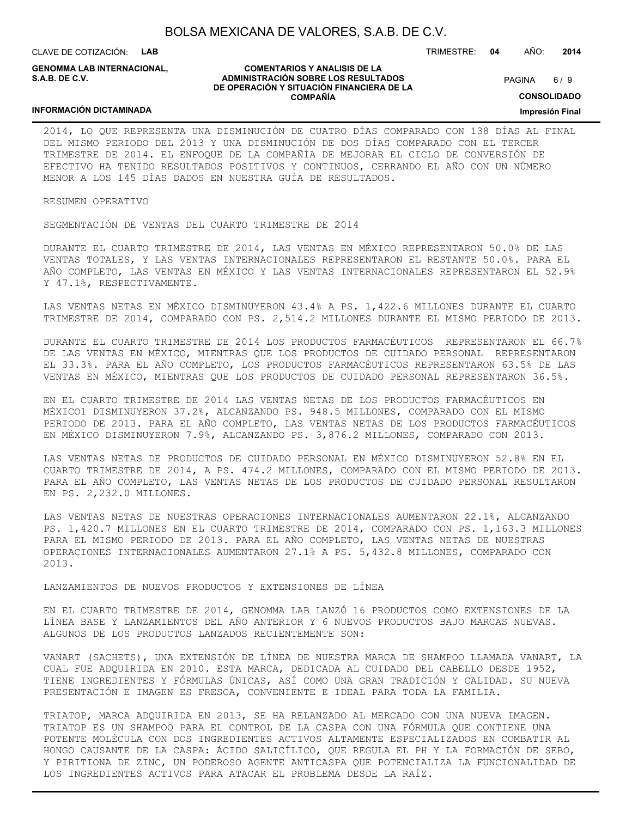CLAVE DE COTIZACIÓN: **LAB**

**INFORMACIÓN DICTAMINADA**

**GENOMMA LAB INTERNACIONAL, S.A.B. DE C.V.**

#### **COMENTARIOS Y ANALISIS DE LA ADMINISTRACIÓN SOBRE LOS RESULTADOS DE OPERACIÓN Y SITUACIÓN FINANCIERA DE LA COMPAÑÍA**

 $6/9$ **PAGINA** 

TRIMESTRE: **04** AÑO: **2014**

**CONSOLIDADO**

#### **Impresión Final**

2014, LO QUE REPRESENTA UNA DISMINUCIÓN DE CUATRO DÍAS COMPARADO CON 138 DÍAS AL FINAL DEL MISMO PERIODO DEL 2013 Y UNA DISMINUCIÓN DE DOS DÍAS COMPARADO CON EL TERCER TRIMESTRE DE 2014. EL ENFOQUE DE LA COMPAÑÍA DE MEJORAR EL CICLO DE CONVERSIÓN DE EFECTIVO HA TENIDO RESULTADOS POSITIVOS Y CONTINUOS, CERRANDO EL AÑO CON UN NÚMERO MENOR A LOS 145 DÍAS DADOS EN NUESTRA GUÍA DE RESULTADOS.

RESUMEN OPERATIVO

SEGMENTACIÓN DE VENTAS DEL CUARTO TRIMESTRE DE 2014

DURANTE EL CUARTO TRIMESTRE DE 2014, LAS VENTAS EN MÉXICO REPRESENTARON 50.0% DE LAS VENTAS TOTALES, Y LAS VENTAS INTERNACIONALES REPRESENTARON EL RESTANTE 50.0%. PARA EL AÑO COMPLETO, LAS VENTAS EN MÉXICO Y LAS VENTAS INTERNACIONALES REPRESENTARON EL 52.9% Y 47.1%, RESPECTIVAMENTE.

LAS VENTAS NETAS EN MÉXICO DISMINUYERON 43.4% A PS. 1,422.6 MILLONES DURANTE EL CUARTO TRIMESTRE DE 2014, COMPARADO CON PS. 2,514.2 MILLONES DURANTE EL MISMO PERIODO DE 2013.

DURANTE EL CUARTO TRIMESTRE DE 2014 LOS PRODUCTOS FARMACÉUTICOS REPRESENTARON EL 66.7% DE LAS VENTAS EN MÉXICO, MIENTRAS QUE LOS PRODUCTOS DE CUIDADO PERSONAL REPRESENTARON EL 33.3%. PARA EL AÑO COMPLETO, LOS PRODUCTOS FARMACÉUTICOS REPRESENTARON 63.5% DE LAS VENTAS EN MÉXICO, MIENTRAS QUE LOS PRODUCTOS DE CUIDADO PERSONAL REPRESENTARON 36.5%.

EN EL CUARTO TRIMESTRE DE 2014 LAS VENTAS NETAS DE LOS PRODUCTOS FARMACÉUTICOS EN MÉXICO1 DISMINUYERON 37.2%, ALCANZANDO PS. 948.5 MILLONES, COMPARADO CON EL MISMO PERIODO DE 2013. PARA EL AÑO COMPLETO, LAS VENTAS NETAS DE LOS PRODUCTOS FARMACÉUTICOS EN MÉXICO DISMINUYERON 7.9%, ALCANZANDO PS. 3,876.2 MILLONES, COMPARADO CON 2013.

LAS VENTAS NETAS DE PRODUCTOS DE CUIDADO PERSONAL EN MÉXICO DISMINUYERON 52.8% EN EL CUARTO TRIMESTRE DE 2014, A PS. 474.2 MILLONES, COMPARADO CON EL MISMO PERIODO DE 2013. PARA EL AÑO COMPLETO, LAS VENTAS NETAS DE LOS PRODUCTOS DE CUIDADO PERSONAL RESULTARON EN PS. 2,232.0 MILLONES.

LAS VENTAS NETAS DE NUESTRAS OPERACIONES INTERNACIONALES AUMENTARON 22.1%, ALCANZANDO PS. 1,420.7 MILLONES EN EL CUARTO TRIMESTRE DE 2014, COMPARADO CON PS. 1,163.3 MILLONES PARA EL MISMO PERIODO DE 2013. PARA EL AÑO COMPLETO, LAS VENTAS NETAS DE NUESTRAS OPERACIONES INTERNACIONALES AUMENTARON 27.1% A PS. 5,432.8 MILLONES, COMPARADO CON 2013.

LANZAMIENTOS DE NUEVOS PRODUCTOS Y EXTENSIONES DE LÍNEA

EN EL CUARTO TRIMESTRE DE 2014, GENOMMA LAB LANZÓ 16 PRODUCTOS COMO EXTENSIONES DE LA LÍNEA BASE Y LANZAMIENTOS DEL AÑO ANTERIOR Y 6 NUEVOS PRODUCTOS BAJO MARCAS NUEVAS. ALGUNOS DE LOS PRODUCTOS LANZADOS RECIENTEMENTE SON:

VANART (SACHETS), UNA EXTENSIÓN DE LÍNEA DE NUESTRA MARCA DE SHAMPOO LLAMADA VANART, LA CUAL FUE ADQUIRIDA EN 2010. ESTA MARCA, DEDICADA AL CUIDADO DEL CABELLO DESDE 1952, TIENE INGREDIENTES Y FÓRMULAS ÚNICAS, ASÍ COMO UNA GRAN TRADICIÓN Y CALIDAD. SU NUEVA PRESENTACIÓN E IMAGEN ES FRESCA, CONVENIENTE E IDEAL PARA TODA LA FAMILIA.

TRIATOP, MARCA ADQUIRIDA EN 2013, SE HA RELANZADO AL MERCADO CON UNA NUEVA IMAGEN. TRIATOP ES UN SHAMPOO PARA EL CONTROL DE LA CASPA CON UNA FÓRMULA QUE CONTIENE UNA POTENTE MOLÉCULA CON DOS INGREDIENTES ACTIVOS ALTAMENTE ESPECIALIZADOS EN COMBATIR AL HONGO CAUSANTE DE LA CASPA: ÁCIDO SALICÍLICO, QUE REGULA EL PH Y LA FORMACIÓN DE SEBO, Y PIRITIONA DE ZINC, UN PODEROSO AGENTE ANTICASPA QUE POTENCIALIZA LA FUNCIONALIDAD DE LOS INGREDIENTES ACTIVOS PARA ATACAR EL PROBLEMA DESDE LA RAÍZ.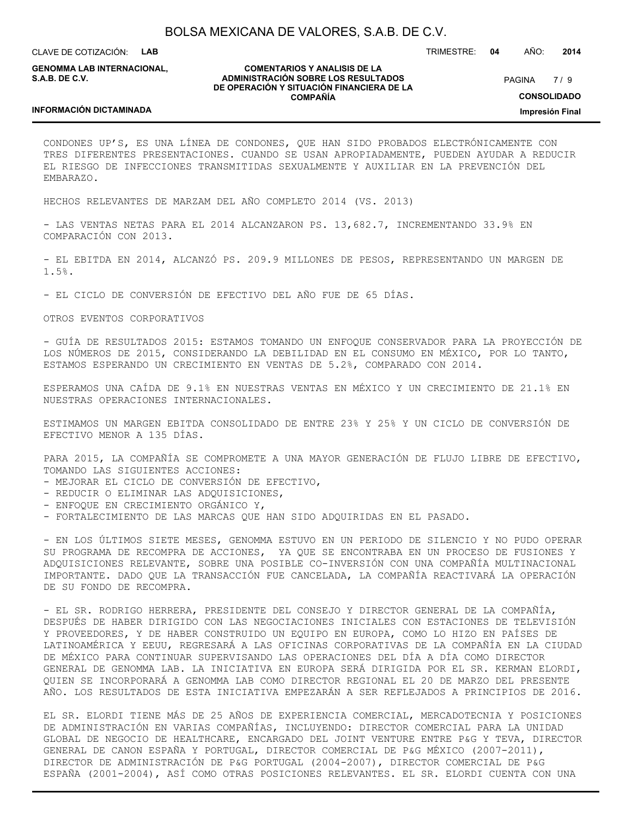CLAVE DE COTIZACIÓN: **LAB**

**GENOMMA LAB INTERNACIONAL, S.A.B. DE C.V.**

#### **COMENTARIOS Y ANALISIS DE LA ADMINISTRACIÓN SOBRE LOS RESULTADOS DE OPERACIÓN Y SITUACIÓN FINANCIERA DE LA COMPAÑÍA**

 $7/9$ PAGINA

TRIMESTRE: **04** AÑO: **2014**

**CONSOLIDADO**

**Impresión Final**

#### **INFORMACIÓN DICTAMINADA**

CONDONES UP'S, ES UNA LÍNEA DE CONDONES, QUE HAN SIDO PROBADOS ELECTRÓNICAMENTE CON TRES DIFERENTES PRESENTACIONES. CUANDO SE USAN APROPIADAMENTE, PUEDEN AYUDAR A REDUCIR EL RIESGO DE INFECCIONES TRANSMITIDAS SEXUALMENTE Y AUXILIAR EN LA PREVENCIÓN DEL EMBARAZO.

HECHOS RELEVANTES DE MARZAM DEL AÑO COMPLETO 2014 (VS. 2013)

- LAS VENTAS NETAS PARA EL 2014 ALCANZARON PS. 13,682.7, INCREMENTANDO 33.9% EN COMPARACIÓN CON 2013.

- EL EBITDA EN 2014, ALCANZÓ PS. 209.9 MILLONES DE PESOS, REPRESENTANDO UN MARGEN DE 1.5%.

- EL CICLO DE CONVERSIÓN DE EFECTIVO DEL AÑO FUE DE 65 DÍAS.

OTROS EVENTOS CORPORATIVOS

- GUÍA DE RESULTADOS 2015: ESTAMOS TOMANDO UN ENFOQUE CONSERVADOR PARA LA PROYECCIÓN DE LOS NÚMEROS DE 2015, CONSIDERANDO LA DEBILIDAD EN EL CONSUMO EN MÉXICO, POR LO TANTO, ESTAMOS ESPERANDO UN CRECIMIENTO EN VENTAS DE 5.2%, COMPARADO CON 2014.

ESPERAMOS UNA CAÍDA DE 9.1% EN NUESTRAS VENTAS EN MÉXICO Y UN CRECIMIENTO DE 21.1% EN NUESTRAS OPERACIONES INTERNACIONALES.

ESTIMAMOS UN MARGEN EBITDA CONSOLIDADO DE ENTRE 23% Y 25% Y UN CICLO DE CONVERSIÓN DE EFECTIVO MENOR A 135 DÍAS.

PARA 2015, LA COMPAÑÍA SE COMPROMETE A UNA MAYOR GENERACIÓN DE FLUJO LIBRE DE EFECTIVO, TOMANDO LAS SIGUIENTES ACCIONES:

- MEJORAR EL CICLO DE CONVERSIÓN DE EFECTIVO,
- REDUCIR O ELIMINAR LAS ADQUISICIONES,
- ENFOQUE EN CRECIMIENTO ORGÁNICO Y,
- FORTALECIMIENTO DE LAS MARCAS QUE HAN SIDO ADQUIRIDAS EN EL PASADO.

- EN LOS ÚLTIMOS SIETE MESES, GENOMMA ESTUVO EN UN PERIODO DE SILENCIO Y NO PUDO OPERAR SU PROGRAMA DE RECOMPRA DE ACCIONES, YA QUE SE ENCONTRABA EN UN PROCESO DE FUSIONES Y ADQUISICIONES RELEVANTE, SOBRE UNA POSIBLE CO-INVERSIÓN CON UNA COMPAÑÍA MULTINACIONAL IMPORTANTE. DADO QUE LA TRANSACCIÓN FUE CANCELADA, LA COMPAÑÍA REACTIVARÁ LA OPERACIÓN DE SU FONDO DE RECOMPRA.

- EL SR. RODRIGO HERRERA, PRESIDENTE DEL CONSEJO Y DIRECTOR GENERAL DE LA COMPAÑÍA, DESPUÉS DE HABER DIRIGIDO CON LAS NEGOCIACIONES INICIALES CON ESTACIONES DE TELEVISIÓN Y PROVEEDORES, Y DE HABER CONSTRUIDO UN EQUIPO EN EUROPA, COMO LO HIZO EN PAÍSES DE LATINOAMÉRICA Y EEUU, REGRESARÁ A LAS OFICINAS CORPORATIVAS DE LA COMPAÑÍA EN LA CIUDAD DE MÉXICO PARA CONTINUAR SUPERVISANDO LAS OPERACIONES DEL DÍA A DÍA COMO DIRECTOR GENERAL DE GENOMMA LAB. LA INICIATIVA EN EUROPA SERÁ DIRIGIDA POR EL SR. KERMAN ELORDI, QUIEN SE INCORPORARÁ A GENOMMA LAB COMO DIRECTOR REGIONAL EL 20 DE MARZO DEL PRESENTE AÑO. LOS RESULTADOS DE ESTA INICIATIVA EMPEZARÁN A SER REFLEJADOS A PRINCIPIOS DE 2016.

EL SR. ELORDI TIENE MÁS DE 25 AÑOS DE EXPERIENCIA COMERCIAL, MERCADOTECNIA Y POSICIONES DE ADMINISTRACIÓN EN VARIAS COMPAÑÍAS, INCLUYENDO: DIRECTOR COMERCIAL PARA LA UNIDAD GLOBAL DE NEGOCIO DE HEALTHCARE, ENCARGADO DEL JOINT VENTURE ENTRE P&G Y TEVA, DIRECTOR GENERAL DE CANON ESPAÑA Y PORTUGAL, DIRECTOR COMERCIAL DE P&G MÉXICO (2007-2011), DIRECTOR DE ADMINISTRACIÓN DE P&G PORTUGAL (2004-2007), DIRECTOR COMERCIAL DE P&G ESPAÑA (2001-2004), ASÍ COMO OTRAS POSICIONES RELEVANTES. EL SR. ELORDI CUENTA CON UNA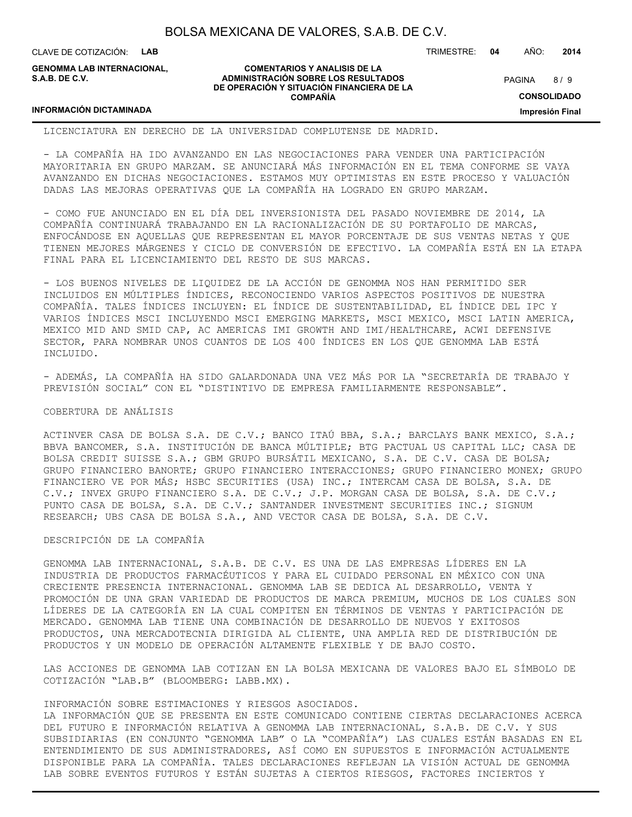CLAVE DE COTIZACIÓN: **LAB**

**INFORMACIÓN DICTAMINADA**

**GENOMMA LAB INTERNACIONAL, S.A.B. DE C.V.**

#### **COMENTARIOS Y ANALISIS DE LA ADMINISTRACIÓN SOBRE LOS RESULTADOS DE OPERACIÓN Y SITUACIÓN FINANCIERA DE LA COMPAÑÍA**

 $8/9$ **PAGINA** 

TRIMESTRE: **04** AÑO: **2014**

**CONSOLIDADO**

**Impresión Final**

# LICENCIATURA EN DERECHO DE LA UNIVERSIDAD COMPLUTENSE DE MADRID.

- LA COMPAÑÍA HA IDO AVANZANDO EN LAS NEGOCIACIONES PARA VENDER UNA PARTICIPACIÓN MAYORITARIA EN GRUPO MARZAM. SE ANUNCIARÁ MÁS INFORMACIÓN EN EL TEMA CONFORME SE VAYA AVANZANDO EN DICHAS NEGOCIACIONES. ESTAMOS MUY OPTIMISTAS EN ESTE PROCESO Y VALUACIÓN DADAS LAS MEJORAS OPERATIVAS QUE LA COMPAÑÍA HA LOGRADO EN GRUPO MARZAM.

- COMO FUE ANUNCIADO EN EL DÍA DEL INVERSIONISTA DEL PASADO NOVIEMBRE DE 2014, LA COMPAÑÍA CONTINUARÁ TRABAJANDO EN LA RACIONALIZACIÓN DE SU PORTAFOLIO DE MARCAS, ENFOCÁNDOSE EN AQUELLAS QUE REPRESENTAN EL MAYOR PORCENTAJE DE SUS VENTAS NETAS Y QUE TIENEN MEJORES MÁRGENES Y CICLO DE CONVERSIÓN DE EFECTIVO. LA COMPAÑÍA ESTÁ EN LA ETAPA FINAL PARA EL LICENCIAMIENTO DEL RESTO DE SUS MARCAS.

- LOS BUENOS NIVELES DE LIQUIDEZ DE LA ACCIÓN DE GENOMMA NOS HAN PERMITIDO SER INCLUIDOS EN MÚLTIPLES ÍNDICES, RECONOCIENDO VARIOS ASPECTOS POSITIVOS DE NUESTRA COMPAÑÍA. TALES ÍNDICES INCLUYEN: EL ÍNDICE DE SUSTENTABILIDAD, EL ÍNDICE DEL IPC Y VARIOS ÍNDICES MSCI INCLUYENDO MSCI EMERGING MARKETS, MSCI MEXICO, MSCI LATIN AMERICA, MEXICO MID AND SMID CAP, AC AMERICAS IMI GROWTH AND IMI/HEALTHCARE, ACWI DEFENSIVE SECTOR, PARA NOMBRAR UNOS CUANTOS DE LOS 400 ÍNDICES EN LOS QUE GENOMMA LAB ESTÁ INCLUIDO.

- ADEMÁS, LA COMPAÑÍA HA SIDO GALARDONADA UNA VEZ MÁS POR LA "SECRETARÍA DE TRABAJO Y PREVISIÓN SOCIAL" CON EL "DISTINTIVO DE EMPRESA FAMILIARMENTE RESPONSABLE".

#### COBERTURA DE ANÁLISIS

ACTINVER CASA DE BOLSA S.A. DE C.V.; BANCO ITAÚ BBA, S.A.; BARCLAYS BANK MEXICO, S.A.; BBVA BANCOMER, S.A. INSTITUCIÓN DE BANCA MÚLTIPLE; BTG PACTUAL US CAPITAL LLC; CASA DE BOLSA CREDIT SUISSE S.A.; GBM GRUPO BURSÁTIL MEXICANO, S.A. DE C.V. CASA DE BOLSA; GRUPO FINANCIERO BANORTE; GRUPO FINANCIERO INTERACCIONES; GRUPO FINANCIERO MONEX; GRUPO FINANCIERO VE POR MÁS; HSBC SECURITIES (USA) INC.; INTERCAM CASA DE BOLSA, S.A. DE C.V.; INVEX GRUPO FINANCIERO S.A. DE C.V.; J.P. MORGAN CASA DE BOLSA, S.A. DE C.V.; PUNTO CASA DE BOLSA, S.A. DE C.V.; SANTANDER INVESTMENT SECURITIES INC.; SIGNUM RESEARCH; UBS CASA DE BOLSA S.A., AND VECTOR CASA DE BOLSA, S.A. DE C.V.

#### DESCRIPCIÓN DE LA COMPAÑÍA

GENOMMA LAB INTERNACIONAL, S.A.B. DE C.V. ES UNA DE LAS EMPRESAS LÍDERES EN LA INDUSTRIA DE PRODUCTOS FARMACÉUTICOS Y PARA EL CUIDADO PERSONAL EN MÉXICO CON UNA CRECIENTE PRESENCIA INTERNACIONAL. GENOMMA LAB SE DEDICA AL DESARROLLO, VENTA Y PROMOCIÓN DE UNA GRAN VARIEDAD DE PRODUCTOS DE MARCA PREMIUM, MUCHOS DE LOS CUALES SON LÍDERES DE LA CATEGORÍA EN LA CUAL COMPITEN EN TÉRMINOS DE VENTAS Y PARTICIPACIÓN DE MERCADO. GENOMMA LAB TIENE UNA COMBINACIÓN DE DESARROLLO DE NUEVOS Y EXITOSOS PRODUCTOS, UNA MERCADOTECNIA DIRIGIDA AL CLIENTE, UNA AMPLIA RED DE DISTRIBUCIÓN DE PRODUCTOS Y UN MODELO DE OPERACIÓN ALTAMENTE FLEXIBLE Y DE BAJO COSTO.

LAS ACCIONES DE GENOMMA LAB COTIZAN EN LA BOLSA MEXICANA DE VALORES BAJO EL SÍMBOLO DE COTIZACIÓN "LAB.B" (BLOOMBERG: LABB.MX).

INFORMACIÓN SOBRE ESTIMACIONES Y RIESGOS ASOCIADOS.

LA INFORMACIÓN QUE SE PRESENTA EN ESTE COMUNICADO CONTIENE CIERTAS DECLARACIONES ACERCA DEL FUTURO E INFORMACIÓN RELATIVA A GENOMMA LAB INTERNACIONAL, S.A.B. DE C.V. Y SUS SUBSIDIARIAS (EN CONJUNTO "GENOMMA LAB" O LA "COMPAÑÍA") LAS CUALES ESTÁN BASADAS EN EL ENTENDIMIENTO DE SUS ADMINISTRADORES, ASÍ COMO EN SUPUESTOS E INFORMACIÓN ACTUALMENTE DISPONIBLE PARA LA COMPAÑÍA. TALES DECLARACIONES REFLEJAN LA VISIÓN ACTUAL DE GENOMMA LAB SOBRE EVENTOS FUTUROS Y ESTÁN SUJETAS A CIERTOS RIESGOS, FACTORES INCIERTOS Y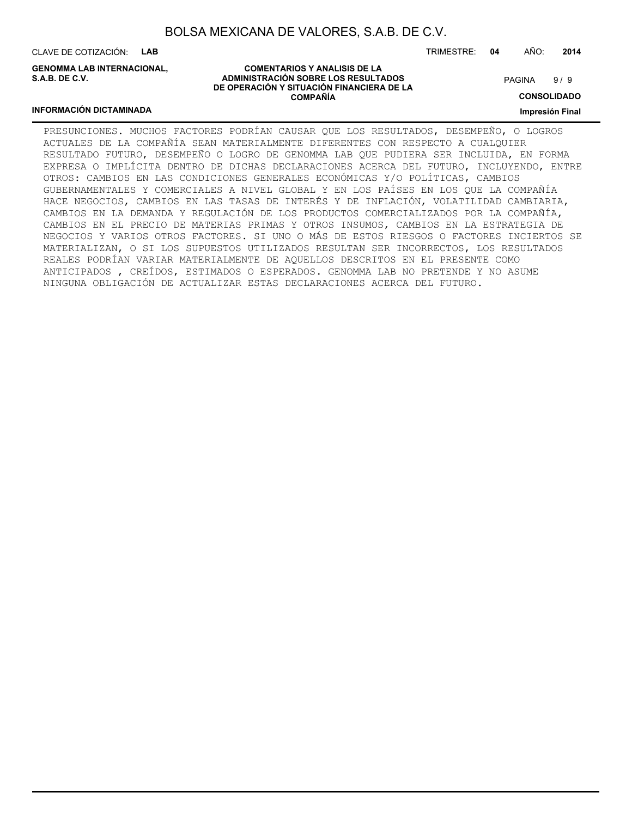CLAVE DE COTIZACIÓN: **LAB**

**GENOMMA LAB INTERNACIONAL, S.A.B. DE C.V.**

TRIMESTRE: **04** AÑO: **2014**

 $9/9$ **PAGINA** 

# **CONSOLIDADO**

#### **INFORMACIÓN DICTAMINADA**

**COMENTARIOS Y ANALISIS DE LA ADMINISTRACIÓN SOBRE LOS RESULTADOS DE OPERACIÓN Y SITUACIÓN FINANCIERA DE LA COMPAÑÍA**

**Impresión Final**

PRESUNCIONES. MUCHOS FACTORES PODRÍAN CAUSAR QUE LOS RESULTADOS, DESEMPEÑO, O LOGROS ACTUALES DE LA COMPAÑÍA SEAN MATERIALMENTE DIFERENTES CON RESPECTO A CUALQUIER RESULTADO FUTURO, DESEMPEÑO O LOGRO DE GENOMMA LAB QUE PUDIERA SER INCLUIDA, EN FORMA EXPRESA O IMPLÍCITA DENTRO DE DICHAS DECLARACIONES ACERCA DEL FUTURO, INCLUYENDO, ENTRE OTROS: CAMBIOS EN LAS CONDICIONES GENERALES ECONÓMICAS Y/O POLÍTICAS, CAMBIOS GUBERNAMENTALES Y COMERCIALES A NIVEL GLOBAL Y EN LOS PAÍSES EN LOS QUE LA COMPAÑÍA HACE NEGOCIOS, CAMBIOS EN LAS TASAS DE INTERÉS Y DE INFLACIÓN, VOLATILIDAD CAMBIARIA, CAMBIOS EN LA DEMANDA Y REGULACIÓN DE LOS PRODUCTOS COMERCIALIZADOS POR LA COMPAÑÍA, CAMBIOS EN EL PRECIO DE MATERIAS PRIMAS Y OTROS INSUMOS, CAMBIOS EN LA ESTRATEGIA DE NEGOCIOS Y VARIOS OTROS FACTORES. SI UNO O MÁS DE ESTOS RIESGOS O FACTORES INCIERTOS SE MATERIALIZAN, O SI LOS SUPUESTOS UTILIZADOS RESULTAN SER INCORRECTOS, LOS RESULTADOS REALES PODRÍAN VARIAR MATERIALMENTE DE AQUELLOS DESCRITOS EN EL PRESENTE COMO ANTICIPADOS , CREÍDOS, ESTIMADOS O ESPERADOS. GENOMMA LAB NO PRETENDE Y NO ASUME NINGUNA OBLIGACIÓN DE ACTUALIZAR ESTAS DECLARACIONES ACERCA DEL FUTURO.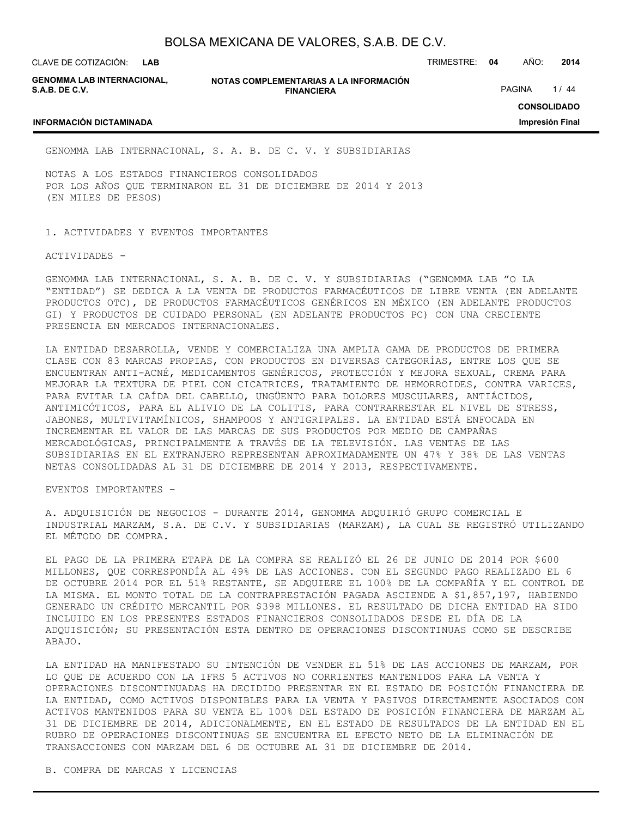CLAVE DE COTIZACIÓN: TRIMESTRE: **04** AÑO: **2014 LAB**

**GENOMMA LAB INTERNACIONAL, S.A.B. DE C.V.**

**INFORMACIÓN DICTAMINADA**

**NOTAS COMPLEMENTARIAS A LA INFORMACIÓN FINANCIERA**

PAGINA 1/44

### **CONSOLIDADO**

**Impresión Final**

GENOMMA LAB INTERNACIONAL, S. A. B. DE C. V. Y SUBSIDIARIAS

NOTAS A LOS ESTADOS FINANCIEROS CONSOLIDADOS POR LOS AÑOS QUE TERMINARON EL 31 DE DICIEMBRE DE 2014 Y 2013 (EN MILES DE PESOS)

1. ACTIVIDADES Y EVENTOS IMPORTANTES

ACTIVIDADES -

GENOMMA LAB INTERNACIONAL, S. A. B. DE C. V. Y SUBSIDIARIAS ("GENOMMA LAB "O LA "ENTIDAD") SE DEDICA A LA VENTA DE PRODUCTOS FARMACÉUTICOS DE LIBRE VENTA (EN ADELANTE PRODUCTOS OTC), DE PRODUCTOS FARMACÉUTICOS GENÉRICOS EN MÉXICO (EN ADELANTE PRODUCTOS GI) Y PRODUCTOS DE CUIDADO PERSONAL (EN ADELANTE PRODUCTOS PC) CON UNA CRECIENTE PRESENCIA EN MERCADOS INTERNACIONALES.

LA ENTIDAD DESARROLLA, VENDE Y COMERCIALIZA UNA AMPLIA GAMA DE PRODUCTOS DE PRIMERA CLASE CON 83 MARCAS PROPIAS, CON PRODUCTOS EN DIVERSAS CATEGORÍAS, ENTRE LOS QUE SE ENCUENTRAN ANTI-ACNÉ, MEDICAMENTOS GENÉRICOS, PROTECCIÓN Y MEJORA SEXUAL, CREMA PARA MEJORAR LA TEXTURA DE PIEL CON CICATRICES, TRATAMIENTO DE HEMORROIDES, CONTRA VARICES, PARA EVITAR LA CAÍDA DEL CABELLO, UNGÜENTO PARA DOLORES MUSCULARES, ANTIÁCIDOS, ANTIMICÓTICOS, PARA EL ALIVIO DE LA COLITIS, PARA CONTRARRESTAR EL NIVEL DE STRESS, JABONES, MULTIVITAMÍNICOS, SHAMPOOS Y ANTIGRIPALES. LA ENTIDAD ESTÁ ENFOCADA EN INCREMENTAR EL VALOR DE LAS MARCAS DE SUS PRODUCTOS POR MEDIO DE CAMPAÑAS MERCADOLÓGICAS, PRINCIPALMENTE A TRAVÉS DE LA TELEVISIÓN. LAS VENTAS DE LAS SUBSIDIARIAS EN EL EXTRANJERO REPRESENTAN APROXIMADAMENTE UN 47% Y 38% DE LAS VENTAS NETAS CONSOLIDADAS AL 31 DE DICIEMBRE DE 2014 Y 2013, RESPECTIVAMENTE.

EVENTOS IMPORTANTES –

A. ADQUISICIÓN DE NEGOCIOS - DURANTE 2014, GENOMMA ADQUIRIÓ GRUPO COMERCIAL E INDUSTRIAL MARZAM, S.A. DE C.V. Y SUBSIDIARIAS (MARZAM), LA CUAL SE REGISTRÓ UTILIZANDO EL MÉTODO DE COMPRA.

EL PAGO DE LA PRIMERA ETAPA DE LA COMPRA SE REALIZÓ EL 26 DE JUNIO DE 2014 POR \$600 MILLONES, QUE CORRESPONDÍA AL 49% DE LAS ACCIONES. CON EL SEGUNDO PAGO REALIZADO EL 6 DE OCTUBRE 2014 POR EL 51% RESTANTE, SE ADQUIERE EL 100% DE LA COMPAÑÍA Y EL CONTROL DE LA MISMA. EL MONTO TOTAL DE LA CONTRAPRESTACIÓN PAGADA ASCIENDE A \$1,857,197, HABIENDO GENERADO UN CRÉDITO MERCANTIL POR \$398 MILLONES. EL RESULTADO DE DICHA ENTIDAD HA SIDO INCLUIDO EN LOS PRESENTES ESTADOS FINANCIEROS CONSOLIDADOS DESDE EL DÍA DE LA ADQUISICIÓN; SU PRESENTACIÓN ESTA DENTRO DE OPERACIONES DISCONTINUAS COMO SE DESCRIBE ABAJO.

LA ENTIDAD HA MANIFESTADO SU INTENCIÓN DE VENDER EL 51% DE LAS ACCIONES DE MARZAM, POR LO QUE DE ACUERDO CON LA IFRS 5 ACTIVOS NO CORRIENTES MANTENIDOS PARA LA VENTA Y OPERACIONES DISCONTINUADAS HA DECIDIDO PRESENTAR EN EL ESTADO DE POSICIÓN FINANCIERA DE LA ENTIDAD, COMO ACTIVOS DISPONIBLES PARA LA VENTA Y PASIVOS DIRECTAMENTE ASOCIADOS CON ACTIVOS MANTENIDOS PARA SU VENTA EL 100% DEL ESTADO DE POSICIÓN FINANCIERA DE MARZAM AL 31 DE DICIEMBRE DE 2014, ADICIONALMENTE, EN EL ESTADO DE RESULTADOS DE LA ENTIDAD EN EL RUBRO DE OPERACIONES DISCONTINUAS SE ENCUENTRA EL EFECTO NETO DE LA ELIMINACIÓN DE TRANSACCIONES CON MARZAM DEL 6 DE OCTUBRE AL 31 DE DICIEMBRE DE 2014.

B. COMPRA DE MARCAS Y LICENCIAS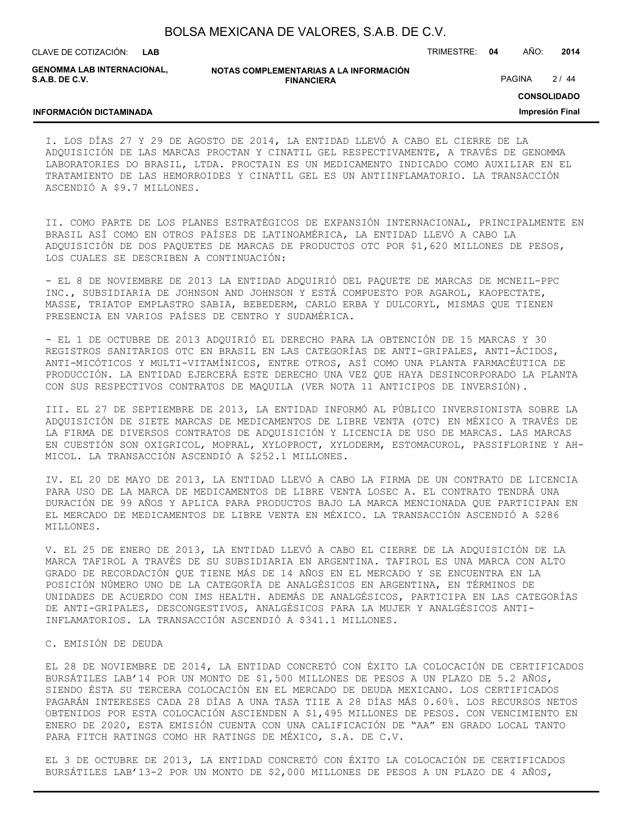**LAB**

CLAVE DE COTIZACIÓN: TRIMESTRE: **04** AÑO: **2014**

**GENOMMA LAB INTERNACIONAL, S.A.B. DE C.V.**

**INFORMACIÓN DICTAMINADA**

**NOTAS COMPLEMENTARIAS A LA INFORMACIÓN FINANCIERA**

PAGINA 2/44

**CONSOLIDADO**

**Impresión Final**

### I. LOS DÍAS 27 Y 29 DE AGOSTO DE 2014, LA ENTIDAD LLEVÓ A CABO EL CIERRE DE LA ADQUISICIÓN DE LAS MARCAS PROCTAN Y CINATIL GEL RESPECTIVAMENTE, A TRAVÉS DE GENOMMA LABORATORIES DO BRASIL, LTDA. PROCTAIN ES UN MEDICAMENTO INDICADO COMO AUXILIAR EN EL TRATAMIENTO DE LAS HEMORROIDES Y CINATIL GEL ES UN ANTIINFLAMATORIO. LA TRANSACCIÓN ASCENDIÓ A \$9.7 MILLONES.

II. COMO PARTE DE LOS PLANES ESTRATÉGICOS DE EXPANSIÓN INTERNACIONAL, PRINCIPALMENTE EN BRASIL ASÍ COMO EN OTROS PAÍSES DE LATINOAMÉRICA, LA ENTIDAD LLEVÓ A CABO LA ADQUISICIÓN DE DOS PAQUETES DE MARCAS DE PRODUCTOS OTC POR \$1,620 MILLONES DE PESOS, LOS CUALES SE DESCRIBEN A CONTINUACIÓN:

- EL 8 DE NOVIEMBRE DE 2013 LA ENTIDAD ADQUIRIÓ DEL PAQUETE DE MARCAS DE MCNEIL-PPC INC., SUBSIDIARIA DE JOHNSON AND JOHNSON Y ESTÁ COMPUESTO POR AGAROL, KAOPECTATE, MASSE, TRIATOP EMPLASTRO SABIA, BEBEDERM, CARLO ERBA Y DULCORYL, MISMAS QUE TIENEN PRESENCIA EN VARIOS PAÍSES DE CENTRO Y SUDAMÉRICA.

- EL 1 DE OCTUBRE DE 2013 ADQUIRIÓ EL DERECHO PARA LA OBTENCIÓN DE 15 MARCAS Y 30 REGISTROS SANITARIOS OTC EN BRASIL EN LAS CATEGORÍAS DE ANTI-GRIPALES, ANTI-ÁCIDOS, ANTI-MICÓTICOS Y MULTI-VITAMÍNICOS, ENTRE OTROS, ASÍ COMO UNA PLANTA FARMACÉUTICA DE PRODUCCIÓN. LA ENTIDAD EJERCERÁ ESTE DERECHO UNA VEZ QUE HAYA DESINCORPORADO LA PLANTA CON SUS RESPECTIVOS CONTRATOS DE MAQUILA (VER NOTA 11 ANTICIPOS DE INVERSIÓN).

III. EL 27 DE SEPTIEMBRE DE 2013, LA ENTIDAD INFORMÓ AL PÚBLICO INVERSIONISTA SOBRE LA ADQUISICIÓN DE SIETE MARCAS DE MEDICAMENTOS DE LIBRE VENTA (OTC) EN MÉXICO A TRAVÉS DE LA FIRMA DE DIVERSOS CONTRATOS DE ADQUISICIÓN Y LICENCIA DE USO DE MARCAS. LAS MARCAS EN CUESTIÓN SON OXIGRICOL, MOPRAL, XYLOPROCT, XYLODERM, ESTOMACUROL, PASSIFLORINE Y AH-MICOL. LA TRANSACCIÓN ASCENDIÓ A \$252.1 MILLONES.

IV. EL 20 DE MAYO DE 2013, LA ENTIDAD LLEVÓ A CABO LA FIRMA DE UN CONTRATO DE LICENCIA PARA USO DE LA MARCA DE MEDICAMENTOS DE LIBRE VENTA LOSEC A. EL CONTRATO TENDRÁ UNA DURACIÓN DE 99 AÑOS Y APLICA PARA PRODUCTOS BAJO LA MARCA MENCIONADA QUE PARTICIPAN EN EL MERCADO DE MEDICAMENTOS DE LIBRE VENTA EN MÉXICO. LA TRANSACCIÓN ASCENDIÓ A \$286 MILLONES.

V. EL 25 DE ENERO DE 2013, LA ENTIDAD LLEVÓ A CABO EL CIERRE DE LA ADQUISICIÓN DE LA MARCA TAFIROL A TRAVÉS DE SU SUBSIDIARIA EN ARGENTINA. TAFIROL ES UNA MARCA CON ALTO GRADO DE RECORDACIÓN QUE TIENE MÁS DE 14 AÑOS EN EL MERCADO Y SE ENCUENTRA EN LA POSICIÓN NÚMERO UNO DE LA CATEGORÍA DE ANALGÉSICOS EN ARGENTINA, EN TÉRMINOS DE UNIDADES DE ACUERDO CON IMS HEALTH. ADEMÁS DE ANALGÉSICOS, PARTICIPA EN LAS CATEGORÍAS DE ANTI-GRIPALES, DESCONGESTIVOS, ANALGÉSICOS PARA LA MUJER Y ANALGÉSICOS ANTI-INFLAMATORIOS. LA TRANSACCIÓN ASCENDIÓ A \$341.1 MILLONES.

#### C. EMISIÓN DE DEUDA

EL 28 DE NOVIEMBRE DE 2014, LA ENTIDAD CONCRETÓ CON ÉXITO LA COLOCACIÓN DE CERTIFICADOS BURSÁTILES LAB'14 POR UN MONTO DE \$1,500 MILLONES DE PESOS A UN PLAZO DE 5.2 AÑOS, SIENDO ÉSTA SU TERCERA COLOCACIÓN EN EL MERCADO DE DEUDA MEXICANO. LOS CERTIFICADOS PAGARÁN INTERESES CADA 28 DÍAS A UNA TASA TIIE A 28 DÍAS MÁS 0.60%. LOS RECURSOS NETOS OBTENIDOS POR ESTA COLOCACIÓN ASCIENDEN A \$1,495 MILLONES DE PESOS. CON VENCIMIENTO EN ENERO DE 2020, ESTA EMISIÓN CUENTA CON UNA CALIFICACIÓN DE "AA" EN GRADO LOCAL TANTO PARA FITCH RATINGS COMO HR RATINGS DE MÉXICO, S.A. DE C.V.

EL 3 DE OCTUBRE DE 2013, LA ENTIDAD CONCRETÓ CON ÉXITO LA COLOCACIÓN DE CERTIFICADOS BURSÁTILES LAB'13-2 POR UN MONTO DE \$2,000 MILLONES DE PESOS A UN PLAZO DE 4 AÑOS,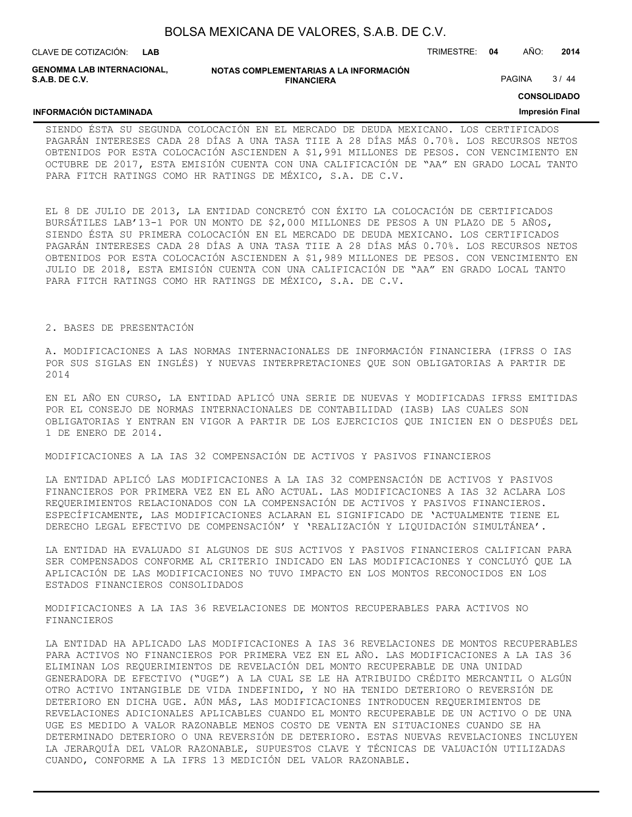| BOLSA MEXICANA DE VALORES, S.A.B. DE C.V. |  |  |
|-------------------------------------------|--|--|
|-------------------------------------------|--|--|

CLAVE DE COTIZACIÓN: TRIMESTRE: **04** AÑO: **2014 LAB**

**GENOMMA LAB INTERNACIONAL, S.A.B. DE C.V.**

**INFORMACIÓN DICTAMINADA**

#### **NOTAS COMPLEMENTARIAS A LA INFORMACIÓN FINANCIERA**

PAGINA 3/44

**CONSOLIDADO**

#### **Impresión Final**

SIENDO ÉSTA SU SEGUNDA COLOCACIÓN EN EL MERCADO DE DEUDA MEXICANO. LOS CERTIFICADOS PAGARÁN INTERESES CADA 28 DÍAS A UNA TASA TIIE A 28 DÍAS MÁS 0.70%. LOS RECURSOS NETOS OBTENIDOS POR ESTA COLOCACIÓN ASCIENDEN A \$1,991 MILLONES DE PESOS. CON VENCIMIENTO EN OCTUBRE DE 2017, ESTA EMISIÓN CUENTA CON UNA CALIFICACIÓN DE "AA" EN GRADO LOCAL TANTO PARA FITCH RATINGS COMO HR RATINGS DE MÉXICO, S.A. DE C.V.

EL 8 DE JULIO DE 2013, LA ENTIDAD CONCRETÓ CON ÉXITO LA COLOCACIÓN DE CERTIFICADOS BURSÁTILES LAB'13-1 POR UN MONTO DE \$2,000 MILLONES DE PESOS A UN PLAZO DE 5 AÑOS, SIENDO ÉSTA SU PRIMERA COLOCACIÓN EN EL MERCADO DE DEUDA MEXICANO. LOS CERTIFICADOS PAGARÁN INTERESES CADA 28 DÍAS A UNA TASA TIIE A 28 DÍAS MÁS 0.70%. LOS RECURSOS NETOS OBTENIDOS POR ESTA COLOCACIÓN ASCIENDEN A \$1,989 MILLONES DE PESOS. CON VENCIMIENTO EN JULIO DE 2018, ESTA EMISIÓN CUENTA CON UNA CALIFICACIÓN DE "AA" EN GRADO LOCAL TANTO PARA FITCH RATINGS COMO HR RATINGS DE MÉXICO, S.A. DE C.V.

#### 2. BASES DE PRESENTACIÓN

A. MODIFICACIONES A LAS NORMAS INTERNACIONALES DE INFORMACIÓN FINANCIERA (IFRSS O IAS POR SUS SIGLAS EN INGLÉS) Y NUEVAS INTERPRETACIONES QUE SON OBLIGATORIAS A PARTIR DE 2014

EN EL AÑO EN CURSO, LA ENTIDAD APLICÓ UNA SERIE DE NUEVAS Y MODIFICADAS IFRSS EMITIDAS POR EL CONSEJO DE NORMAS INTERNACIONALES DE CONTABILIDAD (IASB) LAS CUALES SON OBLIGATORIAS Y ENTRAN EN VIGOR A PARTIR DE LOS EJERCICIOS QUE INICIEN EN O DESPUÉS DEL 1 DE ENERO DE 2014.

MODIFICACIONES A LA IAS 32 COMPENSACIÓN DE ACTIVOS Y PASIVOS FINANCIEROS

LA ENTIDAD APLICÓ LAS MODIFICACIONES A LA IAS 32 COMPENSACIÓN DE ACTIVOS Y PASIVOS FINANCIEROS POR PRIMERA VEZ EN EL AÑO ACTUAL. LAS MODIFICACIONES A IAS 32 ACLARA LOS REQUERIMIENTOS RELACIONADOS CON LA COMPENSACIÓN DE ACTIVOS Y PASIVOS FINANCIEROS. ESPECÍFICAMENTE, LAS MODIFICACIONES ACLARAN EL SIGNIFICADO DE 'ACTUALMENTE TIENE EL DERECHO LEGAL EFECTIVO DE COMPENSACIÓN' Y 'REALIZACIÓN Y LIQUIDACIÓN SIMULTÁNEA'.

LA ENTIDAD HA EVALUADO SI ALGUNOS DE SUS ACTIVOS Y PASIVOS FINANCIEROS CALIFICAN PARA SER COMPENSADOS CONFORME AL CRITERIO INDICADO EN LAS MODIFICACIONES Y CONCLUYÓ QUE LA APLICACIÓN DE LAS MODIFICACIONES NO TUVO IMPACTO EN LOS MONTOS RECONOCIDOS EN LOS ESTADOS FINANCIEROS CONSOLIDADOS

MODIFICACIONES A LA IAS 36 REVELACIONES DE MONTOS RECUPERABLES PARA ACTIVOS NO FINANCIEROS

LA ENTIDAD HA APLICADO LAS MODIFICACIONES A IAS 36 REVELACIONES DE MONTOS RECUPERABLES PARA ACTIVOS NO FINANCIEROS POR PRIMERA VEZ EN EL AÑO. LAS MODIFICACIONES A LA IAS 36 ELIMINAN LOS REQUERIMIENTOS DE REVELACIÓN DEL MONTO RECUPERABLE DE UNA UNIDAD GENERADORA DE EFECTIVO ("UGE") A LA CUAL SE LE HA ATRIBUIDO CRÉDITO MERCANTIL O ALGÚN OTRO ACTIVO INTANGIBLE DE VIDA INDEFINIDO, Y NO HA TENIDO DETERIORO O REVERSIÓN DE DETERIORO EN DICHA UGE. AÚN MÁS, LAS MODIFICACIONES INTRODUCEN REQUERIMIENTOS DE REVELACIONES ADICIONALES APLICABLES CUANDO EL MONTO RECUPERABLE DE UN ACTIVO O DE UNA UGE ES MEDIDO A VALOR RAZONABLE MENOS COSTO DE VENTA EN SITUACIONES CUANDO SE HA DETERMINADO DETERIORO O UNA REVERSIÓN DE DETERIORO. ESTAS NUEVAS REVELACIONES INCLUYEN LA JERARQUÍA DEL VALOR RAZONABLE, SUPUESTOS CLAVE Y TÉCNICAS DE VALUACIÓN UTILIZADAS CUANDO, CONFORME A LA IFRS 13 MEDICIÓN DEL VALOR RAZONABLE.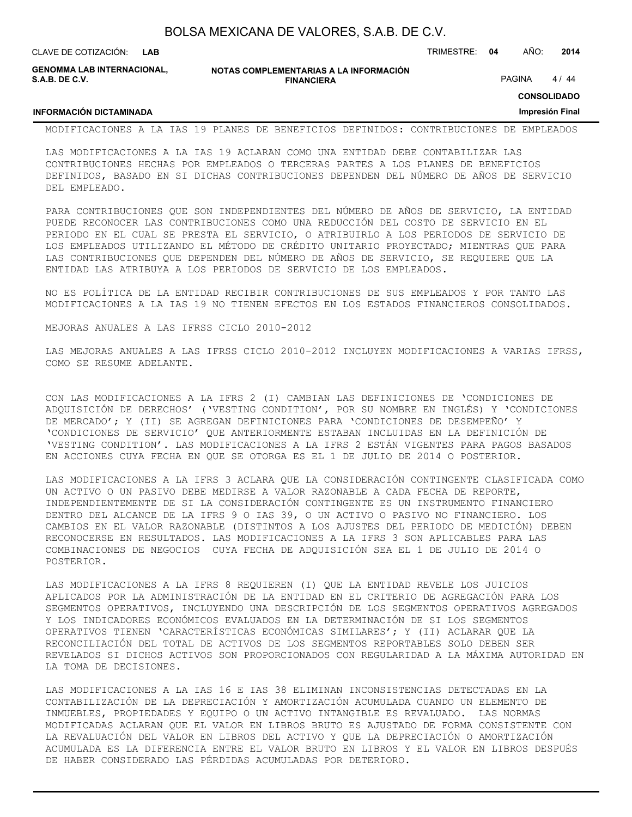| BOLSA MEXICANA DE VALORES, S.A.B. DE C.V. |  |  |  |
|-------------------------------------------|--|--|--|
|-------------------------------------------|--|--|--|

**LAB**

CLAVE DE COTIZACIÓN: TRIMESTRE: **04** AÑO: **2014**

**GENOMMA LAB INTERNACIONAL, S.A.B. DE C.V.**

**INFORMACIÓN DICTAMINADA**

**NOTAS COMPLEMENTARIAS A LA INFORMACIÓN FINANCIERA**

PAGINA 4 / 44

**CONSOLIDADO**

#### **Impresión Final**

MODIFICACIONES A LA IAS 19 PLANES DE BENEFICIOS DEFINIDOS: CONTRIBUCIONES DE EMPLEADOS

LAS MODIFICACIONES A LA IAS 19 ACLARAN COMO UNA ENTIDAD DEBE CONTABILIZAR LAS CONTRIBUCIONES HECHAS POR EMPLEADOS O TERCERAS PARTES A LOS PLANES DE BENEFICIOS DEFINIDOS, BASADO EN SI DICHAS CONTRIBUCIONES DEPENDEN DEL NÚMERO DE AÑOS DE SERVICIO DEL EMPLEADO.

PARA CONTRIBUCIONES QUE SON INDEPENDIENTES DEL NÚMERO DE AÑOS DE SERVICIO, LA ENTIDAD PUEDE RECONOCER LAS CONTRIBUCIONES COMO UNA REDUCCIÓN DEL COSTO DE SERVICIO EN EL PERIODO EN EL CUAL SE PRESTA EL SERVICIO, O ATRIBUIRLO A LOS PERIODOS DE SERVICIO DE LOS EMPLEADOS UTILIZANDO EL MÉTODO DE CRÉDITO UNITARIO PROYECTADO; MIENTRAS QUE PARA LAS CONTRIBUCIONES QUE DEPENDEN DEL NÚMERO DE AÑOS DE SERVICIO, SE REQUIERE QUE LA ENTIDAD LAS ATRIBUYA A LOS PERIODOS DE SERVICIO DE LOS EMPLEADOS.

NO ES POLÍTICA DE LA ENTIDAD RECIBIR CONTRIBUCIONES DE SUS EMPLEADOS Y POR TANTO LAS MODIFICACIONES A LA IAS 19 NO TIENEN EFECTOS EN LOS ESTADOS FINANCIEROS CONSOLIDADOS.

MEJORAS ANUALES A LAS IFRSS CICLO 2010-2012

LAS MEJORAS ANUALES A LAS IFRSS CICLO 2010-2012 INCLUYEN MODIFICACIONES A VARIAS IFRSS, COMO SE RESUME ADELANTE.

CON LAS MODIFICACIONES A LA IFRS 2 (I) CAMBIAN LAS DEFINICIONES DE 'CONDICIONES DE ADQUISICIÓN DE DERECHOS' ('VESTING CONDITION', POR SU NOMBRE EN INGLÉS) Y 'CONDICIONES DE MERCADO'; Y (II) SE AGREGAN DEFINICIONES PARA 'CONDICIONES DE DESEMPEÑO' Y 'CONDICIONES DE SERVICIO' QUE ANTERIORMENTE ESTABAN INCLUIDAS EN LA DEFINICIÓN DE 'VESTING CONDITION'. LAS MODIFICACIONES A LA IFRS 2 ESTÁN VIGENTES PARA PAGOS BASADOS EN ACCIONES CUYA FECHA EN QUE SE OTORGA ES EL 1 DE JULIO DE 2014 O POSTERIOR.

LAS MODIFICACIONES A LA IFRS 3 ACLARA QUE LA CONSIDERACIÓN CONTINGENTE CLASIFICADA COMO UN ACTIVO O UN PASIVO DEBE MEDIRSE A VALOR RAZONABLE A CADA FECHA DE REPORTE, INDEPENDIENTEMENTE DE SI LA CONSIDERACIÓN CONTINGENTE ES UN INSTRUMENTO FINANCIERO DENTRO DEL ALCANCE DE LA IFRS 9 O IAS 39, O UN ACTIVO O PASIVO NO FINANCIERO. LOS CAMBIOS EN EL VALOR RAZONABLE (DISTINTOS A LOS AJUSTES DEL PERIODO DE MEDICIÓN) DEBEN RECONOCERSE EN RESULTADOS. LAS MODIFICACIONES A LA IFRS 3 SON APLICABLES PARA LAS COMBINACIONES DE NEGOCIOS CUYA FECHA DE ADQUISICIÓN SEA EL 1 DE JULIO DE 2014 O POSTERIOR.

LAS MODIFICACIONES A LA IFRS 8 REQUIEREN (I) QUE LA ENTIDAD REVELE LOS JUICIOS APLICADOS POR LA ADMINISTRACIÓN DE LA ENTIDAD EN EL CRITERIO DE AGREGACIÓN PARA LOS SEGMENTOS OPERATIVOS, INCLUYENDO UNA DESCRIPCIÓN DE LOS SEGMENTOS OPERATIVOS AGREGADOS Y LOS INDICADORES ECONÓMICOS EVALUADOS EN LA DETERMINACIÓN DE SI LOS SEGMENTOS OPERATIVOS TIENEN 'CARACTERÍSTICAS ECONÓMICAS SIMILARES'; Y (II) ACLARAR QUE LA RECONCILIACIÓN DEL TOTAL DE ACTIVOS DE LOS SEGMENTOS REPORTABLES SOLO DEBEN SER REVELADOS SI DICHOS ACTIVOS SON PROPORCIONADOS CON REGULARIDAD A LA MÁXIMA AUTORIDAD EN LA TOMA DE DECISIONES.

LAS MODIFICACIONES A LA IAS 16 E IAS 38 ELIMINAN INCONSISTENCIAS DETECTADAS EN LA CONTABILIZACIÓN DE LA DEPRECIACIÓN Y AMORTIZACIÓN ACUMULADA CUANDO UN ELEMENTO DE INMUEBLES, PROPIEDADES Y EQUIPO O UN ACTIVO INTANGIBLE ES REVALUADO. LAS NORMAS MODIFICADAS ACLARAN QUE EL VALOR EN LIBROS BRUTO ES AJUSTADO DE FORMA CONSISTENTE CON LA REVALUACIÓN DEL VALOR EN LIBROS DEL ACTIVO Y QUE LA DEPRECIACIÓN O AMORTIZACIÓN ACUMULADA ES LA DIFERENCIA ENTRE EL VALOR BRUTO EN LIBROS Y EL VALOR EN LIBROS DESPUÉS DE HABER CONSIDERADO LAS PÉRDIDAS ACUMULADAS POR DETERIORO.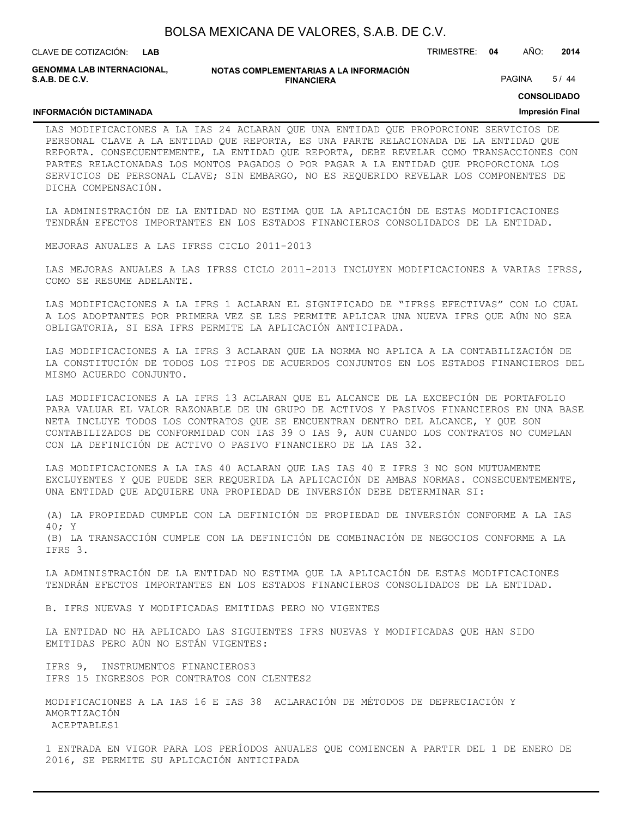| BOLSA MEXICANA DE VALORES, S.A.B. DE C.V. |  |  |
|-------------------------------------------|--|--|
|-------------------------------------------|--|--|

CLAVE DE COTIZACIÓN: TRIMESTRE: **04** AÑO: **2014 LAB GENOMMA LAB INTERNACIONAL,**

**NOTAS COMPLEMENTARIAS A LA INFORMACIÓN FINANCIERA**

PAGINA 5/44

**CONSOLIDADO**

#### **INFORMACIÓN DICTAMINADA**

**S.A.B. DE C.V.**

### **Impresión Final**

LAS MODIFICACIONES A LA IAS 24 ACLARAN QUE UNA ENTIDAD QUE PROPORCIONE SERVICIOS DE PERSONAL CLAVE A LA ENTIDAD QUE REPORTA, ES UNA PARTE RELACIONADA DE LA ENTIDAD QUE REPORTA. CONSECUENTEMENTE, LA ENTIDAD QUE REPORTA, DEBE REVELAR COMO TRANSACCIONES CON PARTES RELACIONADAS LOS MONTOS PAGADOS O POR PAGAR A LA ENTIDAD QUE PROPORCIONA LOS SERVICIOS DE PERSONAL CLAVE; SIN EMBARGO, NO ES REQUERIDO REVELAR LOS COMPONENTES DE DICHA COMPENSACIÓN.

LA ADMINISTRACIÓN DE LA ENTIDAD NO ESTIMA QUE LA APLICACIÓN DE ESTAS MODIFICACIONES TENDRÁN EFECTOS IMPORTANTES EN LOS ESTADOS FINANCIEROS CONSOLIDADOS DE LA ENTIDAD.

MEJORAS ANUALES A LAS IFRSS CICLO 2011-2013

LAS MEJORAS ANUALES A LAS IFRSS CICLO 2011-2013 INCLUYEN MODIFICACIONES A VARIAS IFRSS, COMO SE RESUME ADELANTE.

LAS MODIFICACIONES A LA IFRS 1 ACLARAN EL SIGNIFICADO DE "IFRSS EFECTIVAS" CON LO CUAL A LOS ADOPTANTES POR PRIMERA VEZ SE LES PERMITE APLICAR UNA NUEVA IFRS QUE AÚN NO SEA OBLIGATORIA, SI ESA IFRS PERMITE LA APLICACIÓN ANTICIPADA.

LAS MODIFICACIONES A LA IFRS 3 ACLARAN QUE LA NORMA NO APLICA A LA CONTABILIZACIÓN DE LA CONSTITUCIÓN DE TODOS LOS TIPOS DE ACUERDOS CONJUNTOS EN LOS ESTADOS FINANCIEROS DEL MISMO ACUERDO CONJUNTO.

LAS MODIFICACIONES A LA IFRS 13 ACLARAN QUE EL ALCANCE DE LA EXCEPCIÓN DE PORTAFOLIO PARA VALUAR EL VALOR RAZONABLE DE UN GRUPO DE ACTIVOS Y PASIVOS FINANCIEROS EN UNA BASE NETA INCLUYE TODOS LOS CONTRATOS QUE SE ENCUENTRAN DENTRO DEL ALCANCE, Y QUE SON CONTABILIZADOS DE CONFORMIDAD CON IAS 39 O IAS 9, AUN CUANDO LOS CONTRATOS NO CUMPLAN CON LA DEFINICIÓN DE ACTIVO O PASIVO FINANCIERO DE LA IAS 32.

LAS MODIFICACIONES A LA IAS 40 ACLARAN QUE LAS IAS 40 E IFRS 3 NO SON MUTUAMENTE EXCLUYENTES Y QUE PUEDE SER REQUERIDA LA APLICACIÓN DE AMBAS NORMAS. CONSECUENTEMENTE, UNA ENTIDAD QUE ADQUIERE UNA PROPIEDAD DE INVERSIÓN DEBE DETERMINAR SI:

(A) LA PROPIEDAD CUMPLE CON LA DEFINICIÓN DE PROPIEDAD DE INVERSIÓN CONFORME A LA IAS 40; Y (B) LA TRANSACCIÓN CUMPLE CON LA DEFINICIÓN DE COMBINACIÓN DE NEGOCIOS CONFORME A LA IFRS 3.

LA ADMINISTRACIÓN DE LA ENTIDAD NO ESTIMA QUE LA APLICACIÓN DE ESTAS MODIFICACIONES TENDRÁN EFECTOS IMPORTANTES EN LOS ESTADOS FINANCIEROS CONSOLIDADOS DE LA ENTIDAD.

B. IFRS NUEVAS Y MODIFICADAS EMITIDAS PERO NO VIGENTES

LA ENTIDAD NO HA APLICADO LAS SIGUIENTES IFRS NUEVAS Y MODIFICADAS QUE HAN SIDO EMITIDAS PERO AÚN NO ESTÁN VIGENTES:

IFRS 9, INSTRUMENTOS FINANCIEROS3 IFRS 15 INGRESOS POR CONTRATOS CON CLENTES2

MODIFICACIONES A LA IAS 16 E IAS 38 ACLARACIÓN DE MÉTODOS DE DEPRECIACIÓN Y AMORTIZACIÓN ACEPTABLES1

1 ENTRADA EN VIGOR PARA LOS PERÍODOS ANUALES QUE COMIENCEN A PARTIR DEL 1 DE ENERO DE 2016, SE PERMITE SU APLICACIÓN ANTICIPADA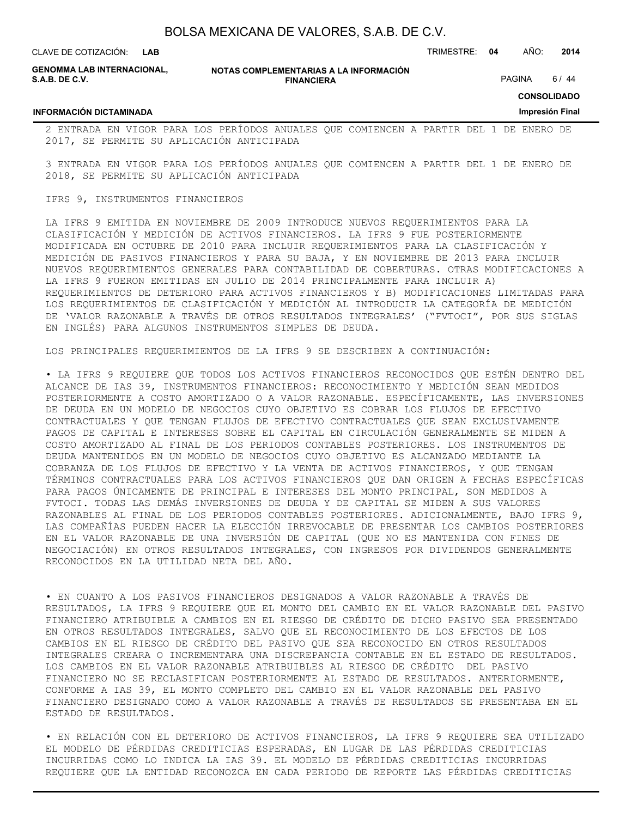**LAB**

CLAVE DE COTIZACIÓN: TRIMESTRE: **04** AÑO: **2014**

**GENOMMA LAB INTERNACIONAL, S.A.B. DE C.V.**

**INFORMACIÓN DICTAMINADA**

**NOTAS COMPLEMENTARIAS A LA INFORMACIÓN FINANCIERA**

PAGINA 6/44

**CONSOLIDADO**

#### **Impresión Final**

2 ENTRADA EN VIGOR PARA LOS PERÍODOS ANUALES QUE COMIENCEN A PARTIR DEL 1 DE ENERO DE 2017, SE PERMITE SU APLICACIÓN ANTICIPADA

3 ENTRADA EN VIGOR PARA LOS PERÍODOS ANUALES QUE COMIENCEN A PARTIR DEL 1 DE ENERO DE 2018, SE PERMITE SU APLICACIÓN ANTICIPADA

#### IFRS 9, INSTRUMENTOS FINANCIEROS

LA IFRS 9 EMITIDA EN NOVIEMBRE DE 2009 INTRODUCE NUEVOS REQUERIMIENTOS PARA LA CLASIFICACIÓN Y MEDICIÓN DE ACTIVOS FINANCIEROS. LA IFRS 9 FUE POSTERIORMENTE MODIFICADA EN OCTUBRE DE 2010 PARA INCLUIR REQUERIMIENTOS PARA LA CLASIFICACIÓN Y MEDICIÓN DE PASIVOS FINANCIEROS Y PARA SU BAJA, Y EN NOVIEMBRE DE 2013 PARA INCLUIR NUEVOS REQUERIMIENTOS GENERALES PARA CONTABILIDAD DE COBERTURAS. OTRAS MODIFICACIONES A LA IFRS 9 FUERON EMITIDAS EN JULIO DE 2014 PRINCIPALMENTE PARA INCLUIR A) REQUERIMIENTOS DE DETERIORO PARA ACTIVOS FINANCIEROS Y B) MODIFICACIONES LIMITADAS PARA LOS REQUERIMIENTOS DE CLASIFICACIÓN Y MEDICIÓN AL INTRODUCIR LA CATEGORÍA DE MEDICIÓN DE 'VALOR RAZONABLE A TRAVÉS DE OTROS RESULTADOS INTEGRALES' ("FVTOCI", POR SUS SIGLAS EN INGLÉS) PARA ALGUNOS INSTRUMENTOS SIMPLES DE DEUDA.

LOS PRINCIPALES REQUERIMIENTOS DE LA IFRS 9 SE DESCRIBEN A CONTINUACIÓN:

• LA IFRS 9 REQUIERE QUE TODOS LOS ACTIVOS FINANCIEROS RECONOCIDOS QUE ESTÉN DENTRO DEL ALCANCE DE IAS 39, INSTRUMENTOS FINANCIEROS: RECONOCIMIENTO Y MEDICIÓN SEAN MEDIDOS POSTERIORMENTE A COSTO AMORTIZADO O A VALOR RAZONABLE. ESPECÍFICAMENTE, LAS INVERSIONES DE DEUDA EN UN MODELO DE NEGOCIOS CUYO OBJETIVO ES COBRAR LOS FLUJOS DE EFECTIVO CONTRACTUALES Y QUE TENGAN FLUJOS DE EFECTIVO CONTRACTUALES QUE SEAN EXCLUSIVAMENTE PAGOS DE CAPITAL E INTERESES SOBRE EL CAPITAL EN CIRCULACIÓN GENERALMENTE SE MIDEN A COSTO AMORTIZADO AL FINAL DE LOS PERIODOS CONTABLES POSTERIORES. LOS INSTRUMENTOS DE DEUDA MANTENIDOS EN UN MODELO DE NEGOCIOS CUYO OBJETIVO ES ALCANZADO MEDIANTE LA COBRANZA DE LOS FLUJOS DE EFECTIVO Y LA VENTA DE ACTIVOS FINANCIEROS, Y QUE TENGAN TÉRMINOS CONTRACTUALES PARA LOS ACTIVOS FINANCIEROS QUE DAN ORIGEN A FECHAS ESPECÍFICAS PARA PAGOS ÚNICAMENTE DE PRINCIPAL E INTERESES DEL MONTO PRINCIPAL, SON MEDIDOS A FVTOCI. TODAS LAS DEMÁS INVERSIONES DE DEUDA Y DE CAPITAL SE MIDEN A SUS VALORES RAZONABLES AL FINAL DE LOS PERIODOS CONTABLES POSTERIORES. ADICIONALMENTE, BAJO IFRS 9, LAS COMPAÑÍAS PUEDEN HACER LA ELECCIÓN IRREVOCABLE DE PRESENTAR LOS CAMBIOS POSTERIORES EN EL VALOR RAZONABLE DE UNA INVERSIÓN DE CAPITAL (QUE NO ES MANTENIDA CON FINES DE NEGOCIACIÓN) EN OTROS RESULTADOS INTEGRALES, CON INGRESOS POR DIVIDENDOS GENERALMENTE RECONOCIDOS EN LA UTILIDAD NETA DEL AÑO.

• EN CUANTO A LOS PASIVOS FINANCIEROS DESIGNADOS A VALOR RAZONABLE A TRAVÉS DE RESULTADOS, LA IFRS 9 REQUIERE QUE EL MONTO DEL CAMBIO EN EL VALOR RAZONABLE DEL PASIVO FINANCIERO ATRIBUIBLE A CAMBIOS EN EL RIESGO DE CRÉDITO DE DICHO PASIVO SEA PRESENTADO EN OTROS RESULTADOS INTEGRALES, SALVO QUE EL RECONOCIMIENTO DE LOS EFECTOS DE LOS CAMBIOS EN EL RIESGO DE CRÉDITO DEL PASIVO QUE SEA RECONOCIDO EN OTROS RESULTADOS INTEGRALES CREARA O INCREMENTARA UNA DISCREPANCIA CONTABLE EN EL ESTADO DE RESULTADOS. LOS CAMBIOS EN EL VALOR RAZONABLE ATRIBUIBLES AL RIESGO DE CRÉDITO DEL PASIVO FINANCIERO NO SE RECLASIFICAN POSTERIORMENTE AL ESTADO DE RESULTADOS. ANTERIORMENTE, CONFORME A IAS 39, EL MONTO COMPLETO DEL CAMBIO EN EL VALOR RAZONABLE DEL PASIVO FINANCIERO DESIGNADO COMO A VALOR RAZONABLE A TRAVÉS DE RESULTADOS SE PRESENTABA EN EL ESTADO DE RESULTADOS.

• EN RELACIÓN CON EL DETERIORO DE ACTIVOS FINANCIEROS, LA IFRS 9 REQUIERE SEA UTILIZADO EL MODELO DE PÉRDIDAS CREDITICIAS ESPERADAS, EN LUGAR DE LAS PÉRDIDAS CREDITICIAS INCURRIDAS COMO LO INDICA LA IAS 39. EL MODELO DE PÉRDIDAS CREDITICIAS INCURRIDAS REQUIERE QUE LA ENTIDAD RECONOZCA EN CADA PERIODO DE REPORTE LAS PÉRDIDAS CREDITICIAS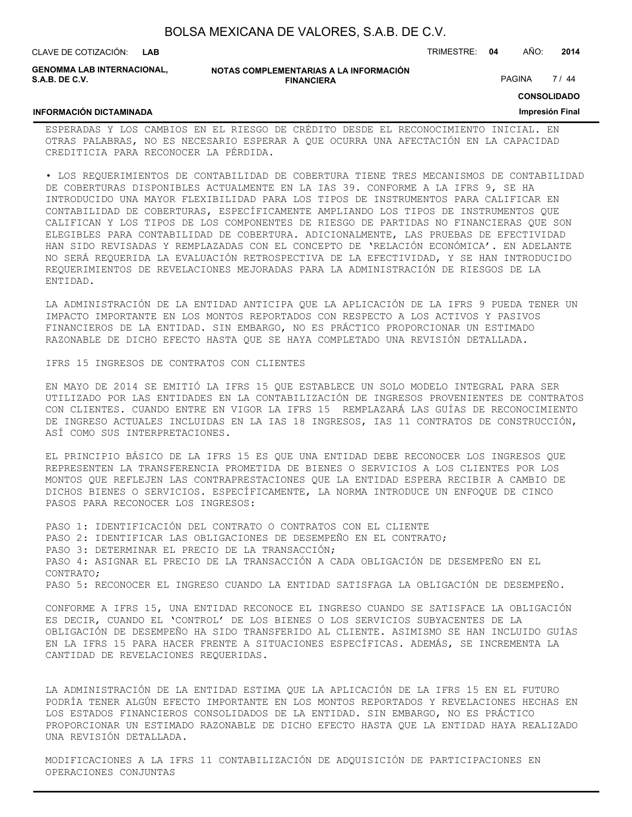| BOLSA MEXICANA DE VALORES, S.A.B. DE C.V. |  |  |  |
|-------------------------------------------|--|--|--|
|-------------------------------------------|--|--|--|

|  | <b>CLAVE DE COTIZACIÓN:</b> | <b>LAB</b> |
|--|-----------------------------|------------|
|  |                             |            |

**GENOMMA LAB INTERNACIONAL, S.A.B. DE C.V.**

CLAVE DE COTIZACIÓN: TRIMESTRE: **04** AÑO: **2014**

PAGINA 7 / 44

**CONSOLIDADO**

#### **INFORMACIÓN DICTAMINADA**

**Impresión Final**

ESPERADAS Y LOS CAMBIOS EN EL RIESGO DE CRÉDITO DESDE EL RECONOCIMIENTO INICIAL. EN OTRAS PALABRAS, NO ES NECESARIO ESPERAR A QUE OCURRA UNA AFECTACIÓN EN LA CAPACIDAD CREDITICIA PARA RECONOCER LA PÉRDIDA.

• LOS REQUERIMIENTOS DE CONTABILIDAD DE COBERTURA TIENE TRES MECANISMOS DE CONTABILIDAD DE COBERTURAS DISPONIBLES ACTUALMENTE EN LA IAS 39. CONFORME A LA IFRS 9, SE HA INTRODUCIDO UNA MAYOR FLEXIBILIDAD PARA LOS TIPOS DE INSTRUMENTOS PARA CALIFICAR EN CONTABILIDAD DE COBERTURAS, ESPECÍFICAMENTE AMPLIANDO LOS TIPOS DE INSTRUMENTOS QUE CALIFICAN Y LOS TIPOS DE LOS COMPONENTES DE RIESGO DE PARTIDAS NO FINANCIERAS QUE SON ELEGIBLES PARA CONTABILIDAD DE COBERTURA. ADICIONALMENTE, LAS PRUEBAS DE EFECTIVIDAD HAN SIDO REVISADAS Y REMPLAZADAS CON EL CONCEPTO DE 'RELACIÓN ECONÓMICA'. EN ADELANTE NO SERÁ REQUERIDA LA EVALUACIÓN RETROSPECTIVA DE LA EFECTIVIDAD, Y SE HAN INTRODUCIDO REQUERIMIENTOS DE REVELACIONES MEJORADAS PARA LA ADMINISTRACIÓN DE RIESGOS DE LA ENTIDAD.

LA ADMINISTRACIÓN DE LA ENTIDAD ANTICIPA QUE LA APLICACIÓN DE LA IFRS 9 PUEDA TENER UN IMPACTO IMPORTANTE EN LOS MONTOS REPORTADOS CON RESPECTO A LOS ACTIVOS Y PASIVOS FINANCIEROS DE LA ENTIDAD. SIN EMBARGO, NO ES PRÁCTICO PROPORCIONAR UN ESTIMADO RAZONABLE DE DICHO EFECTO HASTA QUE SE HAYA COMPLETADO UNA REVISIÓN DETALLADA.

IFRS 15 INGRESOS DE CONTRATOS CON CLIENTES

EN MAYO DE 2014 SE EMITIÓ LA IFRS 15 QUE ESTABLECE UN SOLO MODELO INTEGRAL PARA SER UTILIZADO POR LAS ENTIDADES EN LA CONTABILIZACIÓN DE INGRESOS PROVENIENTES DE CONTRATOS CON CLIENTES. CUANDO ENTRE EN VIGOR LA IFRS 15 REMPLAZARÁ LAS GUÍAS DE RECONOCIMIENTO DE INGRESO ACTUALES INCLUIDAS EN LA IAS 18 INGRESOS, IAS 11 CONTRATOS DE CONSTRUCCIÓN, ASÍ COMO SUS INTERPRETACIONES.

EL PRINCIPIO BÁSICO DE LA IFRS 15 ES QUE UNA ENTIDAD DEBE RECONOCER LOS INGRESOS QUE REPRESENTEN LA TRANSFERENCIA PROMETIDA DE BIENES O SERVICIOS A LOS CLIENTES POR LOS MONTOS QUE REFLEJEN LAS CONTRAPRESTACIONES QUE LA ENTIDAD ESPERA RECIBIR A CAMBIO DE DICHOS BIENES O SERVICIOS. ESPECÍFICAMENTE, LA NORMA INTRODUCE UN ENFOQUE DE CINCO PASOS PARA RECONOCER LOS INGRESOS:

PASO 1: IDENTIFICACIÓN DEL CONTRATO O CONTRATOS CON EL CLIENTE PASO 2: IDENTIFICAR LAS OBLIGACIONES DE DESEMPEÑO EN EL CONTRATO; PASO 3: DETERMINAR EL PRECIO DE LA TRANSACCIÓN; PASO 4: ASIGNAR EL PRECIO DE LA TRANSACCIÓN A CADA OBLIGACIÓN DE DESEMPEÑO EN EL CONTRATO; PASO 5: RECONOCER EL INGRESO CUANDO LA ENTIDAD SATISFAGA LA OBLIGACIÓN DE DESEMPEÑO.

CONFORME A IFRS 15, UNA ENTIDAD RECONOCE EL INGRESO CUANDO SE SATISFACE LA OBLIGACIÓN ES DECIR, CUANDO EL 'CONTROL' DE LOS BIENES O LOS SERVICIOS SUBYACENTES DE LA OBLIGACIÓN DE DESEMPEÑO HA SIDO TRANSFERIDO AL CLIENTE. ASIMISMO SE HAN INCLUIDO GUÍAS EN LA IFRS 15 PARA HACER FRENTE A SITUACIONES ESPECÍFICAS. ADEMÁS, SE INCREMENTA LA CANTIDAD DE REVELACIONES REQUERIDAS.

LA ADMINISTRACIÓN DE LA ENTIDAD ESTIMA QUE LA APLICACIÓN DE LA IFRS 15 EN EL FUTURO PODRÍA TENER ALGÚN EFECTO IMPORTANTE EN LOS MONTOS REPORTADOS Y REVELACIONES HECHAS EN LOS ESTADOS FINANCIEROS CONSOLIDADOS DE LA ENTIDAD. SIN EMBARGO, NO ES PRÁCTICO PROPORCIONAR UN ESTIMADO RAZONABLE DE DICHO EFECTO HASTA QUE LA ENTIDAD HAYA REALIZADO UNA REVISIÓN DETALLADA.

MODIFICACIONES A LA IFRS 11 CONTABILIZACIÓN DE ADQUISICIÓN DE PARTICIPACIONES EN OPERACIONES CONJUNTAS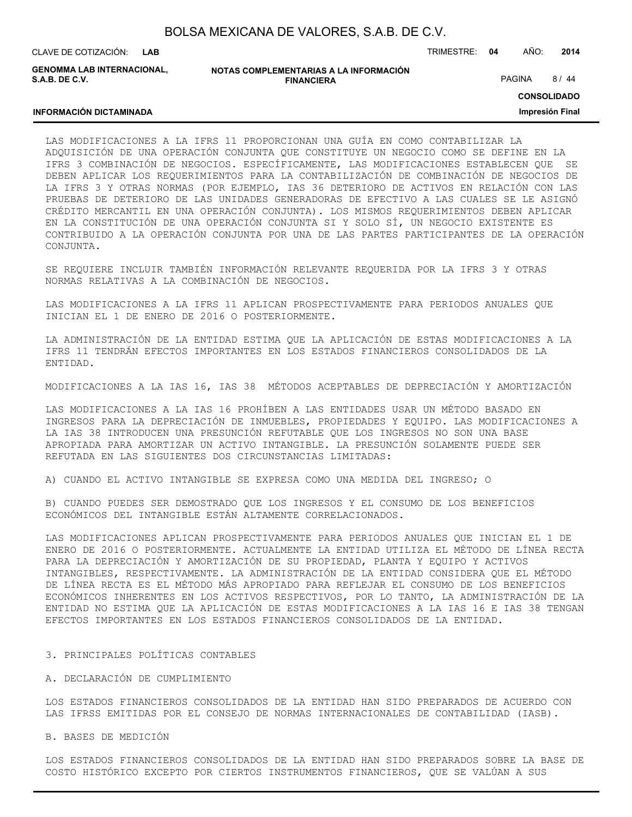| BOLSA MEXICANA DE VALORES, S.A.B. DE C.V. |  |  |
|-------------------------------------------|--|--|
|-------------------------------------------|--|--|

**LAB**

CLAVE DE COTIZACIÓN: TRIMESTRE: **04** AÑO: **2014**

**GENOMMA LAB INTERNACIONAL, S.A.B. DE C.V.**

**INFORMACIÓN DICTAMINADA**

**NOTAS COMPLEMENTARIAS A LA INFORMACIÓN FINANCIERA**

PAGINA 8 / 44

**CONSOLIDADO**

**Impresión Final**

#### LAS MODIFICACIONES A LA IFRS 11 PROPORCIONAN UNA GUÍA EN COMO CONTABILIZAR LA ADQUISICIÓN DE UNA OPERACIÓN CONJUNTA QUE CONSTITUYE UN NEGOCIO COMO SE DEFINE EN LA IFRS 3 COMBINACIÓN DE NEGOCIOS. ESPECÍFICAMENTE, LAS MODIFICACIONES ESTABLECEN QUE SE DEBEN APLICAR LOS REQUERIMIENTOS PARA LA CONTABILIZACIÓN DE COMBINACIÓN DE NEGOCIOS DE LA IFRS 3 Y OTRAS NORMAS (POR EJEMPLO, IAS 36 DETERIORO DE ACTIVOS EN RELACIÓN CON LAS PRUEBAS DE DETERIORO DE LAS UNIDADES GENERADORAS DE EFECTIVO A LAS CUALES SE LE ASIGNÓ CRÉDITO MERCANTIL EN UNA OPERACIÓN CONJUNTA). LOS MISMOS REQUERIMIENTOS DEBEN APLICAR EN LA CONSTITUCIÓN DE UNA OPERACIÓN CONJUNTA SI Y SOLO SÍ, UN NEGOCIO EXISTENTE ES CONTRIBUIDO A LA OPERACIÓN CONJUNTA POR UNA DE LAS PARTES PARTICIPANTES DE LA OPERACIÓN CONJUNTA.

SE REQUIERE INCLUIR TAMBIÉN INFORMACIÓN RELEVANTE REQUERIDA POR LA IFRS 3 Y OTRAS NORMAS RELATIVAS A LA COMBINACIÓN DE NEGOCIOS.

LAS MODIFICACIONES A LA IFRS 11 APLICAN PROSPECTIVAMENTE PARA PERIODOS ANUALES QUE INICIAN EL 1 DE ENERO DE 2016 O POSTERIORMENTE.

LA ADMINISTRACIÓN DE LA ENTIDAD ESTIMA QUE LA APLICACIÓN DE ESTAS MODIFICACIONES A LA IFRS 11 TENDRÁN EFECTOS IMPORTANTES EN LOS ESTADOS FINANCIEROS CONSOLIDADOS DE LA ENTIDAD.

MODIFICACIONES A LA IAS 16, IAS 38 MÉTODOS ACEPTABLES DE DEPRECIACIÓN Y AMORTIZACIÓN

LAS MODIFICACIONES A LA IAS 16 PROHÍBEN A LAS ENTIDADES USAR UN MÉTODO BASADO EN INGRESOS PARA LA DEPRECIACIÓN DE INMUEBLES, PROPIEDADES Y EQUIPO. LAS MODIFICACIONES A LA IAS 38 INTRODUCEN UNA PRESUNCIÓN REFUTABLE QUE LOS INGRESOS NO SON UNA BASE APROPIADA PARA AMORTIZAR UN ACTIVO INTANGIBLE. LA PRESUNCIÓN SOLAMENTE PUEDE SER REFUTADA EN LAS SIGUIENTES DOS CIRCUNSTANCIAS LIMITADAS:

A) CUANDO EL ACTIVO INTANGIBLE SE EXPRESA COMO UNA MEDIDA DEL INGRESO; O

B) CUANDO PUEDES SER DEMOSTRADO QUE LOS INGRESOS Y EL CONSUMO DE LOS BENEFICIOS ECONÓMICOS DEL INTANGIBLE ESTÁN ALTAMENTE CORRELACIONADOS.

LAS MODIFICACIONES APLICAN PROSPECTIVAMENTE PARA PERIODOS ANUALES QUE INICIAN EL 1 DE ENERO DE 2016 O POSTERIORMENTE. ACTUALMENTE LA ENTIDAD UTILIZA EL MÉTODO DE LÍNEA RECTA PARA LA DEPRECIACIÓN Y AMORTIZACIÓN DE SU PROPIEDAD, PLANTA Y EQUIPO Y ACTIVOS INTANGIBLES, RESPECTIVAMENTE. LA ADMINISTRACIÓN DE LA ENTIDAD CONSIDERA QUE EL MÉTODO DE LÍNEA RECTA ES EL MÉTODO MÁS APROPIADO PARA REFLEJAR EL CONSUMO DE LOS BENEFICIOS ECONÓMICOS INHERENTES EN LOS ACTIVOS RESPECTIVOS, POR LO TANTO, LA ADMINISTRACIÓN DE LA ENTIDAD NO ESTIMA QUE LA APLICACIÓN DE ESTAS MODIFICACIONES A LA IAS 16 E IAS 38 TENGAN EFECTOS IMPORTANTES EN LOS ESTADOS FINANCIEROS CONSOLIDADOS DE LA ENTIDAD.

#### 3. PRINCIPALES POLÍTICAS CONTABLES

A. DECLARACIÓN DE CUMPLIMIENTO

LOS ESTADOS FINANCIEROS CONSOLIDADOS DE LA ENTIDAD HAN SIDO PREPARADOS DE ACUERDO CON LAS IFRSS EMITIDAS POR EL CONSEJO DE NORMAS INTERNACIONALES DE CONTABILIDAD (IASB).

B. BASES DE MEDICIÓN

LOS ESTADOS FINANCIEROS CONSOLIDADOS DE LA ENTIDAD HAN SIDO PREPARADOS SOBRE LA BASE DE COSTO HISTÓRICO EXCEPTO POR CIERTOS INSTRUMENTOS FINANCIEROS, QUE SE VALÚAN A SUS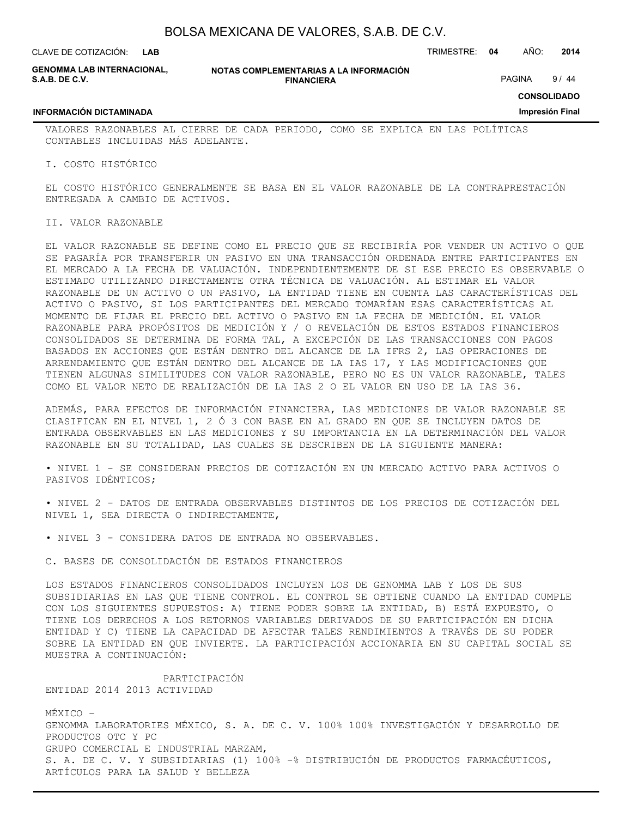**LAB**

CLAVE DE COTIZACIÓN: TRIMESTRE: **04** AÑO: **2014**

**GENOMMA LAB INTERNACIONAL, S.A.B. DE C.V.**

**INFORMACIÓN DICTAMINADA**

**NOTAS COMPLEMENTARIAS A LA INFORMACIÓN FINANCIERA**

PAGINA 9/44

**CONSOLIDADO**

**Impresión Final**

VALORES RAZONABLES AL CIERRE DE CADA PERIODO, COMO SE EXPLICA EN LAS POLÍTICAS CONTABLES INCLUIDAS MÁS ADELANTE.

I. COSTO HISTÓRICO

EL COSTO HISTÓRICO GENERALMENTE SE BASA EN EL VALOR RAZONABLE DE LA CONTRAPRESTACIÓN ENTREGADA A CAMBIO DE ACTIVOS.

#### II. VALOR RAZONABLE

EL VALOR RAZONABLE SE DEFINE COMO EL PRECIO QUE SE RECIBIRÍA POR VENDER UN ACTIVO O QUE SE PAGARÍA POR TRANSFERIR UN PASIVO EN UNA TRANSACCIÓN ORDENADA ENTRE PARTICIPANTES EN EL MERCADO A LA FECHA DE VALUACIÓN. INDEPENDIENTEMENTE DE SI ESE PRECIO ES OBSERVABLE O ESTIMADO UTILIZANDO DIRECTAMENTE OTRA TÉCNICA DE VALUACIÓN. AL ESTIMAR EL VALOR RAZONABLE DE UN ACTIVO O UN PASIVO, LA ENTIDAD TIENE EN CUENTA LAS CARACTERÍSTICAS DEL ACTIVO O PASIVO, SI LOS PARTICIPANTES DEL MERCADO TOMARÍAN ESAS CARACTERÍSTICAS AL MOMENTO DE FIJAR EL PRECIO DEL ACTIVO O PASIVO EN LA FECHA DE MEDICIÓN. EL VALOR RAZONABLE PARA PROPÓSITOS DE MEDICIÓN Y / O REVELACIÓN DE ESTOS ESTADOS FINANCIEROS CONSOLIDADOS SE DETERMINA DE FORMA TAL, A EXCEPCIÓN DE LAS TRANSACCIONES CON PAGOS BASADOS EN ACCIONES QUE ESTÁN DENTRO DEL ALCANCE DE LA IFRS 2, LAS OPERACIONES DE ARRENDAMIENTO QUE ESTÁN DENTRO DEL ALCANCE DE LA IAS 17, Y LAS MODIFICACIONES QUE TIENEN ALGUNAS SIMILITUDES CON VALOR RAZONABLE, PERO NO ES UN VALOR RAZONABLE, TALES COMO EL VALOR NETO DE REALIZACIÓN DE LA IAS 2 O EL VALOR EN USO DE LA IAS 36.

ADEMÁS, PARA EFECTOS DE INFORMACIÓN FINANCIERA, LAS MEDICIONES DE VALOR RAZONABLE SE CLASIFICAN EN EL NIVEL 1, 2 Ó 3 CON BASE EN AL GRADO EN QUE SE INCLUYEN DATOS DE ENTRADA OBSERVABLES EN LAS MEDICIONES Y SU IMPORTANCIA EN LA DETERMINACIÓN DEL VALOR RAZONABLE EN SU TOTALIDAD, LAS CUALES SE DESCRIBEN DE LA SIGUIENTE MANERA:

• NIVEL 1 - SE CONSIDERAN PRECIOS DE COTIZACIÓN EN UN MERCADO ACTIVO PARA ACTIVOS O PASIVOS IDÉNTICOS;

• NIVEL 2 - DATOS DE ENTRADA OBSERVABLES DISTINTOS DE LOS PRECIOS DE COTIZACIÓN DEL NIVEL 1, SEA DIRECTA O INDIRECTAMENTE,

• NIVEL 3 - CONSIDERA DATOS DE ENTRADA NO OBSERVABLES.

C. BASES DE CONSOLIDACIÓN DE ESTADOS FINANCIEROS

LOS ESTADOS FINANCIEROS CONSOLIDADOS INCLUYEN LOS DE GENOMMA LAB Y LOS DE SUS SUBSIDIARIAS EN LAS QUE TIENE CONTROL. EL CONTROL SE OBTIENE CUANDO LA ENTIDAD CUMPLE CON LOS SIGUIENTES SUPUESTOS: A) TIENE PODER SOBRE LA ENTIDAD, B) ESTÁ EXPUESTO, O TIENE LOS DERECHOS A LOS RETORNOS VARIABLES DERIVADOS DE SU PARTICIPACIÓN EN DICHA ENTIDAD Y C) TIENE LA CAPACIDAD DE AFECTAR TALES RENDIMIENTOS A TRAVÉS DE SU PODER SOBRE LA ENTIDAD EN QUE INVIERTE. LA PARTICIPACIÓN ACCIONARIA EN SU CAPITAL SOCIAL SE MUESTRA A CONTINUACIÓN:

 PARTICIPACIÓN ENTIDAD 2014 2013 ACTIVIDAD

MÉXICO – GENOMMA LABORATORIES MÉXICO, S. A. DE C. V. 100% 100% INVESTIGACIÓN Y DESARROLLO DE PRODUCTOS OTC Y PC GRUPO COMERCIAL E INDUSTRIAL MARZAM, S. A. DE C. V. Y SUBSIDIARIAS (1) 100% -% DISTRIBUCIÓN DE PRODUCTOS FARMACÉUTICOS, ARTÍCULOS PARA LA SALUD Y BELLEZA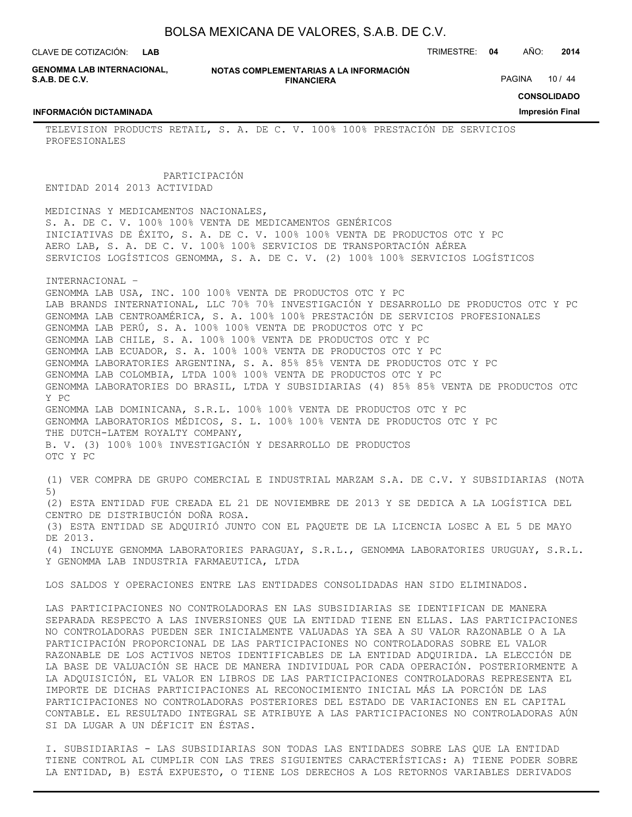**LAB**

CLAVE DE COTIZACIÓN: TRIMESTRE: **04** AÑO: **2014**

**GENOMMA LAB INTERNACIONAL, S.A.B. DE C.V.**

**INFORMACIÓN DICTAMINADA**

PROFESIONALES

**NOTAS COMPLEMENTARIAS A LA INFORMACIÓN FINANCIERA**

PAGINA 10 / 44

**CONSOLIDADO**

**Impresión Final**

TELEVISION PRODUCTS RETAIL, S. A. DE C. V. 100% 100% PRESTACIÓN DE SERVICIOS

PARTICIPACIÓN

ENTIDAD 2014 2013 ACTIVIDAD

MEDICINAS Y MEDICAMENTOS NACIONALES, S. A. DE C. V. 100% 100% VENTA DE MEDICAMENTOS GENÉRICOS INICIATIVAS DE ÉXITO, S. A. DE C. V. 100% 100% VENTA DE PRODUCTOS OTC Y PC AERO LAB, S. A. DE C. V. 100% 100% SERVICIOS DE TRANSPORTACIÓN AÉREA SERVICIOS LOGÍSTICOS GENOMMA, S. A. DE C. V. (2) 100% 100% SERVICIOS LOGÍSTICOS

INTERNACIONAL –

GENOMMA LAB USA, INC. 100 100% VENTA DE PRODUCTOS OTC Y PC LAB BRANDS INTERNATIONAL, LLC 70% 70% INVESTIGACIÓN Y DESARROLLO DE PRODUCTOS OTC Y PC GENOMMA LAB CENTROAMÉRICA, S. A. 100% 100% PRESTACIÓN DE SERVICIOS PROFESIONALES GENOMMA LAB PERÚ, S. A. 100% 100% VENTA DE PRODUCTOS OTC Y PC GENOMMA LAB CHILE, S. A. 100% 100% VENTA DE PRODUCTOS OTC Y PC GENOMMA LAB ECUADOR, S. A. 100% 100% VENTA DE PRODUCTOS OTC Y PC GENOMMA LABORATORIES ARGENTINA, S. A. 85% 85% VENTA DE PRODUCTOS OTC Y PC GENOMMA LAB COLOMBIA, LTDA 100% 100% VENTA DE PRODUCTOS OTC Y PC GENOMMA LABORATORIES DO BRASIL, LTDA Y SUBSIDIARIAS (4) 85% 85% VENTA DE PRODUCTOS OTC Y PC GENOMMA LAB DOMINICANA, S.R.L. 100% 100% VENTA DE PRODUCTOS OTC Y PC GENOMMA LABORATORIOS MÉDICOS, S. L. 100% 100% VENTA DE PRODUCTOS OTC Y PC THE DUTCH-LATEM ROYALTY COMPANY, B. V. (3) 100% 100% INVESTIGACIÓN Y DESARROLLO DE PRODUCTOS OTC Y PC (1) VER COMPRA DE GRUPO COMERCIAL E INDUSTRIAL MARZAM S.A. DE C.V. Y SUBSIDIARIAS (NOTA 5) (2) ESTA ENTIDAD FUE CREADA EL 21 DE NOVIEMBRE DE 2013 Y SE DEDICA A LA LOGÍSTICA DEL

CENTRO DE DISTRIBUCIÓN DOÑA ROSA.

(3) ESTA ENTIDAD SE ADQUIRIÓ JUNTO CON EL PAQUETE DE LA LICENCIA LOSEC A EL 5 DE MAYO DE 2013.

(4) INCLUYE GENOMMA LABORATORIES PARAGUAY, S.R.L., GENOMMA LABORATORIES URUGUAY, S.R.L. Y GENOMMA LAB INDUSTRIA FARMAEUTICA, LTDA

LOS SALDOS Y OPERACIONES ENTRE LAS ENTIDADES CONSOLIDADAS HAN SIDO ELIMINADOS.

LAS PARTICIPACIONES NO CONTROLADORAS EN LAS SUBSIDIARIAS SE IDENTIFICAN DE MANERA SEPARADA RESPECTO A LAS INVERSIONES QUE LA ENTIDAD TIENE EN ELLAS. LAS PARTICIPACIONES NO CONTROLADORAS PUEDEN SER INICIALMENTE VALUADAS YA SEA A SU VALOR RAZONABLE O A LA PARTICIPACIÓN PROPORCIONAL DE LAS PARTICIPACIONES NO CONTROLADORAS SOBRE EL VALOR RAZONABLE DE LOS ACTIVOS NETOS IDENTIFICABLES DE LA ENTIDAD ADQUIRIDA. LA ELECCIÓN DE LA BASE DE VALUACIÓN SE HACE DE MANERA INDIVIDUAL POR CADA OPERACIÓN. POSTERIORMENTE A LA ADQUISICIÓN, EL VALOR EN LIBROS DE LAS PARTICIPACIONES CONTROLADORAS REPRESENTA EL IMPORTE DE DICHAS PARTICIPACIONES AL RECONOCIMIENTO INICIAL MÁS LA PORCIÓN DE LAS PARTICIPACIONES NO CONTROLADORAS POSTERIORES DEL ESTADO DE VARIACIONES EN EL CAPITAL CONTABLE. EL RESULTADO INTEGRAL SE ATRIBUYE A LAS PARTICIPACIONES NO CONTROLADORAS AÚN SI DA LUGAR A UN DÉFICIT EN ÉSTAS.

I. SUBSIDIARIAS - LAS SUBSIDIARIAS SON TODAS LAS ENTIDADES SOBRE LAS QUE LA ENTIDAD TIENE CONTROL AL CUMPLIR CON LAS TRES SIGUIENTES CARACTERÍSTICAS: A) TIENE PODER SOBRE LA ENTIDAD, B) ESTÁ EXPUESTO, O TIENE LOS DERECHOS A LOS RETORNOS VARIABLES DERIVADOS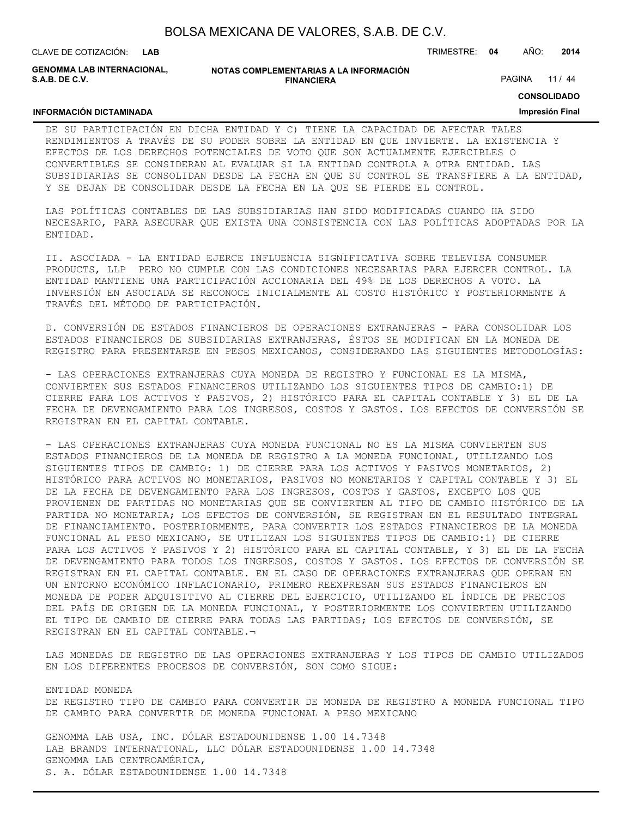| BOLSA MEXICANA DE VALORES, S.A.B. DE C.V. |  |  |
|-------------------------------------------|--|--|
|-------------------------------------------|--|--|

CLAVE DE COTIZACIÓN: TRIMESTRE: **04** AÑO: **2014 LAB**

**INFORMACIÓN DICTAMINADA**

**GENOMMA LAB INTERNACIONAL, S.A.B. DE C.V.**

#### **NOTAS COMPLEMENTARIAS A LA INFORMACIÓN FINANCIERA**

PAGINA 11 / 44

**CONSOLIDADO**

#### **Impresión Final**

DE SU PARTICIPACIÓN EN DICHA ENTIDAD Y C) TIENE LA CAPACIDAD DE AFECTAR TALES RENDIMIENTOS A TRAVÉS DE SU PODER SOBRE LA ENTIDAD EN QUE INVIERTE. LA EXISTENCIA Y EFECTOS DE LOS DERECHOS POTENCIALES DE VOTO QUE SON ACTUALMENTE EJERCIBLES O CONVERTIBLES SE CONSIDERAN AL EVALUAR SI LA ENTIDAD CONTROLA A OTRA ENTIDAD. LAS SUBSIDIARIAS SE CONSOLIDAN DESDE LA FECHA EN QUE SU CONTROL SE TRANSFIERE A LA ENTIDAD, Y SE DEJAN DE CONSOLIDAR DESDE LA FECHA EN LA QUE SE PIERDE EL CONTROL.

LAS POLÍTICAS CONTABLES DE LAS SUBSIDIARIAS HAN SIDO MODIFICADAS CUANDO HA SIDO NECESARIO, PARA ASEGURAR QUE EXISTA UNA CONSISTENCIA CON LAS POLÍTICAS ADOPTADAS POR LA ENTIDAD.

II. ASOCIADA - LA ENTIDAD EJERCE INFLUENCIA SIGNIFICATIVA SOBRE TELEVISA CONSUMER PRODUCTS, LLP PERO NO CUMPLE CON LAS CONDICIONES NECESARIAS PARA EJERCER CONTROL. LA ENTIDAD MANTIENE UNA PARTICIPACIÓN ACCIONARIA DEL 49% DE LOS DERECHOS A VOTO. LA INVERSIÓN EN ASOCIADA SE RECONOCE INICIALMENTE AL COSTO HISTÓRICO Y POSTERIORMENTE A TRAVÉS DEL MÉTODO DE PARTICIPACIÓN.

D. CONVERSIÓN DE ESTADOS FINANCIEROS DE OPERACIONES EXTRANJERAS - PARA CONSOLIDAR LOS ESTADOS FINANCIEROS DE SUBSIDIARIAS EXTRANJERAS, ÉSTOS SE MODIFICAN EN LA MONEDA DE REGISTRO PARA PRESENTARSE EN PESOS MEXICANOS, CONSIDERANDO LAS SIGUIENTES METODOLOGÍAS:

- LAS OPERACIONES EXTRANJERAS CUYA MONEDA DE REGISTRO Y FUNCIONAL ES LA MISMA, CONVIERTEN SUS ESTADOS FINANCIEROS UTILIZANDO LOS SIGUIENTES TIPOS DE CAMBIO:1) DE CIERRE PARA LOS ACTIVOS Y PASIVOS, 2) HISTÓRICO PARA EL CAPITAL CONTABLE Y 3) EL DE LA FECHA DE DEVENGAMIENTO PARA LOS INGRESOS, COSTOS Y GASTOS. LOS EFECTOS DE CONVERSIÓN SE REGISTRAN EN EL CAPITAL CONTABLE.

- LAS OPERACIONES EXTRANJERAS CUYA MONEDA FUNCIONAL NO ES LA MISMA CONVIERTEN SUS ESTADOS FINANCIEROS DE LA MONEDA DE REGISTRO A LA MONEDA FUNCIONAL, UTILIZANDO LOS SIGUIENTES TIPOS DE CAMBIO: 1) DE CIERRE PARA LOS ACTIVOS Y PASIVOS MONETARIOS, 2) HISTÓRICO PARA ACTIVOS NO MONETARIOS, PASIVOS NO MONETARIOS Y CAPITAL CONTABLE Y 3) EL DE LA FECHA DE DEVENGAMIENTO PARA LOS INGRESOS, COSTOS Y GASTOS, EXCEPTO LOS QUE PROVIENEN DE PARTIDAS NO MONETARIAS QUE SE CONVIERTEN AL TIPO DE CAMBIO HISTÓRICO DE LA PARTIDA NO MONETARIA; LOS EFECTOS DE CONVERSIÓN, SE REGISTRAN EN EL RESULTADO INTEGRAL DE FINANCIAMIENTO. POSTERIORMENTE, PARA CONVERTIR LOS ESTADOS FINANCIEROS DE LA MONEDA FUNCIONAL AL PESO MEXICANO, SE UTILIZAN LOS SIGUIENTES TIPOS DE CAMBIO:1) DE CIERRE PARA LOS ACTIVOS Y PASIVOS Y 2) HISTÓRICO PARA EL CAPITAL CONTABLE, Y 3) EL DE LA FECHA DE DEVENGAMIENTO PARA TODOS LOS INGRESOS, COSTOS Y GASTOS. LOS EFECTOS DE CONVERSIÓN SE REGISTRAN EN EL CAPITAL CONTABLE. EN EL CASO DE OPERACIONES EXTRANJERAS QUE OPERAN EN UN ENTORNO ECONÓMICO INFLACIONARIO, PRIMERO REEXPRESAN SUS ESTADOS FINANCIEROS EN MONEDA DE PODER ADQUISITIVO AL CIERRE DEL EJERCICIO, UTILIZANDO EL ÍNDICE DE PRECIOS DEL PAÍS DE ORIGEN DE LA MONEDA FUNCIONAL, Y POSTERIORMENTE LOS CONVIERTEN UTILIZANDO EL TIPO DE CAMBIO DE CIERRE PARA TODAS LAS PARTIDAS; LOS EFECTOS DE CONVERSIÓN, SE REGISTRAN EN EL CAPITAL CONTABLE.¬

LAS MONEDAS DE REGISTRO DE LAS OPERACIONES EXTRANJERAS Y LOS TIPOS DE CAMBIO UTILIZADOS EN LOS DIFERENTES PROCESOS DE CONVERSIÓN, SON COMO SIGUE:

ENTIDAD MONEDA DE REGISTRO TIPO DE CAMBIO PARA CONVERTIR DE MONEDA DE REGISTRO A MONEDA FUNCIONAL TIPO DE CAMBIO PARA CONVERTIR DE MONEDA FUNCIONAL A PESO MEXICANO

GENOMMA LAB USA, INC. DÓLAR ESTADOUNIDENSE 1.00 14.7348 LAB BRANDS INTERNATIONAL, LLC DÓLAR ESTADOUNIDENSE 1.00 14.7348 GENOMMA LAB CENTROAMÉRICA, S. A. DÓLAR ESTADOUNIDENSE 1.00 14.7348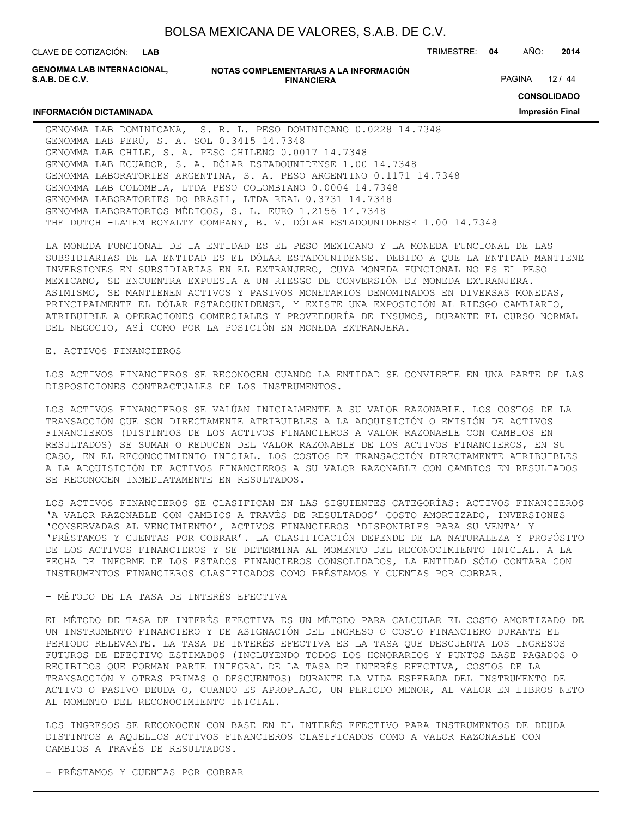| BOLSA MEXICANA DE VALORES, S.A.B. DE C.V. |  |  |
|-------------------------------------------|--|--|
|-------------------------------------------|--|--|

**LAB**

CLAVE DE COTIZACIÓN: TRIMESTRE: **04** AÑO: **2014**

**GENOMMA LAB INTERNACIONAL, S.A.B. DE C.V.**

**INFORMACIÓN DICTAMINADA**

**NOTAS COMPLEMENTARIAS A LA INFORMACIÓN FINANCIERA**

PAGINA 12 / 44

**CONSOLIDADO**

**Impresión Final**

GENOMMA LAB DOMINICANA, S. R. L. PESO DOMINICANO 0.0228 14.7348 GENOMMA LAB PERÚ, S. A. SOL 0.3415 14.7348 GENOMMA LAB CHILE, S. A. PESO CHILENO 0.0017 14.7348 GENOMMA LAB ECUADOR, S. A. DÓLAR ESTADOUNIDENSE 1.00 14.7348 GENOMMA LABORATORIES ARGENTINA, S. A. PESO ARGENTINO 0.1171 14.7348 GENOMMA LAB COLOMBIA, LTDA PESO COLOMBIANO 0.0004 14.7348 GENOMMA LABORATORIES DO BRASIL, LTDA REAL 0.3731 14.7348 GENOMMA LABORATORIOS MÉDICOS, S. L. EURO 1.2156 14.7348 THE DUTCH -LATEM ROYALTY COMPANY, B. V. DÓLAR ESTADOUNIDENSE 1.00 14.7348

LA MONEDA FUNCIONAL DE LA ENTIDAD ES EL PESO MEXICANO Y LA MONEDA FUNCIONAL DE LAS SUBSIDIARIAS DE LA ENTIDAD ES EL DÓLAR ESTADOUNIDENSE. DEBIDO A QUE LA ENTIDAD MANTIENE INVERSIONES EN SUBSIDIARIAS EN EL EXTRANJERO, CUYA MONEDA FUNCIONAL NO ES EL PESO MEXICANO, SE ENCUENTRA EXPUESTA A UN RIESGO DE CONVERSIÓN DE MONEDA EXTRANJERA. ASIMISMO, SE MANTIENEN ACTIVOS Y PASIVOS MONETARIOS DENOMINADOS EN DIVERSAS MONEDAS, PRINCIPALMENTE EL DÓLAR ESTADOUNIDENSE, Y EXISTE UNA EXPOSICIÓN AL RIESGO CAMBIARIO, ATRIBUIBLE A OPERACIONES COMERCIALES Y PROVEEDURÍA DE INSUMOS, DURANTE EL CURSO NORMAL DEL NEGOCIO, ASÍ COMO POR LA POSICIÓN EN MONEDA EXTRANJERA.

#### E. ACTIVOS FINANCIEROS

LOS ACTIVOS FINANCIEROS SE RECONOCEN CUANDO LA ENTIDAD SE CONVIERTE EN UNA PARTE DE LAS DISPOSICIONES CONTRACTUALES DE LOS INSTRUMENTOS.

LOS ACTIVOS FINANCIEROS SE VALÚAN INICIALMENTE A SU VALOR RAZONABLE. LOS COSTOS DE LA TRANSACCIÓN QUE SON DIRECTAMENTE ATRIBUIBLES A LA ADQUISICIÓN O EMISIÓN DE ACTIVOS FINANCIEROS (DISTINTOS DE LOS ACTIVOS FINANCIEROS A VALOR RAZONABLE CON CAMBIOS EN RESULTADOS) SE SUMAN O REDUCEN DEL VALOR RAZONABLE DE LOS ACTIVOS FINANCIEROS, EN SU CASO, EN EL RECONOCIMIENTO INICIAL. LOS COSTOS DE TRANSACCIÓN DIRECTAMENTE ATRIBUIBLES A LA ADQUISICIÓN DE ACTIVOS FINANCIEROS A SU VALOR RAZONABLE CON CAMBIOS EN RESULTADOS SE RECONOCEN INMEDIATAMENTE EN RESULTADOS.

LOS ACTIVOS FINANCIEROS SE CLASIFICAN EN LAS SIGUIENTES CATEGORÍAS: ACTIVOS FINANCIEROS 'A VALOR RAZONABLE CON CAMBIOS A TRAVÉS DE RESULTADOS' COSTO AMORTIZADO, INVERSIONES 'CONSERVADAS AL VENCIMIENTO', ACTIVOS FINANCIEROS 'DISPONIBLES PARA SU VENTA' Y 'PRÉSTAMOS Y CUENTAS POR COBRAR'. LA CLASIFICACIÓN DEPENDE DE LA NATURALEZA Y PROPÓSITO DE LOS ACTIVOS FINANCIEROS Y SE DETERMINA AL MOMENTO DEL RECONOCIMIENTO INICIAL. A LA FECHA DE INFORME DE LOS ESTADOS FINANCIEROS CONSOLIDADOS, LA ENTIDAD SÓLO CONTABA CON INSTRUMENTOS FINANCIEROS CLASIFICADOS COMO PRÉSTAMOS Y CUENTAS POR COBRAR.

#### - MÉTODO DE LA TASA DE INTERÉS EFECTIVA

EL MÉTODO DE TASA DE INTERÉS EFECTIVA ES UN MÉTODO PARA CALCULAR EL COSTO AMORTIZADO DE UN INSTRUMENTO FINANCIERO Y DE ASIGNACIÓN DEL INGRESO O COSTO FINANCIERO DURANTE EL PERIODO RELEVANTE. LA TASA DE INTERÉS EFECTIVA ES LA TASA QUE DESCUENTA LOS INGRESOS FUTUROS DE EFECTIVO ESTIMADOS (INCLUYENDO TODOS LOS HONORARIOS Y PUNTOS BASE PAGADOS O RECIBIDOS QUE FORMAN PARTE INTEGRAL DE LA TASA DE INTERÉS EFECTIVA, COSTOS DE LA TRANSACCIÓN Y OTRAS PRIMAS O DESCUENTOS) DURANTE LA VIDA ESPERADA DEL INSTRUMENTO DE ACTIVO O PASIVO DEUDA O, CUANDO ES APROPIADO, UN PERIODO MENOR, AL VALOR EN LIBROS NETO AL MOMENTO DEL RECONOCIMIENTO INICIAL.

LOS INGRESOS SE RECONOCEN CON BASE EN EL INTERÉS EFECTIVO PARA INSTRUMENTOS DE DEUDA DISTINTOS A AQUELLOS ACTIVOS FINANCIEROS CLASIFICADOS COMO A VALOR RAZONABLE CON CAMBIOS A TRAVÉS DE RESULTADOS.

- PRÉSTAMOS Y CUENTAS POR COBRAR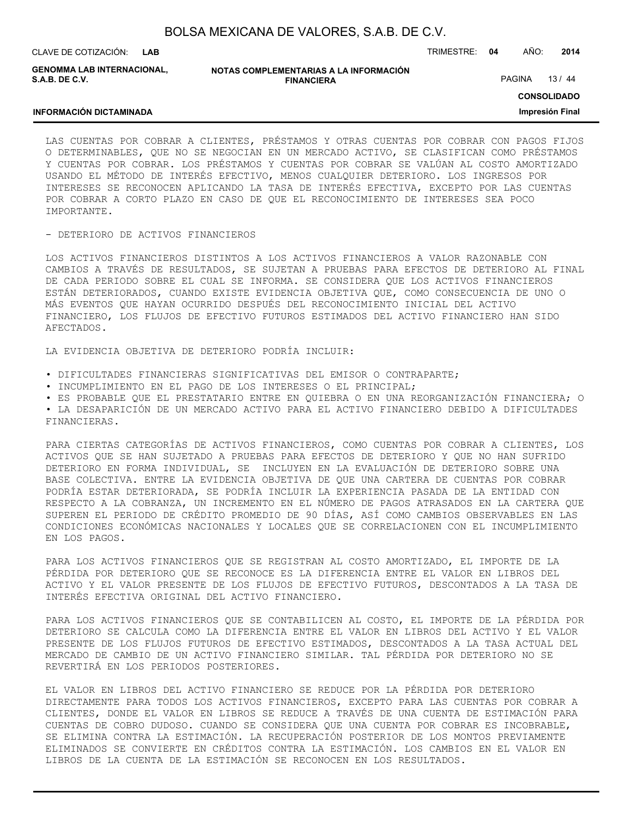| BOLSA MEXICANA DE VALORES, S.A.B. DE C.V. |  |  |
|-------------------------------------------|--|--|
|-------------------------------------------|--|--|

**LAB**

CLAVE DE COTIZACIÓN: TRIMESTRE: **04** AÑO: **2014**

**GENOMMA LAB INTERNACIONAL, S.A.B. DE C.V.**

**INFORMACIÓN DICTAMINADA**

**NOTAS COMPLEMENTARIAS A LA INFORMACIÓN FINANCIERA**

PAGINA 13 / 44

**CONSOLIDADO**

**Impresión Final**

LAS CUENTAS POR COBRAR A CLIENTES, PRÉSTAMOS Y OTRAS CUENTAS POR COBRAR CON PAGOS FIJOS O DETERMINABLES, QUE NO SE NEGOCIAN EN UN MERCADO ACTIVO, SE CLASIFICAN COMO PRÉSTAMOS Y CUENTAS POR COBRAR. LOS PRÉSTAMOS Y CUENTAS POR COBRAR SE VALÚAN AL COSTO AMORTIZADO USANDO EL MÉTODO DE INTERÉS EFECTIVO, MENOS CUALQUIER DETERIORO. LOS INGRESOS POR INTERESES SE RECONOCEN APLICANDO LA TASA DE INTERÉS EFECTIVA, EXCEPTO POR LAS CUENTAS POR COBRAR A CORTO PLAZO EN CASO DE QUE EL RECONOCIMIENTO DE INTERESES SEA POCO IMPORTANTE.

#### - DETERIORO DE ACTIVOS FINANCIEROS

LOS ACTIVOS FINANCIEROS DISTINTOS A LOS ACTIVOS FINANCIEROS A VALOR RAZONABLE CON CAMBIOS A TRAVÉS DE RESULTADOS, SE SUJETAN A PRUEBAS PARA EFECTOS DE DETERIORO AL FINAL DE CADA PERIODO SOBRE EL CUAL SE INFORMA. SE CONSIDERA QUE LOS ACTIVOS FINANCIEROS ESTÁN DETERIORADOS, CUANDO EXISTE EVIDENCIA OBJETIVA QUE, COMO CONSECUENCIA DE UNO O MÁS EVENTOS QUE HAYAN OCURRIDO DESPUÉS DEL RECONOCIMIENTO INICIAL DEL ACTIVO FINANCIERO, LOS FLUJOS DE EFECTIVO FUTUROS ESTIMADOS DEL ACTIVO FINANCIERO HAN SIDO AFECTADOS.

LA EVIDENCIA OBJETIVA DE DETERIORO PODRÍA INCLUIR:

- DIFICULTADES FINANCIERAS SIGNIFICATIVAS DEL EMISOR O CONTRAPARTE;
- INCUMPLIMIENTO EN EL PAGO DE LOS INTERESES O EL PRINCIPAL;

• ES PROBABLE QUE EL PRESTATARIO ENTRE EN QUIEBRA O EN UNA REORGANIZACIÓN FINANCIERA; O • LA DESAPARICIÓN DE UN MERCADO ACTIVO PARA EL ACTIVO FINANCIERO DEBIDO A DIFICULTADES FINANCIERAS.

PARA CIERTAS CATEGORÍAS DE ACTIVOS FINANCIEROS, COMO CUENTAS POR COBRAR A CLIENTES, LOS ACTIVOS QUE SE HAN SUJETADO A PRUEBAS PARA EFECTOS DE DETERIORO Y QUE NO HAN SUFRIDO DETERIORO EN FORMA INDIVIDUAL, SE INCLUYEN EN LA EVALUACIÓN DE DETERIORO SOBRE UNA BASE COLECTIVA. ENTRE LA EVIDENCIA OBJETIVA DE QUE UNA CARTERA DE CUENTAS POR COBRAR PODRÍA ESTAR DETERIORADA, SE PODRÍA INCLUIR LA EXPERIENCIA PASADA DE LA ENTIDAD CON RESPECTO A LA COBRANZA, UN INCREMENTO EN EL NÚMERO DE PAGOS ATRASADOS EN LA CARTERA QUE SUPEREN EL PERIODO DE CRÉDITO PROMEDIO DE 90 DÍAS, ASÍ COMO CAMBIOS OBSERVABLES EN LAS CONDICIONES ECONÓMICAS NACIONALES Y LOCALES QUE SE CORRELACIONEN CON EL INCUMPLIMIENTO EN LOS PAGOS.

PARA LOS ACTIVOS FINANCIEROS QUE SE REGISTRAN AL COSTO AMORTIZADO, EL IMPORTE DE LA PÉRDIDA POR DETERIORO QUE SE RECONOCE ES LA DIFERENCIA ENTRE EL VALOR EN LIBROS DEL ACTIVO Y EL VALOR PRESENTE DE LOS FLUJOS DE EFECTIVO FUTUROS, DESCONTADOS A LA TASA DE INTERÉS EFECTIVA ORIGINAL DEL ACTIVO FINANCIERO.

PARA LOS ACTIVOS FINANCIEROS QUE SE CONTABILICEN AL COSTO, EL IMPORTE DE LA PÉRDIDA POR DETERIORO SE CALCULA COMO LA DIFERENCIA ENTRE EL VALOR EN LIBROS DEL ACTIVO Y EL VALOR PRESENTE DE LOS FLUJOS FUTUROS DE EFECTIVO ESTIMADOS, DESCONTADOS A LA TASA ACTUAL DEL MERCADO DE CAMBIO DE UN ACTIVO FINANCIERO SIMILAR. TAL PÉRDIDA POR DETERIORO NO SE REVERTIRÁ EN LOS PERIODOS POSTERIORES.

EL VALOR EN LIBROS DEL ACTIVO FINANCIERO SE REDUCE POR LA PÉRDIDA POR DETERIORO DIRECTAMENTE PARA TODOS LOS ACTIVOS FINANCIEROS, EXCEPTO PARA LAS CUENTAS POR COBRAR A CLIENTES, DONDE EL VALOR EN LIBROS SE REDUCE A TRAVÉS DE UNA CUENTA DE ESTIMACIÓN PARA CUENTAS DE COBRO DUDOSO. CUANDO SE CONSIDERA QUE UNA CUENTA POR COBRAR ES INCOBRABLE, SE ELIMINA CONTRA LA ESTIMACIÓN. LA RECUPERACIÓN POSTERIOR DE LOS MONTOS PREVIAMENTE ELIMINADOS SE CONVIERTE EN CRÉDITOS CONTRA LA ESTIMACIÓN. LOS CAMBIOS EN EL VALOR EN LIBROS DE LA CUENTA DE LA ESTIMACIÓN SE RECONOCEN EN LOS RESULTADOS.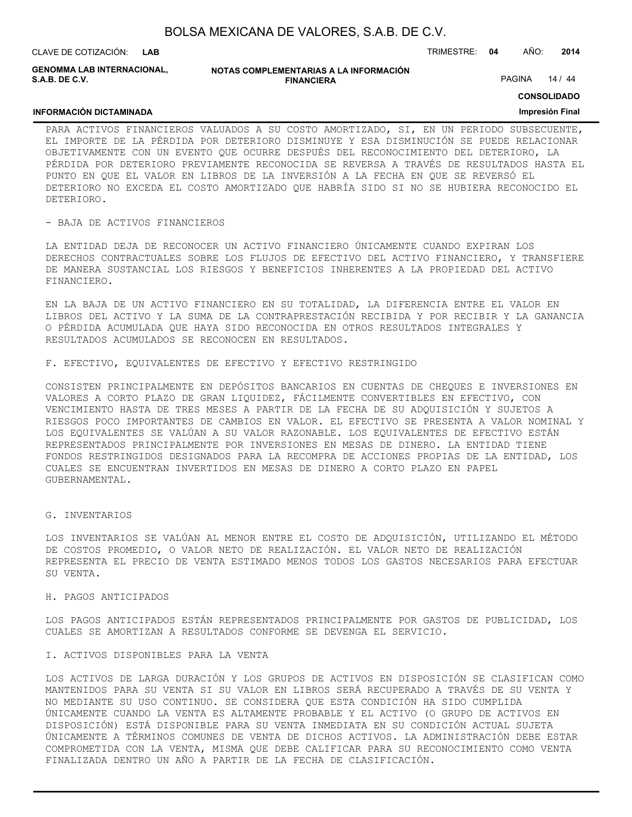| BOLSA MEXICANA DE VALORES, S.A.B. DE C.V. |  |  |  |
|-------------------------------------------|--|--|--|
|-------------------------------------------|--|--|--|

**FINANCIERA**

**LAB**

**NOTAS COMPLEMENTARIAS A LA INFORMACIÓN GENOMMA LAB INTERNACIONAL, S.A.B. DE C.V.**

CLAVE DE COTIZACIÓN: TRIMESTRE: **04** AÑO: **2014**

PAGINA 14 / 44

**CONSOLIDADO**

#### **INFORMACIÓN DICTAMINADA**

# **Impresión Final**

PARA ACTIVOS FINANCIEROS VALUADOS A SU COSTO AMORTIZADO, SI, EN UN PERIODO SUBSECUENTE, EL IMPORTE DE LA PÉRDIDA POR DETERIORO DISMINUYE Y ESA DISMINUCIÓN SE PUEDE RELACIONAR OBJETIVAMENTE CON UN EVENTO QUE OCURRE DESPUÉS DEL RECONOCIMIENTO DEL DETERIORO, LA PÉRDIDA POR DETERIORO PREVIAMENTE RECONOCIDA SE REVERSA A TRAVÉS DE RESULTADOS HASTA EL PUNTO EN QUE EL VALOR EN LIBROS DE LA INVERSIÓN A LA FECHA EN QUE SE REVERSÓ EL DETERIORO NO EXCEDA EL COSTO AMORTIZADO QUE HABRÍA SIDO SI NO SE HUBIERA RECONOCIDO EL DETERIORO.

#### - BAJA DE ACTIVOS FINANCIEROS

LA ENTIDAD DEJA DE RECONOCER UN ACTIVO FINANCIERO ÚNICAMENTE CUANDO EXPIRAN LOS DERECHOS CONTRACTUALES SOBRE LOS FLUJOS DE EFECTIVO DEL ACTIVO FINANCIERO, Y TRANSFIERE DE MANERA SUSTANCIAL LOS RIESGOS Y BENEFICIOS INHERENTES A LA PROPIEDAD DEL ACTIVO FINANCIERO.

EN LA BAJA DE UN ACTIVO FINANCIERO EN SU TOTALIDAD, LA DIFERENCIA ENTRE EL VALOR EN LIBROS DEL ACTIVO Y LA SUMA DE LA CONTRAPRESTACIÓN RECIBIDA Y POR RECIBIR Y LA GANANCIA O PÉRDIDA ACUMULADA QUE HAYA SIDO RECONOCIDA EN OTROS RESULTADOS INTEGRALES Y RESULTADOS ACUMULADOS SE RECONOCEN EN RESULTADOS.

F. EFECTIVO, EQUIVALENTES DE EFECTIVO Y EFECTIVO RESTRINGIDO

CONSISTEN PRINCIPALMENTE EN DEPÓSITOS BANCARIOS EN CUENTAS DE CHEQUES E INVERSIONES EN VALORES A CORTO PLAZO DE GRAN LIQUIDEZ, FÁCILMENTE CONVERTIBLES EN EFECTIVO, CON VENCIMIENTO HASTA DE TRES MESES A PARTIR DE LA FECHA DE SU ADQUISICIÓN Y SUJETOS A RIESGOS POCO IMPORTANTES DE CAMBIOS EN VALOR. EL EFECTIVO SE PRESENTA A VALOR NOMINAL Y LOS EQUIVALENTES SE VALÚAN A SU VALOR RAZONABLE. LOS EQUIVALENTES DE EFECTIVO ESTÁN REPRESENTADOS PRINCIPALMENTE POR INVERSIONES EN MESAS DE DINERO. LA ENTIDAD TIENE FONDOS RESTRINGIDOS DESIGNADOS PARA LA RECOMPRA DE ACCIONES PROPIAS DE LA ENTIDAD, LOS CUALES SE ENCUENTRAN INVERTIDOS EN MESAS DE DINERO A CORTO PLAZO EN PAPEL GUBERNAMENTAL.

#### G. INVENTARIOS

LOS INVENTARIOS SE VALÚAN AL MENOR ENTRE EL COSTO DE ADQUISICIÓN, UTILIZANDO EL MÉTODO DE COSTOS PROMEDIO, O VALOR NETO DE REALIZACIÓN. EL VALOR NETO DE REALIZACIÓN REPRESENTA EL PRECIO DE VENTA ESTIMADO MENOS TODOS LOS GASTOS NECESARIOS PARA EFECTUAR SU VENTA.

#### H. PAGOS ANTICIPADOS

LOS PAGOS ANTICIPADOS ESTÁN REPRESENTADOS PRINCIPALMENTE POR GASTOS DE PUBLICIDAD, LOS CUALES SE AMORTIZAN A RESULTADOS CONFORME SE DEVENGA EL SERVICIO.

#### I. ACTIVOS DISPONIBLES PARA LA VENTA

LOS ACTIVOS DE LARGA DURACIÓN Y LOS GRUPOS DE ACTIVOS EN DISPOSICIÓN SE CLASIFICAN COMO MANTENIDOS PARA SU VENTA SI SU VALOR EN LIBROS SERÁ RECUPERADO A TRAVÉS DE SU VENTA Y NO MEDIANTE SU USO CONTINUO. SE CONSIDERA QUE ESTA CONDICIÓN HA SIDO CUMPLIDA ÚNICAMENTE CUANDO LA VENTA ES ALTAMENTE PROBABLE Y EL ACTIVO (O GRUPO DE ACTIVOS EN DISPOSICIÓN) ESTÁ DISPONIBLE PARA SU VENTA INMEDIATA EN SU CONDICIÓN ACTUAL SUJETA ÚNICAMENTE A TÉRMINOS COMUNES DE VENTA DE DICHOS ACTIVOS. LA ADMINISTRACIÓN DEBE ESTAR COMPROMETIDA CON LA VENTA, MISMA QUE DEBE CALIFICAR PARA SU RECONOCIMIENTO COMO VENTA FINALIZADA DENTRO UN AÑO A PARTIR DE LA FECHA DE CLASIFICACIÓN.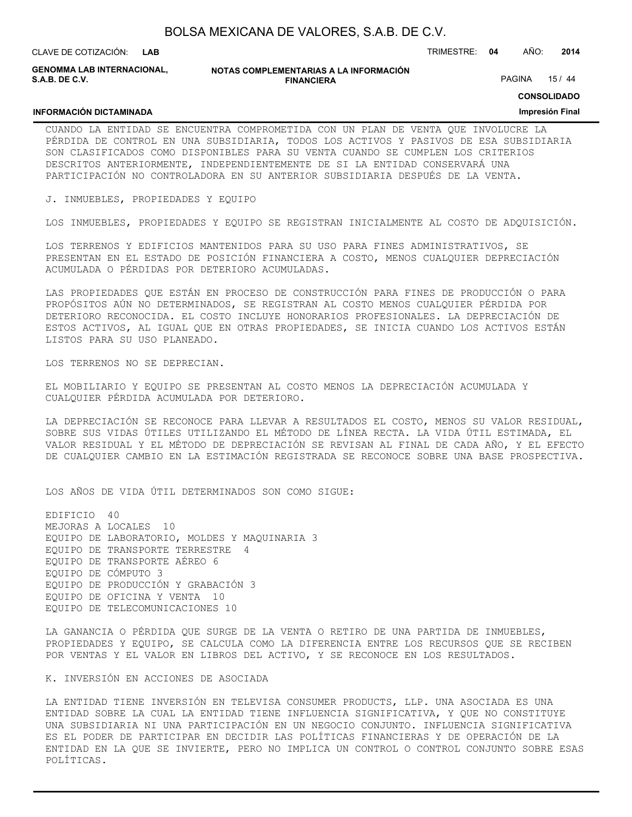| BOLSA MEXICANA DE VALORES, S.A.B. DE C.V. |  |  |
|-------------------------------------------|--|--|
|-------------------------------------------|--|--|

**LAB**

**NOTAS COMPLEMENTARIAS A LA INFORMACIÓN FINANCIERA GENOMMA LAB INTERNACIONAL,**

CLAVE DE COTIZACIÓN: TRIMESTRE: **04** AÑO: **2014**

PAGINA 15 / 44

**CONSOLIDADO**

#### **Impresión Final**

#### **INFORMACIÓN DICTAMINADA**

**S.A.B. DE C.V.**

CUANDO LA ENTIDAD SE ENCUENTRA COMPROMETIDA CON UN PLAN DE VENTA QUE INVOLUCRE LA PÉRDIDA DE CONTROL EN UNA SUBSIDIARIA, TODOS LOS ACTIVOS Y PASIVOS DE ESA SUBSIDIARIA SON CLASIFICADOS COMO DISPONIBLES PARA SU VENTA CUANDO SE CUMPLEN LOS CRITERIOS DESCRITOS ANTERIORMENTE, INDEPENDIENTEMENTE DE SI LA ENTIDAD CONSERVARÁ UNA PARTICIPACIÓN NO CONTROLADORA EN SU ANTERIOR SUBSIDIARIA DESPUÉS DE LA VENTA.

J. INMUEBLES, PROPIEDADES Y EQUIPO

LOS INMUEBLES, PROPIEDADES Y EQUIPO SE REGISTRAN INICIALMENTE AL COSTO DE ADQUISICIÓN.

LOS TERRENOS Y EDIFICIOS MANTENIDOS PARA SU USO PARA FINES ADMINISTRATIVOS, SE PRESENTAN EN EL ESTADO DE POSICIÓN FINANCIERA A COSTO, MENOS CUALQUIER DEPRECIACIÓN ACUMULADA O PÉRDIDAS POR DETERIORO ACUMULADAS.

LAS PROPIEDADES QUE ESTÁN EN PROCESO DE CONSTRUCCIÓN PARA FINES DE PRODUCCIÓN O PARA PROPÓSITOS AÚN NO DETERMINADOS, SE REGISTRAN AL COSTO MENOS CUALQUIER PÉRDIDA POR DETERIORO RECONOCIDA. EL COSTO INCLUYE HONORARIOS PROFESIONALES. LA DEPRECIACIÓN DE ESTOS ACTIVOS, AL IGUAL QUE EN OTRAS PROPIEDADES, SE INICIA CUANDO LOS ACTIVOS ESTÁN LISTOS PARA SU USO PLANEADO.

LOS TERRENOS NO SE DEPRECIAN.

EL MOBILIARIO Y EQUIPO SE PRESENTAN AL COSTO MENOS LA DEPRECIACIÓN ACUMULADA Y CUALQUIER PÉRDIDA ACUMULADA POR DETERIORO.

LA DEPRECIACIÓN SE RECONOCE PARA LLEVAR A RESULTADOS EL COSTO, MENOS SU VALOR RESIDUAL, SOBRE SUS VIDAS ÚTILES UTILIZANDO EL MÉTODO DE LÍNEA RECTA. LA VIDA ÚTIL ESTIMADA, EL VALOR RESIDUAL Y EL MÉTODO DE DEPRECIACIÓN SE REVISAN AL FINAL DE CADA AÑO, Y EL EFECTO DE CUALQUIER CAMBIO EN LA ESTIMACIÓN REGISTRADA SE RECONOCE SOBRE UNA BASE PROSPECTIVA.

LOS AÑOS DE VIDA ÚTIL DETERMINADOS SON COMO SIGUE:

EDIFICIO 40 MEJORAS A LOCALES 10 EQUIPO DE LABORATORIO, MOLDES Y MAQUINARIA 3 EQUIPO DE TRANSPORTE TERRESTRE 4 EQUIPO DE TRANSPORTE AÉREO 6 EQUIPO DE CÓMPUTO 3 EQUIPO DE PRODUCCIÓN Y GRABACIÓN 3 EQUIPO DE OFICINA Y VENTA 10 EQUIPO DE TELECOMUNICACIONES 10

LA GANANCIA O PÉRDIDA QUE SURGE DE LA VENTA O RETIRO DE UNA PARTIDA DE INMUEBLES, PROPIEDADES Y EQUIPO, SE CALCULA COMO LA DIFERENCIA ENTRE LOS RECURSOS QUE SE RECIBEN POR VENTAS Y EL VALOR EN LIBROS DEL ACTIVO, Y SE RECONOCE EN LOS RESULTADOS.

K. INVERSIÓN EN ACCIONES DE ASOCIADA

LA ENTIDAD TIENE INVERSIÓN EN TELEVISA CONSUMER PRODUCTS, LLP. UNA ASOCIADA ES UNA ENTIDAD SOBRE LA CUAL LA ENTIDAD TIENE INFLUENCIA SIGNIFICATIVA, Y QUE NO CONSTITUYE UNA SUBSIDIARIA NI UNA PARTICIPACIÓN EN UN NEGOCIO CONJUNTO. INFLUENCIA SIGNIFICATIVA ES EL PODER DE PARTICIPAR EN DECIDIR LAS POLÍTICAS FINANCIERAS Y DE OPERACIÓN DE LA ENTIDAD EN LA QUE SE INVIERTE, PERO NO IMPLICA UN CONTROL O CONTROL CONJUNTO SOBRE ESAS POLÍTICAS.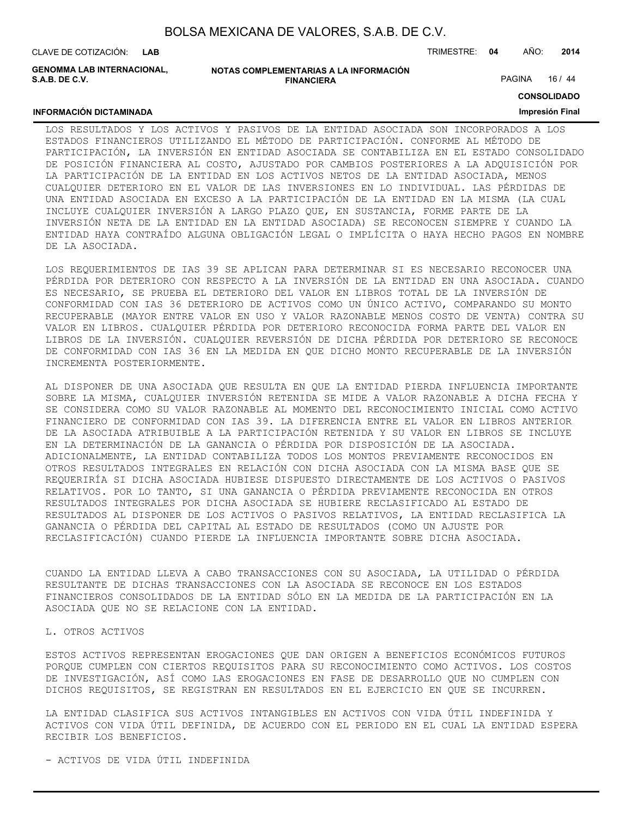CLAVE DE COTIZACIÓN: TRIMESTRE: **04** AÑO: **2014 LAB**

**GENOMMA LAB INTERNACIONAL, S.A.B. DE C.V.**

| NOTAS COMPLEMENTARIAS A LA INFORMACIÓN |
|----------------------------------------|
| <b>FINANCIERA</b>                      |

PAGINA 16 / 44

**CONSOLIDADO**

#### **INFORMACIÓN DICTAMINADA**

# **Impresión Final**

LOS RESULTADOS Y LOS ACTIVOS Y PASIVOS DE LA ENTIDAD ASOCIADA SON INCORPORADOS A LOS ESTADOS FINANCIEROS UTILIZANDO EL MÉTODO DE PARTICIPACIÓN. CONFORME AL MÉTODO DE PARTICIPACIÓN, LA INVERSIÓN EN ENTIDAD ASOCIADA SE CONTABILIZA EN EL ESTADO CONSOLIDADO DE POSICIÓN FINANCIERA AL COSTO, AJUSTADO POR CAMBIOS POSTERIORES A LA ADQUISICIÓN POR LA PARTICIPACIÓN DE LA ENTIDAD EN LOS ACTIVOS NETOS DE LA ENTIDAD ASOCIADA, MENOS CUALQUIER DETERIORO EN EL VALOR DE LAS INVERSIONES EN LO INDIVIDUAL. LAS PÉRDIDAS DE UNA ENTIDAD ASOCIADA EN EXCESO A LA PARTICIPACIÓN DE LA ENTIDAD EN LA MISMA (LA CUAL INCLUYE CUALQUIER INVERSIÓN A LARGO PLAZO QUE, EN SUSTANCIA, FORME PARTE DE LA INVERSIÓN NETA DE LA ENTIDAD EN LA ENTIDAD ASOCIADA) SE RECONOCEN SIEMPRE Y CUANDO LA ENTIDAD HAYA CONTRAÍDO ALGUNA OBLIGACIÓN LEGAL O IMPLÍCITA O HAYA HECHO PAGOS EN NOMBRE DE LA ASOCIADA.

LOS REQUERIMIENTOS DE IAS 39 SE APLICAN PARA DETERMINAR SI ES NECESARIO RECONOCER UNA PÉRDIDA POR DETERIORO CON RESPECTO A LA INVERSIÓN DE LA ENTIDAD EN UNA ASOCIADA. CUANDO ES NECESARIO, SE PRUEBA EL DETERIORO DEL VALOR EN LIBROS TOTAL DE LA INVERSIÓN DE CONFORMIDAD CON IAS 36 DETERIORO DE ACTIVOS COMO UN ÚNICO ACTIVO, COMPARANDO SU MONTO RECUPERABLE (MAYOR ENTRE VALOR EN USO Y VALOR RAZONABLE MENOS COSTO DE VENTA) CONTRA SU VALOR EN LIBROS. CUALQUIER PÉRDIDA POR DETERIORO RECONOCIDA FORMA PARTE DEL VALOR EN LIBROS DE LA INVERSIÓN. CUALQUIER REVERSIÓN DE DICHA PÉRDIDA POR DETERIORO SE RECONOCE DE CONFORMIDAD CON IAS 36 EN LA MEDIDA EN QUE DICHO MONTO RECUPERABLE DE LA INVERSIÓN INCREMENTA POSTERIORMENTE.

AL DISPONER DE UNA ASOCIADA QUE RESULTA EN QUE LA ENTIDAD PIERDA INFLUENCIA IMPORTANTE SOBRE LA MISMA, CUALQUIER INVERSIÓN RETENIDA SE MIDE A VALOR RAZONABLE A DICHA FECHA Y SE CONSIDERA COMO SU VALOR RAZONABLE AL MOMENTO DEL RECONOCIMIENTO INICIAL COMO ACTIVO FINANCIERO DE CONFORMIDAD CON IAS 39. LA DIFERENCIA ENTRE EL VALOR EN LIBROS ANTERIOR DE LA ASOCIADA ATRIBUIBLE A LA PARTICIPACIÓN RETENIDA Y SU VALOR EN LIBROS SE INCLUYE EN LA DETERMINACIÓN DE LA GANANCIA O PÉRDIDA POR DISPOSICIÓN DE LA ASOCIADA. ADICIONALMENTE, LA ENTIDAD CONTABILIZA TODOS LOS MONTOS PREVIAMENTE RECONOCIDOS EN OTROS RESULTADOS INTEGRALES EN RELACIÓN CON DICHA ASOCIADA CON LA MISMA BASE QUE SE REQUERIRÍA SI DICHA ASOCIADA HUBIESE DISPUESTO DIRECTAMENTE DE LOS ACTIVOS O PASIVOS RELATIVOS. POR LO TANTO, SI UNA GANANCIA O PÉRDIDA PREVIAMENTE RECONOCIDA EN OTROS RESULTADOS INTEGRALES POR DICHA ASOCIADA SE HUBIERE RECLASIFICADO AL ESTADO DE RESULTADOS AL DISPONER DE LOS ACTIVOS O PASIVOS RELATIVOS, LA ENTIDAD RECLASIFICA LA GANANCIA O PÉRDIDA DEL CAPITAL AL ESTADO DE RESULTADOS (COMO UN AJUSTE POR RECLASIFICACIÓN) CUANDO PIERDE LA INFLUENCIA IMPORTANTE SOBRE DICHA ASOCIADA.

CUANDO LA ENTIDAD LLEVA A CABO TRANSACCIONES CON SU ASOCIADA, LA UTILIDAD O PÉRDIDA RESULTANTE DE DICHAS TRANSACCIONES CON LA ASOCIADA SE RECONOCE EN LOS ESTADOS FINANCIEROS CONSOLIDADOS DE LA ENTIDAD SÓLO EN LA MEDIDA DE LA PARTICIPACIÓN EN LA ASOCIADA QUE NO SE RELACIONE CON LA ENTIDAD.

#### L. OTROS ACTIVOS

ESTOS ACTIVOS REPRESENTAN EROGACIONES QUE DAN ORIGEN A BENEFICIOS ECONÓMICOS FUTUROS PORQUE CUMPLEN CON CIERTOS REQUISITOS PARA SU RECONOCIMIENTO COMO ACTIVOS. LOS COSTOS DE INVESTIGACIÓN, ASÍ COMO LAS EROGACIONES EN FASE DE DESARROLLO QUE NO CUMPLEN CON DICHOS REQUISITOS, SE REGISTRAN EN RESULTADOS EN EL EJERCICIO EN QUE SE INCURREN.

LA ENTIDAD CLASIFICA SUS ACTIVOS INTANGIBLES EN ACTIVOS CON VIDA ÚTIL INDEFINIDA Y ACTIVOS CON VIDA ÚTIL DEFINIDA, DE ACUERDO CON EL PERIODO EN EL CUAL LA ENTIDAD ESPERA RECIBIR LOS BENEFICIOS.

- ACTIVOS DE VIDA ÚTIL INDEFINIDA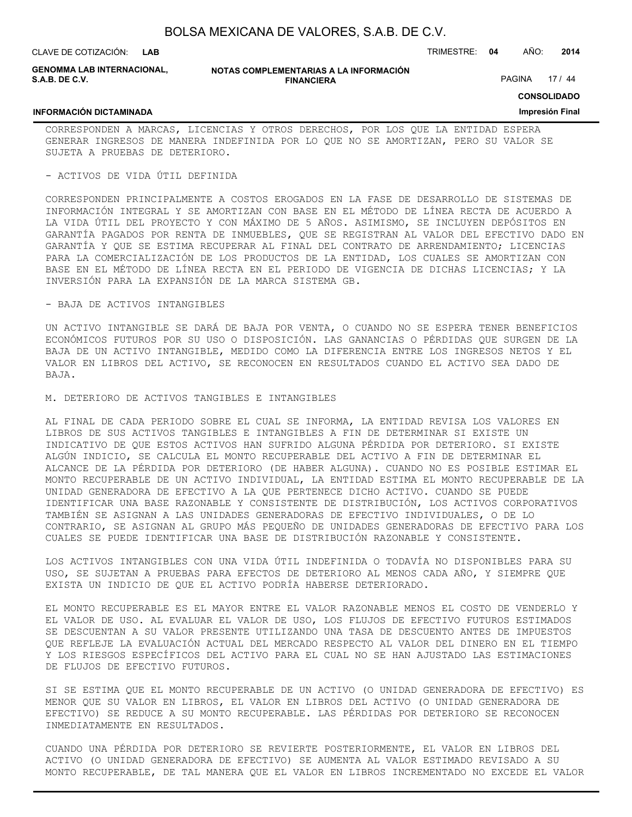| BOLSA MEXICANA DE VALORES, S.A.B. DE C.V. |  |  |  |
|-------------------------------------------|--|--|--|
|-------------------------------------------|--|--|--|

CLAVE DE COTIZACIÓN: TRIMESTRE: **04** AÑO: **2014 LAB**

**GENOMMA LAB INTERNACIONAL, S.A.B. DE C.V.**

**NOTAS COMPLEMENTARIAS A LA INFORMACIÓN FINANCIERA**

PAGINA 17 / 44

**CONSOLIDADO**

#### **INFORMACIÓN DICTAMINADA**

**Impresión Final**

CORRESPONDEN A MARCAS, LICENCIAS Y OTROS DERECHOS, POR LOS QUE LA ENTIDAD ESPERA GENERAR INGRESOS DE MANERA INDEFINIDA POR LO QUE NO SE AMORTIZAN, PERO SU VALOR SE SUJETA A PRUEBAS DE DETERIORO.

#### - ACTIVOS DE VIDA ÚTIL DEFINIDA

CORRESPONDEN PRINCIPALMENTE A COSTOS EROGADOS EN LA FASE DE DESARROLLO DE SISTEMAS DE INFORMACIÓN INTEGRAL Y SE AMORTIZAN CON BASE EN EL MÉTODO DE LÍNEA RECTA DE ACUERDO A LA VIDA ÚTIL DEL PROYECTO Y CON MÁXIMO DE 5 AÑOS. ASIMISMO, SE INCLUYEN DEPÓSITOS EN GARANTÍA PAGADOS POR RENTA DE INMUEBLES, QUE SE REGISTRAN AL VALOR DEL EFECTIVO DADO EN GARANTÍA Y QUE SE ESTIMA RECUPERAR AL FINAL DEL CONTRATO DE ARRENDAMIENTO; LICENCIAS PARA LA COMERCIALIZACIÓN DE LOS PRODUCTOS DE LA ENTIDAD, LOS CUALES SE AMORTIZAN CON BASE EN EL MÉTODO DE LÍNEA RECTA EN EL PERIODO DE VIGENCIA DE DICHAS LICENCIAS; Y LA INVERSIÓN PARA LA EXPANSIÓN DE LA MARCA SISTEMA GB.

#### - BAJA DE ACTIVOS INTANGIBLES

UN ACTIVO INTANGIBLE SE DARÁ DE BAJA POR VENTA, O CUANDO NO SE ESPERA TENER BENEFICIOS ECONÓMICOS FUTUROS POR SU USO O DISPOSICIÓN. LAS GANANCIAS O PÉRDIDAS QUE SURGEN DE LA BAJA DE UN ACTIVO INTANGIBLE, MEDIDO COMO LA DIFERENCIA ENTRE LOS INGRESOS NETOS Y EL VALOR EN LIBROS DEL ACTIVO, SE RECONOCEN EN RESULTADOS CUANDO EL ACTIVO SEA DADO DE BAJA.

M. DETERIORO DE ACTIVOS TANGIBLES E INTANGIBLES

AL FINAL DE CADA PERIODO SOBRE EL CUAL SE INFORMA, LA ENTIDAD REVISA LOS VALORES EN LIBROS DE SUS ACTIVOS TANGIBLES E INTANGIBLES A FIN DE DETERMINAR SI EXISTE UN INDICATIVO DE QUE ESTOS ACTIVOS HAN SUFRIDO ALGUNA PÉRDIDA POR DETERIORO. SI EXISTE ALGÚN INDICIO, SE CALCULA EL MONTO RECUPERABLE DEL ACTIVO A FIN DE DETERMINAR EL ALCANCE DE LA PÉRDIDA POR DETERIORO (DE HABER ALGUNA). CUANDO NO ES POSIBLE ESTIMAR EL MONTO RECUPERABLE DE UN ACTIVO INDIVIDUAL, LA ENTIDAD ESTIMA EL MONTO RECUPERABLE DE LA UNIDAD GENERADORA DE EFECTIVO A LA QUE PERTENECE DICHO ACTIVO. CUANDO SE PUEDE IDENTIFICAR UNA BASE RAZONABLE Y CONSISTENTE DE DISTRIBUCIÓN, LOS ACTIVOS CORPORATIVOS TAMBIÉN SE ASIGNAN A LAS UNIDADES GENERADORAS DE EFECTIVO INDIVIDUALES, O DE LO CONTRARIO, SE ASIGNAN AL GRUPO MÁS PEQUEÑO DE UNIDADES GENERADORAS DE EFECTIVO PARA LOS CUALES SE PUEDE IDENTIFICAR UNA BASE DE DISTRIBUCIÓN RAZONABLE Y CONSISTENTE.

LOS ACTIVOS INTANGIBLES CON UNA VIDA ÚTIL INDEFINIDA O TODAVÍA NO DISPONIBLES PARA SU USO, SE SUJETAN A PRUEBAS PARA EFECTOS DE DETERIORO AL MENOS CADA AÑO, Y SIEMPRE QUE EXISTA UN INDICIO DE QUE EL ACTIVO PODRÍA HABERSE DETERIORADO.

EL MONTO RECUPERABLE ES EL MAYOR ENTRE EL VALOR RAZONABLE MENOS EL COSTO DE VENDERLO Y EL VALOR DE USO. AL EVALUAR EL VALOR DE USO, LOS FLUJOS DE EFECTIVO FUTUROS ESTIMADOS SE DESCUENTAN A SU VALOR PRESENTE UTILIZANDO UNA TASA DE DESCUENTO ANTES DE IMPUESTOS QUE REFLEJE LA EVALUACIÓN ACTUAL DEL MERCADO RESPECTO AL VALOR DEL DINERO EN EL TIEMPO Y LOS RIESGOS ESPECÍFICOS DEL ACTIVO PARA EL CUAL NO SE HAN AJUSTADO LAS ESTIMACIONES DE FLUJOS DE EFECTIVO FUTUROS.

SI SE ESTIMA QUE EL MONTO RECUPERABLE DE UN ACTIVO (O UNIDAD GENERADORA DE EFECTIVO) ES MENOR QUE SU VALOR EN LIBROS, EL VALOR EN LIBROS DEL ACTIVO (O UNIDAD GENERADORA DE EFECTIVO) SE REDUCE A SU MONTO RECUPERABLE. LAS PÉRDIDAS POR DETERIORO SE RECONOCEN INMEDIATAMENTE EN RESULTADOS.

CUANDO UNA PÉRDIDA POR DETERIORO SE REVIERTE POSTERIORMENTE, EL VALOR EN LIBROS DEL ACTIVO (O UNIDAD GENERADORA DE EFECTIVO) SE AUMENTA AL VALOR ESTIMADO REVISADO A SU MONTO RECUPERABLE, DE TAL MANERA QUE EL VALOR EN LIBROS INCREMENTADO NO EXCEDE EL VALOR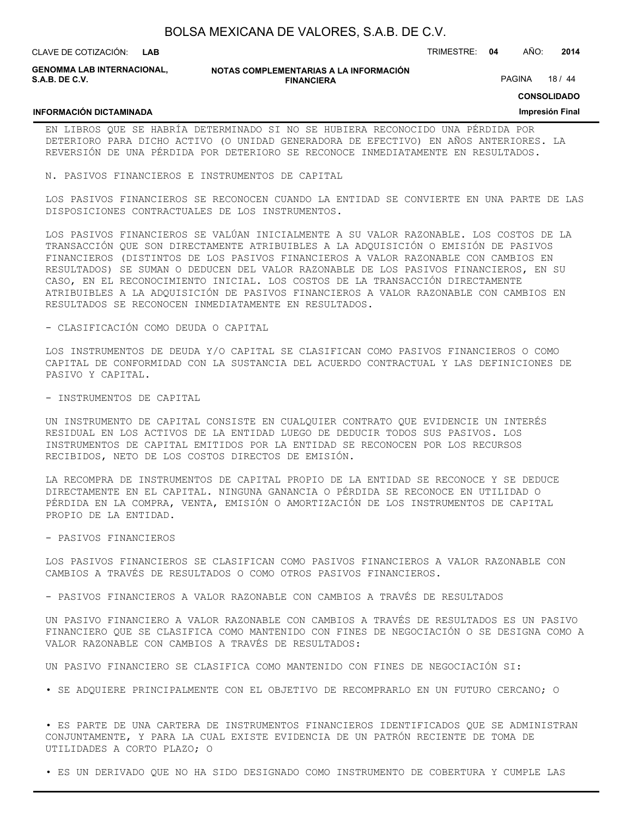| BOLSA MEXICANA DE VALORES, S.A.B. DE C.V. |  |  |
|-------------------------------------------|--|--|
|-------------------------------------------|--|--|

**INFORMACIÓN DICTAMINADA**

**GENOMMA LAB INTERNACIONAL, S.A.B. DE C.V.**

#### **NOTAS COMPLEMENTARIAS A LA INFORMACIÓN FINANCIERA**

PAGINA 18 / 44

**CONSOLIDADO**

#### **Impresión Final**

EN LIBROS QUE SE HABRÍA DETERMINADO SI NO SE HUBIERA RECONOCIDO UNA PÉRDIDA POR DETERIORO PARA DICHO ACTIVO (O UNIDAD GENERADORA DE EFECTIVO) EN AÑOS ANTERIORES. LA REVERSIÓN DE UNA PÉRDIDA POR DETERIORO SE RECONOCE INMEDIATAMENTE EN RESULTADOS.

N. PASIVOS FINANCIEROS E INSTRUMENTOS DE CAPITAL

LOS PASIVOS FINANCIEROS SE RECONOCEN CUANDO LA ENTIDAD SE CONVIERTE EN UNA PARTE DE LAS DISPOSICIONES CONTRACTUALES DE LOS INSTRUMENTOS.

LOS PASIVOS FINANCIEROS SE VALÚAN INICIALMENTE A SU VALOR RAZONABLE. LOS COSTOS DE LA TRANSACCIÓN QUE SON DIRECTAMENTE ATRIBUIBLES A LA ADQUISICIÓN O EMISIÓN DE PASIVOS FINANCIEROS (DISTINTOS DE LOS PASIVOS FINANCIEROS A VALOR RAZONABLE CON CAMBIOS EN RESULTADOS) SE SUMAN O DEDUCEN DEL VALOR RAZONABLE DE LOS PASIVOS FINANCIEROS, EN SU CASO, EN EL RECONOCIMIENTO INICIAL. LOS COSTOS DE LA TRANSACCIÓN DIRECTAMENTE ATRIBUIBLES A LA ADQUISICIÓN DE PASIVOS FINANCIEROS A VALOR RAZONABLE CON CAMBIOS EN RESULTADOS SE RECONOCEN INMEDIATAMENTE EN RESULTADOS.

- CLASIFICACIÓN COMO DEUDA O CAPITAL

LOS INSTRUMENTOS DE DEUDA Y/O CAPITAL SE CLASIFICAN COMO PASIVOS FINANCIEROS O COMO CAPITAL DE CONFORMIDAD CON LA SUSTANCIA DEL ACUERDO CONTRACTUAL Y LAS DEFINICIONES DE PASIVO Y CAPITAL.

- INSTRUMENTOS DE CAPITAL

UN INSTRUMENTO DE CAPITAL CONSISTE EN CUALQUIER CONTRATO QUE EVIDENCIE UN INTERÉS RESIDUAL EN LOS ACTIVOS DE LA ENTIDAD LUEGO DE DEDUCIR TODOS SUS PASIVOS. LOS INSTRUMENTOS DE CAPITAL EMITIDOS POR LA ENTIDAD SE RECONOCEN POR LOS RECURSOS RECIBIDOS, NETO DE LOS COSTOS DIRECTOS DE EMISIÓN.

LA RECOMPRA DE INSTRUMENTOS DE CAPITAL PROPIO DE LA ENTIDAD SE RECONOCE Y SE DEDUCE DIRECTAMENTE EN EL CAPITAL. NINGUNA GANANCIA O PÉRDIDA SE RECONOCE EN UTILIDAD O PÉRDIDA EN LA COMPRA, VENTA, EMISIÓN O AMORTIZACIÓN DE LOS INSTRUMENTOS DE CAPITAL PROPIO DE LA ENTIDAD.

- PASIVOS FINANCIEROS

LOS PASIVOS FINANCIEROS SE CLASIFICAN COMO PASIVOS FINANCIEROS A VALOR RAZONABLE CON CAMBIOS A TRAVÉS DE RESULTADOS O COMO OTROS PASIVOS FINANCIEROS.

- PASIVOS FINANCIEROS A VALOR RAZONABLE CON CAMBIOS A TRAVÉS DE RESULTADOS

UN PASIVO FINANCIERO A VALOR RAZONABLE CON CAMBIOS A TRAVÉS DE RESULTADOS ES UN PASIVO FINANCIERO QUE SE CLASIFICA COMO MANTENIDO CON FINES DE NEGOCIACIÓN O SE DESIGNA COMO A VALOR RAZONABLE CON CAMBIOS A TRAVÉS DE RESULTADOS:

UN PASIVO FINANCIERO SE CLASIFICA COMO MANTENIDO CON FINES DE NEGOCIACIÓN SI:

• SE ADQUIERE PRINCIPALMENTE CON EL OBJETIVO DE RECOMPRARLO EN UN FUTURO CERCANO; O

• ES PARTE DE UNA CARTERA DE INSTRUMENTOS FINANCIEROS IDENTIFICADOS QUE SE ADMINISTRAN CONJUNTAMENTE, Y PARA LA CUAL EXISTE EVIDENCIA DE UN PATRÓN RECIENTE DE TOMA DE UTILIDADES A CORTO PLAZO; O

• ES UN DERIVADO QUE NO HA SIDO DESIGNADO COMO INSTRUMENTO DE COBERTURA Y CUMPLE LAS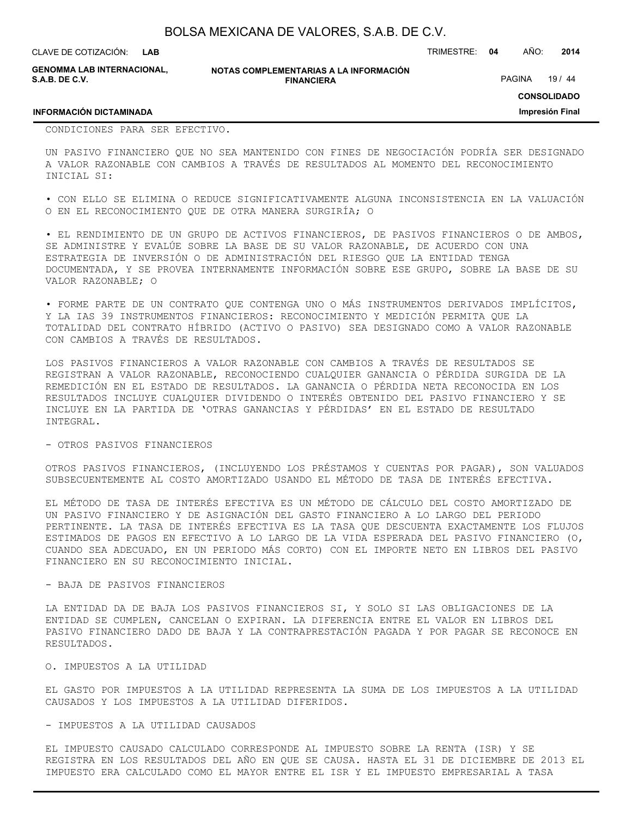**LAB**

CLAVE DE COTIZACIÓN: TRIMESTRE: **04** AÑO: **2014**

**GENOMMA LAB INTERNACIONAL, S.A.B. DE C.V.**

#### **NOTAS COMPLEMENTARIAS A LA INFORMACIÓN FINANCIERA**

PAGINA 19 / 44

**CONSOLIDADO**

**Impresión Final**

#### **INFORMACIÓN DICTAMINADA**

CONDICIONES PARA SER EFECTIVO.

UN PASIVO FINANCIERO QUE NO SEA MANTENIDO CON FINES DE NEGOCIACIÓN PODRÍA SER DESIGNADO A VALOR RAZONABLE CON CAMBIOS A TRAVÉS DE RESULTADOS AL MOMENTO DEL RECONOCIMIENTO INICIAL SI:

• CON ELLO SE ELIMINA O REDUCE SIGNIFICATIVAMENTE ALGUNA INCONSISTENCIA EN LA VALUACIÓN O EN EL RECONOCIMIENTO QUE DE OTRA MANERA SURGIRÍA; O

• EL RENDIMIENTO DE UN GRUPO DE ACTIVOS FINANCIEROS, DE PASIVOS FINANCIEROS O DE AMBOS, SE ADMINISTRE Y EVALÚE SOBRE LA BASE DE SU VALOR RAZONABLE, DE ACUERDO CON UNA ESTRATEGIA DE INVERSIÓN O DE ADMINISTRACIÓN DEL RIESGO QUE LA ENTIDAD TENGA DOCUMENTADA, Y SE PROVEA INTERNAMENTE INFORMACIÓN SOBRE ESE GRUPO, SOBRE LA BASE DE SU VALOR RAZONABLE; O

• FORME PARTE DE UN CONTRATO QUE CONTENGA UNO O MÁS INSTRUMENTOS DERIVADOS IMPLÍCITOS, Y LA IAS 39 INSTRUMENTOS FINANCIEROS: RECONOCIMIENTO Y MEDICIÓN PERMITA QUE LA TOTALIDAD DEL CONTRATO HÍBRIDO (ACTIVO O PASIVO) SEA DESIGNADO COMO A VALOR RAZONABLE CON CAMBIOS A TRAVÉS DE RESULTADOS.

LOS PASIVOS FINANCIEROS A VALOR RAZONABLE CON CAMBIOS A TRAVÉS DE RESULTADOS SE REGISTRAN A VALOR RAZONABLE, RECONOCIENDO CUALQUIER GANANCIA O PÉRDIDA SURGIDA DE LA REMEDICIÓN EN EL ESTADO DE RESULTADOS. LA GANANCIA O PÉRDIDA NETA RECONOCIDA EN LOS RESULTADOS INCLUYE CUALQUIER DIVIDENDO O INTERÉS OBTENIDO DEL PASIVO FINANCIERO Y SE INCLUYE EN LA PARTIDA DE 'OTRAS GANANCIAS Y PÉRDIDAS' EN EL ESTADO DE RESULTADO INTEGRAL.

#### - OTROS PASIVOS FINANCIEROS

OTROS PASIVOS FINANCIEROS, (INCLUYENDO LOS PRÉSTAMOS Y CUENTAS POR PAGAR), SON VALUADOS SUBSECUENTEMENTE AL COSTO AMORTIZADO USANDO EL MÉTODO DE TASA DE INTERÉS EFECTIVA.

EL MÉTODO DE TASA DE INTERÉS EFECTIVA ES UN MÉTODO DE CÁLCULO DEL COSTO AMORTIZADO DE UN PASIVO FINANCIERO Y DE ASIGNACIÓN DEL GASTO FINANCIERO A LO LARGO DEL PERIODO PERTINENTE. LA TASA DE INTERÉS EFECTIVA ES LA TASA QUE DESCUENTA EXACTAMENTE LOS FLUJOS ESTIMADOS DE PAGOS EN EFECTIVO A LO LARGO DE LA VIDA ESPERADA DEL PASIVO FINANCIERO (O, CUANDO SEA ADECUADO, EN UN PERIODO MÁS CORTO) CON EL IMPORTE NETO EN LIBROS DEL PASIVO FINANCIERO EN SU RECONOCIMIENTO INICIAL.

#### - BAJA DE PASIVOS FINANCIEROS

LA ENTIDAD DA DE BAJA LOS PASIVOS FINANCIEROS SI, Y SOLO SI LAS OBLIGACIONES DE LA ENTIDAD SE CUMPLEN, CANCELAN O EXPIRAN. LA DIFERENCIA ENTRE EL VALOR EN LIBROS DEL PASIVO FINANCIERO DADO DE BAJA Y LA CONTRAPRESTACIÓN PAGADA Y POR PAGAR SE RECONOCE EN RESULTADOS.

#### O. IMPUESTOS A LA UTILIDAD

EL GASTO POR IMPUESTOS A LA UTILIDAD REPRESENTA LA SUMA DE LOS IMPUESTOS A LA UTILIDAD CAUSADOS Y LOS IMPUESTOS A LA UTILIDAD DIFERIDOS.

#### - IMPUESTOS A LA UTILIDAD CAUSADOS

EL IMPUESTO CAUSADO CALCULADO CORRESPONDE AL IMPUESTO SOBRE LA RENTA (ISR) Y SE REGISTRA EN LOS RESULTADOS DEL AÑO EN QUE SE CAUSA. HASTA EL 31 DE DICIEMBRE DE 2013 EL IMPUESTO ERA CALCULADO COMO EL MAYOR ENTRE EL ISR Y EL IMPUESTO EMPRESARIAL A TASA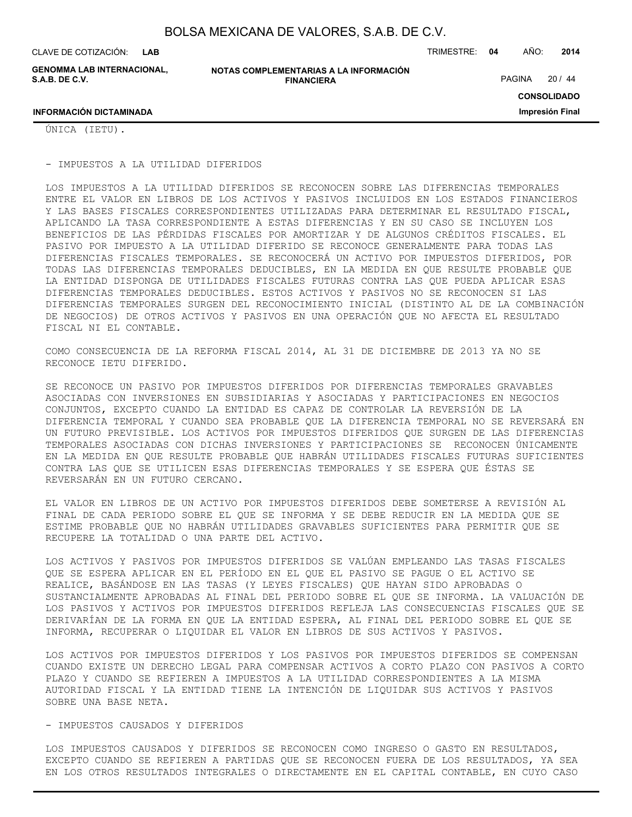**LAB**

**GENOMMA LAB INTERNACIONAL, S.A.B. DE C.V.**

**NOTAS COMPLEMENTARIAS A LA INFORMACIÓN FINANCIERA**

CLAVE DE COTIZACIÓN: TRIMESTRE: **04** AÑO: **2014**

PAGINA 20 / 44

**CONSOLIDADO Impresión Final**

ÚNICA (IETU).

**INFORMACIÓN DICTAMINADA**

- IMPUESTOS A LA UTILIDAD DIFERIDOS

LOS IMPUESTOS A LA UTILIDAD DIFERIDOS SE RECONOCEN SOBRE LAS DIFERENCIAS TEMPORALES ENTRE EL VALOR EN LIBROS DE LOS ACTIVOS Y PASIVOS INCLUIDOS EN LOS ESTADOS FINANCIEROS Y LAS BASES FISCALES CORRESPONDIENTES UTILIZADAS PARA DETERMINAR EL RESULTADO FISCAL, APLICANDO LA TASA CORRESPONDIENTE A ESTAS DIFERENCIAS Y EN SU CASO SE INCLUYEN LOS BENEFICIOS DE LAS PÉRDIDAS FISCALES POR AMORTIZAR Y DE ALGUNOS CRÉDITOS FISCALES. EL PASIVO POR IMPUESTO A LA UTILIDAD DIFERIDO SE RECONOCE GENERALMENTE PARA TODAS LAS DIFERENCIAS FISCALES TEMPORALES. SE RECONOCERÁ UN ACTIVO POR IMPUESTOS DIFERIDOS, POR TODAS LAS DIFERENCIAS TEMPORALES DEDUCIBLES, EN LA MEDIDA EN QUE RESULTE PROBABLE QUE LA ENTIDAD DISPONGA DE UTILIDADES FISCALES FUTURAS CONTRA LAS QUE PUEDA APLICAR ESAS DIFERENCIAS TEMPORALES DEDUCIBLES. ESTOS ACTIVOS Y PASIVOS NO SE RECONOCEN SI LAS DIFERENCIAS TEMPORALES SURGEN DEL RECONOCIMIENTO INICIAL (DISTINTO AL DE LA COMBINACIÓN DE NEGOCIOS) DE OTROS ACTIVOS Y PASIVOS EN UNA OPERACIÓN QUE NO AFECTA EL RESULTADO FISCAL NI EL CONTABLE.

COMO CONSECUENCIA DE LA REFORMA FISCAL 2014, AL 31 DE DICIEMBRE DE 2013 YA NO SE RECONOCE IETU DIFERIDO.

SE RECONOCE UN PASIVO POR IMPUESTOS DIFERIDOS POR DIFERENCIAS TEMPORALES GRAVABLES ASOCIADAS CON INVERSIONES EN SUBSIDIARIAS Y ASOCIADAS Y PARTICIPACIONES EN NEGOCIOS CONJUNTOS, EXCEPTO CUANDO LA ENTIDAD ES CAPAZ DE CONTROLAR LA REVERSIÓN DE LA DIFERENCIA TEMPORAL Y CUANDO SEA PROBABLE QUE LA DIFERENCIA TEMPORAL NO SE REVERSARÁ EN UN FUTURO PREVISIBLE. LOS ACTIVOS POR IMPUESTOS DIFERIDOS QUE SURGEN DE LAS DIFERENCIAS TEMPORALES ASOCIADAS CON DICHAS INVERSIONES Y PARTICIPACIONES SE RECONOCEN ÚNICAMENTE EN LA MEDIDA EN QUE RESULTE PROBABLE QUE HABRÁN UTILIDADES FISCALES FUTURAS SUFICIENTES CONTRA LAS QUE SE UTILICEN ESAS DIFERENCIAS TEMPORALES Y SE ESPERA QUE ÉSTAS SE REVERSARÁN EN UN FUTURO CERCANO.

EL VALOR EN LIBROS DE UN ACTIVO POR IMPUESTOS DIFERIDOS DEBE SOMETERSE A REVISIÓN AL FINAL DE CADA PERIODO SOBRE EL QUE SE INFORMA Y SE DEBE REDUCIR EN LA MEDIDA QUE SE ESTIME PROBABLE QUE NO HABRÁN UTILIDADES GRAVABLES SUFICIENTES PARA PERMITIR QUE SE RECUPERE LA TOTALIDAD O UNA PARTE DEL ACTIVO.

LOS ACTIVOS Y PASIVOS POR IMPUESTOS DIFERIDOS SE VALÚAN EMPLEANDO LAS TASAS FISCALES QUE SE ESPERA APLICAR EN EL PERÍODO EN EL QUE EL PASIVO SE PAGUE O EL ACTIVO SE REALICE, BASÁNDOSE EN LAS TASAS (Y LEYES FISCALES) QUE HAYAN SIDO APROBADAS O SUSTANCIALMENTE APROBADAS AL FINAL DEL PERIODO SOBRE EL QUE SE INFORMA. LA VALUACIÓN DE LOS PASIVOS Y ACTIVOS POR IMPUESTOS DIFERIDOS REFLEJA LAS CONSECUENCIAS FISCALES QUE SE DERIVARÍAN DE LA FORMA EN QUE LA ENTIDAD ESPERA, AL FINAL DEL PERIODO SOBRE EL QUE SE INFORMA, RECUPERAR O LIQUIDAR EL VALOR EN LIBROS DE SUS ACTIVOS Y PASIVOS.

LOS ACTIVOS POR IMPUESTOS DIFERIDOS Y LOS PASIVOS POR IMPUESTOS DIFERIDOS SE COMPENSAN CUANDO EXISTE UN DERECHO LEGAL PARA COMPENSAR ACTIVOS A CORTO PLAZO CON PASIVOS A CORTO PLAZO Y CUANDO SE REFIEREN A IMPUESTOS A LA UTILIDAD CORRESPONDIENTES A LA MISMA AUTORIDAD FISCAL Y LA ENTIDAD TIENE LA INTENCIÓN DE LIQUIDAR SUS ACTIVOS Y PASIVOS SOBRE UNA BASE NETA.

#### - IMPUESTOS CAUSADOS Y DIFERIDOS

LOS IMPUESTOS CAUSADOS Y DIFERIDOS SE RECONOCEN COMO INGRESO O GASTO EN RESULTADOS, EXCEPTO CUANDO SE REFIEREN A PARTIDAS QUE SE RECONOCEN FUERA DE LOS RESULTADOS, YA SEA EN LOS OTROS RESULTADOS INTEGRALES O DIRECTAMENTE EN EL CAPITAL CONTABLE, EN CUYO CASO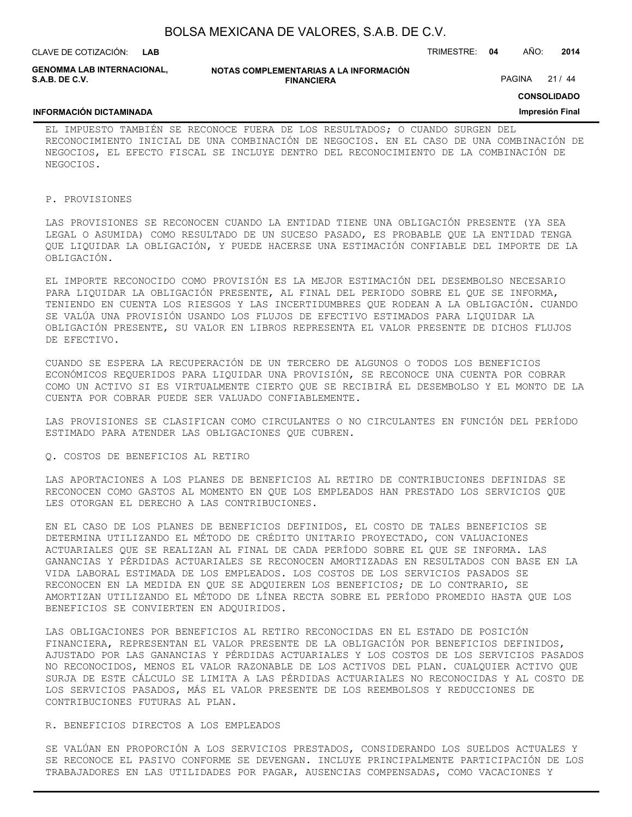| BOLSA MEXICANA DE VALORES, S.A.B. DE C.V. |  |  |
|-------------------------------------------|--|--|
|-------------------------------------------|--|--|

**LAB**

CLAVE DE COTIZACIÓN: TRIMESTRE: **04** AÑO: **2014**

**GENOMMA LAB INTERNACIONAL, S.A.B. DE C.V.**

#### **NOTAS COMPLEMENTARIAS A LA INFORMACIÓN FINANCIERA**

PAGINA 21 / 44

**CONSOLIDADO Impresión Final**

### **INFORMACIÓN DICTAMINADA**

EL IMPUESTO TAMBIÉN SE RECONOCE FUERA DE LOS RESULTADOS; O CUANDO SURGEN DEL RECONOCIMIENTO INICIAL DE UNA COMBINACIÓN DE NEGOCIOS. EN EL CASO DE UNA COMBINACIÓN DE NEGOCIOS, EL EFECTO FISCAL SE INCLUYE DENTRO DEL RECONOCIMIENTO DE LA COMBINACIÓN DE NEGOCIOS.

#### P. PROVISIONES

LAS PROVISIONES SE RECONOCEN CUANDO LA ENTIDAD TIENE UNA OBLIGACIÓN PRESENTE (YA SEA LEGAL O ASUMIDA) COMO RESULTADO DE UN SUCESO PASADO, ES PROBABLE QUE LA ENTIDAD TENGA QUE LIQUIDAR LA OBLIGACIÓN, Y PUEDE HACERSE UNA ESTIMACIÓN CONFIABLE DEL IMPORTE DE LA OBLIGACIÓN.

EL IMPORTE RECONOCIDO COMO PROVISIÓN ES LA MEJOR ESTIMACIÓN DEL DESEMBOLSO NECESARIO PARA LIQUIDAR LA OBLIGACIÓN PRESENTE, AL FINAL DEL PERIODO SOBRE EL QUE SE INFORMA, TENIENDO EN CUENTA LOS RIESGOS Y LAS INCERTIDUMBRES QUE RODEAN A LA OBLIGACIÓN. CUANDO SE VALÚA UNA PROVISIÓN USANDO LOS FLUJOS DE EFECTIVO ESTIMADOS PARA LIQUIDAR LA OBLIGACIÓN PRESENTE, SU VALOR EN LIBROS REPRESENTA EL VALOR PRESENTE DE DICHOS FLUJOS DE EFECTIVO.

CUANDO SE ESPERA LA RECUPERACIÓN DE UN TERCERO DE ALGUNOS O TODOS LOS BENEFICIOS ECONÓMICOS REQUERIDOS PARA LIQUIDAR UNA PROVISIÓN, SE RECONOCE UNA CUENTA POR COBRAR COMO UN ACTIVO SI ES VIRTUALMENTE CIERTO QUE SE RECIBIRÁ EL DESEMBOLSO Y EL MONTO DE LA CUENTA POR COBRAR PUEDE SER VALUADO CONFIABLEMENTE.

LAS PROVISIONES SE CLASIFICAN COMO CIRCULANTES O NO CIRCULANTES EN FUNCIÓN DEL PERÍODO ESTIMADO PARA ATENDER LAS OBLIGACIONES QUE CUBREN.

#### Q. COSTOS DE BENEFICIOS AL RETIRO

LAS APORTACIONES A LOS PLANES DE BENEFICIOS AL RETIRO DE CONTRIBUCIONES DEFINIDAS SE RECONOCEN COMO GASTOS AL MOMENTO EN QUE LOS EMPLEADOS HAN PRESTADO LOS SERVICIOS QUE LES OTORGAN EL DERECHO A LAS CONTRIBUCIONES.

EN EL CASO DE LOS PLANES DE BENEFICIOS DEFINIDOS, EL COSTO DE TALES BENEFICIOS SE DETERMINA UTILIZANDO EL MÉTODO DE CRÉDITO UNITARIO PROYECTADO, CON VALUACIONES ACTUARIALES QUE SE REALIZAN AL FINAL DE CADA PERÍODO SOBRE EL QUE SE INFORMA. LAS GANANCIAS Y PÉRDIDAS ACTUARIALES SE RECONOCEN AMORTIZADAS EN RESULTADOS CON BASE EN LA VIDA LABORAL ESTIMADA DE LOS EMPLEADOS. LOS COSTOS DE LOS SERVICIOS PASADOS SE RECONOCEN EN LA MEDIDA EN QUE SE ADQUIEREN LOS BENEFICIOS; DE LO CONTRARIO, SE AMORTIZAN UTILIZANDO EL MÉTODO DE LÍNEA RECTA SOBRE EL PERÍODO PROMEDIO HASTA QUE LOS BENEFICIOS SE CONVIERTEN EN ADQUIRIDOS.

LAS OBLIGACIONES POR BENEFICIOS AL RETIRO RECONOCIDAS EN EL ESTADO DE POSICIÓN FINANCIERA, REPRESENTAN EL VALOR PRESENTE DE LA OBLIGACIÓN POR BENEFICIOS DEFINIDOS, AJUSTADO POR LAS GANANCIAS Y PÉRDIDAS ACTUARIALES Y LOS COSTOS DE LOS SERVICIOS PASADOS NO RECONOCIDOS, MENOS EL VALOR RAZONABLE DE LOS ACTIVOS DEL PLAN. CUALQUIER ACTIVO QUE SURJA DE ESTE CÁLCULO SE LIMITA A LAS PÉRDIDAS ACTUARIALES NO RECONOCIDAS Y AL COSTO DE LOS SERVICIOS PASADOS, MÁS EL VALOR PRESENTE DE LOS REEMBOLSOS Y REDUCCIONES DE CONTRIBUCIONES FUTURAS AL PLAN.

#### R. BENEFICIOS DIRECTOS A LOS EMPLEADOS

SE VALÚAN EN PROPORCIÓN A LOS SERVICIOS PRESTADOS, CONSIDERANDO LOS SUELDOS ACTUALES Y SE RECONOCE EL PASIVO CONFORME SE DEVENGAN. INCLUYE PRINCIPALMENTE PARTICIPACIÓN DE LOS TRABAJADORES EN LAS UTILIDADES POR PAGAR, AUSENCIAS COMPENSADAS, COMO VACACIONES Y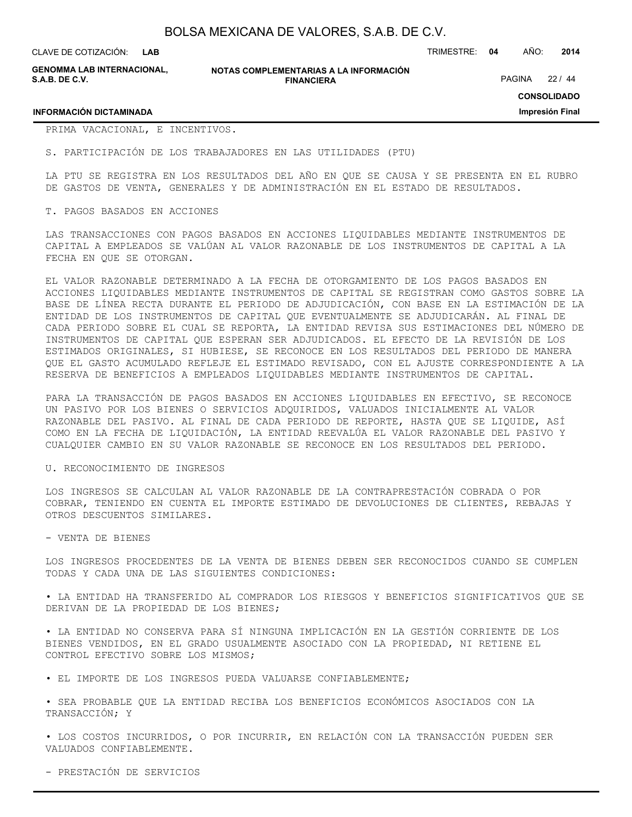**LAB**

CLAVE DE COTIZACIÓN: TRIMESTRE: **04** AÑO: **2014**

**GENOMMA LAB INTERNACIONAL, S.A.B. DE C.V.**

**NOTAS COMPLEMENTARIAS A LA INFORMACIÓN FINANCIERA**

PAGINA 22 / 44

**CONSOLIDADO**

**Impresión Final**

#### **INFORMACIÓN DICTAMINADA**

PRIMA VACACIONAL, E INCENTIVOS.

S. PARTICIPACIÓN DE LOS TRABAJADORES EN LAS UTILIDADES (PTU)

LA PTU SE REGISTRA EN LOS RESULTADOS DEL AÑO EN QUE SE CAUSA Y SE PRESENTA EN EL RUBRO DE GASTOS DE VENTA, GENERALES Y DE ADMINISTRACIÓN EN EL ESTADO DE RESULTADOS.

T. PAGOS BASADOS EN ACCIONES

LAS TRANSACCIONES CON PAGOS BASADOS EN ACCIONES LIQUIDABLES MEDIANTE INSTRUMENTOS DE CAPITAL A EMPLEADOS SE VALÚAN AL VALOR RAZONABLE DE LOS INSTRUMENTOS DE CAPITAL A LA FECHA EN QUE SE OTORGAN.

EL VALOR RAZONABLE DETERMINADO A LA FECHA DE OTORGAMIENTO DE LOS PAGOS BASADOS EN ACCIONES LIQUIDABLES MEDIANTE INSTRUMENTOS DE CAPITAL SE REGISTRAN COMO GASTOS SOBRE LA BASE DE LÍNEA RECTA DURANTE EL PERIODO DE ADJUDICACIÓN, CON BASE EN LA ESTIMACIÓN DE LA ENTIDAD DE LOS INSTRUMENTOS DE CAPITAL QUE EVENTUALMENTE SE ADJUDICARÁN. AL FINAL DE CADA PERIODO SOBRE EL CUAL SE REPORTA, LA ENTIDAD REVISA SUS ESTIMACIONES DEL NÚMERO DE INSTRUMENTOS DE CAPITAL QUE ESPERAN SER ADJUDICADOS. EL EFECTO DE LA REVISIÓN DE LOS ESTIMADOS ORIGINALES, SI HUBIESE, SE RECONOCE EN LOS RESULTADOS DEL PERIODO DE MANERA QUE EL GASTO ACUMULADO REFLEJE EL ESTIMADO REVISADO, CON EL AJUSTE CORRESPONDIENTE A LA RESERVA DE BENEFICIOS A EMPLEADOS LIQUIDABLES MEDIANTE INSTRUMENTOS DE CAPITAL.

PARA LA TRANSACCIÓN DE PAGOS BASADOS EN ACCIONES LIQUIDABLES EN EFECTIVO, SE RECONOCE UN PASIVO POR LOS BIENES O SERVICIOS ADQUIRIDOS, VALUADOS INICIALMENTE AL VALOR RAZONABLE DEL PASIVO. AL FINAL DE CADA PERIODO DE REPORTE, HASTA QUE SE LIQUIDE, ASÍ COMO EN LA FECHA DE LIQUIDACIÓN, LA ENTIDAD REEVALÚA EL VALOR RAZONABLE DEL PASIVO Y CUALQUIER CAMBIO EN SU VALOR RAZONABLE SE RECONOCE EN LOS RESULTADOS DEL PERIODO.

#### U. RECONOCIMIENTO DE INGRESOS

LOS INGRESOS SE CALCULAN AL VALOR RAZONABLE DE LA CONTRAPRESTACIÓN COBRADA O POR COBRAR, TENIENDO EN CUENTA EL IMPORTE ESTIMADO DE DEVOLUCIONES DE CLIENTES, REBAJAS Y OTROS DESCUENTOS SIMILARES.

- VENTA DE BIENES

LOS INGRESOS PROCEDENTES DE LA VENTA DE BIENES DEBEN SER RECONOCIDOS CUANDO SE CUMPLEN TODAS Y CADA UNA DE LAS SIGUIENTES CONDICIONES:

• LA ENTIDAD HA TRANSFERIDO AL COMPRADOR LOS RIESGOS Y BENEFICIOS SIGNIFICATIVOS QUE SE DERIVAN DE LA PROPIEDAD DE LOS BIENES;

• LA ENTIDAD NO CONSERVA PARA SÍ NINGUNA IMPLICACIÓN EN LA GESTIÓN CORRIENTE DE LOS BIENES VENDIDOS, EN EL GRADO USUALMENTE ASOCIADO CON LA PROPIEDAD, NI RETIENE EL CONTROL EFECTIVO SOBRE LOS MISMOS;

• EL IMPORTE DE LOS INGRESOS PUEDA VALUARSE CONFIABLEMENTE;

• SEA PROBABLE QUE LA ENTIDAD RECIBA LOS BENEFICIOS ECONÓMICOS ASOCIADOS CON LA TRANSACCIÓN; Y

• LOS COSTOS INCURRIDOS, O POR INCURRIR, EN RELACIÓN CON LA TRANSACCIÓN PUEDEN SER VALUADOS CONFIABLEMENTE.

- PRESTACIÓN DE SERVICIOS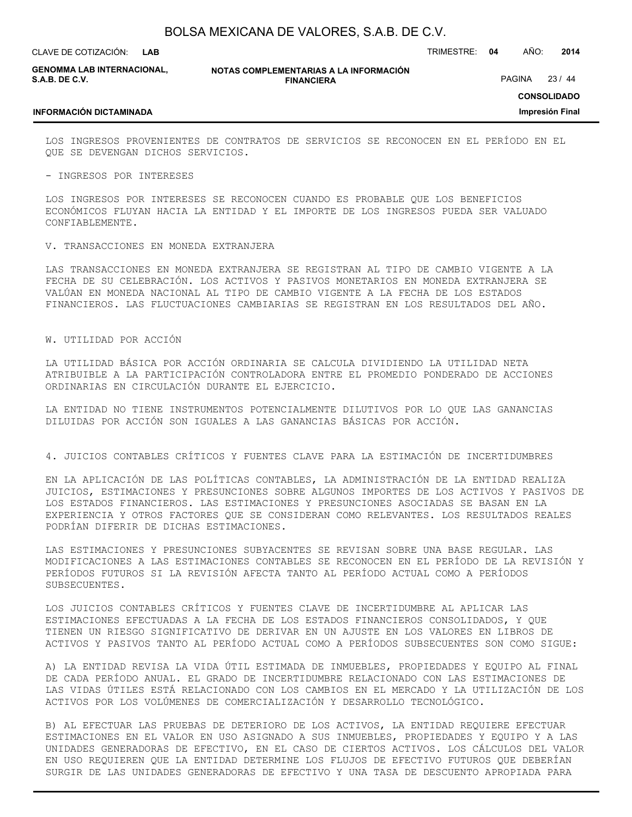**LAB**

CLAVE DE COTIZACIÓN: TRIMESTRE: **04** AÑO: **2014**

**GENOMMA LAB INTERNACIONAL, S.A.B. DE C.V.**

**NOTAS COMPLEMENTARIAS A LA INFORMACIÓN FINANCIERA**

PAGINA 23 / 44

**CONSOLIDADO Impresión Final**

### **INFORMACIÓN DICTAMINADA**

LOS INGRESOS PROVENIENTES DE CONTRATOS DE SERVICIOS SE RECONOCEN EN EL PERÍODO EN EL QUE SE DEVENGAN DICHOS SERVICIOS.

- INGRESOS POR INTERESES

LOS INGRESOS POR INTERESES SE RECONOCEN CUANDO ES PROBABLE QUE LOS BENEFICIOS ECONÓMICOS FLUYAN HACIA LA ENTIDAD Y EL IMPORTE DE LOS INGRESOS PUEDA SER VALUADO CONFIABLEMENTE.

#### V. TRANSACCIONES EN MONEDA EXTRANJERA

LAS TRANSACCIONES EN MONEDA EXTRANJERA SE REGISTRAN AL TIPO DE CAMBIO VIGENTE A LA FECHA DE SU CELEBRACIÓN. LOS ACTIVOS Y PASIVOS MONETARIOS EN MONEDA EXTRANJERA SE VALÚAN EN MONEDA NACIONAL AL TIPO DE CAMBIO VIGENTE A LA FECHA DE LOS ESTADOS FINANCIEROS. LAS FLUCTUACIONES CAMBIARIAS SE REGISTRAN EN LOS RESULTADOS DEL AÑO.

#### W. UTILIDAD POR ACCIÓN

LA UTILIDAD BÁSICA POR ACCIÓN ORDINARIA SE CALCULA DIVIDIENDO LA UTILIDAD NETA ATRIBUIBLE A LA PARTICIPACIÓN CONTROLADORA ENTRE EL PROMEDIO PONDERADO DE ACCIONES ORDINARIAS EN CIRCULACIÓN DURANTE EL EJERCICIO.

LA ENTIDAD NO TIENE INSTRUMENTOS POTENCIALMENTE DILUTIVOS POR LO QUE LAS GANANCIAS DILUIDAS POR ACCIÓN SON IGUALES A LAS GANANCIAS BÁSICAS POR ACCIÓN.

#### 4. JUICIOS CONTABLES CRÍTICOS Y FUENTES CLAVE PARA LA ESTIMACIÓN DE INCERTIDUMBRES

EN LA APLICACIÓN DE LAS POLÍTICAS CONTABLES, LA ADMINISTRACIÓN DE LA ENTIDAD REALIZA JUICIOS, ESTIMACIONES Y PRESUNCIONES SOBRE ALGUNOS IMPORTES DE LOS ACTIVOS Y PASIVOS DE LOS ESTADOS FINANCIEROS. LAS ESTIMACIONES Y PRESUNCIONES ASOCIADAS SE BASAN EN LA EXPERIENCIA Y OTROS FACTORES QUE SE CONSIDERAN COMO RELEVANTES. LOS RESULTADOS REALES PODRÍAN DIFERIR DE DICHAS ESTIMACIONES.

LAS ESTIMACIONES Y PRESUNCIONES SUBYACENTES SE REVISAN SOBRE UNA BASE REGULAR. LAS MODIFICACIONES A LAS ESTIMACIONES CONTABLES SE RECONOCEN EN EL PERÍODO DE LA REVISIÓN Y PERÍODOS FUTUROS SI LA REVISIÓN AFECTA TANTO AL PERÍODO ACTUAL COMO A PERÍODOS SUBSECUENTES.

LOS JUICIOS CONTABLES CRÍTICOS Y FUENTES CLAVE DE INCERTIDUMBRE AL APLICAR LAS ESTIMACIONES EFECTUADAS A LA FECHA DE LOS ESTADOS FINANCIEROS CONSOLIDADOS, Y QUE TIENEN UN RIESGO SIGNIFICATIVO DE DERIVAR EN UN AJUSTE EN LOS VALORES EN LIBROS DE ACTIVOS Y PASIVOS TANTO AL PERÍODO ACTUAL COMO A PERÍODOS SUBSECUENTES SON COMO SIGUE:

A) LA ENTIDAD REVISA LA VIDA ÚTIL ESTIMADA DE INMUEBLES, PROPIEDADES Y EQUIPO AL FINAL DE CADA PERÍODO ANUAL. EL GRADO DE INCERTIDUMBRE RELACIONADO CON LAS ESTIMACIONES DE LAS VIDAS ÚTILES ESTÁ RELACIONADO CON LOS CAMBIOS EN EL MERCADO Y LA UTILIZACIÓN DE LOS ACTIVOS POR LOS VOLÚMENES DE COMERCIALIZACIÓN Y DESARROLLO TECNOLÓGICO.

B) AL EFECTUAR LAS PRUEBAS DE DETERIORO DE LOS ACTIVOS, LA ENTIDAD REQUIERE EFECTUAR ESTIMACIONES EN EL VALOR EN USO ASIGNADO A SUS INMUEBLES, PROPIEDADES Y EQUIPO Y A LAS UNIDADES GENERADORAS DE EFECTIVO, EN EL CASO DE CIERTOS ACTIVOS. LOS CÁLCULOS DEL VALOR EN USO REQUIEREN QUE LA ENTIDAD DETERMINE LOS FLUJOS DE EFECTIVO FUTUROS QUE DEBERÍAN SURGIR DE LAS UNIDADES GENERADORAS DE EFECTIVO Y UNA TASA DE DESCUENTO APROPIADA PARA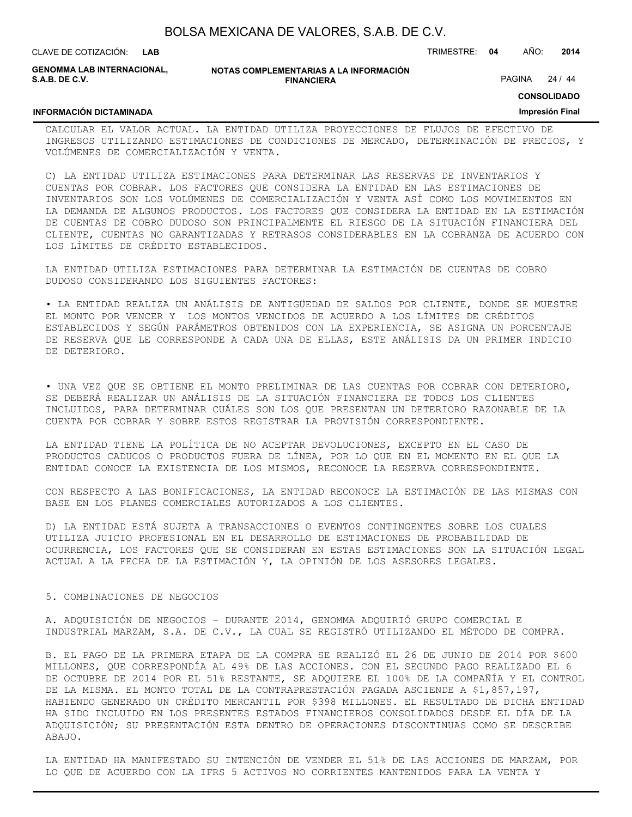| BOLSA MEXICANA DE VALORES, S.A.B. DE C.V. |  |  |
|-------------------------------------------|--|--|
|-------------------------------------------|--|--|

**GENOMMA LAB INTERNACIONAL, S.A.B. DE C.V.**

**NOTAS COMPLEMENTARIAS A LA INFORMACIÓN FINANCIERA**

PAGINA 24 / 44

**CONSOLIDADO**

#### **Impresión Final**

### **INFORMACIÓN DICTAMINADA**

CALCULAR EL VALOR ACTUAL. LA ENTIDAD UTILIZA PROYECCIONES DE FLUJOS DE EFECTIVO DE INGRESOS UTILIZANDO ESTIMACIONES DE CONDICIONES DE MERCADO, DETERMINACIÓN DE PRECIOS, Y VOLÚMENES DE COMERCIALIZACIÓN Y VENTA.

C) LA ENTIDAD UTILIZA ESTIMACIONES PARA DETERMINAR LAS RESERVAS DE INVENTARIOS Y CUENTAS POR COBRAR. LOS FACTORES QUE CONSIDERA LA ENTIDAD EN LAS ESTIMACIONES DE INVENTARIOS SON LOS VOLÚMENES DE COMERCIALIZACIÓN Y VENTA ASÍ COMO LOS MOVIMIENTOS EN LA DEMANDA DE ALGUNOS PRODUCTOS. LOS FACTORES QUE CONSIDERA LA ENTIDAD EN LA ESTIMACIÓN DE CUENTAS DE COBRO DUDOSO SON PRINCIPALMENTE EL RIESGO DE LA SITUACIÓN FINANCIERA DEL CLIENTE, CUENTAS NO GARANTIZADAS Y RETRASOS CONSIDERABLES EN LA COBRANZA DE ACUERDO CON LOS LÍMITES DE CRÉDITO ESTABLECIDOS.

LA ENTIDAD UTILIZA ESTIMACIONES PARA DETERMINAR LA ESTIMACIÓN DE CUENTAS DE COBRO DUDOSO CONSIDERANDO LOS SIGUIENTES FACTORES:

• LA ENTIDAD REALIZA UN ANÁLISIS DE ANTIGÜEDAD DE SALDOS POR CLIENTE, DONDE SE MUESTRE EL MONTO POR VENCER Y LOS MONTOS VENCIDOS DE ACUERDO A LOS LÍMITES DE CRÉDITOS ESTABLECIDOS Y SEGÚN PARÁMETROS OBTENIDOS CON LA EXPERIENCIA, SE ASIGNA UN PORCENTAJE DE RESERVA QUE LE CORRESPONDE A CADA UNA DE ELLAS, ESTE ANÁLISIS DA UN PRIMER INDICIO DE DETERIORO.

• UNA VEZ QUE SE OBTIENE EL MONTO PRELIMINAR DE LAS CUENTAS POR COBRAR CON DETERIORO, SE DEBERÁ REALIZAR UN ANÁLISIS DE LA SITUACIÓN FINANCIERA DE TODOS LOS CLIENTES INCLUIDOS, PARA DETERMINAR CUÁLES SON LOS QUE PRESENTAN UN DETERIORO RAZONABLE DE LA CUENTA POR COBRAR Y SOBRE ESTOS REGISTRAR LA PROVISIÓN CORRESPONDIENTE.

LA ENTIDAD TIENE LA POLÍTICA DE NO ACEPTAR DEVOLUCIONES, EXCEPTO EN EL CASO DE PRODUCTOS CADUCOS O PRODUCTOS FUERA DE LÍNEA, POR LO QUE EN EL MOMENTO EN EL QUE LA ENTIDAD CONOCE LA EXISTENCIA DE LOS MISMOS, RECONOCE LA RESERVA CORRESPONDIENTE.

CON RESPECTO A LAS BONIFICACIONES, LA ENTIDAD RECONOCE LA ESTIMACIÓN DE LAS MISMAS CON BASE EN LOS PLANES COMERCIALES AUTORIZADOS A LOS CLIENTES.

D) LA ENTIDAD ESTÁ SUJETA A TRANSACCIONES O EVENTOS CONTINGENTES SOBRE LOS CUALES UTILIZA JUICIO PROFESIONAL EN EL DESARROLLO DE ESTIMACIONES DE PROBABILIDAD DE OCURRENCIA, LOS FACTORES QUE SE CONSIDERAN EN ESTAS ESTIMACIONES SON LA SITUACIÓN LEGAL ACTUAL A LA FECHA DE LA ESTIMACIÓN Y, LA OPINIÓN DE LOS ASESORES LEGALES.

#### 5. COMBINACIONES DE NEGOCIOS

A. ADQUISICIÓN DE NEGOCIOS - DURANTE 2014, GENOMMA ADQUIRIÓ GRUPO COMERCIAL E INDUSTRIAL MARZAM, S.A. DE C.V., LA CUAL SE REGISTRÓ UTILIZANDO EL MÉTODO DE COMPRA.

B. EL PAGO DE LA PRIMERA ETAPA DE LA COMPRA SE REALIZÓ EL 26 DE JUNIO DE 2014 POR \$600 MILLONES, QUE CORRESPONDÍA AL 49% DE LAS ACCIONES. CON EL SEGUNDO PAGO REALIZADO EL 6 DE OCTUBRE DE 2014 POR EL 51% RESTANTE, SE ADQUIERE EL 100% DE LA COMPAÑÍA Y EL CONTROL DE LA MISMA. EL MONTO TOTAL DE LA CONTRAPRESTACIÓN PAGADA ASCIENDE A \$1,857,197, HABIENDO GENERADO UN CRÉDITO MERCANTIL POR \$398 MILLONES. EL RESULTADO DE DICHA ENTIDAD HA SIDO INCLUIDO EN LOS PRESENTES ESTADOS FINANCIEROS CONSOLIDADOS DESDE EL DÍA DE LA ADQUISICIÓN; SU PRESENTACIÓN ESTA DENTRO DE OPERACIONES DISCONTINUAS COMO SE DESCRIBE ABAJO.

LA ENTIDAD HA MANIFESTADO SU INTENCIÓN DE VENDER EL 51% DE LAS ACCIONES DE MARZAM, POR LO QUE DE ACUERDO CON LA IFRS 5 ACTIVOS NO CORRIENTES MANTENIDOS PARA LA VENTA Y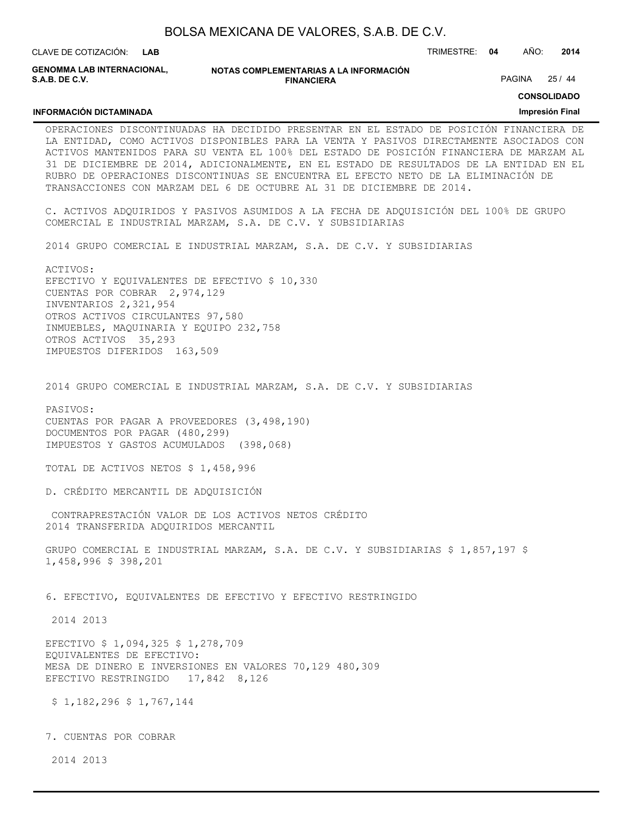**GENOMMA LAB INTERNACIONAL, S.A.B. DE C.V.**

**INFORMACIÓN DICTAMINADA**

**NOTAS COMPLEMENTARIAS A LA INFORMACIÓN FINANCIERA**

PAGINA 25 / 44

**CONSOLIDADO**

#### **Impresión Final**

OPERACIONES DISCONTINUADAS HA DECIDIDO PRESENTAR EN EL ESTADO DE POSICIÓN FINANCIERA DE LA ENTIDAD, COMO ACTIVOS DISPONIBLES PARA LA VENTA Y PASIVOS DIRECTAMENTE ASOCIADOS CON ACTIVOS MANTENIDOS PARA SU VENTA EL 100% DEL ESTADO DE POSICIÓN FINANCIERA DE MARZAM AL 31 DE DICIEMBRE DE 2014, ADICIONALMENTE, EN EL ESTADO DE RESULTADOS DE LA ENTIDAD EN EL RUBRO DE OPERACIONES DISCONTINUAS SE ENCUENTRA EL EFECTO NETO DE LA ELIMINACIÓN DE TRANSACCIONES CON MARZAM DEL 6 DE OCTUBRE AL 31 DE DICIEMBRE DE 2014.

C. ACTIVOS ADQUIRIDOS Y PASIVOS ASUMIDOS A LA FECHA DE ADQUISICIÓN DEL 100% DE GRUPO COMERCIAL E INDUSTRIAL MARZAM, S.A. DE C.V. Y SUBSIDIARIAS

2014 GRUPO COMERCIAL E INDUSTRIAL MARZAM, S.A. DE C.V. Y SUBSIDIARIAS

ACTIVOS: EFECTIVO Y EQUIVALENTES DE EFECTIVO \$ 10,330 CUENTAS POR COBRAR 2,974,129 INVENTARIOS 2,321,954 OTROS ACTIVOS CIRCULANTES 97,580 INMUEBLES, MAQUINARIA Y EQUIPO 232,758 OTROS ACTIVOS 35,293 IMPUESTOS DIFERIDOS 163,509

2014 GRUPO COMERCIAL E INDUSTRIAL MARZAM, S.A. DE C.V. Y SUBSIDIARIAS

PASIVOS: CUENTAS POR PAGAR A PROVEEDORES (3,498,190) DOCUMENTOS POR PAGAR (480,299) IMPUESTOS Y GASTOS ACUMULADOS (398,068)

TOTAL DE ACTIVOS NETOS \$ 1,458,996

D. CRÉDITO MERCANTIL DE ADQUISICIÓN

 CONTRAPRESTACIÓN VALOR DE LOS ACTIVOS NETOS CRÉDITO 2014 TRANSFERIDA ADQUIRIDOS MERCANTIL

GRUPO COMERCIAL E INDUSTRIAL MARZAM, S.A. DE C.V. Y SUBSIDIARIAS \$ 1,857,197 \$ 1,458,996 \$ 398,201

6. EFECTIVO, EQUIVALENTES DE EFECTIVO Y EFECTIVO RESTRINGIDO

2014 2013

EFECTIVO \$ 1,094,325 \$ 1,278,709 EQUIVALENTES DE EFECTIVO: MESA DE DINERO E INVERSIONES EN VALORES 70,129 480,309 EFECTIVO RESTRINGIDO 17,842 8,126

\$ 1,182,296 \$ 1,767,144

7. CUENTAS POR COBRAR

2014 2013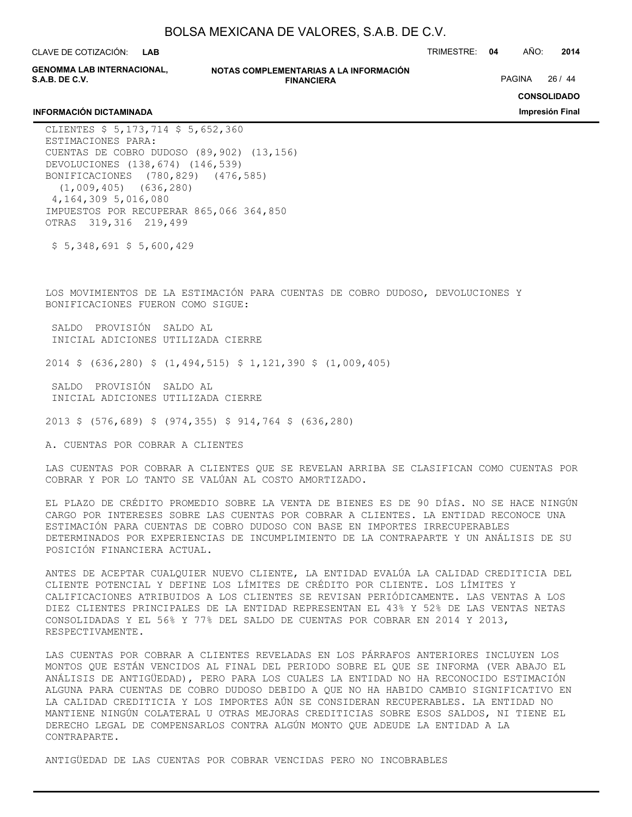| BOLSA MEXICANA DE VALORES, S.A.B. DE C.V. |  |  |  |
|-------------------------------------------|--|--|--|
|-------------------------------------------|--|--|--|

**GENOMMA LAB INTERNACIONAL, S.A.B. DE C.V.**

**NOTAS COMPLEMENTARIAS A LA INFORMACIÓN FINANCIERA**

PAGINA 26 / 44

**CONSOLIDADO**

**Impresión Final**

#### **INFORMACIÓN DICTAMINADA**

CLIENTES \$ 5,173,714 \$ 5,652,360 ESTIMACIONES PARA: CUENTAS DE COBRO DUDOSO (89,902) (13,156) DEVOLUCIONES (138,674) (146,539) BONIFICACIONES (780,829) (476,585) (1,009,405) (636,280) 4,164,309 5,016,080 IMPUESTOS POR RECUPERAR 865,066 364,850 OTRAS 319,316 219,499

 $$5,348,691$   $$5,600,429$ 

LOS MOVIMIENTOS DE LA ESTIMACIÓN PARA CUENTAS DE COBRO DUDOSO, DEVOLUCIONES Y BONIFICACIONES FUERON COMO SIGUE:

 SALDO PROVISIÓN SALDO AL INICIAL ADICIONES UTILIZADA CIERRE

2014 \$ (636,280) \$ (1,494,515) \$ 1,121,390 \$ (1,009,405)

 SALDO PROVISIÓN SALDO AL INICIAL ADICIONES UTILIZADA CIERRE

2013 \$ (576,689) \$ (974,355) \$ 914,764 \$ (636,280)

A. CUENTAS POR COBRAR A CLIENTES

LAS CUENTAS POR COBRAR A CLIENTES QUE SE REVELAN ARRIBA SE CLASIFICAN COMO CUENTAS POR COBRAR Y POR LO TANTO SE VALÚAN AL COSTO AMORTIZADO.

EL PLAZO DE CRÉDITO PROMEDIO SOBRE LA VENTA DE BIENES ES DE 90 DÍAS. NO SE HACE NINGÚN CARGO POR INTERESES SOBRE LAS CUENTAS POR COBRAR A CLIENTES. LA ENTIDAD RECONOCE UNA ESTIMACIÓN PARA CUENTAS DE COBRO DUDOSO CON BASE EN IMPORTES IRRECUPERABLES DETERMINADOS POR EXPERIENCIAS DE INCUMPLIMIENTO DE LA CONTRAPARTE Y UN ANÁLISIS DE SU POSICIÓN FINANCIERA ACTUAL.

ANTES DE ACEPTAR CUALQUIER NUEVO CLIENTE, LA ENTIDAD EVALÚA LA CALIDAD CREDITICIA DEL CLIENTE POTENCIAL Y DEFINE LOS LÍMITES DE CRÉDITO POR CLIENTE. LOS LÍMITES Y CALIFICACIONES ATRIBUIDOS A LOS CLIENTES SE REVISAN PERIÓDICAMENTE. LAS VENTAS A LOS DIEZ CLIENTES PRINCIPALES DE LA ENTIDAD REPRESENTAN EL 43% Y 52% DE LAS VENTAS NETAS CONSOLIDADAS Y EL 56% Y 77% DEL SALDO DE CUENTAS POR COBRAR EN 2014 Y 2013, RESPECTIVAMENTE.

LAS CUENTAS POR COBRAR A CLIENTES REVELADAS EN LOS PÁRRAFOS ANTERIORES INCLUYEN LOS MONTOS QUE ESTÁN VENCIDOS AL FINAL DEL PERIODO SOBRE EL QUE SE INFORMA (VER ABAJO EL ANÁLISIS DE ANTIGÜEDAD), PERO PARA LOS CUALES LA ENTIDAD NO HA RECONOCIDO ESTIMACIÓN ALGUNA PARA CUENTAS DE COBRO DUDOSO DEBIDO A QUE NO HA HABIDO CAMBIO SIGNIFICATIVO EN LA CALIDAD CREDITICIA Y LOS IMPORTES AÚN SE CONSIDERAN RECUPERABLES. LA ENTIDAD NO MANTIENE NINGÚN COLATERAL U OTRAS MEJORAS CREDITICIAS SOBRE ESOS SALDOS, NI TIENE EL DERECHO LEGAL DE COMPENSARLOS CONTRA ALGÚN MONTO QUE ADEUDE LA ENTIDAD A LA CONTRAPARTE.

ANTIGÜEDAD DE LAS CUENTAS POR COBRAR VENCIDAS PERO NO INCOBRABLES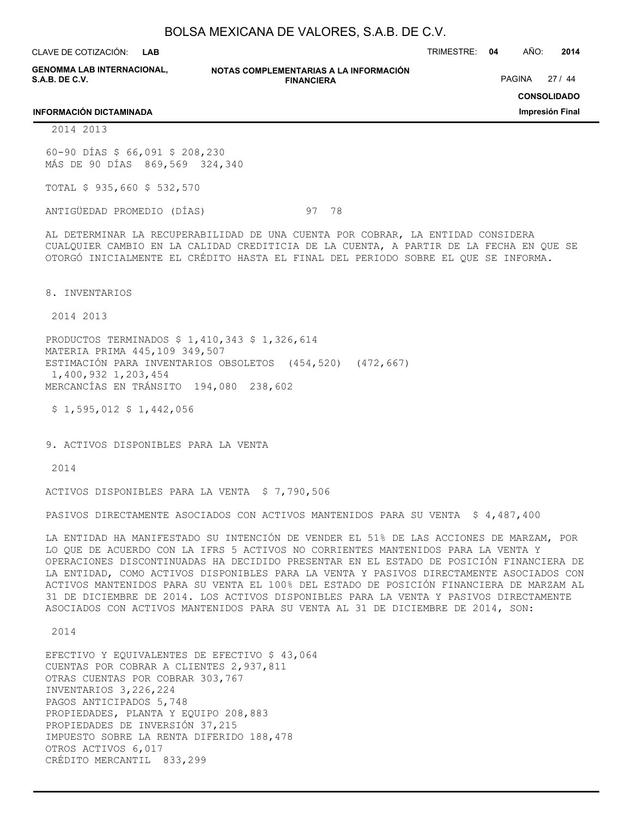CLAVE DE COTIZACIÓN: TRIMESTRE: **04** AÑO: **2014 LAB**

**GENOMMA LAB INTERNACIONAL, S.A.B. DE C.V.**

**NOTAS COMPLEMENTARIAS A LA INFORMACIÓN FINANCIERA**

PAGINA 27 / 44

### **CONSOLIDADO**

**Impresión Final**

#### **INFORMACIÓN DICTAMINADA**

2014 2013

60-90 DÍAS \$ 66,091 \$ 208,230 MÁS DE 90 DÍAS 869,569 324,340

TOTAL \$ 935,660 \$ 532,570

ANTIGÜEDAD PROMEDIO (DÍAS) 97 78

AL DETERMINAR LA RECUPERABILIDAD DE UNA CUENTA POR COBRAR, LA ENTIDAD CONSIDERA CUALQUIER CAMBIO EN LA CALIDAD CREDITICIA DE LA CUENTA, A PARTIR DE LA FECHA EN QUE SE OTORGÓ INICIALMENTE EL CRÉDITO HASTA EL FINAL DEL PERIODO SOBRE EL QUE SE INFORMA.

8. INVENTARIOS

2014 2013

PRODUCTOS TERMINADOS \$ 1,410,343 \$ 1,326,614 MATERIA PRIMA 445,109 349,507 ESTIMACIÓN PARA INVENTARIOS OBSOLETOS (454,520) (472,667) 1,400,932 1,203,454 MERCANCÍAS EN TRÁNSITO 194,080 238,602

 $$1,595,012 \ $1,442,056$ 

9. ACTIVOS DISPONIBLES PARA LA VENTA

2014

ACTIVOS DISPONIBLES PARA LA VENTA \$ 7,790,506

PASIVOS DIRECTAMENTE ASOCIADOS CON ACTIVOS MANTENIDOS PARA SU VENTA \$ 4,487,400

LA ENTIDAD HA MANIFESTADO SU INTENCIÓN DE VENDER EL 51% DE LAS ACCIONES DE MARZAM, POR LO QUE DE ACUERDO CON LA IFRS 5 ACTIVOS NO CORRIENTES MANTENIDOS PARA LA VENTA Y OPERACIONES DISCONTINUADAS HA DECIDIDO PRESENTAR EN EL ESTADO DE POSICIÓN FINANCIERA DE LA ENTIDAD, COMO ACTIVOS DISPONIBLES PARA LA VENTA Y PASIVOS DIRECTAMENTE ASOCIADOS CON ACTIVOS MANTENIDOS PARA SU VENTA EL 100% DEL ESTADO DE POSICIÓN FINANCIERA DE MARZAM AL 31 DE DICIEMBRE DE 2014. LOS ACTIVOS DISPONIBLES PARA LA VENTA Y PASIVOS DIRECTAMENTE ASOCIADOS CON ACTIVOS MANTENIDOS PARA SU VENTA AL 31 DE DICIEMBRE DE 2014, SON:

2014

EFECTIVO Y EQUIVALENTES DE EFECTIVO \$ 43,064 CUENTAS POR COBRAR A CLIENTES 2,937,811 OTRAS CUENTAS POR COBRAR 303,767 INVENTARIOS 3,226,224 PAGOS ANTICIPADOS 5,748 PROPIEDADES, PLANTA Y EQUIPO 208,883 PROPIEDADES DE INVERSIÓN 37,215 IMPUESTO SOBRE LA RENTA DIFERIDO 188,478 OTROS ACTIVOS 6,017 CRÉDITO MERCANTIL 833,299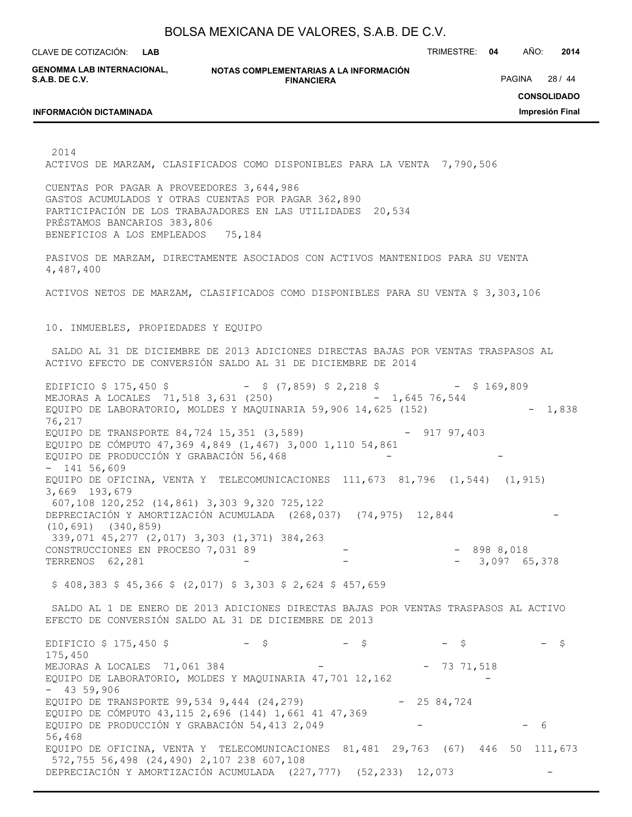**LAB**

CLAVE DE COTIZACIÓN: TRIMESTRE: **04** AÑO: **2014**

**GENOMMA LAB INTERNACIONAL, S.A.B. DE C.V.**

**NOTAS COMPLEMENTARIAS A LA INFORMACIÓN FINANCIERA**

PAGINA 28 / 44

**INFORMACIÓN DICTAMINADA**

**CONSOLIDADO**

**Impresión Final**

2014

ACTIVOS DE MARZAM, CLASIFICADOS COMO DISPONIBLES PARA LA VENTA 7,790,506

CUENTAS POR PAGAR A PROVEEDORES 3,644,986 GASTOS ACUMULADOS Y OTRAS CUENTAS POR PAGAR 362,890 PARTICIPACIÓN DE LOS TRABAJADORES EN LAS UTILIDADES 20,534 PRÉSTAMOS BANCARIOS 383,806 BENEFICIOS A LOS EMPLEADOS 75,184

PASIVOS DE MARZAM, DIRECTAMENTE ASOCIADOS CON ACTIVOS MANTENIDOS PARA SU VENTA 4,487,400

ACTIVOS NETOS DE MARZAM, CLASIFICADOS COMO DISPONIBLES PARA SU VENTA \$ 3,303,106

10. INMUEBLES, PROPIEDADES Y EQUIPO

 SALDO AL 31 DE DICIEMBRE DE 2013 ADICIONES DIRECTAS BAJAS POR VENTAS TRASPASOS AL ACTIVO EFECTO DE CONVERSIÓN SALDO AL 31 DE DICIEMBRE DE 2014

EDIFICIO \$ 175,450 \$ - \$ (7,859) \$ 2,218 \$ - \$ 169,809 MEJORAS A LOCALES 71,518 3,631 (250) - 1,645 76,544 EQUIPO DE LABORATORIO, MOLDES Y MAQUINARIA 59,906 14,625  $(152)$  - 1,838 76,217 EQUIPO DE TRANSPORTE 84,724 15,351 (3,589) - 917 97,403 EQUIPO DE CÓMPUTO 47,369 4,849 (1,467) 3,000 1,110 54,861 EQUIPO DE PRODUCCIÓN Y GRABACIÓN 56,468 - 141 56,609 EQUIPO DE OFICINA, VENTA Y TELECOMUNICACIONES 111,673 81,796 (1,544) (1,915) 3,669 193,679 607,108 120,252 (14,861) 3,303 9,320 725,122 DEPRECIACIÓN Y AMORTIZACIÓN ACUMULADA (268,037) (74,975) 12,844 (10,691) (340,859) 339,071 45,277 (2,017) 3,303 (1,371) 384,263 CONSTRUCCIONES EN PROCESO 7,031 89 - - - - 898 8,018 TERRENOS 62, 281 - - - - - - - - - 3,097 65,378

 $$ 408,383 $ 45,366 $ (2,017) $ 3,303 $ 2,624 $ 457,659$ 

 SALDO AL 1 DE ENERO DE 2013 ADICIONES DIRECTAS BAJAS POR VENTAS TRASPASOS AL ACTIVO EFECTO DE CONVERSIÓN SALDO AL 31 DE DICIEMBRE DE 2013

EDIFICIO \$ 175,450 \$ - \$ - \$ - \$ - \$ - \$ 175,450 MEJORAS A LOCALES 71,061 384 - - 73 71,518 EQUIPO DE LABORATORIO, MOLDES Y MAQUINARIA 47,701 12,162 - 43 59,906 EQUIPO DE TRANSPORTE 99,534 9,444 (24,279) - 25 84,724 EQUIPO DE CÓMPUTO 43,115 2,696 (144) 1,661 41 47,369 EQUIPO DE PRODUCCIÓN Y GRABACIÓN 54,413 2,049 - - - - - - 6 56,468 EQUIPO DE OFICINA, VENTA Y TELECOMUNICACIONES 81,481 29,763 (67) 446 50 111,673 572,755 56,498 (24,490) 2,107 238 607,108 DEPRECIACIÓN Y AMORTIZACIÓN ACUMULADA (227,777) (52,233) 12,073 -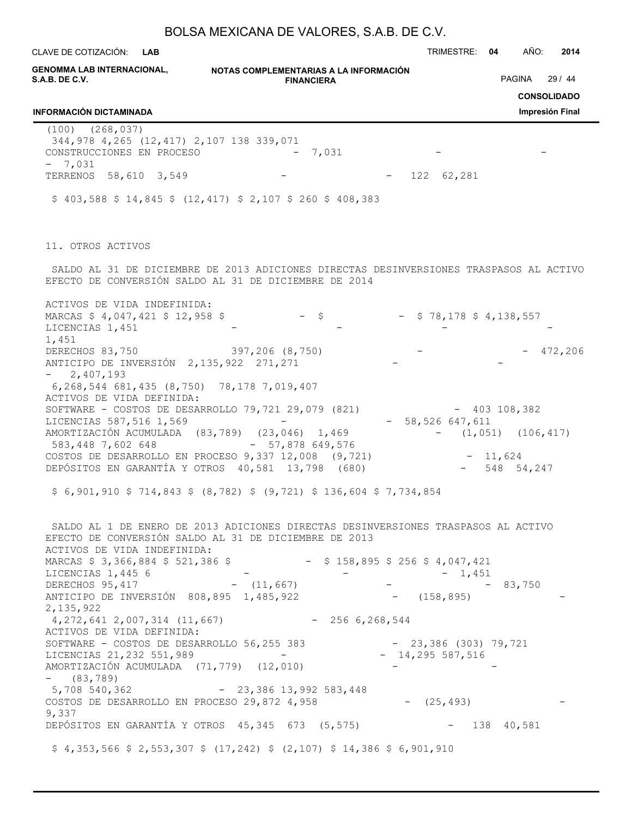| BOLSA MEXICANA DE VALORES, S.A.B. DE C.V. |  |  |
|-------------------------------------------|--|--|
|-------------------------------------------|--|--|

**NOTAS COMPLEMENTARIAS A LA INFORMACIÓN GENOMMA LAB INTERNACIONAL, FINANCIERA** CLAVE DE COTIZACIÓN: TRIMESTRE: **04** AÑO: **2014 LAB CONSOLIDADO Impresión Final S.A.B. DE C.V. INFORMACIÓN DICTAMINADA** PAGINA 29 / 44 (100) (268,037) 344,978 4,265 (12,417) 2,107 138 339,071 CONSTRUCCIONES EN PROCESO - 7,031  $-7,031$ TERRENOS 58,610 3,549 - - - 122 62,281  $$ 403,588 \$ 14,845 \$ (12,417) $ 2,107 $ 260 $ 408,383$ 11. OTROS ACTIVOS SALDO AL 31 DE DICIEMBRE DE 2013 ADICIONES DIRECTAS DESINVERSIONES TRASPASOS AL ACTIVO EFECTO DE CONVERSIÓN SALDO AL 31 DE DICIEMBRE DE 2014 ACTIVOS DE VIDA INDEFINIDA: MARCAS \$ 4,047,421 \$ 12,958 \$ - \$ - \$ 78,178 \$ 4,138,557 LICENCIAS 1,451 1,451 DERECHOS 83,750 397,206 (8,750) - - 472,206 ANTICIPO DE INVERSIÓN 2,135,922 271,271  $- 2,407,193$  6,268,544 681,435 (8,750) 78,178 7,019,407 ACTIVOS DE VIDA DEFINIDA: SOFTWARE - COSTOS DE DESARROLLO 79,721 29,079 (821) - 403 108,382 LICENCIAS 587,516 1,569 - - 58,526 647,611 AMORTIZACIÓN ACUMULADA (83,789) (23,046) 1,469 - (1,051) (106,417) 583,448 7,602 648 - 57,878 649,576 COSTOS DE DESARROLLO EN PROCESO 9,337 12,008 (9,721) - 11,624<br>DEPÓSITOS EN GARANTÍA Y OTROS 40,581 13,798 (680) - 548 54,247 DEPÓSITOS EN GARANTÍA Y OTROS 40,581 13,798 (680) \$ 6,901,910 \$ 714,843 \$ (8,782) \$ (9,721) \$ 136,604 \$ 7,734,854 SALDO AL 1 DE ENERO DE 2013 ADICIONES DIRECTAS DESINVERSIONES TRASPASOS AL ACTIVO EFECTO DE CONVERSIÓN SALDO AL 31 DE DICIEMBRE DE 2013 ACTIVOS DE VIDA INDEFINIDA: MARCAS \$ 3,366,884 \$ 521,386 \$ - \$ 158,895 \$ 256 \$ 4,047,421 LICENCIAS 1,445 6  $1,451$ DERECHOS 95,417 - (11,667) - - - - - 83,750 ANTICIPO DE INVERSIÓN 808,895 1,485,922 - (158,895) 2,135,922 4,272,641 2,007,314 (11,667) - 256 6,268,544 ACTIVOS DE VIDA DEFINIDA: SOFTWARE - COSTOS DE DESARROLLO 56,255 383 - 23,386 (303) 79,721 LICENCIAS 21, 232 551, 989 - - 14, 295 587, 516 AMORTIZACIÓN ACUMULADA (71,779) (12,010) - (83,789) 5,708 540,362 - 23,386 13,992 583,448 COSTOS DE DESARROLLO EN PROCESO 29,872 4,958 - (25,493) - 9,337 DEPÓSITOS EN GARANTÍA Y OTROS 45,345 673 (5,575) - 138 40,581  $$4,353,566$   $$2,553,307$   $$(17,242)$   $$(2,107)$   $$14,386$   $$6,901,910$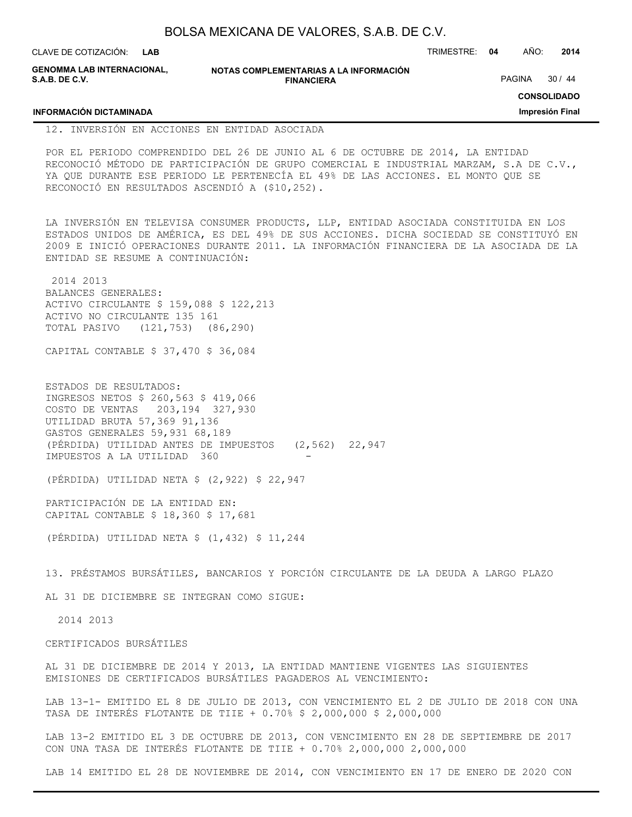| CLAVE DE COTIZACIÓN: <b>LAB</b>              |                                                             | TRIMESTRE: | 04 | AÑO:          | 2014  |  |
|----------------------------------------------|-------------------------------------------------------------|------------|----|---------------|-------|--|
| GENOMMA LAB INTERNACIONAL,<br>S.A.B. DE C.V. | NOTAS COMPLEMENTARIAS A LA INFORMACIÓN<br><b>FINANCIERA</b> |            |    | <b>PAGINA</b> | 30/44 |  |
|                                              |                                                             |            |    | CONSOLIDADO   |       |  |

**INFORMACIÓN DICTAMINADA**

**CONSOLIDADO**

**Impresión Final**

12. INVERSIÓN EN ACCIONES EN ENTIDAD ASOCIADA

POR EL PERIODO COMPRENDIDO DEL 26 DE JUNIO AL 6 DE OCTUBRE DE 2014, LA ENTIDAD RECONOCIÓ MÉTODO DE PARTICIPACIÓN DE GRUPO COMERCIAL E INDUSTRIAL MARZAM, S.A DE C.V., YA QUE DURANTE ESE PERIODO LE PERTENECÍA EL 49% DE LAS ACCIONES. EL MONTO QUE SE RECONOCIÓ EN RESULTADOS ASCENDIÓ A (\$10,252).

LA INVERSIÓN EN TELEVISA CONSUMER PRODUCTS, LLP, ENTIDAD ASOCIADA CONSTITUIDA EN LOS ESTADOS UNIDOS DE AMÉRICA, ES DEL 49% DE SUS ACCIONES. DICHA SOCIEDAD SE CONSTITUYÓ EN 2009 E INICIÓ OPERACIONES DURANTE 2011. LA INFORMACIÓN FINANCIERA DE LA ASOCIADA DE LA ENTIDAD SE RESUME A CONTINUACIÓN:

 2014 2013 BALANCES GENERALES: ACTIVO CIRCULANTE \$ 159,088 \$ 122,213 ACTIVO NO CIRCULANTE 135 161 TOTAL PASIVO (121,753) (86,290)

CAPITAL CONTABLE \$ 37,470 \$ 36,084

ESTADOS DE RESULTADOS: INGRESOS NETOS \$ 260,563 \$ 419,066 COSTO DE VENTAS 203,194 327,930 UTILIDAD BRUTA 57,369 91,136 GASTOS GENERALES 59,931 68,189 (PÉRDIDA) UTILIDAD ANTES DE IMPUESTOS (2,562) 22,947 IMPUESTOS A LA UTILIDAD 360

(PÉRDIDA) UTILIDAD NETA \$ (2,922) \$ 22,947

PARTICIPACIÓN DE LA ENTIDAD EN: CAPITAL CONTABLE \$ 18,360 \$ 17,681

(PÉRDIDA) UTILIDAD NETA \$ (1,432) \$ 11,244

13. PRÉSTAMOS BURSÁTILES, BANCARIOS Y PORCIÓN CIRCULANTE DE LA DEUDA A LARGO PLAZO

AL 31 DE DICIEMBRE SE INTEGRAN COMO SIGUE:

2014 2013

#### CERTIFICADOS BURSÁTILES

AL 31 DE DICIEMBRE DE 2014 Y 2013, LA ENTIDAD MANTIENE VIGENTES LAS SIGUIENTES EMISIONES DE CERTIFICADOS BURSÁTILES PAGADEROS AL VENCIMIENTO:

LAB 13-1- EMITIDO EL 8 DE JULIO DE 2013, CON VENCIMIENTO EL 2 DE JULIO DE 2018 CON UNA TASA DE INTERÉS FLOTANTE DE TIIE + 0.70% \$ 2,000,000 \$ 2,000,000

LAB 13-2 EMITIDO EL 3 DE OCTUBRE DE 2013, CON VENCIMIENTO EN 28 DE SEPTIEMBRE DE 2017 CON UNA TASA DE INTERÉS FLOTANTE DE TIIE + 0.70% 2,000,000 2,000,000

LAB 14 EMITIDO EL 28 DE NOVIEMBRE DE 2014, CON VENCIMIENTO EN 17 DE ENERO DE 2020 CON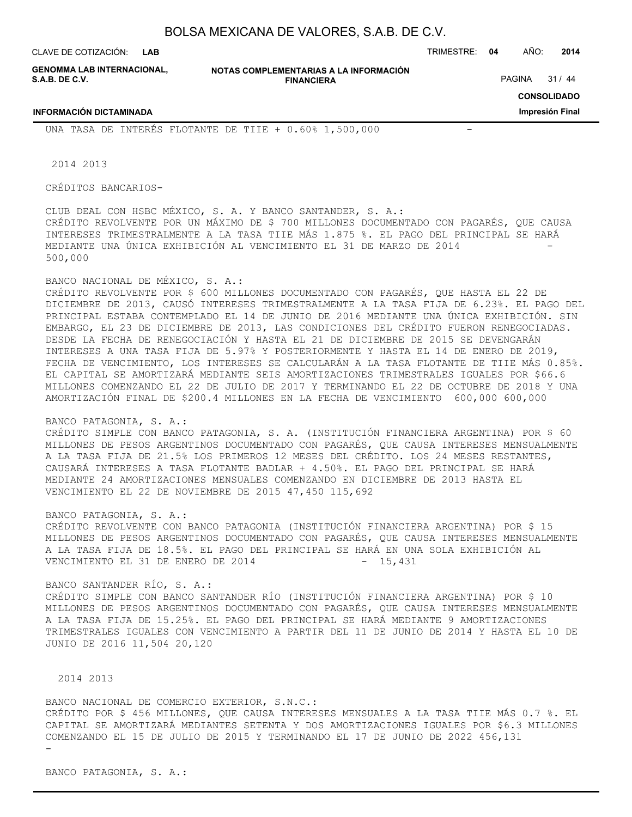**LAB**

CLAVE DE COTIZACIÓN: TRIMESTRE: **04** AÑO: **2014**

**GENOMMA LAB INTERNACIONAL, S.A.B. DE C.V.**

**INFORMACIÓN DICTAMINADA**

**NOTAS COMPLEMENTARIAS A LA INFORMACIÓN FINANCIERA**

PAGINA 31 / 44

**CONSOLIDADO**

**Impresión Final**

UNA TASA DE INTERÉS FLOTANTE DE TIIE +  $0.60\%$  1,500,000

2014 2013

CRÉDITOS BANCARIOS-

CLUB DEAL CON HSBC MÉXICO, S. A. Y BANCO SANTANDER, S. A.: CRÉDITO REVOLVENTE POR UN MÁXIMO DE \$ 700 MILLONES DOCUMENTADO CON PAGARÉS, QUE CAUSA INTERESES TRIMESTRALMENTE A LA TASA TIIE MÁS 1.875 %. EL PAGO DEL PRINCIPAL SE HARÁ MEDIANTE UNA ÚNICA EXHIBICIÓN AL VENCIMIENTO EL 31 DE MARZO DE 2014 500,000

### BANCO NACIONAL DE MÉXICO, S. A.:

CRÉDITO REVOLVENTE POR \$ 600 MILLONES DOCUMENTADO CON PAGARÉS, QUE HASTA EL 22 DE DICIEMBRE DE 2013, CAUSÓ INTERESES TRIMESTRALMENTE A LA TASA FIJA DE 6.23%. EL PAGO DEL PRINCIPAL ESTABA CONTEMPLADO EL 14 DE JUNIO DE 2016 MEDIANTE UNA ÚNICA EXHIBICIÓN. SIN EMBARGO, EL 23 DE DICIEMBRE DE 2013, LAS CONDICIONES DEL CRÉDITO FUERON RENEGOCIADAS. DESDE LA FECHA DE RENEGOCIACIÓN Y HASTA EL 21 DE DICIEMBRE DE 2015 SE DEVENGARÁN INTERESES A UNA TASA FIJA DE 5.97% Y POSTERIORMENTE Y HASTA EL 14 DE ENERO DE 2019, FECHA DE VENCIMIENTO, LOS INTERESES SE CALCULARÁN A LA TASA FLOTANTE DE TIIE MÁS 0.85%. EL CAPITAL SE AMORTIZARÁ MEDIANTE SEIS AMORTIZACIONES TRIMESTRALES IGUALES POR \$66.6 MILLONES COMENZANDO EL 22 DE JULIO DE 2017 Y TERMINANDO EL 22 DE OCTUBRE DE 2018 Y UNA AMORTIZACIÓN FINAL DE \$200.4 MILLONES EN LA FECHA DE VENCIMIENTO 600,000 600,000

#### BANCO PATAGONIA, S. A.:

CRÉDITO SIMPLE CON BANCO PATAGONIA, S. A. (INSTITUCIÓN FINANCIERA ARGENTINA) POR \$ 60 MILLONES DE PESOS ARGENTINOS DOCUMENTADO CON PAGARÉS, QUE CAUSA INTERESES MENSUALMENTE A LA TASA FIJA DE 21.5% LOS PRIMEROS 12 MESES DEL CRÉDITO. LOS 24 MESES RESTANTES, CAUSARÁ INTERESES A TASA FLOTANTE BADLAR + 4.50%. EL PAGO DEL PRINCIPAL SE HARÁ MEDIANTE 24 AMORTIZACIONES MENSUALES COMENZANDO EN DICIEMBRE DE 2013 HASTA EL VENCIMIENTO EL 22 DE NOVIEMBRE DE 2015 47,450 115,692

#### BANCO PATAGONIA, S. A.:

CRÉDITO REVOLVENTE CON BANCO PATAGONIA (INSTITUCIÓN FINANCIERA ARGENTINA) POR \$ 15 MILLONES DE PESOS ARGENTINOS DOCUMENTADO CON PAGARÉS, QUE CAUSA INTERESES MENSUALMENTE A LA TASA FIJA DE 18.5%. EL PAGO DEL PRINCIPAL SE HARÁ EN UNA SOLA EXHIBICIÓN AL VENCIMIENTO EL 31 DE ENERO DE 2014  $-$  15,431

#### BANCO SANTANDER RÍO, S. A.:

CRÉDITO SIMPLE CON BANCO SANTANDER RÍO (INSTITUCIÓN FINANCIERA ARGENTINA) POR \$ 10 MILLONES DE PESOS ARGENTINOS DOCUMENTADO CON PAGARÉS, QUE CAUSA INTERESES MENSUALMENTE A LA TASA FIJA DE 15.25%. EL PAGO DEL PRINCIPAL SE HARÁ MEDIANTE 9 AMORTIZACIONES TRIMESTRALES IGUALES CON VENCIMIENTO A PARTIR DEL 11 DE JUNIO DE 2014 Y HASTA EL 10 DE JUNIO DE 2016 11,504 20,120

#### 2014 2013

BANCO NACIONAL DE COMERCIO EXTERIOR, S.N.C.: CRÉDITO POR \$ 456 MILLONES, QUE CAUSA INTERESES MENSUALES A LA TASA TIIE MÁS 0.7 %. EL CAPITAL SE AMORTIZARÁ MEDIANTES SETENTA Y DOS AMORTIZACIONES IGUALES POR \$6.3 MILLONES COMENZANDO EL 15 DE JULIO DE 2015 Y TERMINANDO EL 17 DE JUNIO DE 2022 456,131 -

BANCO PATAGONIA, S. A.: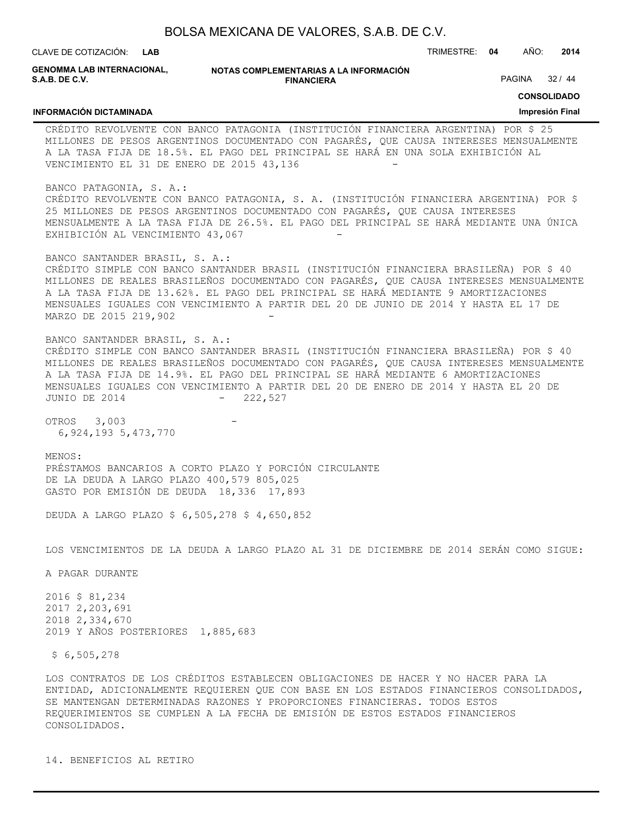**NOTAS COMPLEMENTARIAS A LA INFORMACIÓN FINANCIERA** CLAVE DE COTIZACIÓN: TRIMESTRE: **04** AÑO: **2014 CONSOLIDADO Impresión Final LAB GENOMMA LAB INTERNACIONAL, S.A.B. DE C.V. INFORMACIÓN DICTAMINADA** PAGINA 32 / 44 CRÉDITO REVOLVENTE CON BANCO PATAGONIA (INSTITUCIÓN FINANCIERA ARGENTINA) POR \$ 25 MILLONES DE PESOS ARGENTINOS DOCUMENTADO CON PAGARÉS, QUE CAUSA INTERESES MENSUALMENTE A LA TASA FIJA DE 18.5%. EL PAGO DEL PRINCIPAL SE HARÁ EN UNA SOLA EXHIBICIÓN AL VENCIMIENTO EL 31 DE ENERO DE 2015 43,136 BANCO PATAGONIA, S. A.: CRÉDITO REVOLVENTE CON BANCO PATAGONIA, S. A. (INSTITUCIÓN FINANCIERA ARGENTINA) POR \$ 25 MILLONES DE PESOS ARGENTINOS DOCUMENTADO CON PAGARÉS, QUE CAUSA INTERESES MENSUALMENTE A LA TASA FIJA DE 26.5%. EL PAGO DEL PRINCIPAL SE HARÁ MEDIANTE UNA ÚNICA EXHIBICIÓN AL VENCIMIENTO 43,067 BANCO SANTANDER BRASIL, S. A.: CRÉDITO SIMPLE CON BANCO SANTANDER BRASIL (INSTITUCIÓN FINANCIERA BRASILEÑA) POR \$ 40 MILLONES DE REALES BRASILEÑOS DOCUMENTADO CON PAGARÉS, QUE CAUSA INTERESES MENSUALMENTE A LA TASA FIJA DE 13.62%. EL PAGO DEL PRINCIPAL SE HARÁ MEDIANTE 9 AMORTIZACIONES MENSUALES IGUALES CON VENCIMIENTO A PARTIR DEL 20 DE JUNIO DE 2014 Y HASTA EL 17 DE MARZO DE 2015 219,902 BANCO SANTANDER BRASIL, S. A.: CRÉDITO SIMPLE CON BANCO SANTANDER BRASIL (INSTITUCIÓN FINANCIERA BRASILEÑA) POR \$ 40 MILLONES DE REALES BRASILEÑOS DOCUMENTADO CON PAGARÉS, QUE CAUSA INTERESES MENSUALMENTE A LA TASA FIJA DE 14.9%. EL PAGO DEL PRINCIPAL SE HARÁ MEDIANTE 6 AMORTIZACIONES MENSUALES IGUALES CON VENCIMIENTO A PARTIR DEL 20 DE ENERO DE 2014 Y HASTA EL 20 DE JUNIO DE 2014 - 222,527 OTROS 3,003 6,924,193 5,473,770 MENOS: PRÉSTAMOS BANCARIOS A CORTO PLAZO Y PORCIÓN CIRCULANTE DE LA DEUDA A LARGO PLAZO 400,579 805,025 GASTO POR EMISIÓN DE DEUDA 18,336 17,893 DEUDA A LARGO PLAZO \$ 6,505,278 \$ 4,650,852 LOS VENCIMIENTOS DE LA DEUDA A LARGO PLAZO AL 31 DE DICIEMBRE DE 2014 SERÁN COMO SIGUE: A PAGAR DURANTE 2016 \$ 81,234 2017 2,203,691 2018 2,334,670 2019 Y AÑOS POSTERIORES 1,885,683 \$ 6,505,278

LOS CONTRATOS DE LOS CRÉDITOS ESTABLECEN OBLIGACIONES DE HACER Y NO HACER PARA LA ENTIDAD, ADICIONALMENTE REQUIEREN QUE CON BASE EN LOS ESTADOS FINANCIEROS CONSOLIDADOS, SE MANTENGAN DETERMINADAS RAZONES Y PROPORCIONES FINANCIERAS. TODOS ESTOS REQUERIMIENTOS SE CUMPLEN A LA FECHA DE EMISIÓN DE ESTOS ESTADOS FINANCIEROS CONSOLIDADOS.

14. BENEFICIOS AL RETIRO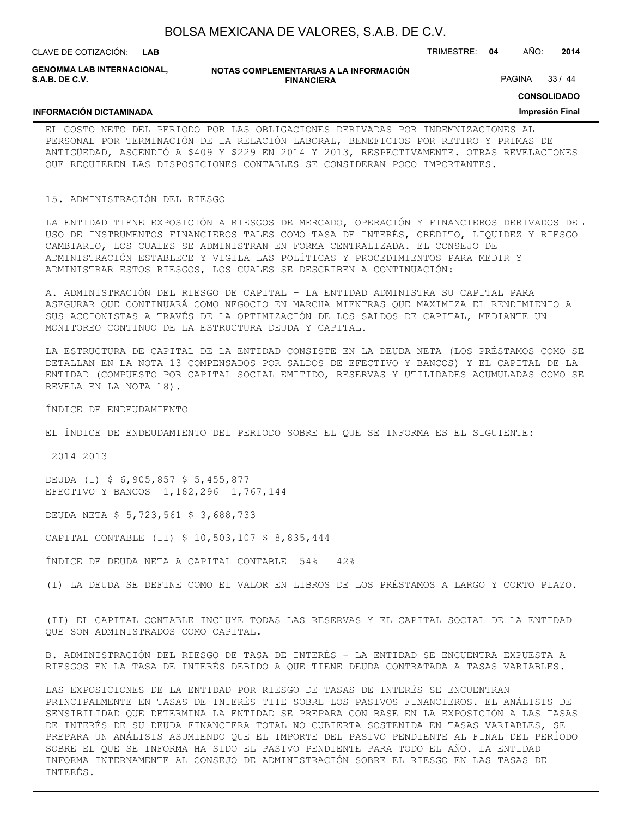| BOLSA MEXICANA DE VALORES, S.A.B. DE C.V. |  |  |
|-------------------------------------------|--|--|
|-------------------------------------------|--|--|

**INFORMACIÓN DICTAMINADA**

**GENOMMA LAB INTERNACIONAL, S.A.B. DE C.V.**

**NOTAS COMPLEMENTARIAS A LA INFORMACIÓN FINANCIERA**

PAGINA 33 / 44

**CONSOLIDADO**

#### **Impresión Final**

EL COSTO NETO DEL PERIODO POR LAS OBLIGACIONES DERIVADAS POR INDEMNIZACIONES AL PERSONAL POR TERMINACIÓN DE LA RELACIÓN LABORAL, BENEFICIOS POR RETIRO Y PRIMAS DE ANTIGÜEDAD, ASCENDIÓ A \$409 Y \$229 EN 2014 Y 2013, RESPECTIVAMENTE. OTRAS REVELACIONES QUE REQUIEREN LAS DISPOSICIONES CONTABLES SE CONSIDERAN POCO IMPORTANTES.

#### 15. ADMINISTRACIÓN DEL RIESGO

LA ENTIDAD TIENE EXPOSICIÓN A RIESGOS DE MERCADO, OPERACIÓN Y FINANCIEROS DERIVADOS DEL USO DE INSTRUMENTOS FINANCIEROS TALES COMO TASA DE INTERÉS, CRÉDITO, LIQUIDEZ Y RIESGO CAMBIARIO, LOS CUALES SE ADMINISTRAN EN FORMA CENTRALIZADA. EL CONSEJO DE ADMINISTRACIÓN ESTABLECE Y VIGILA LAS POLÍTICAS Y PROCEDIMIENTOS PARA MEDIR Y ADMINISTRAR ESTOS RIESGOS, LOS CUALES SE DESCRIBEN A CONTINUACIÓN:

A. ADMINISTRACIÓN DEL RIESGO DE CAPITAL – LA ENTIDAD ADMINISTRA SU CAPITAL PARA ASEGURAR QUE CONTINUARÁ COMO NEGOCIO EN MARCHA MIENTRAS QUE MAXIMIZA EL RENDIMIENTO A SUS ACCIONISTAS A TRAVÉS DE LA OPTIMIZACIÓN DE LOS SALDOS DE CAPITAL, MEDIANTE UN MONITOREO CONTINUO DE LA ESTRUCTURA DEUDA Y CAPITAL.

LA ESTRUCTURA DE CAPITAL DE LA ENTIDAD CONSISTE EN LA DEUDA NETA (LOS PRÉSTAMOS COMO SE DETALLAN EN LA NOTA 13 COMPENSADOS POR SALDOS DE EFECTIVO Y BANCOS) Y EL CAPITAL DE LA ENTIDAD (COMPUESTO POR CAPITAL SOCIAL EMITIDO, RESERVAS Y UTILIDADES ACUMULADAS COMO SE REVELA EN LA NOTA 18).

ÍNDICE DE ENDEUDAMIENTO

EL ÍNDICE DE ENDEUDAMIENTO DEL PERIODO SOBRE EL QUE SE INFORMA ES EL SIGUIENTE:

2014 2013

DEUDA (I) \$ 6,905,857 \$ 5,455,877 EFECTIVO Y BANCOS 1,182,296 1,767,144

DEUDA NETA \$ 5,723,561 \$ 3,688,733

CAPITAL CONTABLE (II) \$ 10,503,107 \$ 8,835,444

ÍNDICE DE DEUDA NETA A CAPITAL CONTABLE 54% 42%

(I) LA DEUDA SE DEFINE COMO EL VALOR EN LIBROS DE LOS PRÉSTAMOS A LARGO Y CORTO PLAZO.

(II) EL CAPITAL CONTABLE INCLUYE TODAS LAS RESERVAS Y EL CAPITAL SOCIAL DE LA ENTIDAD QUE SON ADMINISTRADOS COMO CAPITAL.

B. ADMINISTRACIÓN DEL RIESGO DE TASA DE INTERÉS - LA ENTIDAD SE ENCUENTRA EXPUESTA A RIESGOS EN LA TASA DE INTERÉS DEBIDO A QUE TIENE DEUDA CONTRATADA A TASAS VARIABLES.

LAS EXPOSICIONES DE LA ENTIDAD POR RIESGO DE TASAS DE INTERÉS SE ENCUENTRAN PRINCIPALMENTE EN TASAS DE INTERÉS TIIE SOBRE LOS PASIVOS FINANCIEROS. EL ANÁLISIS DE SENSIBILIDAD QUE DETERMINA LA ENTIDAD SE PREPARA CON BASE EN LA EXPOSICIÓN A LAS TASAS DE INTERÉS DE SU DEUDA FINANCIERA TOTAL NO CUBIERTA SOSTENIDA EN TASAS VARIABLES, SE PREPARA UN ANÁLISIS ASUMIENDO QUE EL IMPORTE DEL PASIVO PENDIENTE AL FINAL DEL PERÍODO SOBRE EL QUE SE INFORMA HA SIDO EL PASIVO PENDIENTE PARA TODO EL AÑO. LA ENTIDAD INFORMA INTERNAMENTE AL CONSEJO DE ADMINISTRACIÓN SOBRE EL RIESGO EN LAS TASAS DE INTERÉS.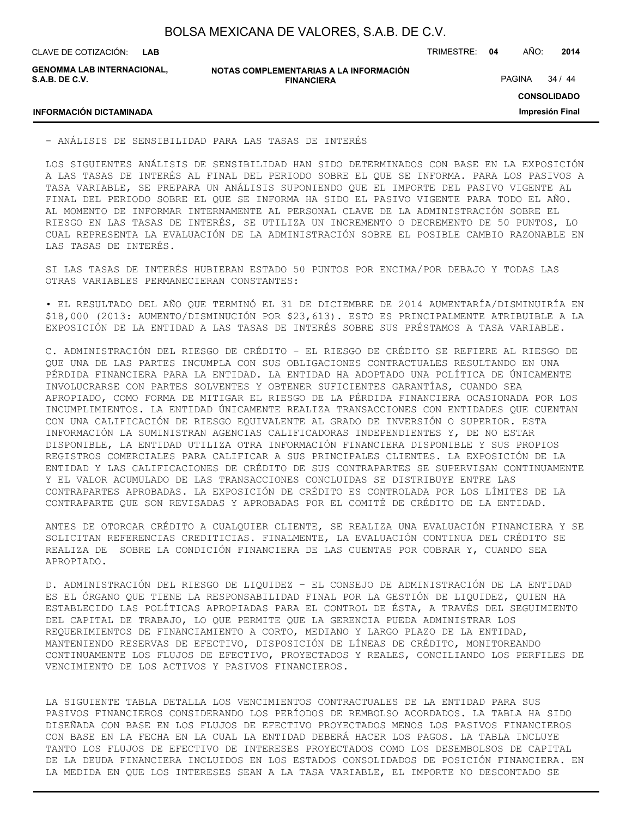**LAB**

CLAVE DE COTIZACIÓN: TRIMESTRE: **04** AÑO: **2014**

**GENOMMA LAB INTERNACIONAL, S.A.B. DE C.V.**

**NOTAS COMPLEMENTARIAS A LA INFORMACIÓN FINANCIERA**

PAGINA 34 / 44

**CONSOLIDADO**

**Impresión Final**

# **INFORMACIÓN DICTAMINADA**

- ANÁLISIS DE SENSIBILIDAD PARA LAS TASAS DE INTERÉS

LOS SIGUIENTES ANÁLISIS DE SENSIBILIDAD HAN SIDO DETERMINADOS CON BASE EN LA EXPOSICIÓN A LAS TASAS DE INTERÉS AL FINAL DEL PERIODO SOBRE EL QUE SE INFORMA. PARA LOS PASIVOS A TASA VARIABLE, SE PREPARA UN ANÁLISIS SUPONIENDO QUE EL IMPORTE DEL PASIVO VIGENTE AL FINAL DEL PERIODO SOBRE EL QUE SE INFORMA HA SIDO EL PASIVO VIGENTE PARA TODO EL AÑO. AL MOMENTO DE INFORMAR INTERNAMENTE AL PERSONAL CLAVE DE LA ADMINISTRACIÓN SOBRE EL RIESGO EN LAS TASAS DE INTERÉS, SE UTILIZA UN INCREMENTO O DECREMENTO DE 50 PUNTOS, LO CUAL REPRESENTA LA EVALUACIÓN DE LA ADMINISTRACIÓN SOBRE EL POSIBLE CAMBIO RAZONABLE EN LAS TASAS DE INTERÉS.

SI LAS TASAS DE INTERÉS HUBIERAN ESTADO 50 PUNTOS POR ENCIMA/POR DEBAJO Y TODAS LAS OTRAS VARIABLES PERMANECIERAN CONSTANTES:

• EL RESULTADO DEL AÑO QUE TERMINÓ EL 31 DE DICIEMBRE DE 2014 AUMENTARÍA/DISMINUIRÍA EN \$18,000 (2013: AUMENTO/DISMINUCIÓN POR \$23,613). ESTO ES PRINCIPALMENTE ATRIBUIBLE A LA EXPOSICIÓN DE LA ENTIDAD A LAS TASAS DE INTERÉS SOBRE SUS PRÉSTAMOS A TASA VARIABLE.

C. ADMINISTRACIÓN DEL RIESGO DE CRÉDITO - EL RIESGO DE CRÉDITO SE REFIERE AL RIESGO DE QUE UNA DE LAS PARTES INCUMPLA CON SUS OBLIGACIONES CONTRACTUALES RESULTANDO EN UNA PÉRDIDA FINANCIERA PARA LA ENTIDAD. LA ENTIDAD HA ADOPTADO UNA POLÍTICA DE ÚNICAMENTE INVOLUCRARSE CON PARTES SOLVENTES Y OBTENER SUFICIENTES GARANTÍAS, CUANDO SEA APROPIADO, COMO FORMA DE MITIGAR EL RIESGO DE LA PÉRDIDA FINANCIERA OCASIONADA POR LOS INCUMPLIMIENTOS. LA ENTIDAD ÚNICAMENTE REALIZA TRANSACCIONES CON ENTIDADES QUE CUENTAN CON UNA CALIFICACIÓN DE RIESGO EQUIVALENTE AL GRADO DE INVERSIÓN O SUPERIOR. ESTA INFORMACIÓN LA SUMINISTRAN AGENCIAS CALIFICADORAS INDEPENDIENTES Y, DE NO ESTAR DISPONIBLE, LA ENTIDAD UTILIZA OTRA INFORMACIÓN FINANCIERA DISPONIBLE Y SUS PROPIOS REGISTROS COMERCIALES PARA CALIFICAR A SUS PRINCIPALES CLIENTES. LA EXPOSICIÓN DE LA ENTIDAD Y LAS CALIFICACIONES DE CRÉDITO DE SUS CONTRAPARTES SE SUPERVISAN CONTINUAMENTE Y EL VALOR ACUMULADO DE LAS TRANSACCIONES CONCLUIDAS SE DISTRIBUYE ENTRE LAS CONTRAPARTES APROBADAS. LA EXPOSICIÓN DE CRÉDITO ES CONTROLADA POR LOS LÍMITES DE LA CONTRAPARTE QUE SON REVISADAS Y APROBADAS POR EL COMITÉ DE CRÉDITO DE LA ENTIDAD.

ANTES DE OTORGAR CRÉDITO A CUALQUIER CLIENTE, SE REALIZA UNA EVALUACIÓN FINANCIERA Y SE SOLICITAN REFERENCIAS CREDITICIAS. FINALMENTE, LA EVALUACIÓN CONTINUA DEL CRÉDITO SE REALIZA DE SOBRE LA CONDICIÓN FINANCIERA DE LAS CUENTAS POR COBRAR Y, CUANDO SEA APROPIADO.

D. ADMINISTRACIÓN DEL RIESGO DE LIQUIDEZ – EL CONSEJO DE ADMINISTRACIÓN DE LA ENTIDAD ES EL ÓRGANO QUE TIENE LA RESPONSABILIDAD FINAL POR LA GESTIÓN DE LIQUIDEZ, QUIEN HA ESTABLECIDO LAS POLÍTICAS APROPIADAS PARA EL CONTROL DE ÉSTA, A TRAVÉS DEL SEGUIMIENTO DEL CAPITAL DE TRABAJO, LO QUE PERMITE QUE LA GERENCIA PUEDA ADMINISTRAR LOS REQUERIMIENTOS DE FINANCIAMIENTO A CORTO, MEDIANO Y LARGO PLAZO DE LA ENTIDAD, MANTENIENDO RESERVAS DE EFECTIVO, DISPOSICIÓN DE LÍNEAS DE CRÉDITO, MONITOREANDO CONTINUAMENTE LOS FLUJOS DE EFECTIVO, PROYECTADOS Y REALES, CONCILIANDO LOS PERFILES DE VENCIMIENTO DE LOS ACTIVOS Y PASIVOS FINANCIEROS.

LA SIGUIENTE TABLA DETALLA LOS VENCIMIENTOS CONTRACTUALES DE LA ENTIDAD PARA SUS PASIVOS FINANCIEROS CONSIDERANDO LOS PERÍODOS DE REMBOLSO ACORDADOS. LA TABLA HA SIDO DISEÑADA CON BASE EN LOS FLUJOS DE EFECTIVO PROYECTADOS MENOS LOS PASIVOS FINANCIEROS CON BASE EN LA FECHA EN LA CUAL LA ENTIDAD DEBERÁ HACER LOS PAGOS. LA TABLA INCLUYE TANTO LOS FLUJOS DE EFECTIVO DE INTERESES PROYECTADOS COMO LOS DESEMBOLSOS DE CAPITAL DE LA DEUDA FINANCIERA INCLUIDOS EN LOS ESTADOS CONSOLIDADOS DE POSICIÓN FINANCIERA. EN LA MEDIDA EN QUE LOS INTERESES SEAN A LA TASA VARIABLE, EL IMPORTE NO DESCONTADO SE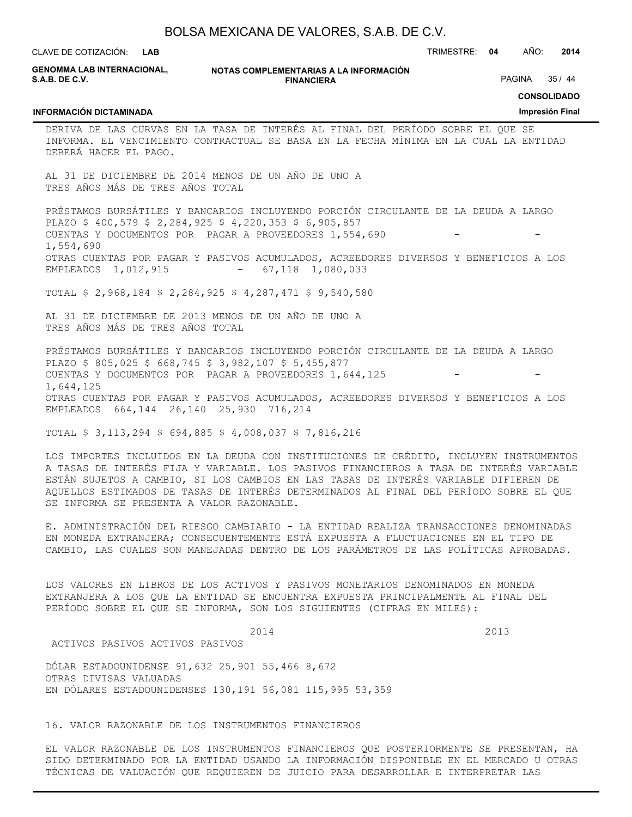| CLAVE DE COTIZACIÓN:<br><b>LAB</b>                                        |                                                                                                                                                                                                                                                                                                                                                                  | TRIMESTRE: 04 | AÑO:<br>2014                          |
|---------------------------------------------------------------------------|------------------------------------------------------------------------------------------------------------------------------------------------------------------------------------------------------------------------------------------------------------------------------------------------------------------------------------------------------------------|---------------|---------------------------------------|
| <b>GENOMMA LAB INTERNACIONAL,</b><br>S.A.B. DE C.V.                       | NOTAS COMPLEMENTARIAS A LA INFORMACIÓN<br><b>FINANCIERA</b>                                                                                                                                                                                                                                                                                                      |               | 35/44<br>PAGINA                       |
| <b>INFORMACIÓN DICTAMINADA</b>                                            |                                                                                                                                                                                                                                                                                                                                                                  |               | <b>CONSOLIDADO</b><br>Impresión Final |
| DEBERÁ HACER EL PAGO.                                                     | DERIVA DE LAS CURVAS EN LA TASA DE INTERÉS AL FINAL DEL PERÍODO SOBRE EL QUE SE<br>INFORMA. EL VENCIMIENTO CONTRACTUAL SE BASA EN LA FECHA MÍNIMA EN LA CUAL LA ENTIDAD                                                                                                                                                                                          |               |                                       |
| TRES AÑOS MÁS DE TRES AÑOS TOTAL                                          | AL 31 DE DICIEMBRE DE 2014 MENOS DE UN AÑO DE UNO A                                                                                                                                                                                                                                                                                                              |               |                                       |
| 1,554,690                                                                 | PRÉSTAMOS BURSÁTILES Y BANCARIOS INCLUYENDO PORCIÓN CIRCULANTE DE LA DEUDA A LARGO<br>PLAZO \$ 400,579 \$ 2,284,925 \$ 4,220,353 \$ 6,905,857<br>CUENTAS Y DOCUMENTOS POR PAGAR A PROVEEDORES 1,554,690                                                                                                                                                          |               |                                       |
| EMPLEADOS 1,012,915                                                       | OTRAS CUENTAS POR PAGAR Y PASIVOS ACUMULADOS, ACREEDORES DIVERSOS Y BENEFICIOS A LOS<br>$-67,118$ 1,080,033                                                                                                                                                                                                                                                      |               |                                       |
|                                                                           | TOTAL \$ 2,968,184 \$ 2,284,925 \$ 4,287,471 \$ 9,540,580                                                                                                                                                                                                                                                                                                        |               |                                       |
| TRES AÑOS MÁS DE TRES AÑOS TOTAL                                          | AL 31 DE DICIEMBRE DE 2013 MENOS DE UN AÑO DE UNO A                                                                                                                                                                                                                                                                                                              |               |                                       |
| 1,644,125                                                                 | PRÉSTAMOS BURSÁTILES Y BANCARIOS INCLUYENDO PORCIÓN CIRCULANTE DE LA DEUDA A LARGO<br>PLAZO \$ 805,025 \$ 668,745 \$ 3,982,107 \$ 5,455,877<br>CUENTAS Y DOCUMENTOS POR PAGAR A PROVEEDORES 1,644,125<br>OTRAS CUENTAS POR PAGAR Y PASIVOS ACUMULADOS, ACREEDORES DIVERSOS Y BENEFICIOS A LOS                                                                    |               |                                       |
| EMPLEADOS 664, 144 26, 140 25, 930 716, 214                               | TOTAL \$ 3,113,294 \$ 694,885 \$ 4,008,037 \$ 7,816,216                                                                                                                                                                                                                                                                                                          |               |                                       |
| SE INFORMA SE PRESENTA A VALOR RAZONABLE.                                 | LOS IMPORTES INCLUIDOS EN LA DEUDA CON INSTITUCIONES DE CRÉDITO, INCLUYEN INSTRUMENTOS<br>A TASAS DE INTERÉS FIJA Y VARIABLE. LOS PASIVOS FINANCIEROS A TASA DE INTERÉS VARIABLE<br>ESTÁN SUJETOS A CAMBIO, SI LOS CAMBIOS EN LAS TASAS DE INTERÉS VARIABLE DIFIEREN DE<br>AQUELLOS ESTIMADOS DE TASAS DE INTERÉS DETERMINADOS AL FINAL DEL PERÍODO SOBRE EL QUE |               |                                       |
|                                                                           | E. ADMINISTRACIÓN DEL RIESGO CAMBIARIO - LA ENTIDAD REALIZA TRANSACCIONES DENOMINADAS<br>EN MONEDA EXTRANJERA; CONSECUENTEMENTE ESTÁ EXPUESTA A FLUCTUACIONES EN EL TIPO DE<br>CAMBIO, LAS CUALES SON MANEJADAS DENTRO DE LOS PARÁMETROS DE LAS POLÍTICAS APROBADAS.                                                                                             |               |                                       |
|                                                                           | LOS VALORES EN LIBROS DE LOS ACTIVOS Y PASIVOS MONETARIOS DENOMINADOS EN MONEDA<br>EXTRANJERA A LOS QUE LA ENTIDAD SE ENCUENTRA EXPUESTA PRINCIPALMENTE AL FINAL DEL<br>PERÍODO SOBRE EL QUE SE INFORMA, SON LOS SIGUIENTES (CIFRAS EN MILES):                                                                                                                   |               |                                       |
| ACTIVOS PASIVOS ACTIVOS PASIVOS                                           | 2014                                                                                                                                                                                                                                                                                                                                                             |               | 2013                                  |
| DÓLAR ESTADOUNIDENSE 91,632 25,901 55,466 8,672<br>OTRAS DIVISAS VALUADAS | EN DÓLARES ESTADOUNIDENSES 130,191 56,081 115,995 53,359                                                                                                                                                                                                                                                                                                         |               |                                       |
|                                                                           | 16. VALOR RAZONABLE DE LOS INSTRUMENTOS FINANCIEROS                                                                                                                                                                                                                                                                                                              |               |                                       |
|                                                                           | EL VALOR RAZONABLE DE LOS INSTRUMENTOS FINANCIEROS QUE POSTERIORMENTE SE PRESENTAN, HA<br>SIDO DETERMINADO POR LA ENTIDAD USANDO LA INFORMACIÓN DISPONIBLE EN EL MERCADO U OTRAS<br>TÉCNICAS DE VALUACIÓN QUE REQUIEREN DE JUICIO PARA DESARROLLAR E INTERPRETAR LAS                                                                                             |               |                                       |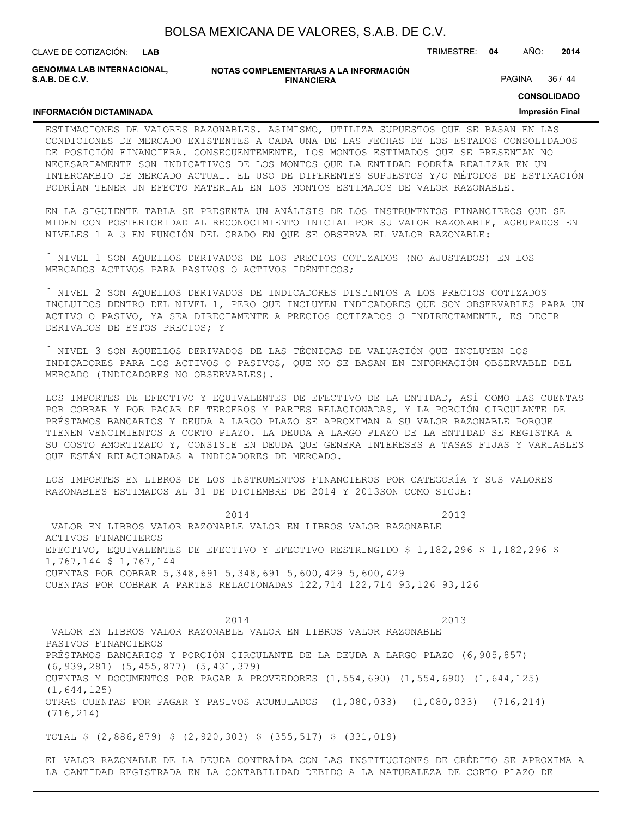| BOLSA MEXICANA DE VALORES, S.A.B. DE C.V. |  |  |
|-------------------------------------------|--|--|
|-------------------------------------------|--|--|

CLAVE DE COTIZACIÓN: TRIMESTRE: **04** AÑO: **2014 LAB GENOMMA LAB INTERNACIONAL,**

**INFORMACIÓN DICTAMINADA**

**S.A.B. DE C.V.**

**NOTAS COMPLEMENTARIAS A LA INFORMACIÓN FINANCIERA**

PAGINA 36 / 44

#### **CONSOLIDADO**

#### **Impresión Final**

ESTIMACIONES DE VALORES RAZONABLES. ASIMISMO, UTILIZA SUPUESTOS QUE SE BASAN EN LAS CONDICIONES DE MERCADO EXISTENTES A CADA UNA DE LAS FECHAS DE LOS ESTADOS CONSOLIDADOS DE POSICIÓN FINANCIERA. CONSECUENTEMENTE, LOS MONTOS ESTIMADOS QUE SE PRESENTAN NO NECESARIAMENTE SON INDICATIVOS DE LOS MONTOS QUE LA ENTIDAD PODRÍA REALIZAR EN UN INTERCAMBIO DE MERCADO ACTUAL. EL USO DE DIFERENTES SUPUESTOS Y/O MÉTODOS DE ESTIMACIÓN PODRÍAN TENER UN EFECTO MATERIAL EN LOS MONTOS ESTIMADOS DE VALOR RAZONABLE.

EN LA SIGUIENTE TABLA SE PRESENTA UN ANÁLISIS DE LOS INSTRUMENTOS FINANCIEROS QUE SE MIDEN CON POSTERIORIDAD AL RECONOCIMIENTO INICIAL POR SU VALOR RAZONABLE, AGRUPADOS EN NIVELES 1 A 3 EN FUNCIÓN DEL GRADO EN QUE SE OBSERVA EL VALOR RAZONABLE:

 NIVEL 1 SON AQUELLOS DERIVADOS DE LOS PRECIOS COTIZADOS (NO AJUSTADOS) EN LOS MERCADOS ACTIVOS PARA PASIVOS O ACTIVOS IDÉNTICOS;

 NIVEL 2 SON AQUELLOS DERIVADOS DE INDICADORES DISTINTOS A LOS PRECIOS COTIZADOS INCLUIDOS DENTRO DEL NIVEL 1, PERO QUE INCLUYEN INDICADORES QUE SON OBSERVABLES PARA UN ACTIVO O PASIVO, YA SEA DIRECTAMENTE A PRECIOS COTIZADOS O INDIRECTAMENTE, ES DECIR DERIVADOS DE ESTOS PRECIOS; Y

 NIVEL 3 SON AQUELLOS DERIVADOS DE LAS TÉCNICAS DE VALUACIÓN QUE INCLUYEN LOS INDICADORES PARA LOS ACTIVOS O PASIVOS, QUE NO SE BASAN EN INFORMACIÓN OBSERVABLE DEL MERCADO (INDICADORES NO OBSERVABLES).

LOS IMPORTES DE EFECTIVO Y EQUIVALENTES DE EFECTIVO DE LA ENTIDAD, ASÍ COMO LAS CUENTAS POR COBRAR Y POR PAGAR DE TERCEROS Y PARTES RELACIONADAS, Y LA PORCIÓN CIRCULANTE DE PRÉSTAMOS BANCARIOS Y DEUDA A LARGO PLAZO SE APROXIMAN A SU VALOR RAZONABLE PORQUE TIENEN VENCIMIENTOS A CORTO PLAZO. LA DEUDA A LARGO PLAZO DE LA ENTIDAD SE REGISTRA A SU COSTO AMORTIZADO Y, CONSISTE EN DEUDA QUE GENERA INTERESES A TASAS FIJAS Y VARIABLES QUE ESTÁN RELACIONADAS A INDICADORES DE MERCADO.

LOS IMPORTES EN LIBROS DE LOS INSTRUMENTOS FINANCIEROS POR CATEGORÍA Y SUS VALORES RAZONABLES ESTIMADOS AL 31 DE DICIEMBRE DE 2014 Y 2013SON COMO SIGUE:

2014 2013 VALOR EN LIBROS VALOR RAZONABLE VALOR EN LIBROS VALOR RAZONABLE ACTIVOS FINANCIEROS EFECTIVO, EQUIVALENTES DE EFECTIVO Y EFECTIVO RESTRINGIDO \$ 1,182,296 \$ 1,182,296 \$ 1,767,144 \$ 1,767,144 CUENTAS POR COBRAR 5,348,691 5,348,691 5,600,429 5,600,429 CUENTAS POR COBRAR A PARTES RELACIONADAS 122,714 122,714 93,126 93,126

2014 2013 VALOR EN LIBROS VALOR RAZONABLE VALOR EN LIBROS VALOR RAZONABLE PASIVOS FINANCIEROS PRÉSTAMOS BANCARIOS Y PORCIÓN CIRCULANTE DE LA DEUDA A LARGO PLAZO (6,905,857) (6,939,281) (5,455,877) (5,431,379) CUENTAS Y DOCUMENTOS POR PAGAR A PROVEEDORES (1,554,690) (1,554,690) (1,644,125) (1,644,125) OTRAS CUENTAS POR PAGAR Y PASIVOS ACUMULADOS (1,080,033) (1,080,033) (716,214) (716,214)

TOTAL \$ (2,886,879) \$ (2,920,303) \$ (355,517) \$ (331,019)

EL VALOR RAZONABLE DE LA DEUDA CONTRAÍDA CON LAS INSTITUCIONES DE CRÉDITO SE APROXIMA A LA CANTIDAD REGISTRADA EN LA CONTABILIDAD DEBIDO A LA NATURALEZA DE CORTO PLAZO DE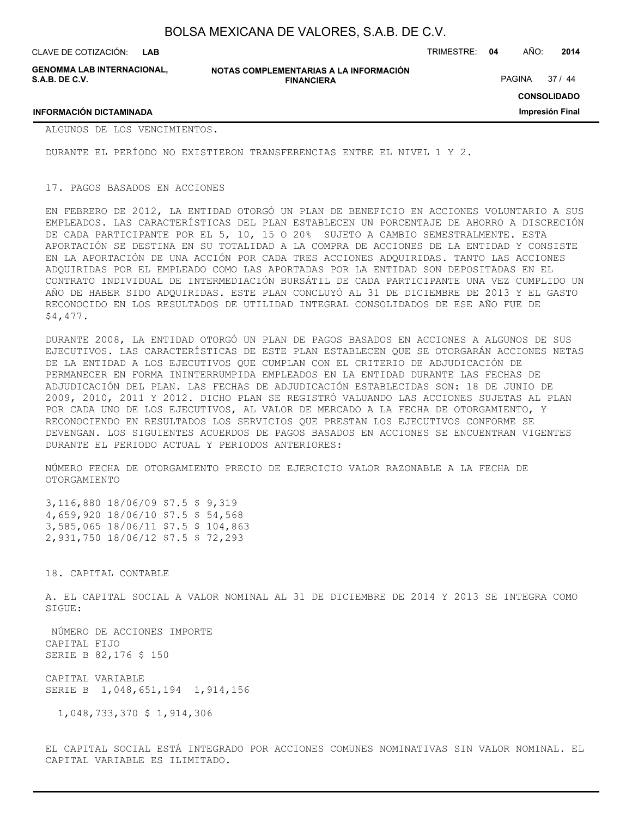CLAVE DE COTIZACIÓN: TRIMESTRE: **04** AÑO: **2014 LAB**

**GENOMMA LAB INTERNACIONAL, S.A.B. DE C.V.**

**NOTAS COMPLEMENTARIAS A LA INFORMACIÓN FINANCIERA**

PAGINA 37 / 44

**CONSOLIDADO**

**Impresión Final**

**INFORMACIÓN DICTAMINADA**

ALGUNOS DE LOS VENCIMIENTOS.

DURANTE EL PERÍODO NO EXISTIERON TRANSFERENCIAS ENTRE EL NIVEL 1 Y 2.

#### 17. PAGOS BASADOS EN ACCIONES

EN FEBRERO DE 2012, LA ENTIDAD OTORGÓ UN PLAN DE BENEFICIO EN ACCIONES VOLUNTARIO A SUS EMPLEADOS. LAS CARACTERÍSTICAS DEL PLAN ESTABLECEN UN PORCENTAJE DE AHORRO A DISCRECIÓN DE CADA PARTICIPANTE POR EL 5, 10, 15 O 20% SUJETO A CAMBIO SEMESTRALMENTE. ESTA APORTACIÓN SE DESTINA EN SU TOTALIDAD A LA COMPRA DE ACCIONES DE LA ENTIDAD Y CONSISTE EN LA APORTACIÓN DE UNA ACCIÓN POR CADA TRES ACCIONES ADQUIRIDAS. TANTO LAS ACCIONES ADQUIRIDAS POR EL EMPLEADO COMO LAS APORTADAS POR LA ENTIDAD SON DEPOSITADAS EN EL CONTRATO INDIVIDUAL DE INTERMEDIACIÓN BURSÁTIL DE CADA PARTICIPANTE UNA VEZ CUMPLIDO UN AÑO DE HABER SIDO ADQUIRIDAS. ESTE PLAN CONCLUYÓ AL 31 DE DICIEMBRE DE 2013 Y EL GASTO RECONOCIDO EN LOS RESULTADOS DE UTILIDAD INTEGRAL CONSOLIDADOS DE ESE AÑO FUE DE \$4,477.

DURANTE 2008, LA ENTIDAD OTORGÓ UN PLAN DE PAGOS BASADOS EN ACCIONES A ALGUNOS DE SUS EJECUTIVOS. LAS CARACTERÍSTICAS DE ESTE PLAN ESTABLECEN QUE SE OTORGARÁN ACCIONES NETAS DE LA ENTIDAD A LOS EJECUTIVOS QUE CUMPLAN CON EL CRITERIO DE ADJUDICACIÓN DE PERMANECER EN FORMA ININTERRUMPIDA EMPLEADOS EN LA ENTIDAD DURANTE LAS FECHAS DE ADJUDICACIÓN DEL PLAN. LAS FECHAS DE ADJUDICACIÓN ESTABLECIDAS SON: 18 DE JUNIO DE 2009, 2010, 2011 Y 2012. DICHO PLAN SE REGISTRÓ VALUANDO LAS ACCIONES SUJETAS AL PLAN POR CADA UNO DE LOS EJECUTIVOS, AL VALOR DE MERCADO A LA FECHA DE OTORGAMIENTO, Y RECONOCIENDO EN RESULTADOS LOS SERVICIOS QUE PRESTAN LOS EJECUTIVOS CONFORME SE DEVENGAN. LOS SIGUIENTES ACUERDOS DE PAGOS BASADOS EN ACCIONES SE ENCUENTRAN VIGENTES DURANTE EL PERIODO ACTUAL Y PERIODOS ANTERIORES:

NÚMERO FECHA DE OTORGAMIENTO PRECIO DE EJERCICIO VALOR RAZONABLE A LA FECHA DE OTORGAMIENTO

3,116,880 18/06/09 \$7.5 \$ 9,319 4,659,920 18/06/10 \$7.5 \$ 54,568 3,585,065 18/06/11 \$7.5 \$ 104,863 2,931,750 18/06/12 \$7.5 \$ 72,293

18. CAPITAL CONTABLE

A. EL CAPITAL SOCIAL A VALOR NOMINAL AL 31 DE DICIEMBRE DE 2014 Y 2013 SE INTEGRA COMO SIGUE:

 NÚMERO DE ACCIONES IMPORTE CAPITAL FIJO SERIE B 82,176 \$ 150

CAPITAL VARIABLE SERIE B 1,048,651,194 1,914,156

1,048,733,370 \$ 1,914,306

EL CAPITAL SOCIAL ESTÁ INTEGRADO POR ACCIONES COMUNES NOMINATIVAS SIN VALOR NOMINAL. EL CAPITAL VARIABLE ES ILIMITADO.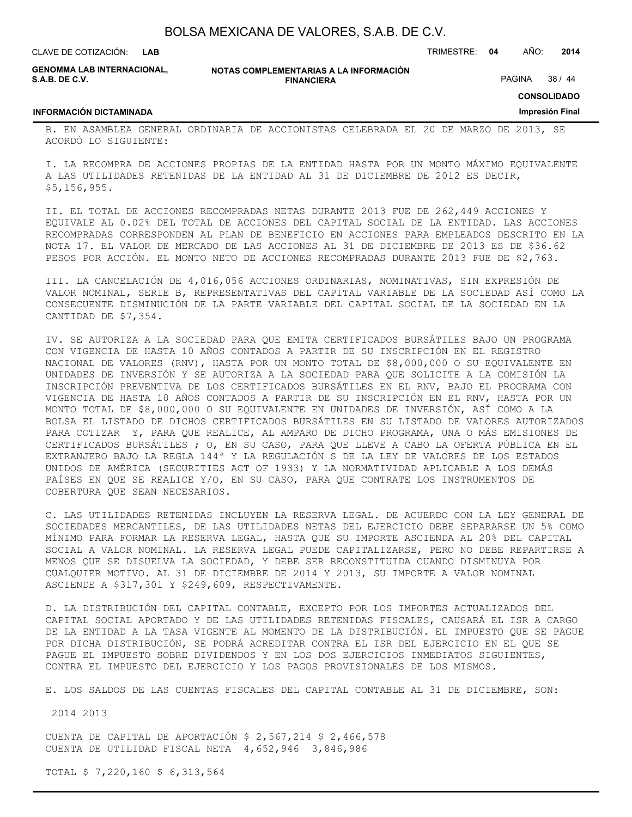**LAB**

CLAVE DE COTIZACIÓN: TRIMESTRE: **04** AÑO: **2014**

**GENOMMA LAB INTERNACIONAL, S.A.B. DE C.V.**

**NOTAS COMPLEMENTARIAS A LA INFORMACIÓN FINANCIERA**

PAGINA 38 / 44

**CONSOLIDADO**

**Impresión Final**

# **INFORMACIÓN DICTAMINADA**

B. EN ASAMBLEA GENERAL ORDINARIA DE ACCIONISTAS CELEBRADA EL 20 DE MARZO DE 2013, SE ACORDÓ LO SIGUIENTE:

I. LA RECOMPRA DE ACCIONES PROPIAS DE LA ENTIDAD HASTA POR UN MONTO MÁXIMO EQUIVALENTE A LAS UTILIDADES RETENIDAS DE LA ENTIDAD AL 31 DE DICIEMBRE DE 2012 ES DECIR, \$5,156,955.

II. EL TOTAL DE ACCIONES RECOMPRADAS NETAS DURANTE 2013 FUE DE 262,449 ACCIONES Y EQUIVALE AL 0.02% DEL TOTAL DE ACCIONES DEL CAPITAL SOCIAL DE LA ENTIDAD. LAS ACCIONES RECOMPRADAS CORRESPONDEN AL PLAN DE BENEFICIO EN ACCIONES PARA EMPLEADOS DESCRITO EN LA NOTA 17. EL VALOR DE MERCADO DE LAS ACCIONES AL 31 DE DICIEMBRE DE 2013 ES DE \$36.62 PESOS POR ACCIÓN. EL MONTO NETO DE ACCIONES RECOMPRADAS DURANTE 2013 FUE DE \$2,763.

III. LA CANCELACIÓN DE 4,016,056 ACCIONES ORDINARIAS, NOMINATIVAS, SIN EXPRESIÓN DE VALOR NOMINAL, SERIE B, REPRESENTATIVAS DEL CAPITAL VARIABLE DE LA SOCIEDAD ASÍ COMO LA CONSECUENTE DISMINUCIÓN DE LA PARTE VARIABLE DEL CAPITAL SOCIAL DE LA SOCIEDAD EN LA CANTIDAD DE \$7,354.

IV. SE AUTORIZA A LA SOCIEDAD PARA QUE EMITA CERTIFICADOS BURSÁTILES BAJO UN PROGRAMA CON VIGENCIA DE HASTA 10 AÑOS CONTADOS A PARTIR DE SU INSCRIPCIÓN EN EL REGISTRO NACIONAL DE VALORES (RNV), HASTA POR UN MONTO TOTAL DE \$8,000,000 O SU EQUIVALENTE EN UNIDADES DE INVERSIÓN Y SE AUTORIZA A LA SOCIEDAD PARA QUE SOLICITE A LA COMISIÓN LA INSCRIPCIÓN PREVENTIVA DE LOS CERTIFICADOS BURSÁTILES EN EL RNV, BAJO EL PROGRAMA CON VIGENCIA DE HASTA 10 AÑOS CONTADOS A PARTIR DE SU INSCRIPCIÓN EN EL RNV, HASTA POR UN MONTO TOTAL DE \$8,000,000 O SU EQUIVALENTE EN UNIDADES DE INVERSIÓN, ASÍ COMO A LA BOLSA EL LISTADO DE DICHOS CERTIFICADOS BURSÁTILES EN SU LISTADO DE VALORES AUTORIZADOS PARA COTIZAR Y, PARA QUE REALICE, AL AMPARO DE DICHO PROGRAMA, UNA O MÁS EMISIONES DE CERTIFICADOS BURSÁTILES ; O, EN SU CASO, PARA QUE LLEVE A CABO LA OFERTA PÚBLICA EN EL EXTRANJERO BAJO LA REGLA 144ª Y LA REGULACIÓN S DE LA LEY DE VALORES DE LOS ESTADOS UNIDOS DE AMÉRICA (SECURITIES ACT OF 1933) Y LA NORMATIVIDAD APLICABLE A LOS DEMÁS PAÍSES EN QUE SE REALICE Y/O, EN SU CASO, PARA QUE CONTRATE LOS INSTRUMENTOS DE COBERTURA QUE SEAN NECESARIOS.

C. LAS UTILIDADES RETENIDAS INCLUYEN LA RESERVA LEGAL. DE ACUERDO CON LA LEY GENERAL DE SOCIEDADES MERCANTILES, DE LAS UTILIDADES NETAS DEL EJERCICIO DEBE SEPARARSE UN 5% COMO MÍNIMO PARA FORMAR LA RESERVA LEGAL, HASTA QUE SU IMPORTE ASCIENDA AL 20% DEL CAPITAL SOCIAL A VALOR NOMINAL. LA RESERVA LEGAL PUEDE CAPITALIZARSE, PERO NO DEBE REPARTIRSE A MENOS QUE SE DISUELVA LA SOCIEDAD, Y DEBE SER RECONSTITUIDA CUANDO DISMINUYA POR CUALQUIER MOTIVO. AL 31 DE DICIEMBRE DE 2014 Y 2013, SU IMPORTE A VALOR NOMINAL ASCIENDE A \$317,301 Y \$249,609, RESPECTIVAMENTE.

D. LA DISTRIBUCIÓN DEL CAPITAL CONTABLE, EXCEPTO POR LOS IMPORTES ACTUALIZADOS DEL CAPITAL SOCIAL APORTADO Y DE LAS UTILIDADES RETENIDAS FISCALES, CAUSARÁ EL ISR A CARGO DE LA ENTIDAD A LA TASA VIGENTE AL MOMENTO DE LA DISTRIBUCIÓN. EL IMPUESTO QUE SE PAGUE POR DICHA DISTRIBUCIÓN, SE PODRÁ ACREDITAR CONTRA EL ISR DEL EJERCICIO EN EL QUE SE PAGUE EL IMPUESTO SOBRE DIVIDENDOS Y EN LOS DOS EJERCICIOS INMEDIATOS SIGUIENTES, CONTRA EL IMPUESTO DEL EJERCICIO Y LOS PAGOS PROVISIONALES DE LOS MISMOS.

E. LOS SALDOS DE LAS CUENTAS FISCALES DEL CAPITAL CONTABLE AL 31 DE DICIEMBRE, SON:

2014 2013

CUENTA DE CAPITAL DE APORTACIÓN \$ 2,567,214 \$ 2,466,578 CUENTA DE UTILIDAD FISCAL NETA 4,652,946 3,846,986

TOTAL \$ 7,220,160 \$ 6,313,564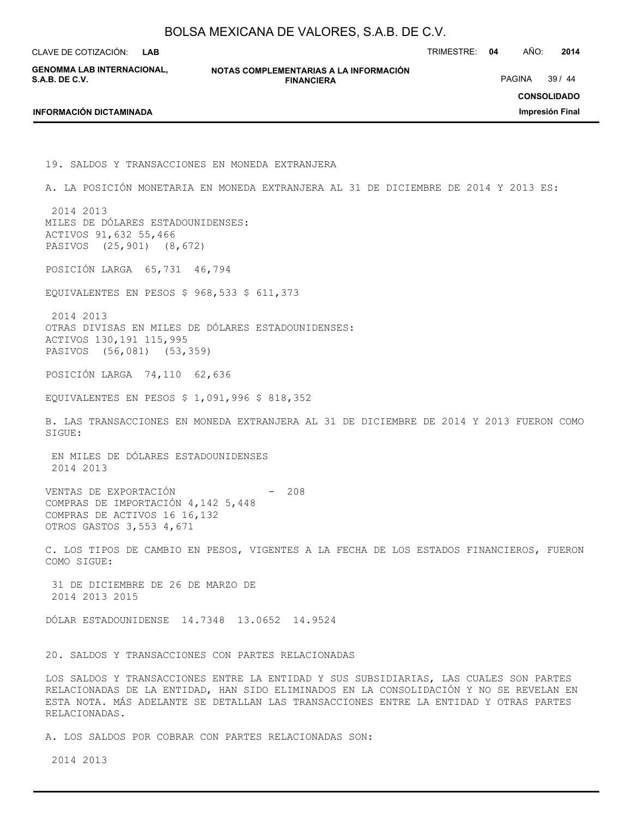**LAB**

CLAVE DE COTIZACIÓN: TRIMESTRE: **04** AÑO: **2014**

**GENOMMA LAB INTERNACIONAL, S.A.B. DE C.V.**

**NOTAS COMPLEMENTARIAS A LA INFORMACIÓN FINANCIERA**

PAGINA 39 / 44

**CONSOLIDADO**

**Impresión Final**

#### **INFORMACIÓN DICTAMINADA**

19. SALDOS Y TRANSACCIONES EN MONEDA EXTRANJERA A. LA POSICIÓN MONETARIA EN MONEDA EXTRANJERA AL 31 DE DICIEMBRE DE 2014 Y 2013 ES: 2014 2013 MILES DE DÓLARES ESTADOUNIDENSES: ACTIVOS 91,632 55,466 PASIVOS (25,901) (8,672) POSICIÓN LARGA 65,731 46,794 EQUIVALENTES EN PESOS \$ 968,533 \$ 611,373 2014 2013 OTRAS DIVISAS EN MILES DE DÓLARES ESTADOUNIDENSES: ACTIVOS 130,191 115,995 PASIVOS (56,081) (53,359) POSICIÓN LARGA 74,110 62,636 EQUIVALENTES EN PESOS \$ 1,091,996 \$ 818,352 B. LAS TRANSACCIONES EN MONEDA EXTRANJERA AL 31 DE DICIEMBRE DE 2014 Y 2013 FUERON COMO SIGUE: EN MILES DE DÓLARES ESTADOUNIDENSES 2014 2013 VENTAS DE EXPORTACIÓN - 208 COMPRAS DE IMPORTACIÓN 4,142 5,448 COMPRAS DE ACTIVOS 16 16,132 OTROS GASTOS 3,553 4,671 C. LOS TIPOS DE CAMBIO EN PESOS, VIGENTES A LA FECHA DE LOS ESTADOS FINANCIEROS, FUERON COMO SIGUE: 31 DE DICIEMBRE DE 26 DE MARZO DE 2014 2013 2015 DÓLAR ESTADOUNIDENSE 14.7348 13.0652 14.9524 20. SALDOS Y TRANSACCIONES CON PARTES RELACIONADAS LOS SALDOS Y TRANSACCIONES ENTRE LA ENTIDAD Y SUS SUBSIDIARIAS, LAS CUALES SON PARTES RELACIONADAS DE LA ENTIDAD, HAN SIDO ELIMINADOS EN LA CONSOLIDACIÓN Y NO SE REVELAN EN ESTA NOTA. MÁS ADELANTE SE DETALLAN LAS TRANSACCIONES ENTRE LA ENTIDAD Y OTRAS PARTES RELACIONADAS. A. LOS SALDOS POR COBRAR CON PARTES RELACIONADAS SON:

2014 2013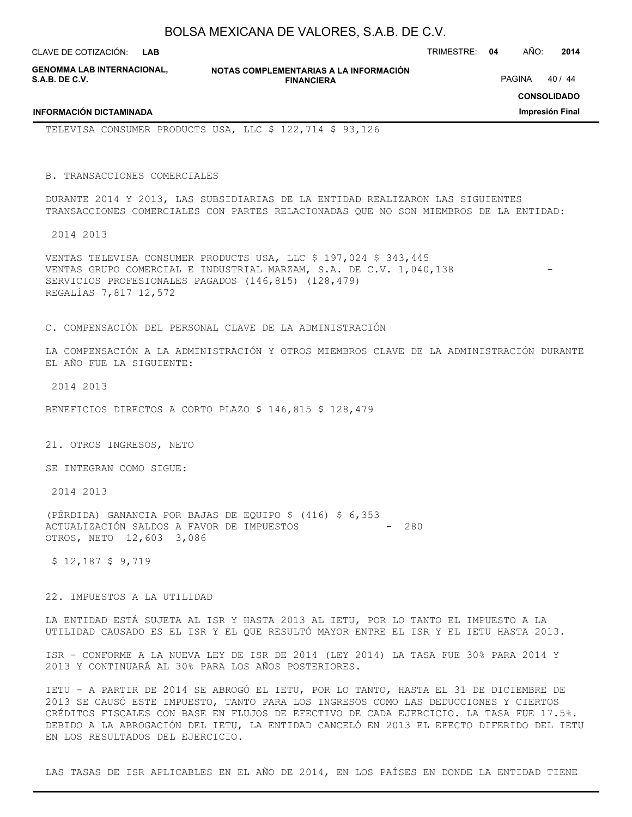| BOLSA MEXICANA DE VALORES, S.A.B. DE C.V. |  |  |
|-------------------------------------------|--|--|
|-------------------------------------------|--|--|

**GENOMMA LAB INTERNACIONAL, S.A.B. DE C.V.**

**INFORMACIÓN DICTAMINADA**

**NOTAS COMPLEMENTARIAS A LA INFORMACIÓN FINANCIERA**

PAGINA 40 / 44

**CONSOLIDADO**

**Impresión Final**

TELEVISA CONSUMER PRODUCTS USA, LLC \$ 122,714 \$ 93,126

B. TRANSACCIONES COMERCIALES

DURANTE 2014 Y 2013, LAS SUBSIDIARIAS DE LA ENTIDAD REALIZARON LAS SIGUIENTES TRANSACCIONES COMERCIALES CON PARTES RELACIONADAS QUE NO SON MIEMBROS DE LA ENTIDAD:

2014 2013

VENTAS TELEVISA CONSUMER PRODUCTS USA, LLC \$ 197,024 \$ 343,445 VENTAS GRUPO COMERCIAL E INDUSTRIAL MARZAM, S.A. DE C.V. 1,040,138 SERVICIOS PROFESIONALES PAGADOS (146,815) (128,479) REGALÍAS 7,817 12,572

C. COMPENSACIÓN DEL PERSONAL CLAVE DE LA ADMINISTRACIÓN

LA COMPENSACIÓN A LA ADMINISTRACIÓN Y OTROS MIEMBROS CLAVE DE LA ADMINISTRACIÓN DURANTE EL AÑO FUE LA SIGUIENTE:

2014 2013

BENEFICIOS DIRECTOS A CORTO PLAZO \$ 146,815 \$ 128,479

21. OTROS INGRESOS, NETO

SE INTEGRAN COMO SIGUE:

2014 2013

(PÉRDIDA) GANANCIA POR BAJAS DE EQUIPO \$ (416) \$ 6,353 ACTUALIZACIÓN SALDOS A FAVOR DE IMPUESTOS  $\sim$  - 280 OTROS, NETO 12,603 3,086

\$ 12,187 \$ 9,719

22. IMPUESTOS A LA UTILIDAD

LA ENTIDAD ESTÁ SUJETA AL ISR Y HASTA 2013 AL IETU, POR LO TANTO EL IMPUESTO A LA UTILIDAD CAUSADO ES EL ISR Y EL QUE RESULTÓ MAYOR ENTRE EL ISR Y EL IETU HASTA 2013.

ISR - CONFORME A LA NUEVA LEY DE ISR DE 2014 (LEY 2014) LA TASA FUE 30% PARA 2014 Y 2013 Y CONTINUARÁ AL 30% PARA LOS AÑOS POSTERIORES.

IETU - A PARTIR DE 2014 SE ABROGÓ EL IETU, POR LO TANTO, HASTA EL 31 DE DICIEMBRE DE 2013 SE CAUSÓ ESTE IMPUESTO, TANTO PARA LOS INGRESOS COMO LAS DEDUCCIONES Y CIERTOS CRÉDITOS FISCALES CON BASE EN FLUJOS DE EFECTIVO DE CADA EJERCICIO. LA TASA FUE 17.5%. DEBIDO A LA ABROGACIÓN DEL IETU, LA ENTIDAD CANCELÓ EN 2013 EL EFECTO DIFERIDO DEL IETU EN LOS RESULTADOS DEL EJERCICIO.

LAS TASAS DE ISR APLICABLES EN EL AÑO DE 2014, EN LOS PAÍSES EN DONDE LA ENTIDAD TIENE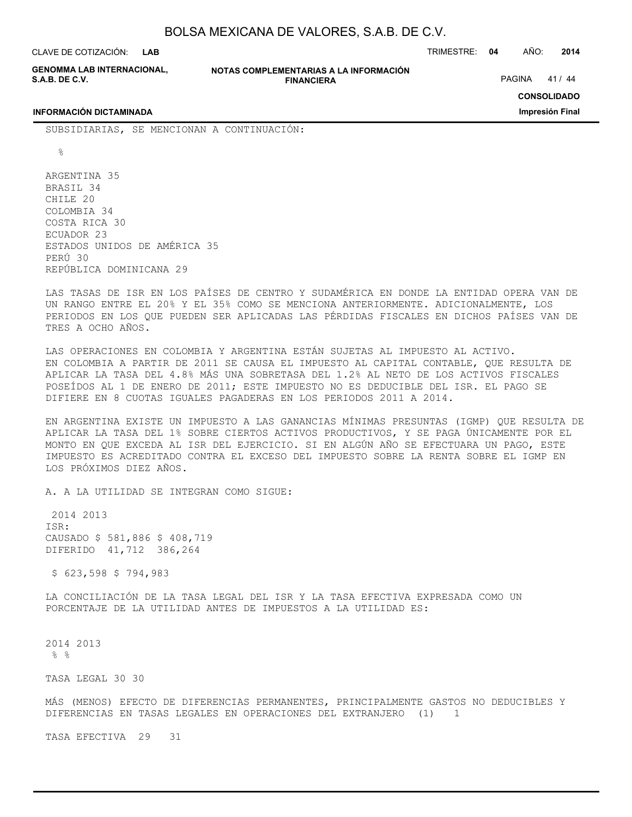| BOLSA MEXICANA DE VALORES, S.A.B. DE C.V. |  |  |
|-------------------------------------------|--|--|
|-------------------------------------------|--|--|

**GENOMMA LAB INTERNACIONAL, S.A.B. DE C.V.**

**NOTAS COMPLEMENTARIAS A LA INFORMACIÓN FINANCIERA**

PAGINA 41 / 44

**CONSOLIDADO**

**Impresión Final**

#### **INFORMACIÓN DICTAMINADA**

SUBSIDIARIAS, SE MENCIONAN A CONTINUACIÓN:

 $\approx$ 

ARGENTINA 35 BRASIL 34 CHILE 20 COLOMBIA 34 COSTA RICA 30 ECUADOR 23 ESTADOS UNIDOS DE AMÉRICA 35 PERÚ 30 REPÚBLICA DOMINICANA 29

LAS TASAS DE ISR EN LOS PAÍSES DE CENTRO Y SUDAMÉRICA EN DONDE LA ENTIDAD OPERA VAN DE UN RANGO ENTRE EL 20% Y EL 35% COMO SE MENCIONA ANTERIORMENTE. ADICIONALMENTE, LOS PERIODOS EN LOS QUE PUEDEN SER APLICADAS LAS PÉRDIDAS FISCALES EN DICHOS PAÍSES VAN DE TRES A OCHO AÑOS.

LAS OPERACIONES EN COLOMBIA Y ARGENTINA ESTÁN SUJETAS AL IMPUESTO AL ACTIVO. EN COLOMBIA A PARTIR DE 2011 SE CAUSA EL IMPUESTO AL CAPITAL CONTABLE, QUE RESULTA DE APLICAR LA TASA DEL 4.8% MÁS UNA SOBRETASA DEL 1.2% AL NETO DE LOS ACTIVOS FISCALES POSEÍDOS AL 1 DE ENERO DE 2011; ESTE IMPUESTO NO ES DEDUCIBLE DEL ISR. EL PAGO SE DIFIERE EN 8 CUOTAS IGUALES PAGADERAS EN LOS PERIODOS 2011 A 2014.

EN ARGENTINA EXISTE UN IMPUESTO A LAS GANANCIAS MÍNIMAS PRESUNTAS (IGMP) QUE RESULTA DE APLICAR LA TASA DEL 1% SOBRE CIERTOS ACTIVOS PRODUCTIVOS, Y SE PAGA ÚNICAMENTE POR EL MONTO EN QUE EXCEDA AL ISR DEL EJERCICIO. SI EN ALGÚN AÑO SE EFECTUARA UN PAGO, ESTE IMPUESTO ES ACREDITADO CONTRA EL EXCESO DEL IMPUESTO SOBRE LA RENTA SOBRE EL IGMP EN LOS PRÓXIMOS DIEZ AÑOS.

A. A LA UTILIDAD SE INTEGRAN COMO SIGUE:

 2014 2013 ISR: CAUSADO \$ 581,886 \$ 408,719 DIFERIDO 41,712 386,264

\$ 623,598 \$ 794,983

LA CONCILIACIÓN DE LA TASA LEGAL DEL ISR Y LA TASA EFECTIVA EXPRESADA COMO UN PORCENTAJE DE LA UTILIDAD ANTES DE IMPUESTOS A LA UTILIDAD ES:

2014 2013  $%$ 

TASA LEGAL 30 30

MÁS (MENOS) EFECTO DE DIFERENCIAS PERMANENTES, PRINCIPALMENTE GASTOS NO DEDUCIBLES Y DIFERENCIAS EN TASAS LEGALES EN OPERACIONES DEL EXTRANJERO (1) 1

TASA EFECTIVA 29 31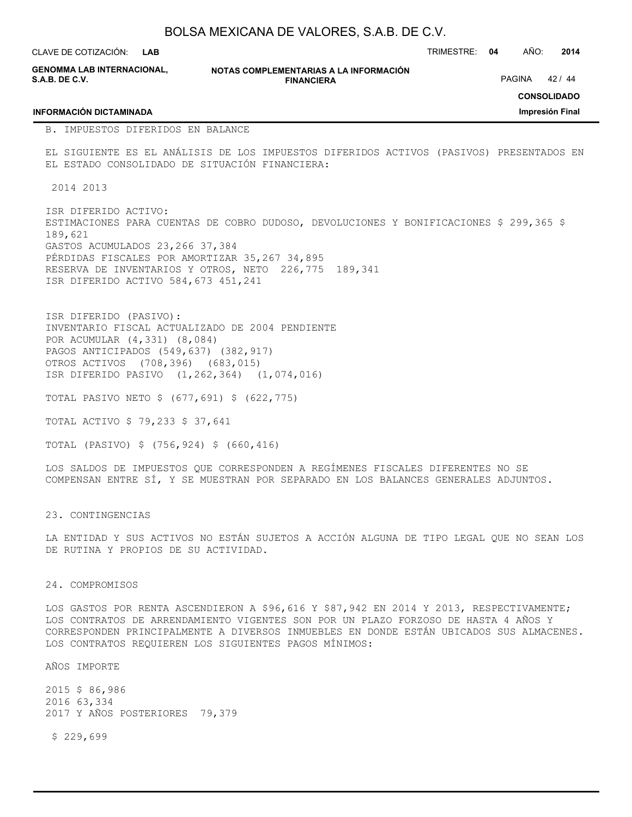BOLSA MEXICANA DE VALORES, S.A.B. DE C.V. **NOTAS COMPLEMENTARIAS A LA INFORMACIÓN FINANCIERA** CLAVE DE COTIZACIÓN: TRIMESTRE: **04** AÑO: **2014 CONSOLIDADO Impresión Final LAB GENOMMA LAB INTERNACIONAL, S.A.B. DE C.V. INFORMACIÓN DICTAMINADA** PAGINA 42 / 44 B. IMPUESTOS DIFERIDOS EN BALANCE EL SIGUIENTE ES EL ANÁLISIS DE LOS IMPUESTOS DIFERIDOS ACTIVOS (PASIVOS) PRESENTADOS EN EL ESTADO CONSOLIDADO DE SITUACIÓN FINANCIERA: 2014 2013 ISR DIFERIDO ACTIVO: ESTIMACIONES PARA CUENTAS DE COBRO DUDOSO, DEVOLUCIONES Y BONIFICACIONES \$ 299,365 \$ 189,621 GASTOS ACUMULADOS 23,266 37,384 PÉRDIDAS FISCALES POR AMORTIZAR 35,267 34,895 RESERVA DE INVENTARIOS Y OTROS, NETO 226,775 189,341 ISR DIFERIDO ACTIVO 584,673 451,241 ISR DIFERIDO (PASIVO): INVENTARIO FISCAL ACTUALIZADO DE 2004 PENDIENTE POR ACUMULAR (4,331) (8,084) PAGOS ANTICIPADOS (549,637) (382,917) OTROS ACTIVOS (708,396) (683,015) ISR DIFERIDO PASIVO (1,262,364) (1,074,016) TOTAL PASIVO NETO \$ (677,691) \$ (622,775) TOTAL ACTIVO \$ 79,233 \$ 37,641

TOTAL (PASIVO) \$ (756,924) \$ (660,416)

LOS SALDOS DE IMPUESTOS QUE CORRESPONDEN A REGÍMENES FISCALES DIFERENTES NO SE COMPENSAN ENTRE SÍ, Y SE MUESTRAN POR SEPARADO EN LOS BALANCES GENERALES ADJUNTOS.

23. CONTINGENCIAS

LA ENTIDAD Y SUS ACTIVOS NO ESTÁN SUJETOS A ACCIÓN ALGUNA DE TIPO LEGAL QUE NO SEAN LOS DE RUTINA Y PROPIOS DE SU ACTIVIDAD.

### 24. COMPROMISOS

LOS GASTOS POR RENTA ASCENDIERON A \$96,616 Y \$87,942 EN 2014 Y 2013, RESPECTIVAMENTE; LOS CONTRATOS DE ARRENDAMIENTO VIGENTES SON POR UN PLAZO FORZOSO DE HASTA 4 AÑOS Y CORRESPONDEN PRINCIPALMENTE A DIVERSOS INMUEBLES EN DONDE ESTÁN UBICADOS SUS ALMACENES. LOS CONTRATOS REQUIEREN LOS SIGUIENTES PAGOS MÍNIMOS:

AÑOS IMPORTE

2015 \$ 86,986 2016 63,334 2017 Y AÑOS POSTERIORES 79,379

\$ 229,699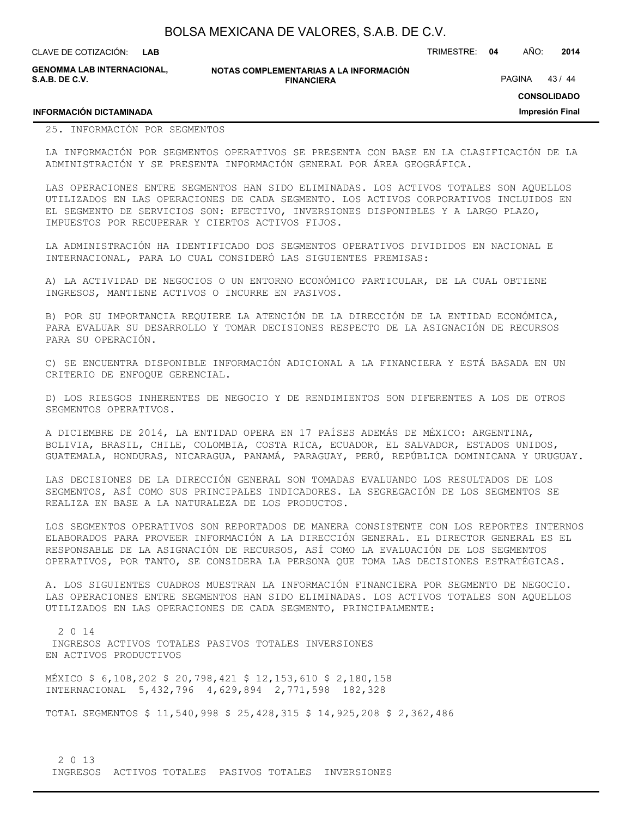| BOLSA MEXICANA DE VALORES, S.A.B. DE C.V. |  |  |
|-------------------------------------------|--|--|
|-------------------------------------------|--|--|

**INFORMACIÓN DICTAMINADA**

**GENOMMA LAB INTERNACIONAL, S.A.B. DE C.V.**

**NOTAS COMPLEMENTARIAS A LA INFORMACIÓN FINANCIERA**

PAGINA 43 / 44

**CONSOLIDADO**

**Impresión Final**

# 25. INFORMACIÓN POR SEGMENTOS

LA INFORMACIÓN POR SEGMENTOS OPERATIVOS SE PRESENTA CON BASE EN LA CLASIFICACIÓN DE LA ADMINISTRACIÓN Y SE PRESENTA INFORMACIÓN GENERAL POR ÁREA GEOGRÁFICA.

LAS OPERACIONES ENTRE SEGMENTOS HAN SIDO ELIMINADAS. LOS ACTIVOS TOTALES SON AQUELLOS UTILIZADOS EN LAS OPERACIONES DE CADA SEGMENTO. LOS ACTIVOS CORPORATIVOS INCLUIDOS EN EL SEGMENTO DE SERVICIOS SON: EFECTIVO, INVERSIONES DISPONIBLES Y A LARGO PLAZO, IMPUESTOS POR RECUPERAR Y CIERTOS ACTIVOS FIJOS.

LA ADMINISTRACIÓN HA IDENTIFICADO DOS SEGMENTOS OPERATIVOS DIVIDIDOS EN NACIONAL E INTERNACIONAL, PARA LO CUAL CONSIDERÓ LAS SIGUIENTES PREMISAS:

A) LA ACTIVIDAD DE NEGOCIOS O UN ENTORNO ECONÓMICO PARTICULAR, DE LA CUAL OBTIENE INGRESOS, MANTIENE ACTIVOS O INCURRE EN PASIVOS.

B) POR SU IMPORTANCIA REQUIERE LA ATENCIÓN DE LA DIRECCIÓN DE LA ENTIDAD ECONÓMICA, PARA EVALUAR SU DESARROLLO Y TOMAR DECISIONES RESPECTO DE LA ASIGNACIÓN DE RECURSOS PARA SU OPERACIÓN.

C) SE ENCUENTRA DISPONIBLE INFORMACIÓN ADICIONAL A LA FINANCIERA Y ESTÁ BASADA EN UN CRITERIO DE ENFOQUE GERENCIAL.

D) LOS RIESGOS INHERENTES DE NEGOCIO Y DE RENDIMIENTOS SON DIFERENTES A LOS DE OTROS SEGMENTOS OPERATIVOS.

A DICIEMBRE DE 2014, LA ENTIDAD OPERA EN 17 PAÍSES ADEMÁS DE MÉXICO: ARGENTINA, BOLIVIA, BRASIL, CHILE, COLOMBIA, COSTA RICA, ECUADOR, EL SALVADOR, ESTADOS UNIDOS, GUATEMALA, HONDURAS, NICARAGUA, PANAMÁ, PARAGUAY, PERÚ, REPÚBLICA DOMINICANA Y URUGUAY.

LAS DECISIONES DE LA DIRECCIÓN GENERAL SON TOMADAS EVALUANDO LOS RESULTADOS DE LOS SEGMENTOS, ASÍ COMO SUS PRINCIPALES INDICADORES. LA SEGREGACIÓN DE LOS SEGMENTOS SE REALIZA EN BASE A LA NATURALEZA DE LOS PRODUCTOS.

LOS SEGMENTOS OPERATIVOS SON REPORTADOS DE MANERA CONSISTENTE CON LOS REPORTES INTERNOS ELABORADOS PARA PROVEER INFORMACIÓN A LA DIRECCIÓN GENERAL. EL DIRECTOR GENERAL ES EL RESPONSABLE DE LA ASIGNACIÓN DE RECURSOS, ASÍ COMO LA EVALUACIÓN DE LOS SEGMENTOS OPERATIVOS, POR TANTO, SE CONSIDERA LA PERSONA QUE TOMA LAS DECISIONES ESTRATÉGICAS.

A. LOS SIGUIENTES CUADROS MUESTRAN LA INFORMACIÓN FINANCIERA POR SEGMENTO DE NEGOCIO. LAS OPERACIONES ENTRE SEGMENTOS HAN SIDO ELIMINADAS. LOS ACTIVOS TOTALES SON AQUELLOS UTILIZADOS EN LAS OPERACIONES DE CADA SEGMENTO, PRINCIPALMENTE:

 2 0 14 INGRESOS ACTIVOS TOTALES PASIVOS TOTALES INVERSIONES EN ACTIVOS PRODUCTIVOS

MÉXICO \$ 6,108,202 \$ 20,798,421 \$ 12,153,610 \$ 2,180,158 INTERNACIONAL 5,432,796 4,629,894 2,771,598 182,328

TOTAL SEGMENTOS \$ 11,540,998 \$ 25,428,315 \$ 14,925,208 \$ 2,362,486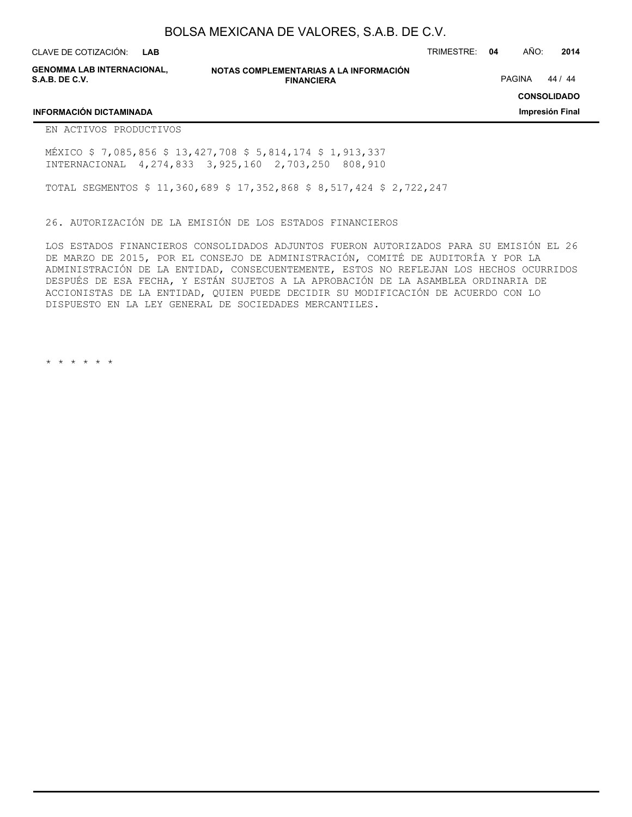CLAVE DE COTIZACIÓN: TRIMESTRE: **04** AÑO: **2014 LAB**

**GENOMMA LAB INTERNACIONAL, S.A.B. DE C.V.**

**NOTAS COMPLEMENTARIAS A LA INFORMACIÓN FINANCIERA**

PAGINA 44 / 44

**CONSOLIDADO**

**Impresión Final**

### **INFORMACIÓN DICTAMINADA**

EN ACTIVOS PRODUCTIVOS

MÉXICO \$ 7,085,856 \$ 13,427,708 \$ 5,814,174 \$ 1,913,337 INTERNACIONAL 4,274,833 3,925,160 2,703,250 808,910

TOTAL SEGMENTOS \$ 11,360,689 \$ 17,352,868 \$ 8,517,424 \$ 2,722,247

26. AUTORIZACIÓN DE LA EMISIÓN DE LOS ESTADOS FINANCIEROS

LOS ESTADOS FINANCIEROS CONSOLIDADOS ADJUNTOS FUERON AUTORIZADOS PARA SU EMISIÓN EL 26 DE MARZO DE 2015, POR EL CONSEJO DE ADMINISTRACIÓN, COMITÉ DE AUDITORÍA Y POR LA ADMINISTRACIÓN DE LA ENTIDAD, CONSECUENTEMENTE, ESTOS NO REFLEJAN LOS HECHOS OCURRIDOS DESPUÉS DE ESA FECHA, Y ESTÁN SUJETOS A LA APROBACIÓN DE LA ASAMBLEA ORDINARIA DE ACCIONISTAS DE LA ENTIDAD, QUIEN PUEDE DECIDIR SU MODIFICACIÓN DE ACUERDO CON LO DISPUESTO EN LA LEY GENERAL DE SOCIEDADES MERCANTILES.

\* \* \* \* \* \*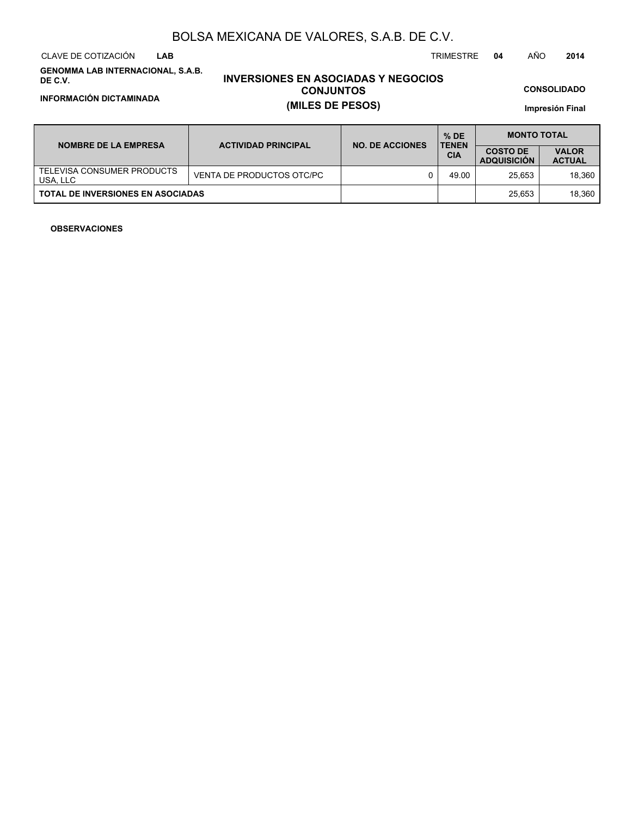CLAVE DE COTIZACIÓN TRIMESTRE **04** AÑO **2014 LAB**

**GENOMMA LAB INTERNACIONAL, S.A.B. DE C.V.**

# **INVERSIONES EN ASOCIADAS Y NEGOCIOS CONJUNTOS INFORMACIÓN DICTAMINADA (MILES DE PESOS)**

**CONSOLIDADO**

**Impresión Final**

| <b>NOMBRE DE LA EMPRESA</b>              | <b>ACTIVIDAD PRINCIPAL</b> | <b>NO. DE ACCIONES</b> | $%$ DE<br><b>TENEN</b> | <b>MONTO TOTAL</b>                    |                               |  |
|------------------------------------------|----------------------------|------------------------|------------------------|---------------------------------------|-------------------------------|--|
|                                          |                            |                        | <b>CIA</b>             | <b>COSTO DE</b><br><b>ADQUISICION</b> | <b>VALOR</b><br><b>ACTUAL</b> |  |
| TELEVISA CONSUMER PRODUCTS<br>USA. LLC   | VENTA DE PRODUCTOS OTC/PC  |                        | 49.00                  | 25.653                                | 18.360                        |  |
| <b>TOTAL DE INVERSIONES EN ASOCIADAS</b> |                            |                        |                        | 25.653                                | 18.360                        |  |

### **OBSERVACIONES**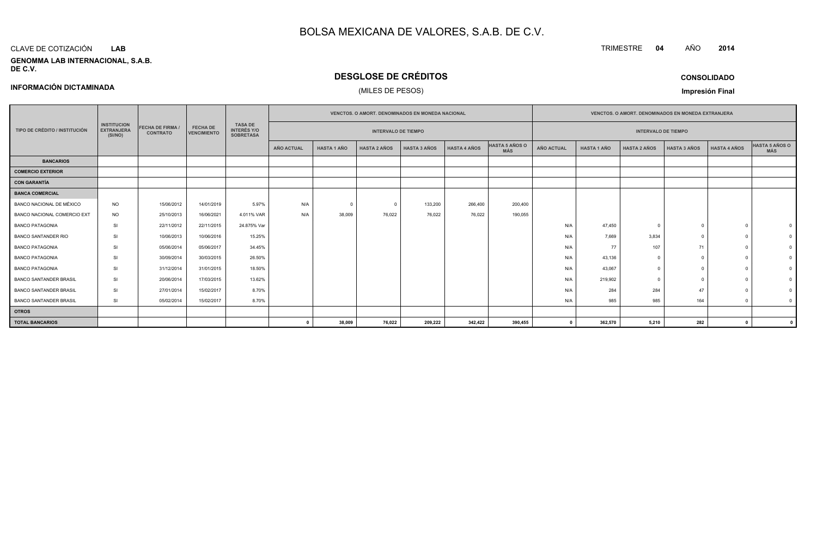#### CLAVE DE COTIZACIÓN**LAB**

**INFORMACIÓN DICTAMINADA**

#### **GENOMMA LAB INTERNACIONAL, S.A.B. DE C.V.**

# **DESGLOSE DE CRÉDITOS**

# (MILES DE PESOS)

**CONSOLIDADO**

**Impresión Final**

|                               |                                                    |                                            |                                       |                                                          | <b>VENCTOS, O AMORT, DENOMINADOS EN MONEDA NACIONAL</b> |                     |                            |                     |                              | <b>VENCTOS, O AMORT, DENOMINADOS EN MONEDA EXTRANJERA</b> |                    |                     |                            |                     |                              |  |
|-------------------------------|----------------------------------------------------|--------------------------------------------|---------------------------------------|----------------------------------------------------------|---------------------------------------------------------|---------------------|----------------------------|---------------------|------------------------------|-----------------------------------------------------------|--------------------|---------------------|----------------------------|---------------------|------------------------------|--|
| TIPO DE CRÉDITO / INSTITUCIÓN | <b>INSTITUCION</b><br><b>EXTRANJERA</b><br>(SI/NO) | <b>FECHA DE FIRMA /</b><br><b>CONTRATO</b> | <b>FECHA DE</b><br><b>VENCIMIENTO</b> | <b>TASA DE</b><br><b>INTERÉS Y/O</b><br><b>SOBRETASA</b> |                                                         |                     | <b>INTERVALO DE TIEMPO</b> |                     |                              |                                                           |                    |                     | <b>INTERVALO DE TIEMPO</b> |                     |                              |  |
|                               |                                                    |                                            |                                       | <b>AÑO ACTUAL</b>                                        | <b>HASTA 1 AÑO</b>                                      | <b>HASTA 2 AÑOS</b> | <b>HASTA 3 AÑOS</b>        | <b>HASTA 4 AÑOS</b> | HASTA 5 AÑOS O<br><b>MÁS</b> | <b>AÑO ACTUAL</b>                                         | <b>HASTA 1 AÑO</b> | <b>HASTA 2 AÑOS</b> | <b>HASTA 3 AÑOS</b>        | <b>HASTA 4 AÑOS</b> | HASTA 5 AÑOS O<br><b>MÁS</b> |  |
| <b>BANCARIOS</b>              |                                                    |                                            |                                       |                                                          |                                                         |                     |                            |                     |                              |                                                           |                    |                     |                            |                     |                              |  |
| <b>COMERCIO EXTERIOR</b>      |                                                    |                                            |                                       |                                                          |                                                         |                     |                            |                     |                              |                                                           |                    |                     |                            |                     |                              |  |
| <b>CON GARANTÍA</b>           |                                                    |                                            |                                       |                                                          |                                                         |                     |                            |                     |                              |                                                           |                    |                     |                            |                     |                              |  |
| <b>BANCA COMERCIAL</b>        |                                                    |                                            |                                       |                                                          |                                                         |                     |                            |                     |                              |                                                           |                    |                     |                            |                     |                              |  |
| BANCO NACIONAL DE MÉXICO      | <b>NO</b>                                          | 15/06/2012                                 | 14/01/2019                            | 5.97%                                                    | N/A                                                     | $^{\circ}$          | $\Omega$                   | 133,200             | 266,400                      | 200,400                                                   |                    |                     |                            |                     |                              |  |
| BANCO NACIONAL COMERCIO EXT   | <b>NO</b>                                          | 25/10/2013                                 | 16/06/2021                            | 4.011% VAR                                               | N/A                                                     | 38,009              | 76,022                     | 76,022              | 76,022                       | 190,055                                                   |                    |                     |                            |                     |                              |  |
| <b>BANCO PATAGONIA</b>        | <b>SI</b>                                          | 22/11/2012                                 | 22/11/2015                            | 24.875% Var                                              |                                                         |                     |                            |                     |                              |                                                           | N/A                | 47,450              | $\Omega$                   |                     |                              |  |
| <b>BANCO SANTANDER RIO</b>    | SI                                                 | 10/06/2013                                 | 10/06/2016                            | 15.25%                                                   |                                                         |                     |                            |                     |                              |                                                           | N/A                | 7,669               | 3,834                      |                     |                              |  |
| <b>BANCO PATAGONIA</b>        | SI                                                 | 05/06/2014                                 | 05/06/2017                            | 34.45%                                                   |                                                         |                     |                            |                     |                              |                                                           | N/A                | 77                  | 107                        | 71                  |                              |  |
| <b>BANCO PATAGONIA</b>        | SI                                                 | 30/09/2014                                 | 30/03/2015                            | 26.50%                                                   |                                                         |                     |                            |                     |                              |                                                           | N/A                | 43,136              |                            |                     |                              |  |
| <b>BANCO PATAGONIA</b>        | SI                                                 | 31/12/2014                                 | 31/01/2015                            | 18.50%                                                   |                                                         |                     |                            |                     |                              |                                                           | N/A                | 43,067              | $\Omega$                   |                     |                              |  |
| <b>BANCO SANTANDER BRASIL</b> | SI                                                 | 20/06/2014                                 | 17/03/2015                            | 13.62%                                                   |                                                         |                     |                            |                     |                              |                                                           | N/A                | 219,902             |                            |                     |                              |  |
| <b>BANCO SANTANDER BRASIL</b> | <b>SI</b>                                          | 27/01/2014                                 | 15/02/2017                            | 8.70%                                                    |                                                         |                     |                            |                     |                              |                                                           | N/A                | 284                 | 284                        | 47                  |                              |  |
| <b>BANCO SANTANDER BRASIL</b> | SI                                                 | 05/02/2014                                 | 15/02/2017                            | 8.70%                                                    |                                                         |                     |                            |                     |                              |                                                           | N/A                | 985                 | 985                        | 164                 |                              |  |
| <b>OTROS</b>                  |                                                    |                                            |                                       |                                                          |                                                         |                     |                            |                     |                              |                                                           |                    |                     |                            |                     |                              |  |
| <b>TOTAL BANCARIOS</b>        |                                                    |                                            |                                       |                                                          |                                                         | 38,009              | 76,022                     | 209,222             | 342,422                      | 390,455                                                   |                    | 362,570             | 5,210                      | 282                 | $\mathbf{0}$                 |  |

**<sup>2014</sup>**

TRIMESTRE **<sup>04</sup>** AÑO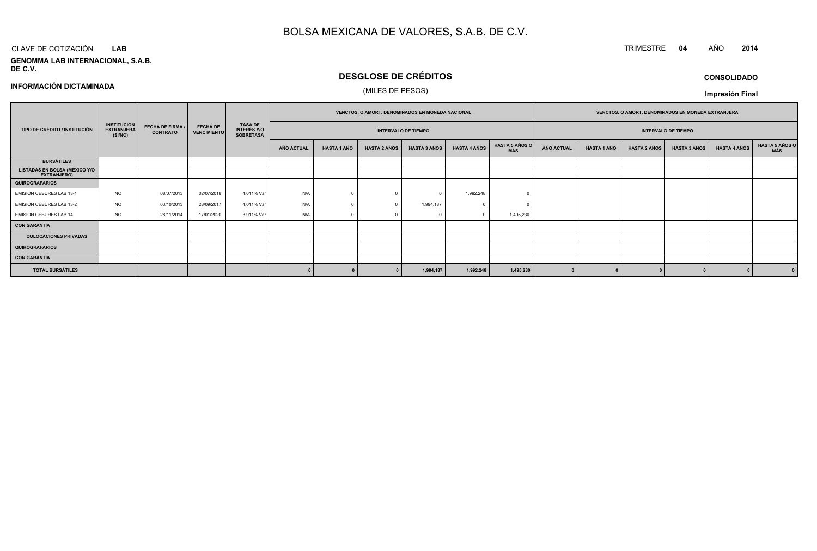#### CLAVE DE COTIZACIÓN TRIMESTRE **<sup>04</sup>** AÑO **<sup>2014</sup> LAB**

**GENOMMA LAB INTERNACIONAL, S.A.B. DE C.V.**

# **DESGLOSE DE CRÉDITOS**

**CONSOLIDADO**

## **INFORMACIÓN DICTAMINADA**

# (MILES DE PESOS)

|                                                     |                                                    |                                            |                                       |                                                          | VENCTOS. O AMORT. DENOMINADOS EN MONEDA NACIONAL |                            |                     |                     |                     |                            | VENCTOS. O AMORT. DENOMINADOS EN MONEDA EXTRANJERA |                    |                     |                     |                     |                       |
|-----------------------------------------------------|----------------------------------------------------|--------------------------------------------|---------------------------------------|----------------------------------------------------------|--------------------------------------------------|----------------------------|---------------------|---------------------|---------------------|----------------------------|----------------------------------------------------|--------------------|---------------------|---------------------|---------------------|-----------------------|
| TIPO DE CRÉDITO / INSTITUCIÓN                       | <b>INSTITUCION</b><br><b>EXTRANJERA</b><br>(SI/NO) | <b>FECHA DE FIRMA /</b><br><b>CONTRATO</b> | <b>FECHA DE</b><br><b>VENCIMIENTO</b> | <b>TASA DE</b><br><b>INTERÉS Y/O</b><br><b>SOBRETASA</b> |                                                  | <b>INTERVALO DE TIEMPO</b> |                     |                     |                     | <b>INTERVALO DE TIEMPO</b> |                                                    |                    |                     |                     |                     |                       |
|                                                     |                                                    |                                            |                                       |                                                          | AÑO ACTUAL                                       | <b>HASTA 1 AÑO</b>         | <b>HASTA 2 AÑOS</b> | <b>HASTA 3 AÑOS</b> | <b>HASTA 4 AÑOS</b> | HASTA 5 AÑOS O<br>MÁS      | <b>AÑO ACTUAL</b>                                  | <b>HASTA 1 AÑO</b> | <b>HASTA 2 AÑOS</b> | <b>HASTA 3 AÑOS</b> | <b>HASTA 4 AÑOS</b> | HASTA 5 AÑOS C<br>MÁS |
| <b>BURSÁTILES</b>                                   |                                                    |                                            |                                       |                                                          |                                                  |                            |                     |                     |                     |                            |                                                    |                    |                     |                     |                     |                       |
| <b>LISTADAS EN BOLSA (MÉXICO Y/O</b><br>EXTRANJERO) |                                                    |                                            |                                       |                                                          |                                                  |                            |                     |                     |                     |                            |                                                    |                    |                     |                     |                     |                       |
| <b>QUIROGRAFARIOS</b>                               |                                                    |                                            |                                       |                                                          |                                                  |                            |                     |                     |                     |                            |                                                    |                    |                     |                     |                     |                       |
| EMISIÓN CEBURES LAB 13-1                            | <b>NO</b>                                          | 08/07/2013                                 | 02/07/2018                            | 4.011% Var                                               | N/A                                              |                            |                     |                     | 1,992,248           |                            |                                                    |                    |                     |                     |                     |                       |
| EMISIÓN CEBURES LAB 13-2                            | <b>NO</b>                                          | 03/10/2013                                 | 28/09/2017                            | 4.011% Var                                               | N/A                                              |                            |                     | 1,994,187           |                     |                            |                                                    |                    |                     |                     |                     |                       |
| EMISIÓN CEBURES LAB 14                              | <b>NO</b>                                          | 28/11/2014                                 | 17/01/2020                            | 3.911% Var                                               | N/A                                              |                            |                     |                     |                     | 1,495,230                  |                                                    |                    |                     |                     |                     |                       |
| CON GARANTÍA                                        |                                                    |                                            |                                       |                                                          |                                                  |                            |                     |                     |                     |                            |                                                    |                    |                     |                     |                     |                       |
| <b>COLOCACIONES PRIVADAS</b>                        |                                                    |                                            |                                       |                                                          |                                                  |                            |                     |                     |                     |                            |                                                    |                    |                     |                     |                     |                       |
| <b>QUIROGRAFARIOS</b>                               |                                                    |                                            |                                       |                                                          |                                                  |                            |                     |                     |                     |                            |                                                    |                    |                     |                     |                     |                       |
| CON GARANTÍA                                        |                                                    |                                            |                                       |                                                          |                                                  |                            |                     |                     |                     |                            |                                                    |                    |                     |                     |                     |                       |
| <b>TOTAL BURSÁTILES</b>                             |                                                    |                                            |                                       |                                                          |                                                  |                            |                     | 1,994,187           | 1,992,248           | 1,495,230                  |                                                    |                    |                     |                     |                     |                       |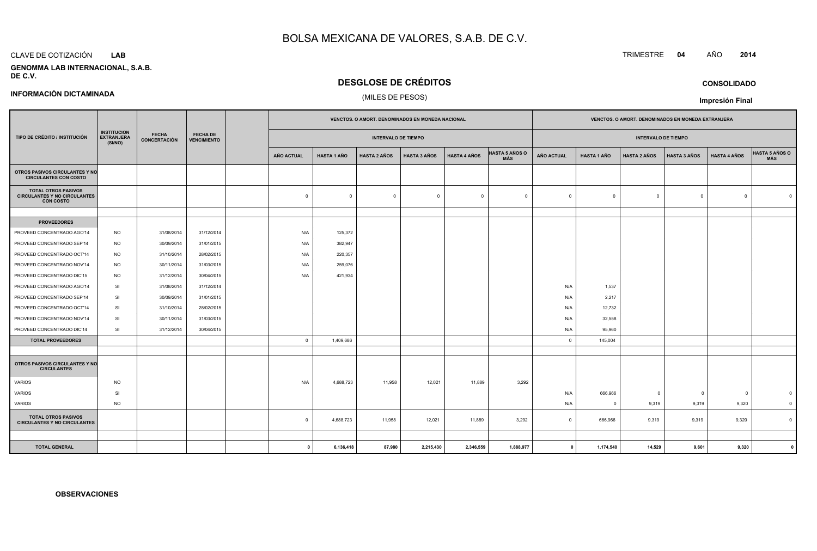#### CLAVE DE COTIZACIÓN**LAB**

**INFORMACIÓN DICTAMINADA**

#### **GENOMMA LAB INTERNACIONAL, S.A.B.DE C.V.**

# **DESGLOSE DE CRÉDITOS**

## (MILES DE PESOS)

|                                                                                       |                                                    | <b>FECHA</b><br><b>FECHA DE</b><br>CONCERTACIÓN |                    |                         |                    |                            |                     | VENCTOS. O AMORT. DENOMINADOS EN MONEDA NACIONAL |                              |                   |                    |                            |                     |                     | VENCTOS. O AMORT. DENOMINADOS EN MONEDA EXTRANJERA |  |  |
|---------------------------------------------------------------------------------------|----------------------------------------------------|-------------------------------------------------|--------------------|-------------------------|--------------------|----------------------------|---------------------|--------------------------------------------------|------------------------------|-------------------|--------------------|----------------------------|---------------------|---------------------|----------------------------------------------------|--|--|
| TIPO DE CRÉDITO / INSTITUCIÓN                                                         | <b>INSTITUCION</b><br><b>EXTRANJERA</b><br>(SI/NO) |                                                 | <b>VENCIMIENTO</b> |                         |                    | <b>INTERVALO DE TIEMPO</b> |                     |                                                  |                              |                   |                    | <b>INTERVALO DE TIEMPO</b> |                     |                     |                                                    |  |  |
|                                                                                       |                                                    |                                                 |                    | <b>AÑO ACTUAL</b>       | <b>HASTA 1 AÑO</b> | <b>HASTA 2 AÑOS</b>        | <b>HASTA 3 AÑOS</b> | <b>HASTA 4 AÑOS</b>                              | <b>HASTA 5 AÑOS O</b><br>MÁS | <b>AÑO ACTUAL</b> | <b>HASTA 1 AÑO</b> | <b>HASTA 2 AÑOS</b>        | <b>HASTA 3 AÑOS</b> | <b>HASTA 4 AÑOS</b> | HASTA 5 AÑOS O<br>MÁS                              |  |  |
| OTROS PASIVOS CIRCULANTES Y NO<br><b>CIRCULANTES CON COSTO</b>                        |                                                    |                                                 |                    |                         |                    |                            |                     |                                                  |                              |                   |                    |                            |                     |                     |                                                    |  |  |
| <b>TOTAL OTROS PASIVOS</b><br><b>CIRCULANTES Y NO CIRCULANTES</b><br><b>CON COSTO</b> |                                                    |                                                 |                    | $\mathbf{0}$            | $\mathbf{0}$       | $\overline{0}$             | $\Omega$            | $\overline{0}$                                   | $\overline{0}$               | $^{\circ}$        | $\overline{0}$     | $\mathbf 0$                | $\overline{0}$      | $\overline{0}$      |                                                    |  |  |
|                                                                                       |                                                    |                                                 |                    |                         |                    |                            |                     |                                                  |                              |                   |                    |                            |                     |                     |                                                    |  |  |
| <b>PROVEEDORES</b>                                                                    |                                                    |                                                 |                    |                         |                    |                            |                     |                                                  |                              |                   |                    |                            |                     |                     |                                                    |  |  |
| PROVEED CONCENTRADO AGO'14                                                            | <b>NO</b>                                          | 31/08/2014                                      | 31/12/2014         | N/A                     | 125,372            |                            |                     |                                                  |                              |                   |                    |                            |                     |                     |                                                    |  |  |
| PROVEED CONCENTRADO SEP'14                                                            | <b>NO</b>                                          | 30/09/2014                                      | 31/01/2015         | N/A                     | 382,947            |                            |                     |                                                  |                              |                   |                    |                            |                     |                     |                                                    |  |  |
| PROVEED CONCENTRADO OCT'14                                                            | <b>NO</b>                                          | 31/10/2014                                      | 28/02/2015         | N/A                     | 220,357            |                            |                     |                                                  |                              |                   |                    |                            |                     |                     |                                                    |  |  |
| PROVEED CONCENTRADO NOV'14                                                            | <b>NO</b>                                          | 30/11/2014                                      | 31/03/2015         | N/A                     | 259,076            |                            |                     |                                                  |                              |                   |                    |                            |                     |                     |                                                    |  |  |
| PROVEED CONCENTRADO DIC'15                                                            | <b>NO</b>                                          | 31/12/2014                                      | 30/04/2015         | N/A                     | 421,934            |                            |                     |                                                  |                              |                   |                    |                            |                     |                     |                                                    |  |  |
| PROVEED CONCENTRADO AGO'14                                                            | SI                                                 | 31/08/2014                                      | 31/12/2014         |                         |                    |                            |                     |                                                  |                              | N/A               | 1,537              |                            |                     |                     |                                                    |  |  |
| PROVEED CONCENTRADO SEP'14                                                            | SI                                                 | 30/09/2014                                      | 31/01/2015         |                         |                    |                            |                     |                                                  |                              | N/A               | 2,217              |                            |                     |                     |                                                    |  |  |
| PROVEED CONCENTRADO OCT'14                                                            | SI                                                 | 31/10/2014                                      | 28/02/2015         |                         |                    |                            |                     |                                                  |                              | N/A               | 12,732             |                            |                     |                     |                                                    |  |  |
| PROVEED CONCENTRADO NOV'14                                                            | SI                                                 | 30/11/2014                                      | 31/03/2015         |                         |                    |                            |                     |                                                  |                              | N/A               | 32,558             |                            |                     |                     |                                                    |  |  |
| PROVEED CONCENTRADO DIC'14                                                            | SI                                                 | 31/12/2014                                      | 30/04/2015         |                         |                    |                            |                     |                                                  |                              | N/A               | 95,960             |                            |                     |                     |                                                    |  |  |
| <b>TOTAL PROVEEDORES</b>                                                              |                                                    |                                                 |                    | $\overline{\mathbf{0}}$ | 1,409,686          |                            |                     |                                                  |                              | $\overline{0}$    | 145,004            |                            |                     |                     |                                                    |  |  |
|                                                                                       |                                                    |                                                 |                    |                         |                    |                            |                     |                                                  |                              |                   |                    |                            |                     |                     |                                                    |  |  |
| OTROS PASIVOS CIRCULANTES Y NO<br><b>CIRCULANTES</b>                                  |                                                    |                                                 |                    |                         |                    |                            |                     |                                                  |                              |                   |                    |                            |                     |                     |                                                    |  |  |
| <b>VARIOS</b>                                                                         | <b>NO</b>                                          |                                                 |                    | N/A                     | 4,688,723          | 11,958                     | 12,021              | 11,889                                           | 3,292                        |                   |                    |                            |                     |                     |                                                    |  |  |
| <b>VARIOS</b>                                                                         | <b>SI</b>                                          |                                                 |                    |                         |                    |                            |                     |                                                  |                              | N/A               | 666,966            | $\Omega$                   | 0                   | $\mathbf 0$         |                                                    |  |  |
| <b>VARIOS</b>                                                                         | <b>NO</b>                                          |                                                 |                    |                         |                    |                            |                     |                                                  |                              | N/A               | $\overline{0}$     | 9,319                      | 9,319               | 9,320               |                                                    |  |  |
| <b>TOTAL OTROS PASIVOS</b><br><b>CIRCULANTES Y NO CIRCULANTES</b>                     |                                                    |                                                 |                    | $\Omega$                | 4,688,723          | 11,958                     | 12,021              | 11,889                                           | 3,292                        | $\circ$           | 666,966            | 9,319                      | 9,319               | 9,320               |                                                    |  |  |
|                                                                                       |                                                    |                                                 |                    |                         |                    |                            |                     |                                                  |                              |                   |                    |                            |                     |                     |                                                    |  |  |
| <b>TOTAL GENERAL</b>                                                                  |                                                    |                                                 |                    | $^{\circ}$              | 6,136,418          | 87,980                     | 2,215,430           | 2,346,559                                        | 1.888.977                    | $\mathbf{0}$      | 1.174.540          | 14.529                     | 9,601               | 9,320               |                                                    |  |  |

**<sup>0</sup> 6,136,418 87,980 2,215,430 2,346,559 1,888,977 <sup>0</sup> 1,174,540 14,529 9,601 9,320 <sup>0</sup>**

**Impresión Final**

**OBSERVACIONES**

# TRIMESTRE **<sup>04</sup>** AÑO **<sup>2014</sup>**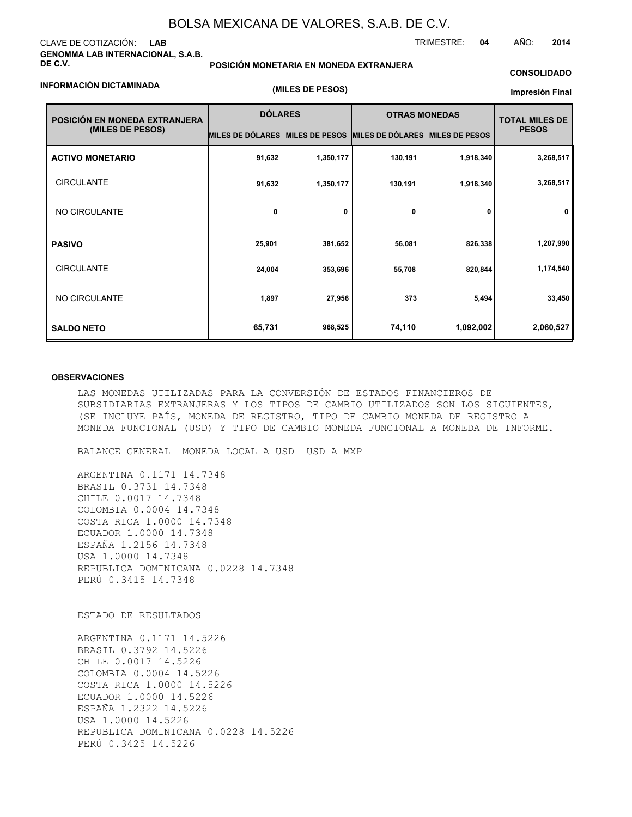### CLAVE DE COTIZACIÓN: **LAB GENOMMA LAB INTERNACIONAL, S.A.B. DE C.V.**

#### **INFORMACIÓN DICTAMINADA**

**POSICIÓN MONETARIA EN MONEDA EXTRANJERA**

**(MILES DE PESOS)**

#### **CONSOLIDADO**

**Impresión Final**

| POSICIÓN EN MONEDA EXTRANJERA | <b>DÓLARES</b>          |                       | <b>OTRAS MONEDAS</b> | <b>TOTAL MILES DE</b> |              |  |
|-------------------------------|-------------------------|-----------------------|----------------------|-----------------------|--------------|--|
| (MILES DE PESOS)              | <b>MILES DE DÓLARES</b> | <b>MILES DE PESOS</b> | MILES DE DÓLARES     | <b>MILES DE PESOS</b> | <b>PESOS</b> |  |
| <b>ACTIVO MONETARIO</b>       | 91,632                  | 1,350,177             | 130,191              | 1,918,340             | 3,268,517    |  |
| <b>CIRCULANTE</b>             | 91,632                  | 1,350,177             | 130,191              | 1,918,340             | 3,268,517    |  |
| NO CIRCULANTE                 | 0                       | 0                     | 0                    | 0                     | 0            |  |
| <b>PASIVO</b>                 | 25,901                  | 381,652               | 56,081               | 826,338               | 1,207,990    |  |
| <b>CIRCULANTE</b>             | 24,004                  | 353,696               | 55,708               | 820,844               | 1,174,540    |  |
| NO CIRCULANTE                 | 1,897                   | 27,956                | 373                  | 5,494                 | 33,450       |  |
| <b>SALDO NETO</b>             | 65,731                  | 968,525               | 74,110               | 1,092,002             | 2,060,527    |  |

#### **OBSERVACIONES**

LAS MONEDAS UTILIZADAS PARA LA CONVERSIÓN DE ESTADOS FINANCIEROS DE SUBSIDIARIAS EXTRANJERAS Y LOS TIPOS DE CAMBIO UTILIZADOS SON LOS SIGUIENTES, (SE INCLUYE PAÍS, MONEDA DE REGISTRO, TIPO DE CAMBIO MONEDA DE REGISTRO A MONEDA FUNCIONAL (USD) Y TIPO DE CAMBIO MONEDA FUNCIONAL A MONEDA DE INFORME.

BALANCE GENERAL MONEDA LOCAL A USD USD A MXP

ARGENTINA 0.1171 14.7348 BRASIL 0.3731 14.7348 CHILE 0.0017 14.7348 COLOMBIA 0.0004 14.7348 COSTA RICA 1.0000 14.7348 ECUADOR 1.0000 14.7348 ESPAÑA 1.2156 14.7348 USA 1.0000 14.7348 REPUBLICA DOMINICANA 0.0228 14.7348 PERÚ 0.3415 14.7348

ESTADO DE RESULTADOS

ARGENTINA 0.1171 14.5226 BRASIL 0.3792 14.5226 CHILE 0.0017 14.5226 COLOMBIA 0.0004 14.5226 COSTA RICA 1.0000 14.5226 ECUADOR 1.0000 14.5226 ESPAÑA 1.2322 14.5226 USA 1.0000 14.5226 REPUBLICA DOMINICANA 0.0228 14.5226 PERÚ 0.3425 14.5226

TRIMESTRE: **04** AÑO: **2014**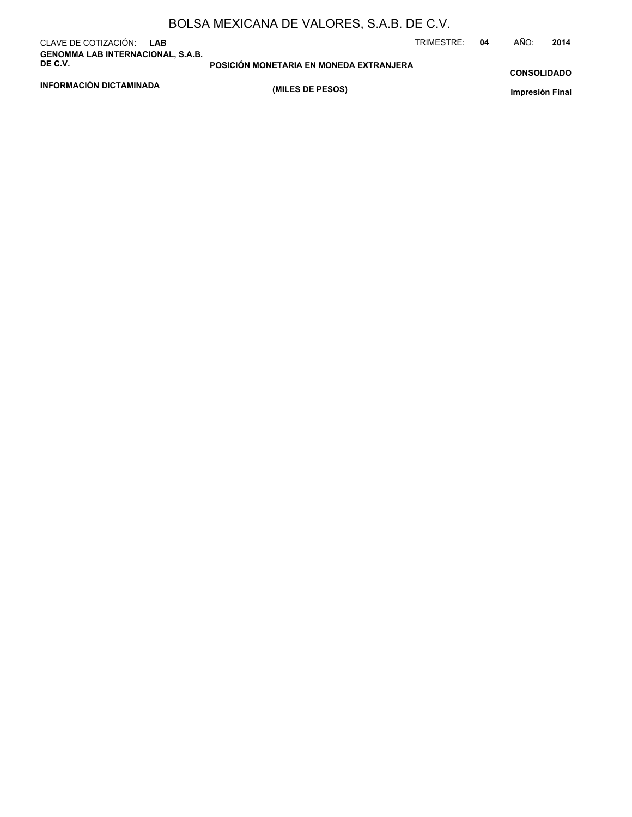|  | BOLSA MEXICANA DE VALORES, S.A.B. DE C.V. |
|--|-------------------------------------------|
|--|-------------------------------------------|

| CLAVE DE COTIZACIÓN: LAB<br><b>GENOMMA LAB INTERNACIONAL, S.A.B.</b> |                                         | TRIMESTRE: | 04 | AÑO:               | 2014 |
|----------------------------------------------------------------------|-----------------------------------------|------------|----|--------------------|------|
| DE C.V.                                                              | POSICIÓN MONETARIA EN MONEDA EXTRANJERA |            |    | <b>CONSOLIDADO</b> |      |
| <b>INFORMACIÓN DICTAMINADA</b>                                       | (MILES DE PESOS)                        |            |    | Impresión Final    |      |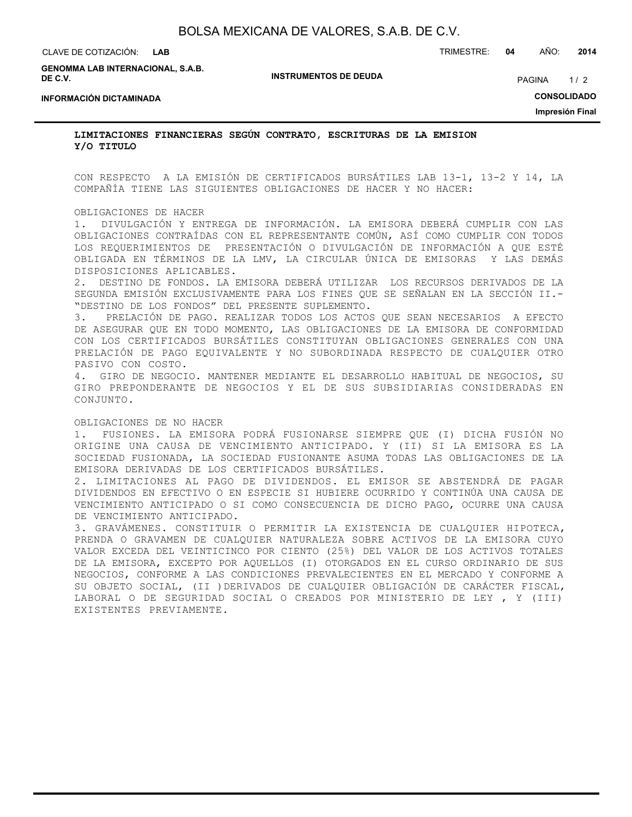| CLAVE DE COTIZACIÓN:                                | LAB |                              | TRIMESTRE: | 04 | AÑO:               | 2014 |
|-----------------------------------------------------|-----|------------------------------|------------|----|--------------------|------|
| <b>GENOMMA LAB INTERNACIONAL, S.A.B.</b><br>DE C.V. |     | <b>INSTRUMENTOS DE DEUDA</b> |            |    | <b>PAGINA</b>      | 1/2  |
| <b>INFORMACIÓN DICTAMINADA</b>                      |     |                              |            |    | <b>CONSOLIDADO</b> |      |
|                                                     |     |                              |            |    | Impresión Final    |      |

**LIMITACIONES FINANCIERAS SEGÚN CONTRATO, ESCRITURAS DE LA EMISION Y/O TITULO**

CON RESPECTO A LA EMISIÓN DE CERTIFICADOS BURSÁTILES LAB 13-1, 13-2 Y 14, LA COMPAÑÍA TIENE LAS SIGUIENTES OBLIGACIONES DE HACER Y NO HACER:

### OBLIGACIONES DE HACER

1. DIVULGACIÓN Y ENTREGA DE INFORMACIÓN. LA EMISORA DEBERÁ CUMPLIR CON LAS OBLIGACIONES CONTRAÍDAS CON EL REPRESENTANTE COMÚN, ASÍ COMO CUMPLIR CON TODOS LOS REQUERIMIENTOS DE PRESENTACIÓN O DIVULGACIÓN DE INFORMACIÓN A QUE ESTÉ OBLIGADA EN TÉRMINOS DE LA LMV, LA CIRCULAR ÚNICA DE EMISORAS Y LAS DEMÁS DISPOSICIONES APLICABLES.

2. DESTINO DE FONDOS. LA EMISORA DEBERÁ UTILIZAR LOS RECURSOS DERIVADOS DE LA SEGUNDA EMISIÓN EXCLUSIVAMENTE PARA LOS FINES QUE SE SEÑALAN EN LA SECCIÓN II.- "DESTINO DE LOS FONDOS" DEL PRESENTE SUPLEMENTO.

3. PRELACIÓN DE PAGO. REALIZAR TODOS LOS ACTOS QUE SEAN NECESARIOS A EFECTO DE ASEGURAR QUE EN TODO MOMENTO, LAS OBLIGACIONES DE LA EMISORA DE CONFORMIDAD CON LOS CERTIFICADOS BURSÁTILES CONSTITUYAN OBLIGACIONES GENERALES CON UNA PRELACIÓN DE PAGO EQUIVALENTE Y NO SUBORDINADA RESPECTO DE CUALQUIER OTRO PASIVO CON COSTO.

4. GIRO DE NEGOCIO. MANTENER MEDIANTE EL DESARROLLO HABITUAL DE NEGOCIOS, SU GIRO PREPONDERANTE DE NEGOCIOS Y EL DE SUS SUBSIDIARIAS CONSIDERADAS EN CONJUNTO.

### OBLIGACIONES DE NO HACER

1. FUSIONES. LA EMISORA PODRÁ FUSIONARSE SIEMPRE QUE (I) DICHA FUSIÓN NO ORIGINE UNA CAUSA DE VENCIMIENTO ANTICIPADO. Y (II) SI LA EMISORA ES LA SOCIEDAD FUSIONADA, LA SOCIEDAD FUSIONANTE ASUMA TODAS LAS OBLIGACIONES DE LA EMISORA DERIVADAS DE LOS CERTIFICADOS BURSÁTILES.

2. LIMITACIONES AL PAGO DE DIVIDENDOS. EL EMISOR SE ABSTENDRÁ DE PAGAR DIVIDENDOS EN EFECTIVO O EN ESPECIE SI HUBIERE OCURRIDO Y CONTINÚA UNA CAUSA DE VENCIMIENTO ANTICIPADO O SI COMO CONSECUENCIA DE DICHO PAGO, OCURRE UNA CAUSA DE VENCIMIENTO ANTICIPADO.

3. GRAVÁMENES. CONSTITUIR O PERMITIR LA EXISTENCIA DE CUALQUIER HIPOTECA, PRENDA O GRAVAMEN DE CUALQUIER NATURALEZA SOBRE ACTIVOS DE LA EMISORA CUYO VALOR EXCEDA DEL VEINTICINCO POR CIENTO (25%) DEL VALOR DE LOS ACTIVOS TOTALES DE LA EMISORA, EXCEPTO POR AQUELLOS (I) OTORGADOS EN EL CURSO ORDINARIO DE SUS NEGOCIOS, CONFORME A LAS CONDICIONES PREVALECIENTES EN EL MERCADO Y CONFORME A SU OBJETO SOCIAL, (II )DERIVADOS DE CUALQUIER OBLIGACIÓN DE CARÁCTER FISCAL, LABORAL O DE SEGURIDAD SOCIAL O CREADOS POR MINISTERIO DE LEY , Y (III) EXISTENTES PREVIAMENTE.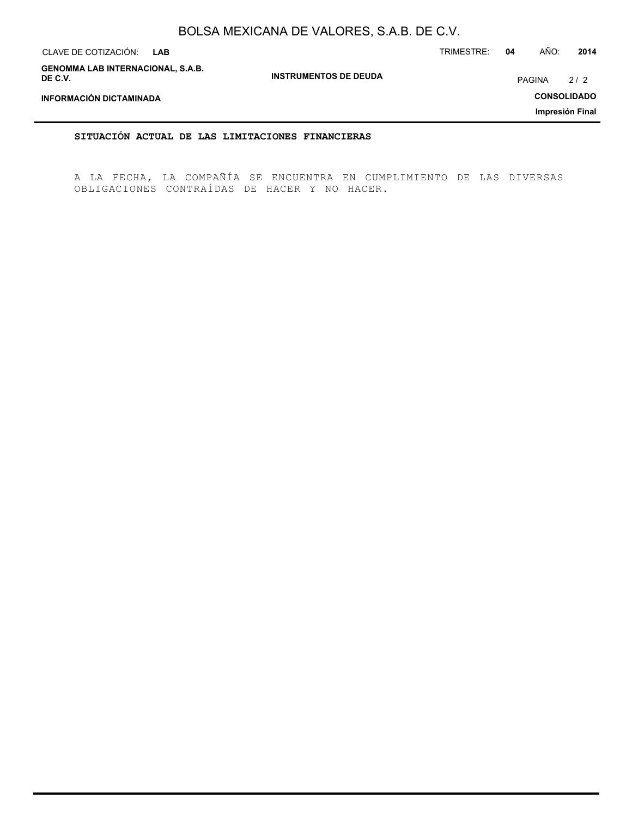| CLAVE DE COTIZACIÓN:<br><b>LAB</b>                  |                              | TRIMESTRE: | 04 | AÑO:          | 2014               |  |
|-----------------------------------------------------|------------------------------|------------|----|---------------|--------------------|--|
| <b>GENOMMA LAB INTERNACIONAL, S.A.B.</b><br>DE C.V. | <b>INSTRUMENTOS DE DEUDA</b> |            |    | <b>PAGINA</b> | 2/2                |  |
| INFORMACIÓN DICTAMINADA                             |                              |            |    |               | <b>CONSOLIDADO</b> |  |
| Impresión Final                                     |                              |            |    |               |                    |  |

**SITUACIÓN ACTUAL DE LAS LIMITACIONES FINANCIERAS**

A LA FECHA, LA COMPAÑÍA SE ENCUENTRA EN CUMPLIMIENTO DE LAS DIVERSAS OBLIGACIONES CONTRAÍDAS DE HACER Y NO HACER.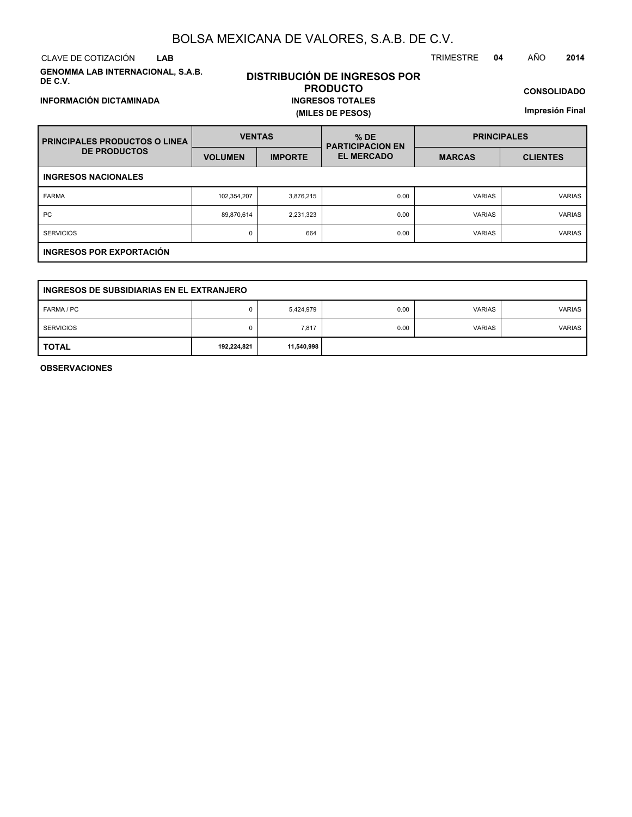CLAVE DE COTIZACIÓN TRIMESTRE **04** AÑO **2014 LAB**

**INFORMACIÓN DICTAMINADA**

**GENOMMA LAB INTERNACIONAL, S.A.B. DE C.V.**

# **DISTRIBUCIÓN DE INGRESOS POR PRODUCTO INGRESOS TOTALES (MILES DE PESOS)**

**CONSOLIDADO**

**Impresión Final**

| <b>I PRINCIPALES PRODUCTOS O LINEA</b> | <b>VENTAS</b>  |                | $%$ DE<br><b>PARTICIPACION EN</b> | <b>PRINCIPALES</b> |                 |  |  |
|----------------------------------------|----------------|----------------|-----------------------------------|--------------------|-----------------|--|--|
| <b>DE PRODUCTOS</b>                    | <b>VOLUMEN</b> | <b>IMPORTE</b> | <b>EL MERCADO</b>                 | <b>MARCAS</b>      | <b>CLIENTES</b> |  |  |
| <b>INGRESOS NACIONALES</b>             |                |                |                                   |                    |                 |  |  |
| <b>FARMA</b>                           | 102,354,207    | 3,876,215      | 0.00                              | <b>VARIAS</b>      | <b>VARIAS</b>   |  |  |
| <b>PC</b>                              | 89,870,614     | 2,231,323      | 0.00                              | <b>VARIAS</b>      | <b>VARIAS</b>   |  |  |
| <b>SERVICIOS</b>                       | 0              | 664            | 0.00                              | <b>VARIAS</b>      | <b>VARIAS</b>   |  |  |
| <b>INGRESOS POR EXPORTACIÓN</b>        |                |                |                                   |                    |                 |  |  |

| INGRESOS DE SUBSIDIARIAS EN EL EXTRANJERO |             |            |      |               |               |  |
|-------------------------------------------|-------------|------------|------|---------------|---------------|--|
| FARMA / PC                                |             | 5,424,979  | 0.00 | <b>VARIAS</b> | <b>VARIAS</b> |  |
| <b>SERVICIOS</b>                          |             | 7,817      | 0.00 | <b>VARIAS</b> | <b>VARIAS</b> |  |
| <b>TOTAL</b>                              | 192,224,821 | 11,540,998 |      |               |               |  |

**OBSERVACIONES**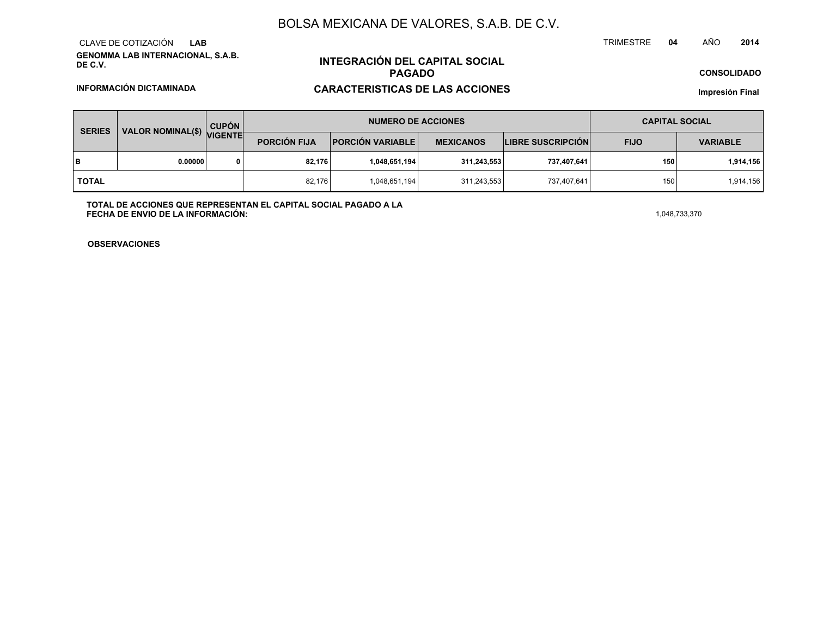### BOLSA MEXICANA DE VALORES, S.A.B. DE C.V.

**GENOMMA LAB INTERNACIONAL, S.A.B. DE C.V.**CLAVE DE COTIZACIÓN**LAB**

**INFORMACIÓN DICTAMINADA**

# **INTEGRACIÓN DEL CAPITAL SOCIALPAGADO**

### **CARACTERISTICAS DE LAS ACCIONES**

**CONSOLIDADO**

**Impresión Final**

| <b>SERIES</b> | $\sqrt{$ VALOR NOMINAL(\$) $\sqrt{ }$ | <b>CUPÓN</b><br><b>VIGENTE</b> | <b>NUMERO DE ACCIONES</b> |                         |                  |                          | <b>CAPITAL SOCIAL</b> |                 |
|---------------|---------------------------------------|--------------------------------|---------------------------|-------------------------|------------------|--------------------------|-----------------------|-----------------|
|               |                                       |                                | <b>PORCIÓN FIJA</b>       | <b>PORCIÓN VARIABLE</b> | <b>MEXICANOS</b> | <b>LIBRE SUSCRIPCIÓN</b> | <b>FIJO</b>           | <b>VARIABLE</b> |
| lв            | 0.00000                               |                                | 82,176                    | 1,048,651,194           | 311,243,553      | 737,407,641              | 150                   | 1,914,156       |
| <b>TOTAL</b>  |                                       |                                | 82,176                    | 1,048,651,194           | 311,243,553      | 737,407,641              | 150                   | 1,914,156       |

**TOTAL DE ACCIONES QUE REPRESENTAN EL CAPITAL SOCIAL PAGADO A LAFECHA DE ENVIO DE LA INFORMACIÓN:** $1,048,733,370$ 

**OBSERVACIONES**

TRIMESTRE **<sup>04</sup>** AÑO**<sup>2014</sup>**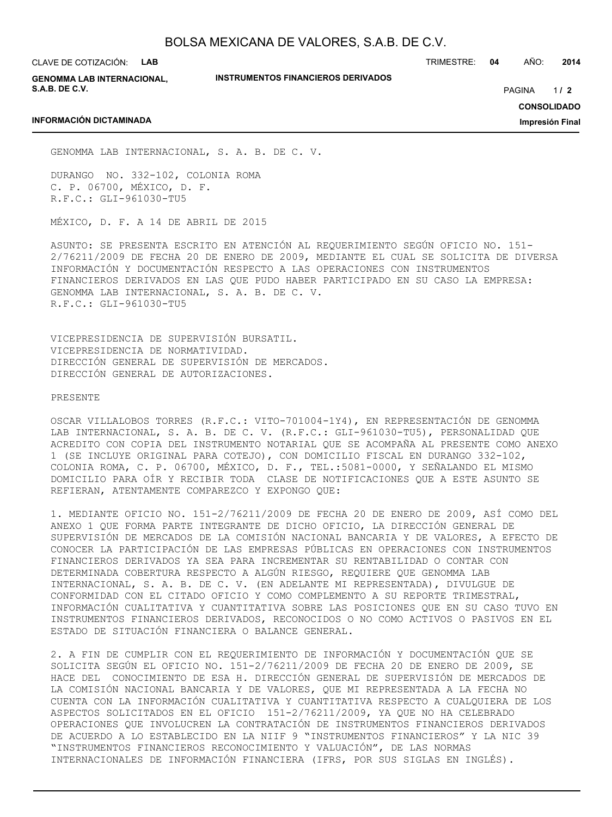CLAVE DE COTIZACIÓN: **LAB**

**INFORMACIÓN DICTAMINADA**

**GENOMMA LAB INTERNACIONAL, S.A.B. DE C.V.**

**INSTRUMENTOS FINANCIEROS DERIVADOS**

TRIMESTRE: **04** AÑO: **2014**

 $1/2$ PAGINA **/ 2**

**CONSOLIDADO**

**Impresión Final**

GENOMMA LAB INTERNACIONAL, S. A. B. DE C. V.

DURANGO NO. 332-102, COLONIA ROMA C. P. 06700, MÉXICO, D. F. R.F.C.: GLI-961030-TU5

MÉXICO, D. F. A 14 DE ABRIL DE 2015

ASUNTO: SE PRESENTA ESCRITO EN ATENCIÓN AL REQUERIMIENTO SEGÚN OFICIO NO. 151- 2/76211/2009 DE FECHA 20 DE ENERO DE 2009, MEDIANTE EL CUAL SE SOLICITA DE DIVERSA INFORMACIÓN Y DOCUMENTACIÓN RESPECTO A LAS OPERACIONES CON INSTRUMENTOS FINANCIEROS DERIVADOS EN LAS QUE PUDO HABER PARTICIPADO EN SU CASO LA EMPRESA: GENOMMA LAB INTERNACIONAL, S. A. B. DE C. V. R.F.C.: GLI-961030-TU5

VICEPRESIDENCIA DE SUPERVISIÓN BURSATIL. VICEPRESIDENCIA DE NORMATIVIDAD. DIRECCIÓN GENERAL DE SUPERVISIÓN DE MERCADOS. DIRECCIÓN GENERAL DE AUTORIZACIONES.

PRESENTE

OSCAR VILLALOBOS TORRES (R.F.C.: VITO-701004-1Y4), EN REPRESENTACIÓN DE GENOMMA LAB INTERNACIONAL, S. A. B. DE C. V. (R.F.C.: GLI-961030-TU5), PERSONALIDAD QUE ACREDITO CON COPIA DEL INSTRUMENTO NOTARIAL QUE SE ACOMPAÑA AL PRESENTE COMO ANEXO 1 (SE INCLUYE ORIGINAL PARA COTEJO), CON DOMICILIO FISCAL EN DURANGO 332-102, COLONIA ROMA, C. P. 06700, MÉXICO, D. F., TEL.:5081-0000, Y SEÑALANDO EL MISMO DOMICILIO PARA OÍR Y RECIBIR TODA CLASE DE NOTIFICACIONES QUE A ESTE ASUNTO SE REFIERAN, ATENTAMENTE COMPAREZCO Y EXPONGO QUE:

1. MEDIANTE OFICIO NO. 151-2/76211/2009 DE FECHA 20 DE ENERO DE 2009, ASÍ COMO DEL ANEXO 1 QUE FORMA PARTE INTEGRANTE DE DICHO OFICIO, LA DIRECCIÓN GENERAL DE SUPERVISIÓN DE MERCADOS DE LA COMISIÓN NACIONAL BANCARIA Y DE VALORES, A EFECTO DE CONOCER LA PARTICIPACIÓN DE LAS EMPRESAS PÚBLICAS EN OPERACIONES CON INSTRUMENTOS FINANCIEROS DERIVADOS YA SEA PARA INCREMENTAR SU RENTABILIDAD O CONTAR CON DETERMINADA COBERTURA RESPECTO A ALGÚN RIESGO, REQUIERE QUE GENOMMA LAB INTERNACIONAL, S. A. B. DE C. V. (EN ADELANTE MI REPRESENTADA), DIVULGUE DE CONFORMIDAD CON EL CITADO OFICIO Y COMO COMPLEMENTO A SU REPORTE TRIMESTRAL, INFORMACIÓN CUALITATIVA Y CUANTITATIVA SOBRE LAS POSICIONES QUE EN SU CASO TUVO EN INSTRUMENTOS FINANCIEROS DERIVADOS, RECONOCIDOS O NO COMO ACTIVOS O PASIVOS EN EL ESTADO DE SITUACIÓN FINANCIERA O BALANCE GENERAL.

2. A FIN DE CUMPLIR CON EL REQUERIMIENTO DE INFORMACIÓN Y DOCUMENTACIÓN QUE SE SOLICITA SEGÚN EL OFICIO NO. 151-2/76211/2009 DE FECHA 20 DE ENERO DE 2009, SE HACE DEL CONOCIMIENTO DE ESA H. DIRECCIÓN GENERAL DE SUPERVISIÓN DE MERCADOS DE LA COMISIÓN NACIONAL BANCARIA Y DE VALORES, QUE MI REPRESENTADA A LA FECHA NO CUENTA CON LA INFORMACIÓN CUALITATIVA Y CUANTITATIVA RESPECTO A CUALQUIERA DE LOS ASPECTOS SOLICITADOS EN EL OFICIO 151-2/76211/2009, YA QUE NO HA CELEBRADO OPERACIONES QUE INVOLUCREN LA CONTRATACIÓN DE INSTRUMENTOS FINANCIEROS DERIVADOS DE ACUERDO A LO ESTABLECIDO EN LA NIIF 9 "INSTRUMENTOS FINANCIEROS" Y LA NIC 39 "INSTRUMENTOS FINANCIEROS RECONOCIMIENTO Y VALUACIÓN", DE LAS NORMAS INTERNACIONALES DE INFORMACIÓN FINANCIERA (IFRS, POR SUS SIGLAS EN INGLÉS).